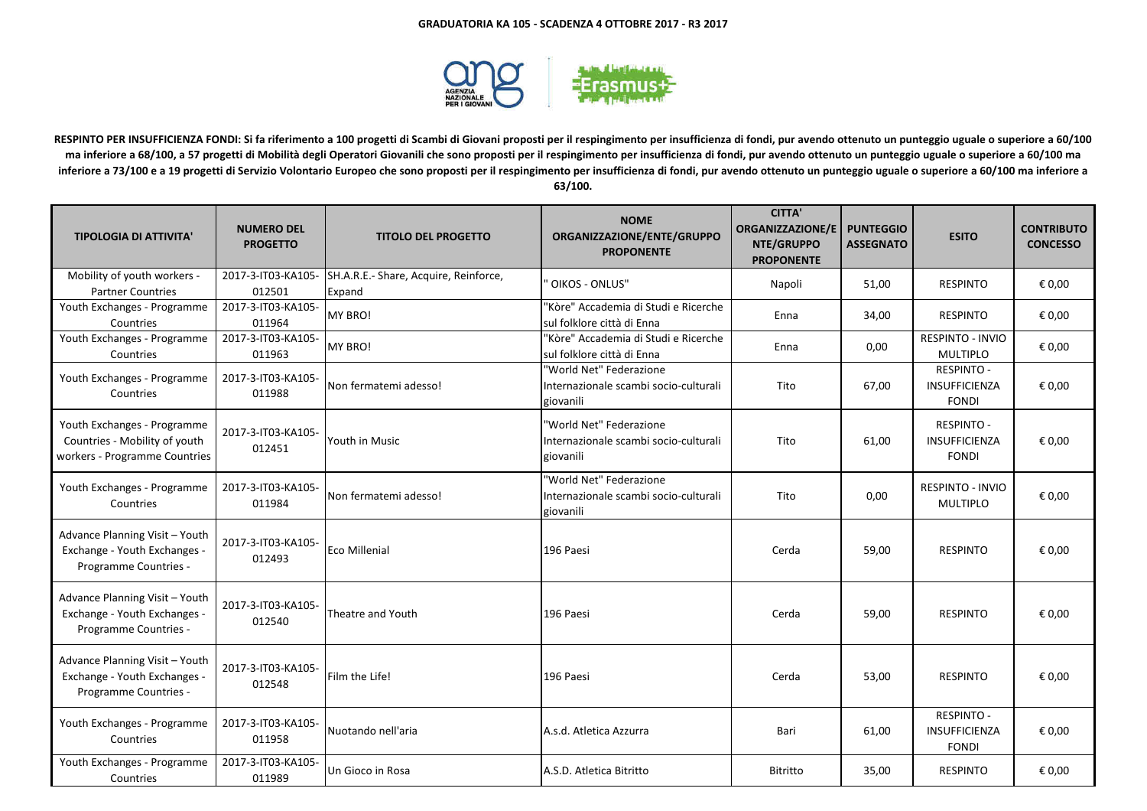

**RESPINTO PER INSUFFICIENZA FONDI: Si fa riferimento a 100 progetti di Scambi di Giovani proposti per il respingimento per insufficienza di fondi, pur avendo ottenuto un punteggio uguale o superiore a 60/100 ma inferiore a 68/100, a 57 progetti di Mobilità degli Operatori Giovanili che sono proposti per il respingimento per insufficienza di fondi, pur avendo ottenuto un punteggio uguale o superiore a 60/100 ma inferiore a 73/100 e a 19 progetti di Servizio Volontario Europeo che sono proposti per il respingimento per insufficienza di fondi, pur avendo ottenuto un punteggio uguale o superiore a 60/100 ma inferiore a 63/100.**

| <b>TIPOLOGIA DI ATTIVITA'</b>                                                                 | <b>NUMERO DEL</b><br><b>PROGETTO</b> | <b>TITOLO DEL PROGETTO</b>                      | <b>NOME</b><br>ORGANIZZAZIONE/ENTE/GRUPPO<br><b>PROPONENTE</b>                | <b>CITTA'</b><br><b>ORGANIZZAZIONE/E</b><br>NTE/GRUPPO<br><b>PROPONENTE</b> | <b>PUNTEGGIO</b><br><b>ASSEGNATO</b> | <b>ESITO</b>                                              | <b>CONTRIBUTO</b><br><b>CONCESSO</b> |
|-----------------------------------------------------------------------------------------------|--------------------------------------|-------------------------------------------------|-------------------------------------------------------------------------------|-----------------------------------------------------------------------------|--------------------------------------|-----------------------------------------------------------|--------------------------------------|
| Mobility of youth workers -<br><b>Partner Countries</b>                                       | 2017-3-IT03-KA105-<br>012501         | SH.A.R.E.- Share, Acquire, Reinforce,<br>Expand | OIKOS - ONLUS"                                                                | Napoli                                                                      | 51,00                                | <b>RESPINTO</b>                                           | € 0,00                               |
| Youth Exchanges - Programme<br>Countries                                                      | 2017-3-IT03-KA105-<br>011964         | MY BRO!                                         | 'Kòre" Accademia di Studi e Ricerche<br>sul folklore città di Enna            | Enna                                                                        | 34,00                                | <b>RESPINTO</b>                                           | € 0,00                               |
| Youth Exchanges - Programme<br>Countries                                                      | 2017-3-IT03-KA105-<br>011963         | MY BRO!                                         | "Kòre" Accademia di Studi e Ricerche<br>sul folklore città di Enna            | Enna                                                                        | 0,00                                 | <b>RESPINTO - INVIO</b><br><b>MULTIPLO</b>                | € 0,00                               |
| Youth Exchanges - Programme<br>Countries                                                      | 2017-3-IT03-KA105-<br>011988         | Non fermatemi adesso!                           | "World Net" Federazione<br>Internazionale scambi socio-culturali<br>giovanili | Tito                                                                        | 67,00                                | <b>RESPINTO -</b><br>INSUFFICIENZA<br><b>FONDI</b>        | € 0,00                               |
| Youth Exchanges - Programme<br>Countries - Mobility of youth<br>workers - Programme Countries | 2017-3-IT03-KA105-<br>012451         | Youth in Music                                  | 'World Net" Federazione<br>Internazionale scambi socio-culturali<br>giovanili | Tito                                                                        | 61,00                                | <b>RESPINTO -</b><br>INSUFFICIENZA<br><b>FONDI</b>        | € 0,00                               |
| Youth Exchanges - Programme<br>Countries                                                      | 2017-3-IT03-KA105-<br>011984         | Non fermatemi adesso!                           | 'World Net" Federazione<br>Internazionale scambi socio-culturali<br>giovanili | Tito                                                                        | 0,00                                 | <b>RESPINTO - INVIO</b><br><b>MULTIPLO</b>                | € 0,00                               |
| Advance Planning Visit - Youth<br>Exchange - Youth Exchanges -<br>Programme Countries -       | 2017-3-IT03-KA105-<br>012493         | <b>Eco Millenial</b>                            | 196 Paesi                                                                     | Cerda                                                                       | 59,00                                | <b>RESPINTO</b>                                           | € 0,00                               |
| Advance Planning Visit - Youth<br>Exchange - Youth Exchanges -<br>Programme Countries -       | 2017-3-IT03-KA105-<br>012540         | Theatre and Youth                               | 196 Paesi                                                                     | Cerda                                                                       | 59,00                                | <b>RESPINTO</b>                                           | € 0,00                               |
| Advance Planning Visit - Youth<br>Exchange - Youth Exchanges -<br>Programme Countries -       | 2017-3-IT03-KA105-<br>012548         | Film the Life!                                  | 196 Paesi                                                                     | Cerda                                                                       | 53,00                                | <b>RESPINTO</b>                                           | € 0,00                               |
| Youth Exchanges - Programme<br>Countries                                                      | 2017-3-IT03-KA105-<br>011958         | Nuotando nell'aria                              | A.s.d. Atletica Azzurra                                                       | Bari                                                                        | 61,00                                | <b>RESPINTO -</b><br><b>INSUFFICIENZA</b><br><b>FONDI</b> | € 0.00                               |
| Youth Exchanges - Programme<br>Countries                                                      | 2017-3-IT03-KA105-<br>011989         | Un Gioco in Rosa                                | A.S.D. Atletica Bitritto                                                      | Bitritto                                                                    | 35,00                                | <b>RESPINTO</b>                                           | € 0,00                               |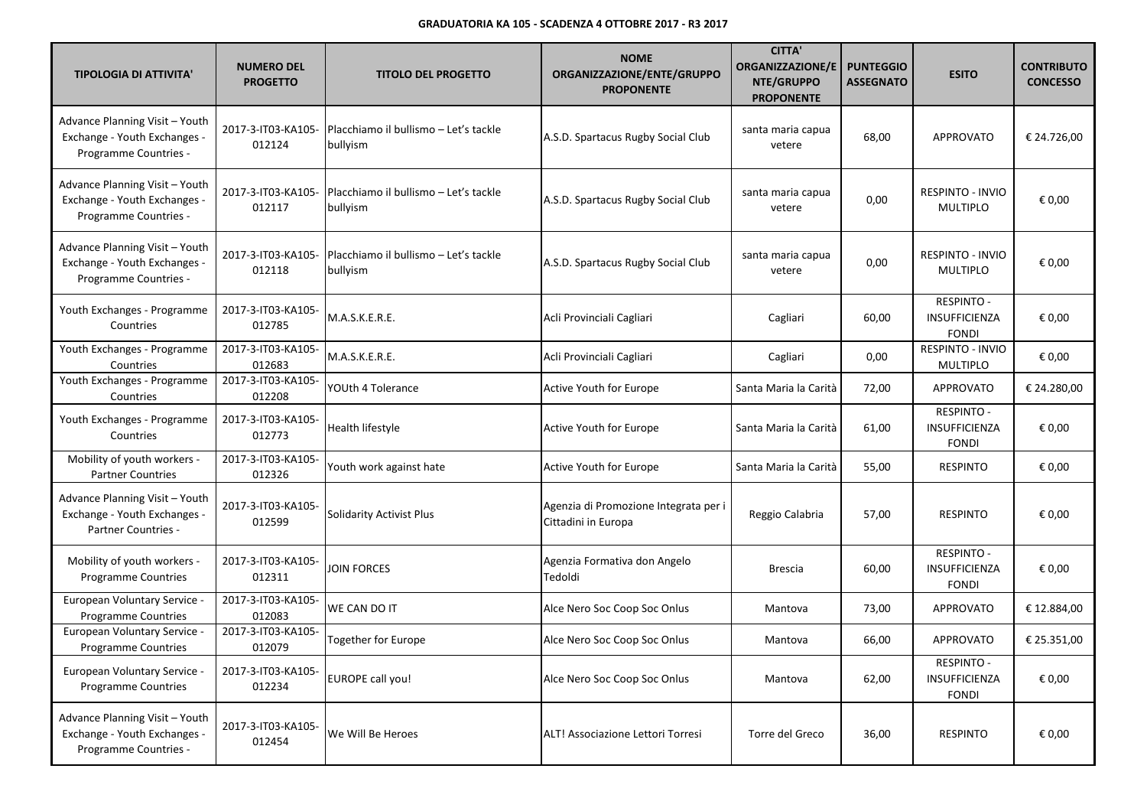| <b>TIPOLOGIA DI ATTIVITA'</b>                                                           | <b>NUMERO DEL</b><br><b>PROGETTO</b> | <b>TITOLO DEL PROGETTO</b>                        | <b>NOME</b><br>ORGANIZZAZIONE/ENTE/GRUPPO<br><b>PROPONENTE</b> | <b>CITTA'</b><br><b>ORGANIZZAZIONE/E</b><br>NTE/GRUPPO<br><b>PROPONENTE</b> | <b>PUNTEGGIO</b><br><b>ASSEGNATO</b> | <b>ESITO</b>                                       | <b>CONTRIBUTO</b><br><b>CONCESSO</b> |
|-----------------------------------------------------------------------------------------|--------------------------------------|---------------------------------------------------|----------------------------------------------------------------|-----------------------------------------------------------------------------|--------------------------------------|----------------------------------------------------|--------------------------------------|
| Advance Planning Visit - Youth<br>Exchange - Youth Exchanges -<br>Programme Countries - | 2017-3-IT03-KA105-<br>012124         | Placchiamo il bullismo – Let's tackle<br>bullyism | A.S.D. Spartacus Rugby Social Club                             | santa maria capua<br>vetere                                                 | 68,00                                | <b>APPROVATO</b>                                   | € 24.726,00                          |
| Advance Planning Visit - Youth<br>Exchange - Youth Exchanges -<br>Programme Countries - | 2017-3-IT03-KA105-<br>012117         | Placchiamo il bullismo – Let's tackle<br>bullyism | A.S.D. Spartacus Rugby Social Club                             | santa maria capua<br>vetere                                                 | 0,00                                 | RESPINTO - INVIO<br><b>MULTIPLO</b>                | € 0,00                               |
| Advance Planning Visit - Youth<br>Exchange - Youth Exchanges -<br>Programme Countries - | 2017-3-IT03-KA105-<br>012118         | Placchiamo il bullismo – Let's tackle<br>bullyism | A.S.D. Spartacus Rugby Social Club                             | santa maria capua<br>vetere                                                 | 0,00                                 | <b>RESPINTO - INVIO</b><br><b>MULTIPLO</b>         | € 0,00                               |
| Youth Exchanges - Programme<br>Countries                                                | 2017-3-IT03-KA105-<br>012785         | M.A.S.K.E.R.E.                                    | Acli Provinciali Cagliari                                      | Cagliari                                                                    | 60,00                                | RESPINTO -<br>INSUFFICIENZA<br><b>FONDI</b>        | € 0,00                               |
| Youth Exchanges - Programme<br>Countries                                                | 2017-3-IT03-KA105-<br>012683         | M.A.S.K.E.R.E.                                    | Acli Provinciali Cagliari                                      | Cagliari                                                                    | 0,00                                 | <b>RESPINTO - INVIO</b><br><b>MULTIPLO</b>         | € 0,00                               |
| Youth Exchanges - Programme<br>Countries                                                | 2017-3-IT03-KA105-<br>012208         | YOUth 4 Tolerance                                 | Active Youth for Europe                                        | Santa Maria la Carità                                                       | 72,00                                | APPROVATO                                          | € 24.280,00                          |
| Youth Exchanges - Programme<br>Countries                                                | 2017-3-IT03-KA105-<br>012773         | Health lifestyle                                  | <b>Active Youth for Europe</b>                                 | Santa Maria la Carità                                                       | 61,00                                | <b>RESPINTO -</b><br>INSUFFICIENZA<br><b>FONDI</b> | € 0,00                               |
| Mobility of youth workers -<br><b>Partner Countries</b>                                 | 2017-3-IT03-KA105-<br>012326         | Youth work against hate                           | Active Youth for Europe                                        | Santa Maria la Carità                                                       | 55,00                                | <b>RESPINTO</b>                                    | € 0,00                               |
| Advance Planning Visit - Youth<br>Exchange - Youth Exchanges -<br>Partner Countries -   | 2017-3-IT03-KA105-<br>012599         | <b>Solidarity Activist Plus</b>                   | Agenzia di Promozione Integrata per i<br>Cittadini in Europa   | Reggio Calabria                                                             | 57,00                                | <b>RESPINTO</b>                                    | € 0,00                               |
| Mobility of youth workers -<br><b>Programme Countries</b>                               | 2017-3-IT03-KA105-<br>012311         | JOIN FORCES                                       | Agenzia Formativa don Angelo<br>Tedoldi                        | <b>Brescia</b>                                                              | 60,00                                | <b>RESPINTO -</b><br>INSUFFICIENZA<br><b>FONDI</b> | € 0,00                               |
| European Voluntary Service -<br>Programme Countries                                     | 2017-3-IT03-KA105-<br>012083         | WE CAN DO IT                                      | Alce Nero Soc Coop Soc Onlus                                   | Mantova                                                                     | 73,00                                | <b>APPROVATO</b>                                   | € 12.884,00                          |
| European Voluntary Service -<br>Programme Countries                                     | 2017-3-IT03-KA105-<br>012079         | <b>Together for Europe</b>                        | Alce Nero Soc Coop Soc Onlus                                   | Mantova                                                                     | 66,00                                | <b>APPROVATO</b>                                   | € 25.351,00                          |
| <b>European Voluntary Service -</b><br><b>Programme Countries</b>                       | 2017-3-IT03-KA105-<br>012234         | <b>EUROPE call you!</b>                           | Alce Nero Soc Coop Soc Onlus                                   | Mantova                                                                     | 62,00                                | <b>RESPINTO -</b><br>INSUFFICIENZA<br><b>FONDI</b> | € 0,00                               |
| Advance Planning Visit - Youth<br>Exchange - Youth Exchanges -<br>Programme Countries - | 2017-3-IT03-KA105-<br>012454         | We Will Be Heroes                                 | ALT! Associazione Lettori Torresi                              | Torre del Greco                                                             | 36,00                                | <b>RESPINTO</b>                                    | € 0,00                               |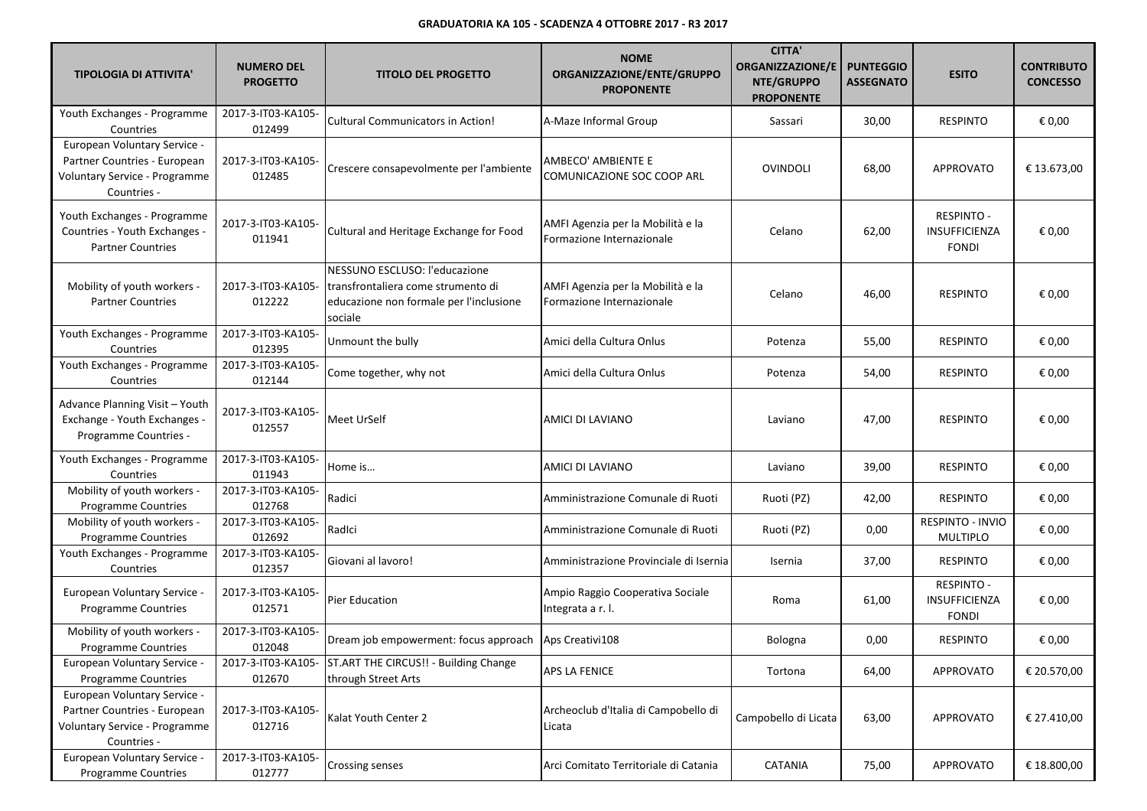| <b>TIPOLOGIA DI ATTIVITA'</b>                                                                                | <b>NUMERO DEL</b><br><b>PROGETTO</b> | <b>TITOLO DEL PROGETTO</b>                                                                                                | <b>NOME</b><br>ORGANIZZAZIONE/ENTE/GRUPPO<br><b>PROPONENTE</b> | <b>CITTA'</b><br><b>ORGANIZZAZIONE/E</b><br>NTE/GRUPPO<br><b>PROPONENTE</b> | <b>PUNTEGGIO</b><br><b>ASSEGNATO</b> | <b>ESITO</b>                                              | <b>CONTRIBUTO</b><br><b>CONCESSO</b> |
|--------------------------------------------------------------------------------------------------------------|--------------------------------------|---------------------------------------------------------------------------------------------------------------------------|----------------------------------------------------------------|-----------------------------------------------------------------------------|--------------------------------------|-----------------------------------------------------------|--------------------------------------|
| Youth Exchanges - Programme<br>Countries                                                                     | 2017-3-IT03-KA105-<br>012499         | <b>Cultural Communicators in Action!</b>                                                                                  | A-Maze Informal Group                                          | Sassari                                                                     | 30,00                                | <b>RESPINTO</b>                                           | € 0,00                               |
| European Voluntary Service -<br>Partner Countries - European<br>Voluntary Service - Programme<br>Countries - | 2017-3-IT03-KA105-<br>012485         | Crescere consapevolmente per l'ambiente                                                                                   | AMBECO' AMBIENTE E<br>COMUNICAZIONE SOC COOP ARL               | <b>OVINDOLI</b>                                                             | 68,00                                | <b>APPROVATO</b>                                          | € 13.673,00                          |
| Youth Exchanges - Programme<br>Countries - Youth Exchanges -<br><b>Partner Countries</b>                     | 2017-3-IT03-KA105-<br>011941         | Cultural and Heritage Exchange for Food                                                                                   | AMFI Agenzia per la Mobilità e la<br>Formazione Internazionale | Celano                                                                      | 62,00                                | <b>RESPINTO -</b><br>INSUFFICIENZA<br><b>FONDI</b>        | € 0,00                               |
| Mobility of youth workers -<br><b>Partner Countries</b>                                                      | 2017-3-IT03-KA105-<br>012222         | NESSUNO ESCLUSO: l'educazione<br>transfrontaliera come strumento di<br>educazione non formale per l'inclusione<br>sociale | AMFI Agenzia per la Mobilità e la<br>Formazione Internazionale | Celano                                                                      | 46,00                                | <b>RESPINTO</b>                                           | € 0,00                               |
| Youth Exchanges - Programme<br>Countries                                                                     | 2017-3-IT03-KA105-<br>012395         | Unmount the bully                                                                                                         | Amici della Cultura Onlus                                      | Potenza                                                                     | 55,00                                | <b>RESPINTO</b>                                           | € 0,00                               |
| Youth Exchanges - Programme<br>Countries                                                                     | 2017-3-IT03-KA105-<br>012144         | Come together, why not                                                                                                    | Amici della Cultura Onlus                                      | Potenza                                                                     | 54,00                                | <b>RESPINTO</b>                                           | € 0,00                               |
| Advance Planning Visit - Youth<br>Exchange - Youth Exchanges -<br>Programme Countries -                      | 2017-3-IT03-KA105-<br>012557         | Meet UrSelf                                                                                                               | AMICI DI LAVIANO                                               | Laviano                                                                     | 47,00                                | <b>RESPINTO</b>                                           | € 0,00                               |
| Youth Exchanges - Programme<br>Countries                                                                     | 2017-3-IT03-KA105-<br>011943         | Home is                                                                                                                   | AMICI DI LAVIANO                                               | Laviano                                                                     | 39,00                                | <b>RESPINTO</b>                                           | € 0,00                               |
| Mobility of youth workers -<br>Programme Countries                                                           | 2017-3-IT03-KA105-<br>012768         | Radici                                                                                                                    | Amministrazione Comunale di Ruoti                              | Ruoti (PZ)                                                                  | 42,00                                | <b>RESPINTO</b>                                           | € 0,00                               |
| Mobility of youth workers -<br>Programme Countries                                                           | 2017-3-IT03-KA105-<br>012692         | RadIci                                                                                                                    | Amministrazione Comunale di Ruoti                              | Ruoti (PZ)                                                                  | 0,00                                 | RESPINTO - INVIO<br>MULTIPLO                              | € 0,00                               |
| Youth Exchanges - Programme<br>Countries                                                                     | 2017-3-IT03-KA105-<br>012357         | Giovani al lavoro!                                                                                                        | Amministrazione Provinciale di Isernia                         | Isernia                                                                     | 37,00                                | <b>RESPINTO</b>                                           | € 0,00                               |
| <b>European Voluntary Service -</b><br>Programme Countries                                                   | 2017-3-IT03-KA105-<br>012571         | Pier Education                                                                                                            | Ampio Raggio Cooperativa Sociale<br>Integrata a r. l.          | Roma                                                                        | 61,00                                | <b>RESPINTO -</b><br><b>INSUFFICIENZA</b><br><b>FONDI</b> | € 0,00                               |
| Mobility of youth workers -<br><b>Programme Countries</b>                                                    | 2017-3-IT03-KA105-<br>012048         | Dream job empowerment: focus approach Aps Creativi108                                                                     |                                                                | Bologna                                                                     | 0,00                                 | <b>RESPINTO</b>                                           | € 0,00                               |
| European Voluntary Service -<br><b>Programme Countries</b>                                                   | 012670                               | 2017-3-IT03-KA105- ST.ART THE CIRCUS!! - Building Change<br>through Street Arts                                           | <b>APS LA FENICE</b>                                           | Tortona                                                                     | 64,00                                | APPROVATO                                                 | € 20.570,00                          |
| European Voluntary Service -<br>Partner Countries - European<br>Voluntary Service - Programme<br>Countries - | 2017-3-IT03-KA105-<br>012716         | Kalat Youth Center 2                                                                                                      | Archeoclub d'Italia di Campobello di<br>Licata                 | Campobello di Licata                                                        | 63,00                                | <b>APPROVATO</b>                                          | € 27.410,00                          |
| European Voluntary Service -<br>Programme Countries                                                          | 2017-3-IT03-KA105-<br>012777         | Crossing senses                                                                                                           | Arci Comitato Territoriale di Catania                          | CATANIA                                                                     | 75,00                                | APPROVATO                                                 | € 18.800,00                          |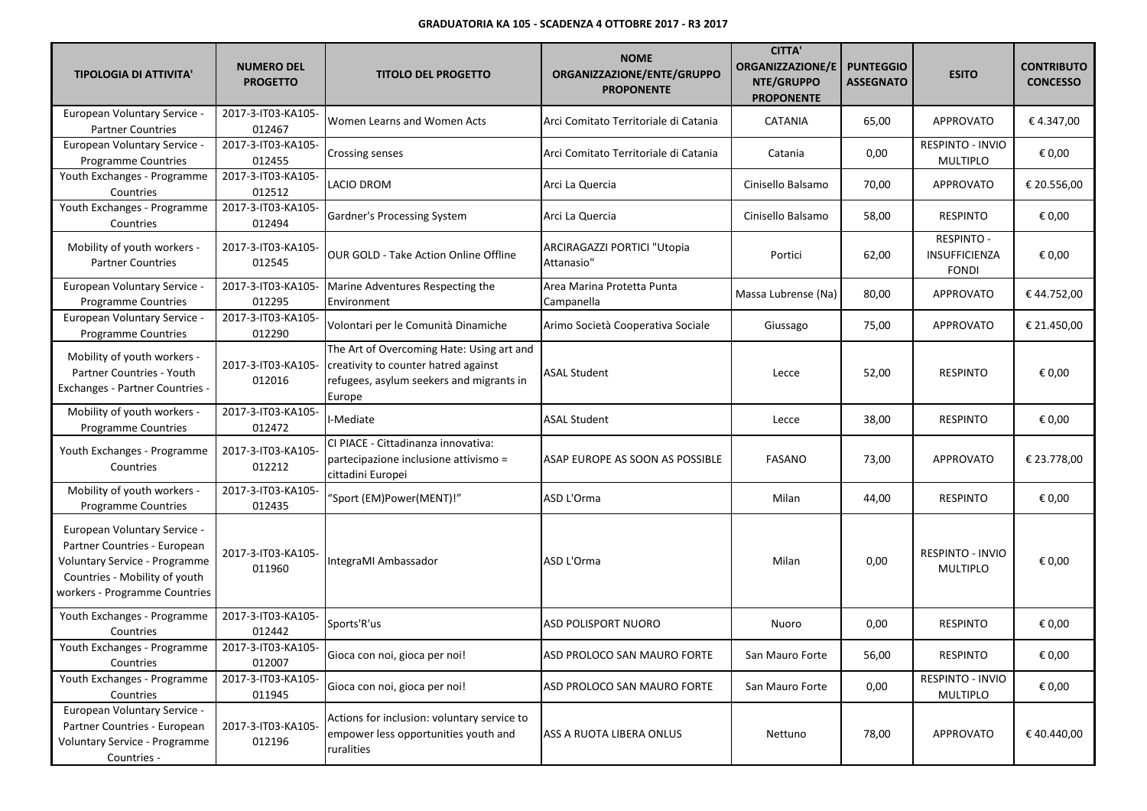| <b>TIPOLOGIA DI ATTIVITA'</b>                                                                                                                                   | <b>NUMERO DEL</b><br><b>PROGETTO</b> | <b>TITOLO DEL PROGETTO</b>                                                                                                              | <b>NOME</b><br>ORGANIZZAZIONE/ENTE/GRUPPO<br><b>PROPONENTE</b> | <b>CITTA'</b><br><b>ORGANIZZAZIONE/E</b><br>NTE/GRUPPO<br><b>PROPONENTE</b> | <b>PUNTEGGIO</b><br><b>ASSEGNATO</b> | <b>ESITO</b>                                              | <b>CONTRIBUTO</b><br><b>CONCESSO</b> |
|-----------------------------------------------------------------------------------------------------------------------------------------------------------------|--------------------------------------|-----------------------------------------------------------------------------------------------------------------------------------------|----------------------------------------------------------------|-----------------------------------------------------------------------------|--------------------------------------|-----------------------------------------------------------|--------------------------------------|
| European Voluntary Service -<br><b>Partner Countries</b>                                                                                                        | 2017-3-IT03-KA105-<br>012467         | Women Learns and Women Acts                                                                                                             | Arci Comitato Territoriale di Catania                          | <b>CATANIA</b>                                                              | 65,00                                | <b>APPROVATO</b>                                          | €4.347,00                            |
| European Voluntary Service -<br>Programme Countries                                                                                                             | 2017-3-IT03-KA105-<br>012455         | <b>Crossing senses</b>                                                                                                                  | Arci Comitato Territoriale di Catania                          | Catania                                                                     | 0,00                                 | RESPINTO - INVIO<br><b>MULTIPLO</b>                       | € 0,00                               |
| Youth Exchanges - Programme<br>Countries                                                                                                                        | 2017-3-IT03-KA105-<br>012512         | <b>LACIO DROM</b>                                                                                                                       | Arci La Quercia                                                | Cinisello Balsamo                                                           | 70,00                                | <b>APPROVATO</b>                                          | € 20.556,00                          |
| Youth Exchanges - Programme<br>Countries                                                                                                                        | 2017-3-IT03-KA105-<br>012494         | Gardner's Processing System                                                                                                             | Arci La Quercia                                                | Cinisello Balsamo                                                           | 58,00                                | <b>RESPINTO</b>                                           | € 0,00                               |
| Mobility of youth workers -<br><b>Partner Countries</b>                                                                                                         | 2017-3-IT03-KA105-<br>012545         | <b>OUR GOLD - Take Action Online Offline</b>                                                                                            | ARCIRAGAZZI PORTICI "Utopia<br>Attanasio"                      | Portici                                                                     | 62,00                                | <b>RESPINTO -</b><br><b>INSUFFICIENZA</b><br><b>FONDI</b> | € 0,00                               |
| <b>European Voluntary Service -</b><br>Programme Countries                                                                                                      | 2017-3-IT03-KA105-<br>012295         | Marine Adventures Respecting the<br>Environment                                                                                         | Area Marina Protetta Punta<br>Campanella                       | Massa Lubrense (Na)                                                         | 80,00                                | <b>APPROVATO</b>                                          | €44.752,00                           |
| European Voluntary Service<br>Programme Countries                                                                                                               | 2017-3-IT03-KA105-<br>012290         | Volontari per le Comunità Dinamiche                                                                                                     | Arimo Società Cooperativa Sociale                              | Giussago                                                                    | 75,00                                | APPROVATO                                                 | € 21.450,00                          |
| Mobility of youth workers -<br>Partner Countries - Youth<br><b>Exchanges - Partner Countries -</b>                                                              | 2017-3-IT03-KA105-<br>012016         | The Art of Overcoming Hate: Using art and<br>creativity to counter hatred against<br>refugees, asylum seekers and migrants in<br>Europe | ASAL Student                                                   | Lecce                                                                       | 52,00                                | <b>RESPINTO</b>                                           | € 0,00                               |
| Mobility of youth workers -<br><b>Programme Countries</b>                                                                                                       | 2017-3-IT03-KA105-<br>012472         | I-Mediate                                                                                                                               | <b>ASAL Student</b>                                            | Lecce                                                                       | 38,00                                | <b>RESPINTO</b>                                           | € 0,00                               |
| Youth Exchanges - Programme<br>Countries                                                                                                                        | 2017-3-IT03-KA105-<br>012212         | CI PIACE - Cittadinanza innovativa:<br>partecipazione inclusione attivismo =<br>cittadini Europei                                       | ASAP EUROPE AS SOON AS POSSIBLE                                | <b>FASANO</b>                                                               | 73,00                                | APPROVATO                                                 | € 23.778,00                          |
| Mobility of youth workers -<br>Programme Countries                                                                                                              | 2017-3-IT03-KA105-<br>012435         | "Sport (EM)Power(MENT)!"                                                                                                                | ASD L'Orma                                                     | Milan                                                                       | 44,00                                | <b>RESPINTO</b>                                           | € 0,00                               |
| European Voluntary Service -<br>Partner Countries - European<br>Voluntary Service - Programme<br>Countries - Mobility of youth<br>workers - Programme Countries | 2017-3-IT03-KA105-<br>011960         | IntegraMI Ambassador                                                                                                                    | ASD L'Orma                                                     | Milan                                                                       | 0,00                                 | RESPINTO - INVIO<br><b>MULTIPLO</b>                       | € 0,00                               |
| Youth Exchanges - Programme<br>Countries                                                                                                                        | 2017-3-IT03-KA105-<br>012442         | Sports'R'us                                                                                                                             | ASD POLISPORT NUORO                                            | Nuoro                                                                       | 0,00                                 | <b>RESPINTO</b>                                           | € 0,00                               |
| Youth Exchanges - Programme<br>Countries                                                                                                                        | 2017-3-IT03-KA105-<br>012007         | Gioca con noi, gioca per noi!                                                                                                           | ASD PROLOCO SAN MAURO FORTE                                    | San Mauro Forte                                                             | 56,00                                | RESPINTO                                                  | € 0,00                               |
| Youth Exchanges - Programme<br>Countries                                                                                                                        | 2017-3-IT03-KA105-<br>011945         | Gioca con noi, gioca per noi!                                                                                                           | ASD PROLOCO SAN MAURO FORTE                                    | San Mauro Forte                                                             | 0,00                                 | RESPINTO - INVIO<br><b>MULTIPLO</b>                       | € 0,00                               |
| European Voluntary Service -<br>Partner Countries - European<br>Voluntary Service - Programme<br>Countries -                                                    | 2017-3-IT03-KA105-<br>012196         | Actions for inclusion: voluntary service to<br>empower less opportunities youth and<br>ruralities                                       | ASS A RUOTA LIBERA ONLUS                                       | Nettuno                                                                     | 78,00                                | <b>APPROVATO</b>                                          | €40.440,00                           |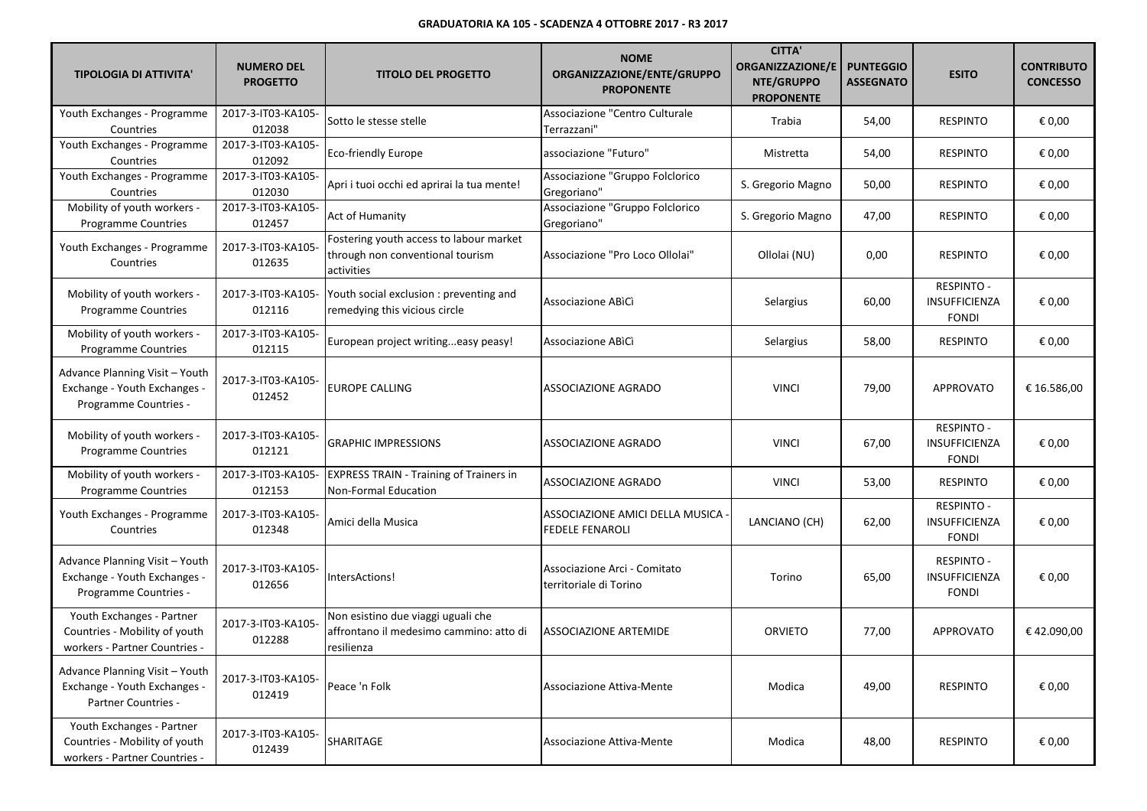| <b>TIPOLOGIA DI ATTIVITA'</b>                                                                | <b>NUMERO DEL</b><br><b>PROGETTO</b> | <b>TITOLO DEL PROGETTO</b>                                                                  | <b>NOME</b><br>ORGANIZZAZIONE/ENTE/GRUPPO<br><b>PROPONENTE</b> | <b>CITTA'</b><br><b>ORGANIZZAZIONE/E</b><br>NTE/GRUPPO<br><b>PROPONENTE</b> | <b>PUNTEGGIO</b><br><b>ASSEGNATO</b> | <b>ESITO</b>                                       | <b>CONTRIBUTO</b><br><b>CONCESSO</b> |
|----------------------------------------------------------------------------------------------|--------------------------------------|---------------------------------------------------------------------------------------------|----------------------------------------------------------------|-----------------------------------------------------------------------------|--------------------------------------|----------------------------------------------------|--------------------------------------|
| Youth Exchanges - Programme<br>Countries                                                     | 2017-3-IT03-KA105-<br>012038         | Sotto le stesse stelle                                                                      | Associazione "Centro Culturale<br>Terrazzani"                  | Trabia                                                                      | 54,00                                | <b>RESPINTO</b>                                    | € 0,00                               |
| Youth Exchanges - Programme<br>Countries                                                     | 2017-3-IT03-KA105-<br>012092         | <b>Eco-friendly Europe</b>                                                                  | associazione "Futuro"                                          | Mistretta                                                                   | 54,00                                | <b>RESPINTO</b>                                    | € 0,00                               |
| Youth Exchanges - Programme<br>Countries                                                     | 2017-3-IT03-KA105-<br>012030         | Apri i tuoi occhi ed aprirai la tua mente!                                                  | Associazione "Gruppo Folclorico<br>Gregoriano"                 | S. Gregorio Magno                                                           | 50,00                                | <b>RESPINTO</b>                                    | € 0,00                               |
| Mobility of youth workers -<br><b>Programme Countries</b>                                    | 2017-3-IT03-KA105-<br>012457         | Act of Humanity                                                                             | Associazione "Gruppo Folclorico<br>Gregoriano"                 | S. Gregorio Magno                                                           | 47,00                                | <b>RESPINTO</b>                                    | € 0,00                               |
| Youth Exchanges - Programme<br>Countries                                                     | 2017-3-IT03-KA105-<br>012635         | Fostering youth access to labour market<br>through non conventional tourism<br>activities   | Associazione "Pro Loco Ollolai"                                | Ollolai (NU)                                                                | 0,00                                 | <b>RESPINTO</b>                                    | € 0,00                               |
| Mobility of youth workers -<br><b>Programme Countries</b>                                    | 2017-3-IT03-KA105-<br>012116         | Youth social exclusion : preventing and<br>remedying this vicious circle                    | Associazione ABICI                                             | Selargius                                                                   | 60,00                                | <b>RESPINTO -</b><br>INSUFFICIENZA<br><b>FONDI</b> | € 0,00                               |
| Mobility of youth workers -<br>Programme Countries                                           | 2017-3-IT03-KA105-<br>012115         | European project writingeasy peasy!                                                         | Associazione ABICI                                             | Selargius                                                                   | 58,00                                | <b>RESPINTO</b>                                    | € 0,00                               |
| Advance Planning Visit - Youth<br>Exchange - Youth Exchanges -<br>Programme Countries -      | 2017-3-IT03-KA105-<br>012452         | <b>EUROPE CALLING</b>                                                                       | ASSOCIAZIONE AGRADO                                            | <b>VINCI</b>                                                                | 79,00                                | <b>APPROVATO</b>                                   | € 16.586,00                          |
| Mobility of youth workers -<br><b>Programme Countries</b>                                    | 2017-3-IT03-KA105-<br>012121         | <b>GRAPHIC IMPRESSIONS</b>                                                                  | ASSOCIAZIONE AGRADO                                            | <b>VINCI</b>                                                                | 67,00                                | <b>RESPINTO -</b><br>INSUFFICIENZA<br><b>FONDI</b> | € 0,00                               |
| Mobility of youth workers -<br>Programme Countries                                           | 2017-3-IT03-KA105-<br>012153         | <b>EXPRESS TRAIN - Training of Trainers in</b><br>Non-Formal Education                      | ASSOCIAZIONE AGRADO                                            | <b>VINCI</b>                                                                | 53,00                                | <b>RESPINTO</b>                                    | € 0,00                               |
| Youth Exchanges - Programme<br>Countries                                                     | 2017-3-IT03-KA105-<br>012348         | Amici della Musica                                                                          | ASSOCIAZIONE AMICI DELLA MUSICA<br><b>FEDELE FENAROLI</b>      | LANCIANO (CH)                                                               | 62,00                                | <b>RESPINTO -</b><br>INSUFFICIENZA<br><b>FONDI</b> | € 0,00                               |
| Advance Planning Visit - Youth<br>Exchange - Youth Exchanges -<br>Programme Countries -      | 2017-3-IT03-KA105-<br>012656         | IntersActions!                                                                              | Associazione Arci - Comitato<br>territoriale di Torino         | Torino                                                                      | 65,00                                | <b>RESPINTO -</b><br>INSUFFICIENZA<br><b>FONDI</b> | € 0,00                               |
| Youth Exchanges - Partner<br>Countries - Mobility of youth<br>workers - Partner Countries -  | 2017-3-IT03-KA105-<br>012288         | Non esistino due viaggi uguali che<br>affrontano il medesimo cammino: atto di<br>resilienza | <b>ASSOCIAZIONE ARTEMIDE</b>                                   | <b>ORVIETO</b>                                                              | 77,00                                | <b>APPROVATO</b>                                   | €42.090,00                           |
| Advance Planning Visit - Youth<br>Exchange - Youth Exchanges -<br><b>Partner Countries -</b> | 2017-3-IT03-KA105-<br>012419         | Peace 'n Folk                                                                               | Associazione Attiva-Mente                                      | Modica                                                                      | 49,00                                | <b>RESPINTO</b>                                    | € 0,00                               |
| Youth Exchanges - Partner<br>Countries - Mobility of youth<br>workers - Partner Countries -  | 2017-3-IT03-KA105-<br>012439         | SHARITAGE                                                                                   | Associazione Attiva-Mente                                      | Modica                                                                      | 48,00                                | <b>RESPINTO</b>                                    | € 0,00                               |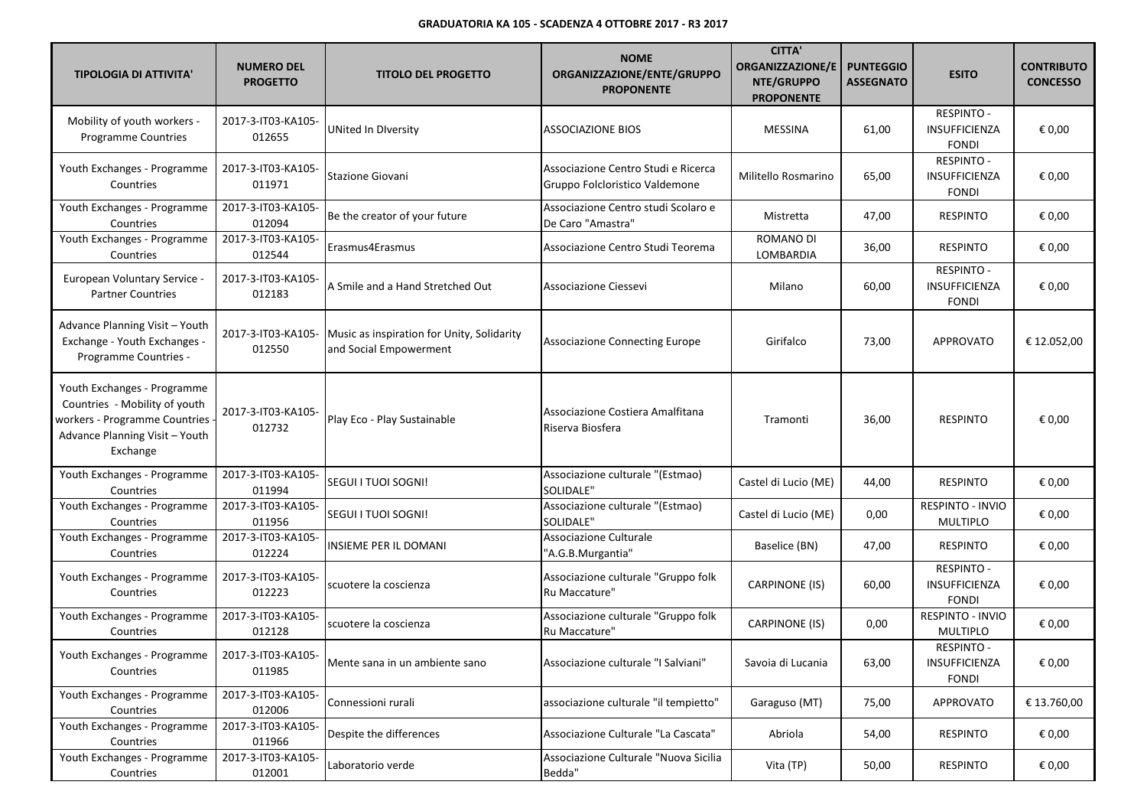| <b>TIPOLOGIA DI ATTIVITA'</b>                                                                                                                 | <b>NUMERO DEL</b><br><b>PROGETTO</b> | <b>TITOLO DEL PROGETTO</b>                                           | <b>NOME</b><br>ORGANIZZAZIONE/ENTE/GRUPPO<br><b>PROPONENTE</b>        | <b>CITTA'</b><br><b>ORGANIZZAZIONE/E</b><br>NTE/GRUPPO<br><b>PROPONENTE</b> | <b>PUNTEGGIO</b><br><b>ASSEGNATO</b> | <b>ESITO</b>                                              | <b>CONTRIBUTO</b><br><b>CONCESSO</b> |
|-----------------------------------------------------------------------------------------------------------------------------------------------|--------------------------------------|----------------------------------------------------------------------|-----------------------------------------------------------------------|-----------------------------------------------------------------------------|--------------------------------------|-----------------------------------------------------------|--------------------------------------|
| Mobility of youth workers -<br><b>Programme Countries</b>                                                                                     | 2017-3-IT03-KA105-<br>012655         | <b>UNited In Diversity</b>                                           | ASSOCIAZIONE BIOS                                                     | <b>MESSINA</b>                                                              | 61,00                                | <b>RESPINTO -</b><br><b>INSUFFICIENZA</b><br><b>FONDI</b> | € 0,00                               |
| Youth Exchanges - Programme<br>Countries                                                                                                      | 2017-3-IT03-KA105-<br>011971         | <b>Stazione Giovani</b>                                              | Associazione Centro Studi e Ricerca<br>Gruppo Folcloristico Valdemone | Militello Rosmarino                                                         | 65,00                                | <b>RESPINTO -</b><br>INSUFFICIENZA<br><b>FONDI</b>        | € 0,00                               |
| Youth Exchanges - Programme<br>Countries                                                                                                      | 2017-3-IT03-KA105-<br>012094         | Be the creator of your future                                        | Associazione Centro studi Scolaro e<br>De Caro "Amastra"              | Mistretta                                                                   | 47,00                                | <b>RESPINTO</b>                                           | € 0,00                               |
| Youth Exchanges - Programme<br>Countries                                                                                                      | 2017-3-IT03-KA105-<br>012544         | Erasmus4Erasmus                                                      | Associazione Centro Studi Teorema                                     | ROMANO DI<br>LOMBARDIA                                                      | 36,00                                | <b>RESPINTO</b>                                           | € 0,00                               |
| European Voluntary Service -<br><b>Partner Countries</b>                                                                                      | 2017-3-IT03-KA105-<br>012183         | A Smile and a Hand Stretched Out                                     | Associazione Ciessevi                                                 | Milano                                                                      | 60,00                                | <b>RESPINTO -</b><br>INSUFFICIENZA<br><b>FONDI</b>        | € 0,00                               |
| Advance Planning Visit - Youth<br>Exchange - Youth Exchanges -<br>Programme Countries -                                                       | 2017-3-IT03-KA105-<br>012550         | Music as inspiration for Unity, Solidarity<br>and Social Empowerment | <b>Associazione Connecting Europe</b>                                 | Girifalco                                                                   | 73,00                                | <b>APPROVATO</b>                                          | € 12.052,00                          |
| Youth Exchanges - Programme<br>Countries - Mobility of youth<br>workers - Programme Countries -<br>Advance Planning Visit - Youth<br>Exchange | 2017-3-IT03-KA105-<br>012732         | Play Eco - Play Sustainable                                          | Associazione Costiera Amalfitana<br>Riserva Biosfera                  | Tramonti                                                                    | 36,00                                | <b>RESPINTO</b>                                           | € 0,00                               |
| Youth Exchanges - Programme<br>Countries                                                                                                      | 2017-3-IT03-KA105-<br>011994         | SEGUI I TUOI SOGNI!                                                  | Associazione culturale "(Estmao)<br>SOLIDALE"                         | Castel di Lucio (ME)                                                        | 44,00                                | <b>RESPINTO</b>                                           | € 0,00                               |
| Youth Exchanges - Programme<br>Countries                                                                                                      | 2017-3-IT03-KA105-<br>011956         | SEGUI I TUOI SOGNI!                                                  | Associazione culturale "(Estmao)<br><b>SOLIDALE"</b>                  | Castel di Lucio (ME)                                                        | 0,00                                 | RESPINTO - INVIO<br><b>MULTIPLO</b>                       | € 0,00                               |
| Youth Exchanges - Programme<br>Countries                                                                                                      | 2017-3-IT03-KA105-<br>012224         | INSIEME PER IL DOMANI                                                | Associazione Culturale<br>"A.G.B.Murgantia"                           | Baselice (BN)                                                               | 47,00                                | <b>RESPINTO</b>                                           | € 0,00                               |
| Youth Exchanges - Programme<br>Countries                                                                                                      | 2017-3-IT03-KA105-<br>012223         | scuotere la coscienza                                                | Associazione culturale "Gruppo folk<br>Ru Maccature"                  | <b>CARPINONE (IS)</b>                                                       | 60,00                                | <b>RESPINTO -</b><br>INSUFFICIENZA<br><b>FONDI</b>        | € 0,00                               |
| Youth Exchanges - Programme<br>Countries                                                                                                      | 2017-3-IT03-KA105-<br>012128         | scuotere la coscienza                                                | Associazione culturale "Gruppo folk<br>Ru Maccature"                  | <b>CARPINONE (IS)</b>                                                       | 0,00                                 | RESPINTO - INVIO<br><b>MULTIPLO</b>                       | € 0,00                               |
| Youth Exchanges - Programme<br>Countries                                                                                                      | 2017-3-IT03-KA105-<br>011985         | Mente sana in un ambiente sano                                       | Associazione culturale "I Salviani"                                   | Savoia di Lucania                                                           | 63,00                                | <b>RESPINTO -</b><br>INSUFFICIENZA<br><b>FONDI</b>        | € 0,00                               |
| Youth Exchanges - Programme<br>Countries                                                                                                      | 2017-3-IT03-KA105-<br>012006         | Connessioni rurali                                                   | associazione culturale "il tempietto"                                 | Garaguso (MT)                                                               | 75,00                                | <b>APPROVATO</b>                                          | € 13.760,00                          |
| Youth Exchanges - Programme<br>Countries                                                                                                      | 2017-3-IT03-KA105-<br>011966         | Despite the differences                                              | Associazione Culturale "La Cascata"                                   | Abriola                                                                     | 54,00                                | <b>RESPINTO</b>                                           | € 0,00                               |
| Youth Exchanges - Programme<br>Countries                                                                                                      | 2017-3-IT03-KA105-<br>012001         | Laboratorio verde                                                    | Associazione Culturale "Nuova Sicilia<br>Bedda"                       | Vita (TP)                                                                   | 50,00                                | <b>RESPINTO</b>                                           | € 0,00                               |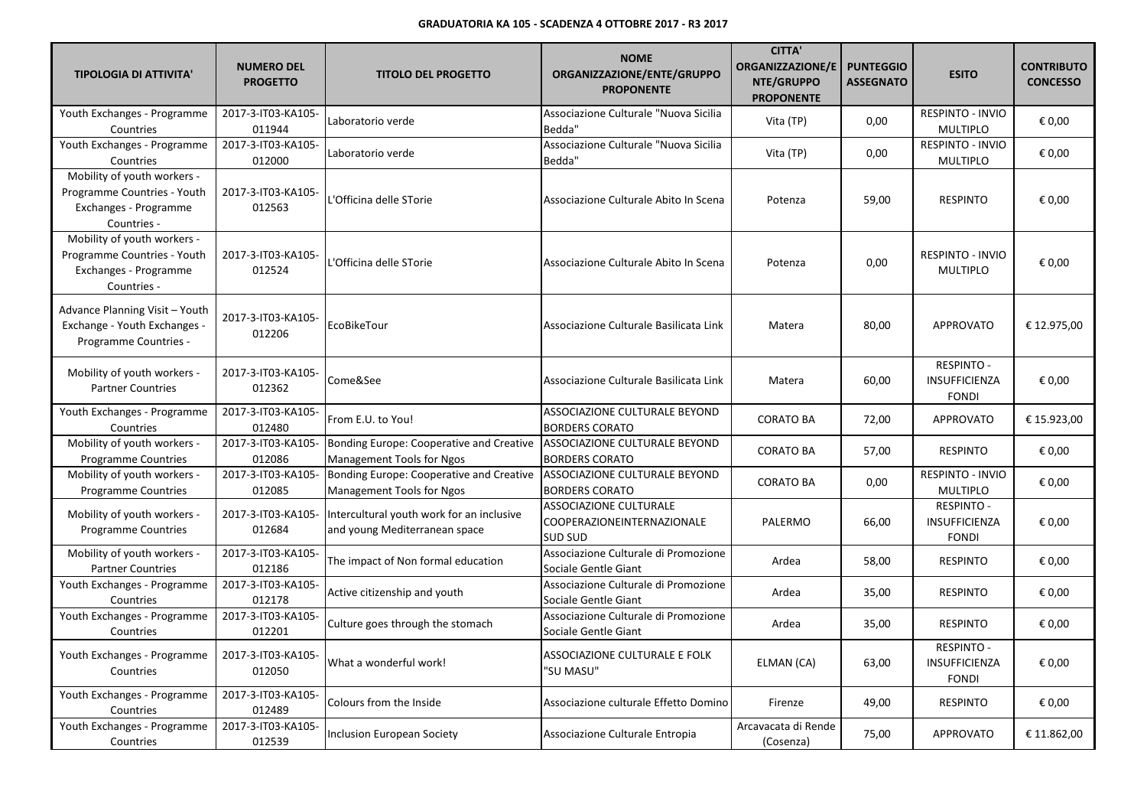| <b>TIPOLOGIA DI ATTIVITA'</b>                                                                      | <b>NUMERO DEL</b><br><b>PROGETTO</b> | <b>TITOLO DEL PROGETTO</b>                                                 | <b>NOME</b><br>ORGANIZZAZIONE/ENTE/GRUPPO<br><b>PROPONENTE</b>         | <b>CITTA'</b><br><b>ORGANIZZAZIONE/E</b><br>NTE/GRUPPO<br><b>PROPONENTE</b> | <b>PUNTEGGIO</b><br><b>ASSEGNATO</b> | <b>ESITO</b>                                              | <b>CONTRIBUTO</b><br><b>CONCESSO</b> |
|----------------------------------------------------------------------------------------------------|--------------------------------------|----------------------------------------------------------------------------|------------------------------------------------------------------------|-----------------------------------------------------------------------------|--------------------------------------|-----------------------------------------------------------|--------------------------------------|
| Youth Exchanges - Programme<br>Countries                                                           | 2017-3-IT03-KA105-<br>011944         | Laboratorio verde                                                          | Associazione Culturale "Nuova Sicilia<br>Bedda"                        | Vita (TP)                                                                   | 0,00                                 | <b>RESPINTO - INVIO</b><br><b>MULTIPLO</b>                | € 0,00                               |
| Youth Exchanges - Programme<br>Countries                                                           | 2017-3-IT03-KA105-<br>012000         | Laboratorio verde                                                          | Associazione Culturale "Nuova Sicilia<br>Bedda"                        | Vita (TP)                                                                   | 0,00                                 | RESPINTO - INVIO<br><b>MULTIPLO</b>                       | € 0,00                               |
| Mobility of youth workers -<br>Programme Countries - Youth<br>Exchanges - Programme<br>Countries - | 2017-3-IT03-KA105-<br>012563         | L'Officina delle STorie                                                    | Associazione Culturale Abito In Scena                                  | Potenza                                                                     | 59,00                                | <b>RESPINTO</b>                                           | € 0,00                               |
| Mobility of youth workers -<br>Programme Countries - Youth<br>Exchanges - Programme<br>Countries - | 2017-3-IT03-KA105-<br>012524         | -'Officina delle STorie                                                    | Associazione Culturale Abito In Scena                                  | Potenza                                                                     | 0,00                                 | <b>RESPINTO - INVIO</b><br><b>MULTIPLO</b>                | € 0.00                               |
| Advance Planning Visit - Youth<br>Exchange - Youth Exchanges -<br>Programme Countries -            | 2017-3-IT03-KA105-<br>012206         | EcoBikeTour                                                                | Associazione Culturale Basilicata Link                                 | Matera                                                                      | 80,00                                | <b>APPROVATO</b>                                          | € 12.975,00                          |
| Mobility of youth workers -<br><b>Partner Countries</b>                                            | 2017-3-IT03-KA105-<br>012362         | Come&See                                                                   | Associazione Culturale Basilicata Link                                 | Matera                                                                      | 60,00                                | <b>RESPINTO -</b><br><b>INSUFFICIENZA</b><br><b>FONDI</b> | € 0,00                               |
| Youth Exchanges - Programme<br>Countries                                                           | 2017-3-IT03-KA105-<br>012480         | From E.U. to You!                                                          | ASSOCIAZIONE CULTURALE BEYOND<br><b>BORDERS CORATO</b>                 | <b>CORATO BA</b>                                                            | 72,00                                | <b>APPROVATO</b>                                          | € 15.923,00                          |
| Mobility of youth workers -<br><b>Programme Countries</b>                                          | 2017-3-IT03-KA105-<br>012086         | Bonding Europe: Cooperative and Creative<br>Management Tools for Ngos      | ASSOCIAZIONE CULTURALE BEYOND<br><b>BORDERS CORATO</b>                 | <b>CORATO BA</b>                                                            | 57,00                                | <b>RESPINTO</b>                                           | € 0,00                               |
| Mobility of youth workers -<br><b>Programme Countries</b>                                          | 2017-3-IT03-KA105-<br>012085         | Bonding Europe: Cooperative and Creative<br>Management Tools for Ngos      | ASSOCIAZIONE CULTURALE BEYOND<br><b>BORDERS CORATO</b>                 | <b>CORATO BA</b>                                                            | 0,00                                 | <b>RESPINTO - INVIO</b><br><b>MULTIPLO</b>                | € 0,00                               |
| Mobility of youth workers -<br><b>Programme Countries</b>                                          | 2017-3-IT03-KA105-<br>012684         | Intercultural youth work for an inclusive<br>and young Mediterranean space | <b>ASSOCIAZIONE CULTURALE</b><br>COOPERAZIONEINTERNAZIONALE<br>SUD SUD | PALERMO                                                                     | 66,00                                | <b>RESPINTO -</b><br><b>INSUFFICIENZA</b><br><b>FONDI</b> | € 0,00                               |
| Mobility of youth workers -<br><b>Partner Countries</b>                                            | 2017-3-IT03-KA105-<br>012186         | The impact of Non formal education                                         | Associazione Culturale di Promozione<br>Sociale Gentle Giant           | Ardea                                                                       | 58,00                                | <b>RESPINTO</b>                                           | € 0,00                               |
| Youth Exchanges - Programme<br>Countries                                                           | 2017-3-IT03-KA105-<br>012178         | Active citizenship and youth                                               | Associazione Culturale di Promozione<br>Sociale Gentle Giant           | Ardea                                                                       | 35,00                                | <b>RESPINTO</b>                                           | € 0,00                               |
| Youth Exchanges - Programme<br>Countries                                                           | 2017-3-IT03-KA105-<br>012201         | Culture goes through the stomach                                           | Associazione Culturale di Promozione<br>Sociale Gentle Giant           | Ardea                                                                       | 35,00                                | <b>RESPINTO</b>                                           | € 0,00                               |
| Youth Exchanges - Programme<br>Countries                                                           | 2017-3-IT03-KA105-<br>012050         | What a wonderful work!                                                     | ASSOCIAZIONE CULTURALE E FOLK<br>'SU MASU"                             | ELMAN (CA)                                                                  | 63,00                                | <b>RESPINTO -</b><br><b>INSUFFICIENZA</b><br><b>FONDI</b> | € 0,00                               |
| Youth Exchanges - Programme<br>Countries                                                           | 2017-3-IT03-KA105-<br>012489         | Colours from the Inside                                                    | Associazione culturale Effetto Domino                                  | Firenze                                                                     | 49,00                                | <b>RESPINTO</b>                                           | € 0,00                               |
| Youth Exchanges - Programme<br>Countries                                                           | 2017-3-IT03-KA105-<br>012539         | Inclusion European Society                                                 | Associazione Culturale Entropia                                        | Arcavacata di Rende<br>(Cosenza)                                            | 75,00                                | <b>APPROVATO</b>                                          | € 11.862,00                          |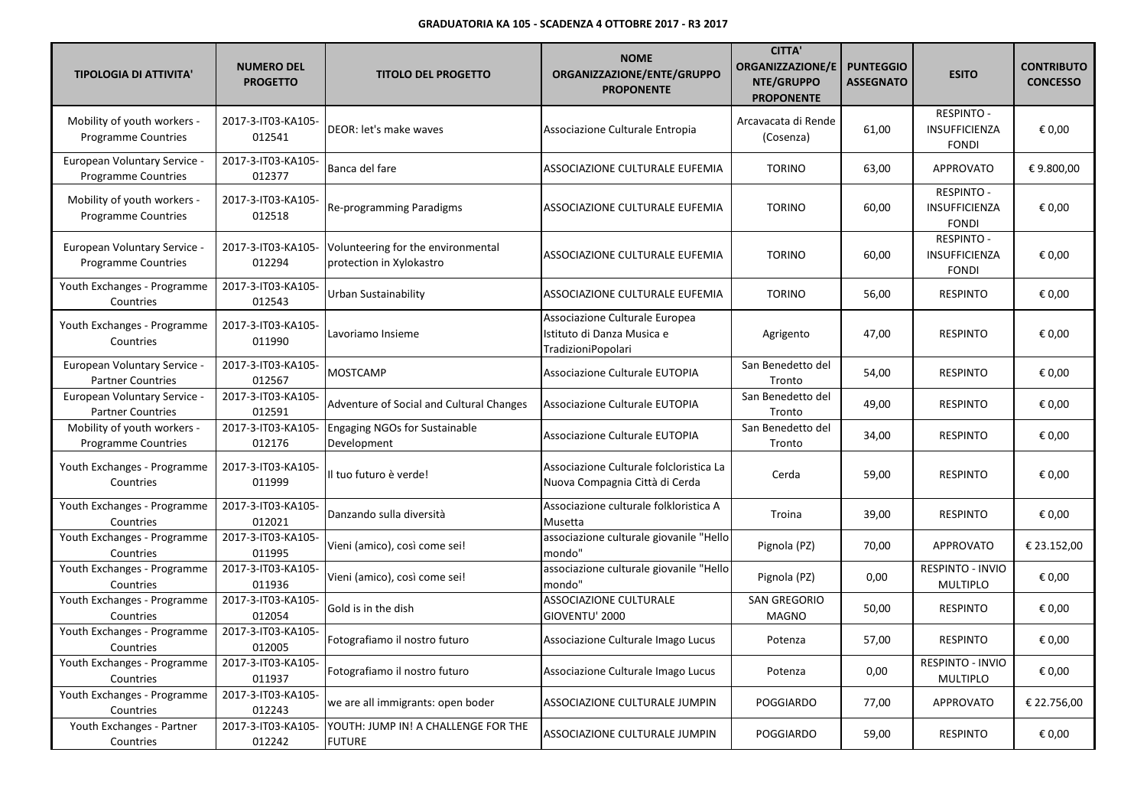| <b>TIPOLOGIA DI ATTIVITA'</b>                              | <b>NUMERO DEL</b><br><b>PROGETTO</b> | <b>TITOLO DEL PROGETTO</b>                                     | <b>NOME</b><br>ORGANIZZAZIONE/ENTE/GRUPPO<br><b>PROPONENTE</b>                     | <b>CITTA'</b><br><b>ORGANIZZAZIONE/E</b><br>NTE/GRUPPO<br><b>PROPONENTE</b> | <b>PUNTEGGIO</b><br><b>ASSEGNATO</b> | <b>ESITO</b>                                              | <b>CONTRIBUTO</b><br><b>CONCESSO</b> |
|------------------------------------------------------------|--------------------------------------|----------------------------------------------------------------|------------------------------------------------------------------------------------|-----------------------------------------------------------------------------|--------------------------------------|-----------------------------------------------------------|--------------------------------------|
| Mobility of youth workers -<br><b>Programme Countries</b>  | 2017-3-IT03-KA105-<br>012541         | DEOR: let's make waves                                         | Associazione Culturale Entropia                                                    | Arcavacata di Rende<br>(Cosenza)                                            | 61,00                                | <b>RESPINTO -</b><br><b>INSUFFICIENZA</b><br><b>FONDI</b> | € 0.00                               |
| <b>European Voluntary Service -</b><br>Programme Countries | 2017-3-IT03-KA105-<br>012377         | Banca del fare                                                 | ASSOCIAZIONE CULTURALE EUFEMIA                                                     | <b>TORINO</b>                                                               | 63,00                                | <b>APPROVATO</b>                                          | € 9.800,00                           |
| Mobility of youth workers -<br>Programme Countries         | 2017-3-IT03-KA105-<br>012518         | Re-programming Paradigms                                       | ASSOCIAZIONE CULTURALE EUFEMIA                                                     | <b>TORINO</b>                                                               | 60,00                                | <b>RESPINTO -</b><br>INSUFFICIENZA<br><b>FONDI</b>        | € 0,00                               |
| European Voluntary Service -<br><b>Programme Countries</b> | 2017-3-IT03-KA105-<br>012294         | Volunteering for the environmental<br>protection in Xylokastro | ASSOCIAZIONE CULTURALE EUFEMIA                                                     | <b>TORINO</b>                                                               | 60,00                                | <b>RESPINTO -</b><br>INSUFFICIENZA<br><b>FONDI</b>        | € 0,00                               |
| Youth Exchanges - Programme<br>Countries                   | 2017-3-IT03-KA105-<br>012543         | Urban Sustainability                                           | ASSOCIAZIONE CULTURALE EUFEMIA                                                     | <b>TORINO</b>                                                               | 56,00                                | <b>RESPINTO</b>                                           | € 0,00                               |
| Youth Exchanges - Programme<br>Countries                   | 2017-3-IT03-KA105-<br>011990         | Lavoriamo Insieme                                              | Associazione Culturale Europea<br>Istituto di Danza Musica e<br>TradizioniPopolari | Agrigento                                                                   | 47,00                                | <b>RESPINTO</b>                                           | € 0,00                               |
| European Voluntary Service -<br><b>Partner Countries</b>   | 2017-3-IT03-KA105-<br>012567         | MOSTCAMP                                                       | Associazione Culturale EUTOPIA                                                     | San Benedetto del<br>Tronto                                                 | 54,00                                | <b>RESPINTO</b>                                           | € 0,00                               |
| European Voluntary Service -<br><b>Partner Countries</b>   | 2017-3-IT03-KA105-<br>012591         | Adventure of Social and Cultural Changes                       | Associazione Culturale EUTOPIA                                                     | San Benedetto del<br>Tronto                                                 | 49,00                                | <b>RESPINTO</b>                                           | € 0,00                               |
| Mobility of youth workers -<br><b>Programme Countries</b>  | 2017-3-IT03-KA105-<br>012176         | <b>Engaging NGOs for Sustainable</b><br>Development            | Associazione Culturale EUTOPIA                                                     | San Benedetto del<br>Tronto                                                 | 34,00                                | <b>RESPINTO</b>                                           | € 0,00                               |
| Youth Exchanges - Programme<br>Countries                   | 2017-3-IT03-KA105-<br>011999         | Il tuo futuro è verde!                                         | Associazione Culturale folcloristica La<br>Nuova Compagnia Città di Cerda          | Cerda                                                                       | 59,00                                | <b>RESPINTO</b>                                           | € 0,00                               |
| Youth Exchanges - Programme<br>Countries                   | 2017-3-IT03-KA105-<br>012021         | Danzando sulla diversità                                       | Associazione culturale folkloristica A<br>Musetta                                  | Troina                                                                      | 39,00                                | <b>RESPINTO</b>                                           | € 0,00                               |
| Youth Exchanges - Programme<br>Countries                   | 2017-3-IT03-KA105-<br>011995         | Vieni (amico), così come sei!                                  | associazione culturale giovanile "Hello<br>mondo"                                  | Pignola (PZ)                                                                | 70,00                                | <b>APPROVATO</b>                                          | € 23.152,00                          |
| Youth Exchanges - Programme<br>Countries                   | 2017-3-IT03-KA105-<br>011936         | Vieni (amico), così come sei!                                  | associazione culturale giovanile "Hello<br>mondo"                                  | Pignola (PZ)                                                                | 0,00                                 | <b>RESPINTO - INVIO</b><br><b>MULTIPLO</b>                | € 0,00                               |
| Youth Exchanges - Programme<br>Countries                   | 2017-3-IT03-KA105-<br>012054         | Gold is in the dish                                            | ASSOCIAZIONE CULTURALE<br>GIOVENTU' 2000                                           | <b>SAN GREGORIO</b><br><b>MAGNO</b>                                         | 50,00                                | <b>RESPINTO</b>                                           | € 0,00                               |
| Youth Exchanges - Programme<br>Countries                   | 2017-3-IT03-KA105-<br>012005         | Fotografiamo il nostro futuro                                  | Associazione Culturale Imago Lucus                                                 | Potenza                                                                     | 57,00                                | <b>RESPINTO</b>                                           | € 0,00                               |
| Youth Exchanges - Programme<br>Countries                   | 2017-3-IT03-KA105-<br>011937         | Fotografiamo il nostro futuro                                  | Associazione Culturale Imago Lucus                                                 | Potenza                                                                     | 0,00                                 | <b>RESPINTO - INVIO</b><br><b>MULTIPLO</b>                | € 0,00                               |
| Youth Exchanges - Programme<br>Countries                   | 2017-3-IT03-KA105-<br>012243         | we are all immigrants: open boder                              | ASSOCIAZIONE CULTURALE JUMPIN                                                      | <b>POGGIARDO</b>                                                            | 77,00                                | <b>APPROVATO</b>                                          | € 22.756,00                          |
| Youth Exchanges - Partner<br>Countries                     | 2017-3-IT03-KA105-<br>012242         | YOUTH: JUMP IN! A CHALLENGE FOR THE<br><b>FUTURE</b>           | ASSOCIAZIONE CULTURALE JUMPIN                                                      | <b>POGGIARDO</b>                                                            | 59,00                                | <b>RESPINTO</b>                                           | € 0,00                               |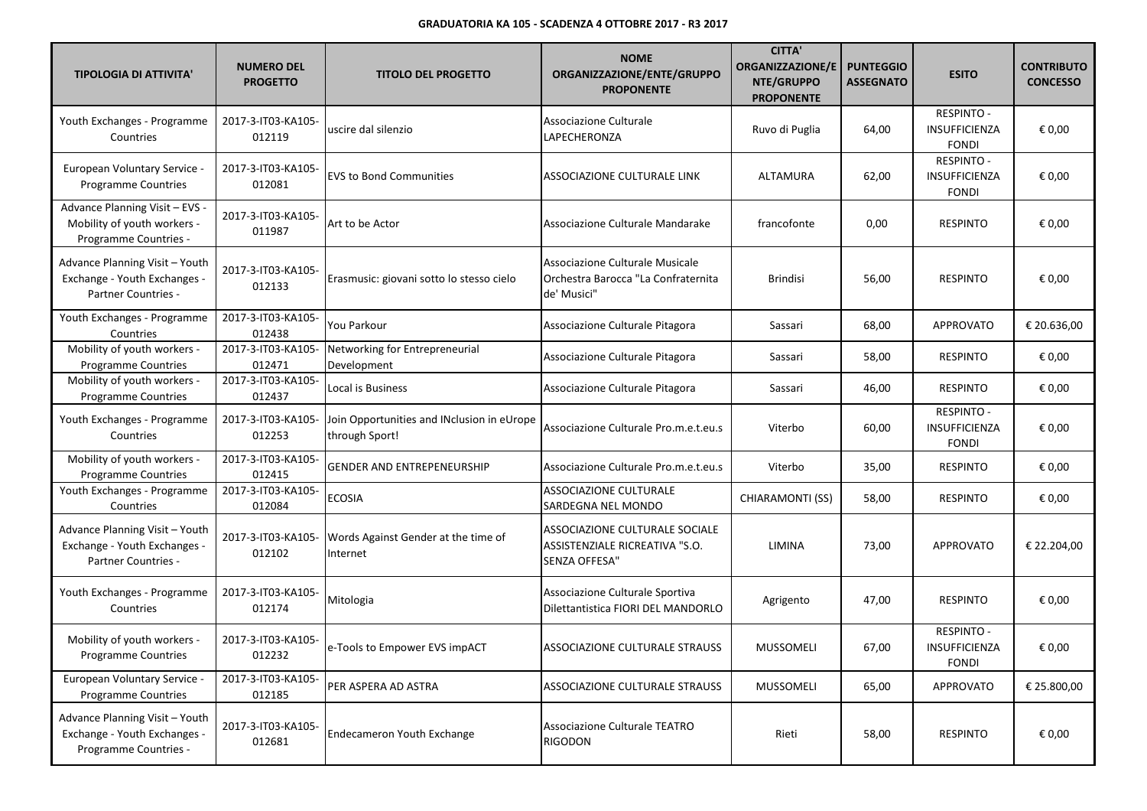| <b>TIPOLOGIA DI ATTIVITA'</b>                                                                | <b>NUMERO DEL</b><br><b>PROGETTO</b> | <b>TITOLO DEL PROGETTO</b>                                   | <b>NOME</b><br>ORGANIZZAZIONE/ENTE/GRUPPO<br><b>PROPONENTE</b>                        | <b>CITTA'</b><br><b>ORGANIZZAZIONE/E</b><br>NTE/GRUPPO<br><b>PROPONENTE</b> | <b>PUNTEGGIO</b><br><b>ASSEGNATO</b> | <b>ESITO</b>                                       | <b>CONTRIBUTO</b><br><b>CONCESSO</b> |
|----------------------------------------------------------------------------------------------|--------------------------------------|--------------------------------------------------------------|---------------------------------------------------------------------------------------|-----------------------------------------------------------------------------|--------------------------------------|----------------------------------------------------|--------------------------------------|
| Youth Exchanges - Programme<br>Countries                                                     | 2017-3-IT03-KA105-<br>012119         | uscire dal silenzio                                          | Associazione Culturale<br>LAPECHERONZA                                                | Ruvo di Puglia                                                              | 64,00                                | RESPINTO -<br><b>INSUFFICIENZA</b><br><b>FONDI</b> | € 0,00                               |
| European Voluntary Service<br><b>Programme Countries</b>                                     | 2017-3-IT03-KA105-<br>012081         | <b>EVS to Bond Communities</b>                               | ASSOCIAZIONE CULTURALE LINK                                                           | ALTAMURA                                                                    | 62,00                                | RESPINTO -<br>INSUFFICIENZA<br><b>FONDI</b>        | € 0,00                               |
| Advance Planning Visit - EVS -<br>Mobility of youth workers -<br>Programme Countries -       | 2017-3-IT03-KA105-<br>011987         | Art to be Actor                                              | Associazione Culturale Mandarake                                                      | francofonte                                                                 | 0,00                                 | <b>RESPINTO</b>                                    | € 0,00                               |
| Advance Planning Visit - Youth<br>Exchange - Youth Exchanges -<br>Partner Countries -        | 2017-3-IT03-KA105-<br>012133         | Erasmusic: giovani sotto lo stesso cielo                     | Associazione Culturale Musicale<br>Orchestra Barocca "La Confraternita<br>de' Musici" | <b>Brindisi</b>                                                             | 56,00                                | <b>RESPINTO</b>                                    | € 0,00                               |
| Youth Exchanges - Programme<br>Countries                                                     | 2017-3-IT03-KA105-<br>012438         | You Parkour                                                  | Associazione Culturale Pitagora                                                       | Sassari                                                                     | 68,00                                | APPROVATO                                          | € 20.636,00                          |
| Mobility of youth workers -<br><b>Programme Countries</b>                                    | 2017-3-IT03-KA105-<br>012471         | Networking for Entrepreneurial<br>Development                | Associazione Culturale Pitagora                                                       | Sassari                                                                     | 58,00                                | <b>RESPINTO</b>                                    | € 0,00                               |
| Mobility of youth workers -<br>Programme Countries                                           | 2017-3-IT03-KA105-<br>012437         | Local is Business                                            | Associazione Culturale Pitagora                                                       | Sassari                                                                     | 46,00                                | <b>RESPINTO</b>                                    | € 0,00                               |
| Youth Exchanges - Programme<br>Countries                                                     | 2017-3-IT03-KA105-<br>012253         | Join Opportunities and INclusion in eUrope<br>through Sport! | Associazione Culturale Pro.m.e.t.eu.s                                                 | Viterbo                                                                     | 60,00                                | <b>RESPINTO -</b><br>INSUFFICIENZA<br><b>FONDI</b> | € 0,00                               |
| Mobility of youth workers -<br><b>Programme Countries</b>                                    | 2017-3-IT03-KA105-<br>012415         | <b>GENDER AND ENTREPENEURSHIP</b>                            | Associazione Culturale Pro.m.e.t.eu.s                                                 | Viterbo                                                                     | 35,00                                | <b>RESPINTO</b>                                    | € 0,00                               |
| Youth Exchanges - Programme<br>Countries                                                     | 2017-3-IT03-KA105-<br>012084         | <b>ECOSIA</b>                                                | ASSOCIAZIONE CULTURALE<br>SARDEGNA NEL MONDO                                          | <b>CHIARAMONTI (SS)</b>                                                     | 58,00                                | <b>RESPINTO</b>                                    | € 0,00                               |
| Advance Planning Visit - Youth<br>Exchange - Youth Exchanges -<br><b>Partner Countries -</b> | 2017-3-IT03-KA105-<br>012102         | Words Against Gender at the time of<br>Internet              | ASSOCIAZIONE CULTURALE SOCIALE<br>ASSISTENZIALE RICREATIVA "S.O.<br>SENZA OFFESA"     | LIMINA                                                                      | 73,00                                | <b>APPROVATO</b>                                   | € 22.204,00                          |
| Youth Exchanges - Programme<br>Countries                                                     | 2017-3-IT03-KA105-<br>012174         | Mitologia                                                    | Associazione Culturale Sportiva<br>Dilettantistica FIORI DEL MANDORLO                 | Agrigento                                                                   | 47,00                                | <b>RESPINTO</b>                                    | € 0,00                               |
| Mobility of youth workers -<br>Programme Countries                                           | 2017-3-IT03-KA105-<br>012232         | e-Tools to Empower EVS impACT                                | ASSOCIAZIONE CULTURALE STRAUSS                                                        | <b>MUSSOMELI</b>                                                            | 67,00                                | RESPINTO -<br><b>INSUFFICIENZA</b><br><b>FONDI</b> | € 0,00                               |
| <b>European Voluntary Service -</b><br>Programme Countries                                   | 2017-3-IT03-KA105-<br>012185         | PER ASPERA AD ASTRA                                          | ASSOCIAZIONE CULTURALE STRAUSS                                                        | MUSSOMELI                                                                   | 65,00                                | <b>APPROVATO</b>                                   | € 25.800,00                          |
| Advance Planning Visit - Youth<br>Exchange - Youth Exchanges -<br>Programme Countries -      | 2017-3-IT03-KA105-<br>012681         | <b>Endecameron Youth Exchange</b>                            | Associazione Culturale TEATRO<br><b>RIGODON</b>                                       | Rieti                                                                       | 58,00                                | RESPINTO                                           | € 0,00                               |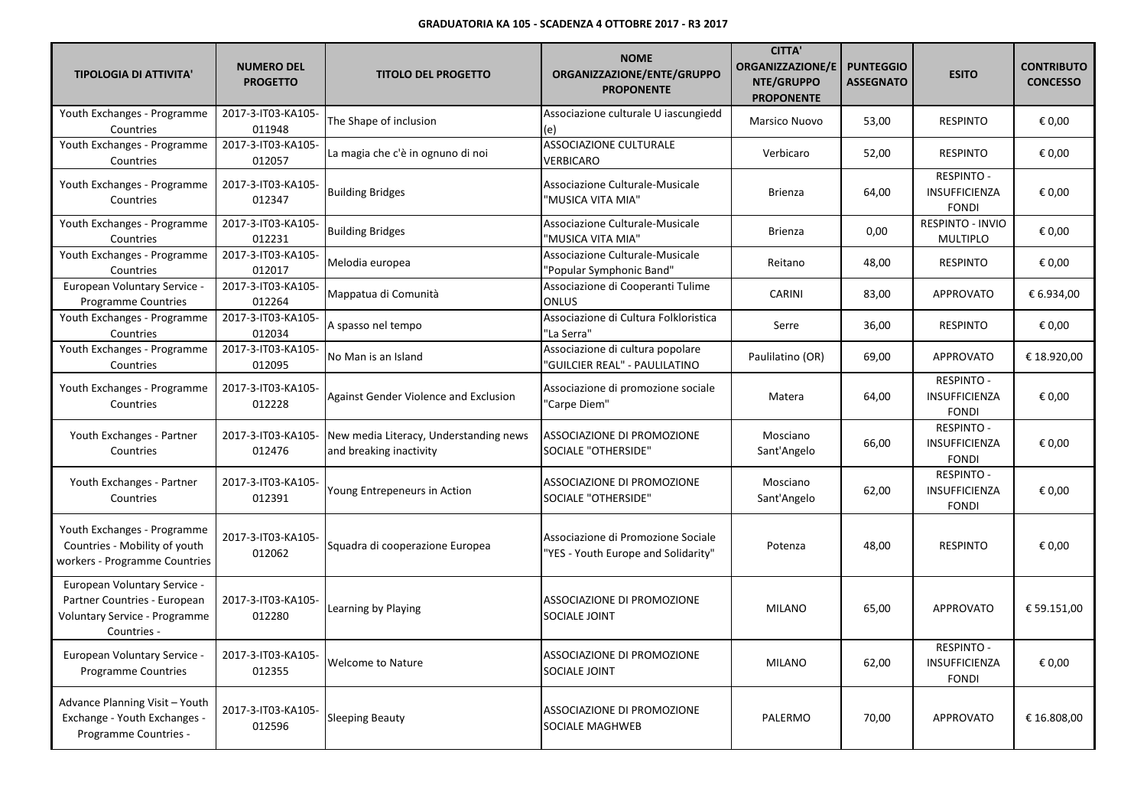| <b>TIPOLOGIA DI ATTIVITA'</b>                                                                                | <b>NUMERO DEL</b><br><b>PROGETTO</b> | <b>TITOLO DEL PROGETTO</b>                                        | <b>NOME</b><br>ORGANIZZAZIONE/ENTE/GRUPPO<br><b>PROPONENTE</b>            | <b>CITTA'</b><br><b>ORGANIZZAZIONE/E</b><br>NTE/GRUPPO<br><b>PROPONENTE</b> | <b>PUNTEGGIO</b><br><b>ASSEGNATO</b> | <b>ESITO</b>                                              | <b>CONTRIBUTO</b><br><b>CONCESSO</b> |
|--------------------------------------------------------------------------------------------------------------|--------------------------------------|-------------------------------------------------------------------|---------------------------------------------------------------------------|-----------------------------------------------------------------------------|--------------------------------------|-----------------------------------------------------------|--------------------------------------|
| Youth Exchanges - Programme<br>Countries                                                                     | 2017-3-IT03-KA105-<br>011948         | The Shape of inclusion                                            | Associazione culturale U iascungiedd<br>(e)                               | Marsico Nuovo                                                               | 53,00                                | <b>RESPINTO</b>                                           | € 0,00                               |
| Youth Exchanges - Programme<br>Countries                                                                     | 2017-3-IT03-KA105-<br>012057         | La magia che c'è in ognuno di noi                                 | <b>ASSOCIAZIONE CULTURALE</b><br><b>VERBICARO</b>                         | Verbicaro                                                                   | 52,00                                | <b>RESPINTO</b>                                           | € 0,00                               |
| Youth Exchanges - Programme<br>Countries                                                                     | 2017-3-IT03-KA105-<br>012347         | <b>Building Bridges</b>                                           | Associazione Culturale-Musicale<br>"MUSICA VITA MIA"                      | <b>Brienza</b>                                                              | 64,00                                | <b>RESPINTO -</b><br>INSUFFICIENZA<br><b>FONDI</b>        | € 0,00                               |
| Youth Exchanges - Programme<br>Countries                                                                     | 2017-3-IT03-KA105-<br>012231         | <b>Building Bridges</b>                                           | Associazione Culturale-Musicale<br>"MUSICA VITA MIA"                      | <b>Brienza</b>                                                              | 0,00                                 | <b>RESPINTO - INVIO</b><br><b>MULTIPLO</b>                | € 0.00                               |
| Youth Exchanges - Programme<br>Countries                                                                     | 2017-3-IT03-KA105-<br>012017         | Melodia europea                                                   | Associazione Culturale-Musicale<br>'Popular Symphonic Band"               | Reitano                                                                     | 48,00                                | <b>RESPINTO</b>                                           | € 0,00                               |
| European Voluntary Service -<br><b>Programme Countries</b>                                                   | 2017-3-IT03-KA105-<br>012264         | Mappatua di Comunità                                              | Associazione di Cooperanti Tulime<br><b>ONLUS</b>                         | CARINI                                                                      | 83,00                                | <b>APPROVATO</b>                                          | € 6.934,00                           |
| Youth Exchanges - Programme<br>Countries                                                                     | 2017-3-IT03-KA105-<br>012034         | A spasso nel tempo                                                | Associazione di Cultura Folkloristica<br>"La Serra"                       | Serre                                                                       | 36,00                                | <b>RESPINTO</b>                                           | € 0,00                               |
| Youth Exchanges - Programme<br>Countries                                                                     | 2017-3-IT03-KA105-<br>012095         | No Man is an Island                                               | Associazione di cultura popolare<br>'GUILCIER REAL" - PAULILATINO         | Paulilatino (OR)                                                            | 69,00                                | <b>APPROVATO</b>                                          | € 18.920,00                          |
| Youth Exchanges - Programme<br>Countries                                                                     | 2017-3-IT03-KA105-<br>012228         | Against Gender Violence and Exclusion                             | Associazione di promozione sociale<br>'Carpe Diem"                        | Matera                                                                      | 64,00                                | <b>RESPINTO -</b><br>INSUFFICIENZA<br><b>FONDI</b>        | € 0,00                               |
| Youth Exchanges - Partner<br>Countries                                                                       | 2017-3-IT03-KA105-<br>012476         | New media Literacy, Understanding news<br>and breaking inactivity | ASSOCIAZIONE DI PROMOZIONE<br>SOCIALE "OTHERSIDE"                         | Mosciano<br>Sant'Angelo                                                     | 66,00                                | <b>RESPINTO -</b><br>INSUFFICIENZA<br><b>FONDI</b>        | € 0,00                               |
| Youth Exchanges - Partner<br>Countries                                                                       | 2017-3-IT03-KA105-<br>012391         | Young Entrepeneurs in Action                                      | ASSOCIAZIONE DI PROMOZIONE<br>SOCIALE "OTHERSIDE"                         | Mosciano<br>Sant'Angelo                                                     | 62,00                                | <b>RESPINTO -</b><br><b>INSUFFICIENZA</b><br><b>FONDI</b> | € 0,00                               |
| Youth Exchanges - Programme<br>Countries - Mobility of youth<br>workers - Programme Countries                | 2017-3-IT03-KA105-<br>012062         | Squadra di cooperazione Europea                                   | Associazione di Promozione Sociale<br>"YES - Youth Europe and Solidarity" | Potenza                                                                     | 48,00                                | <b>RESPINTO</b>                                           | € 0,00                               |
| European Voluntary Service -<br>Partner Countries - European<br>Voluntary Service - Programme<br>Countries - | 2017-3-IT03-KA105-<br>012280         | Learning by Playing                                               | ASSOCIAZIONE DI PROMOZIONE<br><b>SOCIALE JOINT</b>                        | <b>MILANO</b>                                                               | 65,00                                | <b>APPROVATO</b>                                          | € 59.151,00                          |
| <b>European Voluntary Service -</b><br>Programme Countries                                                   | 2017-3-IT03-KA105-<br>012355         | Welcome to Nature                                                 | ASSOCIAZIONE DI PROMOZIONE<br><b>SOCIALE JOINT</b>                        | <b>MILANO</b>                                                               | 62,00                                | <b>RESPINTO -</b><br><b>INSUFFICIENZA</b><br><b>FONDI</b> | € 0,00                               |
| Advance Planning Visit - Youth<br>Exchange - Youth Exchanges -<br>Programme Countries -                      | 2017-3-IT03-KA105-<br>012596         | <b>Sleeping Beauty</b>                                            | ASSOCIAZIONE DI PROMOZIONE<br>SOCIALE MAGHWEB                             | PALERMO                                                                     | 70,00                                | <b>APPROVATO</b>                                          | € 16.808.00                          |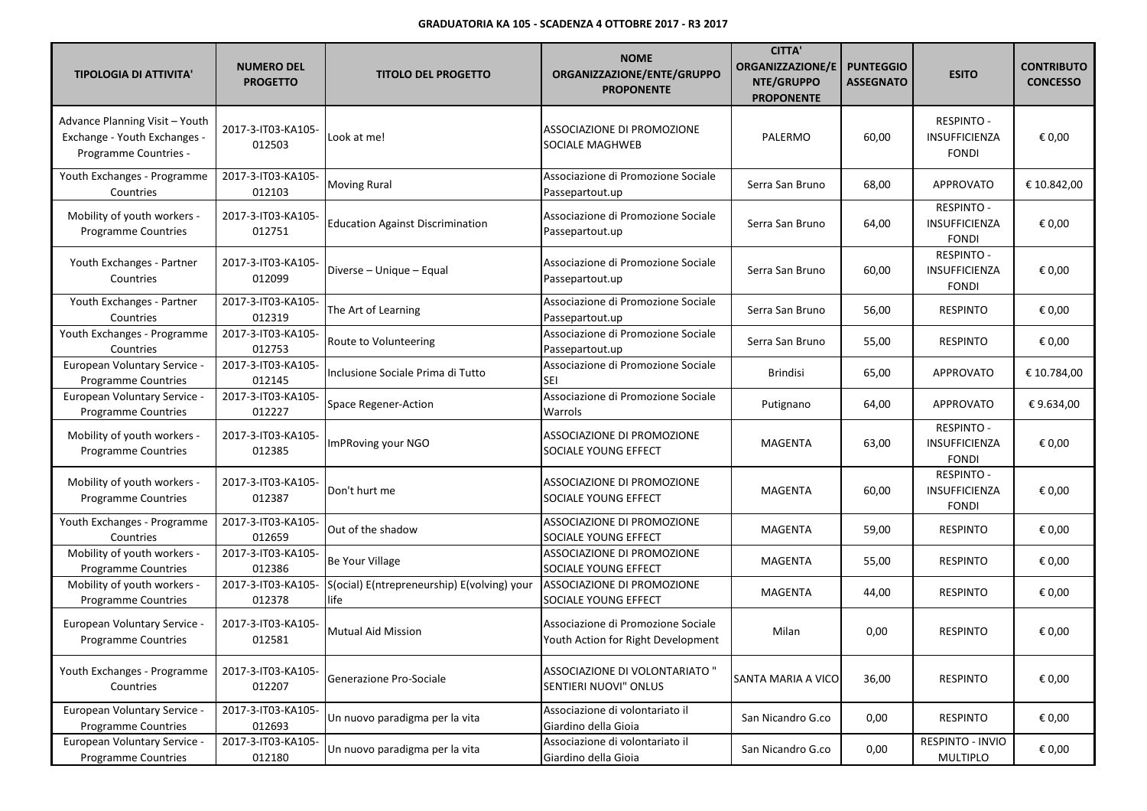| <b>TIPOLOGIA DI ATTIVITA'</b>                                                           | <b>NUMERO DEL</b><br><b>PROGETTO</b> | <b>TITOLO DEL PROGETTO</b>                          | <b>NOME</b><br>ORGANIZZAZIONE/ENTE/GRUPPO<br><b>PROPONENTE</b>           | <b>CITTA'</b><br><b>ORGANIZZAZIONE/E</b><br>NTE/GRUPPO<br><b>PROPONENTE</b> | <b>PUNTEGGIO</b><br><b>ASSEGNATO</b> | <b>ESITO</b>                                              | <b>CONTRIBUTO</b><br><b>CONCESSO</b> |
|-----------------------------------------------------------------------------------------|--------------------------------------|-----------------------------------------------------|--------------------------------------------------------------------------|-----------------------------------------------------------------------------|--------------------------------------|-----------------------------------------------------------|--------------------------------------|
| Advance Planning Visit - Youth<br>Exchange - Youth Exchanges -<br>Programme Countries - | 2017-3-IT03-KA105-<br>012503         | Look at me!                                         | ASSOCIAZIONE DI PROMOZIONE<br>SOCIALE MAGHWEB                            | PALERMO                                                                     | 60,00                                | <b>RESPINTO -</b><br><b>INSUFFICIENZA</b><br><b>FONDI</b> | € 0,00                               |
| Youth Exchanges - Programme<br>Countries                                                | 2017-3-IT03-KA105-<br>012103         | <b>Moving Rural</b>                                 | Associazione di Promozione Sociale<br>Passepartout.up                    | Serra San Bruno                                                             | 68,00                                | APPROVATO                                                 | € 10.842,00                          |
| Mobility of youth workers -<br>Programme Countries                                      | 2017-3-IT03-KA105-<br>012751         | <b>Education Against Discrimination</b>             | Associazione di Promozione Sociale<br>Passepartout.up                    | Serra San Bruno                                                             | 64,00                                | <b>RESPINTO -</b><br><b>INSUFFICIENZA</b><br><b>FONDI</b> | € 0,00                               |
| Youth Exchanges - Partner<br>Countries                                                  | 2017-3-IT03-KA105-<br>012099         | Diverse - Unique - Equal                            | Associazione di Promozione Sociale<br>Passepartout.up                    | Serra San Bruno                                                             | 60,00                                | RESPINTO -<br><b>INSUFFICIENZA</b><br><b>FONDI</b>        | € 0,00                               |
| Youth Exchanges - Partner<br>Countries                                                  | 2017-3-IT03-KA105-<br>012319         | The Art of Learning                                 | Associazione di Promozione Sociale<br>Passepartout.up                    | Serra San Bruno                                                             | 56,00                                | <b>RESPINTO</b>                                           | € 0,00                               |
| Youth Exchanges - Programme<br>Countries                                                | 2017-3-IT03-KA105-<br>012753         | Route to Volunteering                               | Associazione di Promozione Sociale<br>Passepartout.up                    | Serra San Bruno                                                             | 55,00                                | <b>RESPINTO</b>                                           | € 0,00                               |
| European Voluntary Service -<br><b>Programme Countries</b>                              | 2017-3-IT03-KA105-<br>012145         | Inclusione Sociale Prima di Tutto                   | Associazione di Promozione Sociale<br>SEI                                | <b>Brindisi</b>                                                             | 65,00                                | APPROVATO                                                 | € 10.784,00                          |
| European Voluntary Service -<br>Programme Countries                                     | 2017-3-IT03-KA105-<br>012227         | Space Regener-Action                                | Associazione di Promozione Sociale<br>Warrols                            | Putignano                                                                   | 64,00                                | APPROVATO                                                 | €9.634,00                            |
| Mobility of youth workers -<br><b>Programme Countries</b>                               | 2017-3-IT03-KA105-<br>012385         | ImPRoving your NGO                                  | ASSOCIAZIONE DI PROMOZIONE<br>SOCIALE YOUNG EFFECT                       | <b>MAGENTA</b>                                                              | 63,00                                | <b>RESPINTO -</b><br><b>INSUFFICIENZA</b><br><b>FONDI</b> | € 0,00                               |
| Mobility of youth workers -<br>Programme Countries                                      | 2017-3-IT03-KA105-<br>012387         | Don't hurt me                                       | ASSOCIAZIONE DI PROMOZIONE<br>SOCIALE YOUNG EFFECT                       | MAGENTA                                                                     | 60,00                                | <b>RESPINTO -</b><br><b>INSUFFICIENZA</b><br><b>FONDI</b> | € 0,00                               |
| Youth Exchanges - Programme<br>Countries                                                | 2017-3-IT03-KA105-<br>012659         | Out of the shadow                                   | ASSOCIAZIONE DI PROMOZIONE<br>SOCIALE YOUNG EFFECT                       | <b>MAGENTA</b>                                                              | 59,00                                | <b>RESPINTO</b>                                           | € 0,00                               |
| Mobility of youth workers -<br><b>Programme Countries</b>                               | 2017-3-IT03-KA105-<br>012386         | Be Your Village                                     | ASSOCIAZIONE DI PROMOZIONE<br>SOCIALE YOUNG EFFECT                       | <b>MAGENTA</b>                                                              | 55,00                                | <b>RESPINTO</b>                                           | € 0,00                               |
| Mobility of youth workers -<br><b>Programme Countries</b>                               | 2017-3-IT03-KA105-<br>012378         | S(ocial) E(ntrepreneurship) E(volving) your<br>life | ASSOCIAZIONE DI PROMOZIONE<br>SOCIALE YOUNG EFFECT                       | <b>MAGENTA</b>                                                              | 44,00                                | <b>RESPINTO</b>                                           | € 0,00                               |
| European Voluntary Service -<br>Programme Countries                                     | 2017-3-IT03-KA105-<br>012581         | Mutual Aid Mission                                  | Associazione di Promozione Sociale<br>Youth Action for Right Development | Milan                                                                       | 0,00                                 | <b>RESPINTO</b>                                           | € 0,00                               |
| Youth Exchanges - Programme<br>Countries                                                | 2017-3-IT03-KA105-<br>012207         | Generazione Pro-Sociale                             | ASSOCIAZIONE DI VOLONTARIATO "<br>SENTIERI NUOVI" ONLUS                  | <b>SANTA MARIA A VICO</b>                                                   | 36,00                                | <b>RESPINTO</b>                                           | € 0,00                               |
| European Voluntary Service -<br><b>Programme Countries</b>                              | 2017-3-IT03-KA105-<br>012693         | Un nuovo paradigma per la vita                      | Associazione di volontariato il<br>Giardino della Gioia                  | San Nicandro G.co                                                           | 0,00                                 | RESPINTO                                                  | € 0,00                               |
| European Voluntary Service -<br>Programme Countries                                     | 2017-3-IT03-KA105-<br>012180         | Un nuovo paradigma per la vita                      | Associazione di volontariato il<br>Giardino della Gioia                  | San Nicandro G.co                                                           | 0,00                                 | RESPINTO - INVIO<br><b>MULTIPLO</b>                       | € 0,00                               |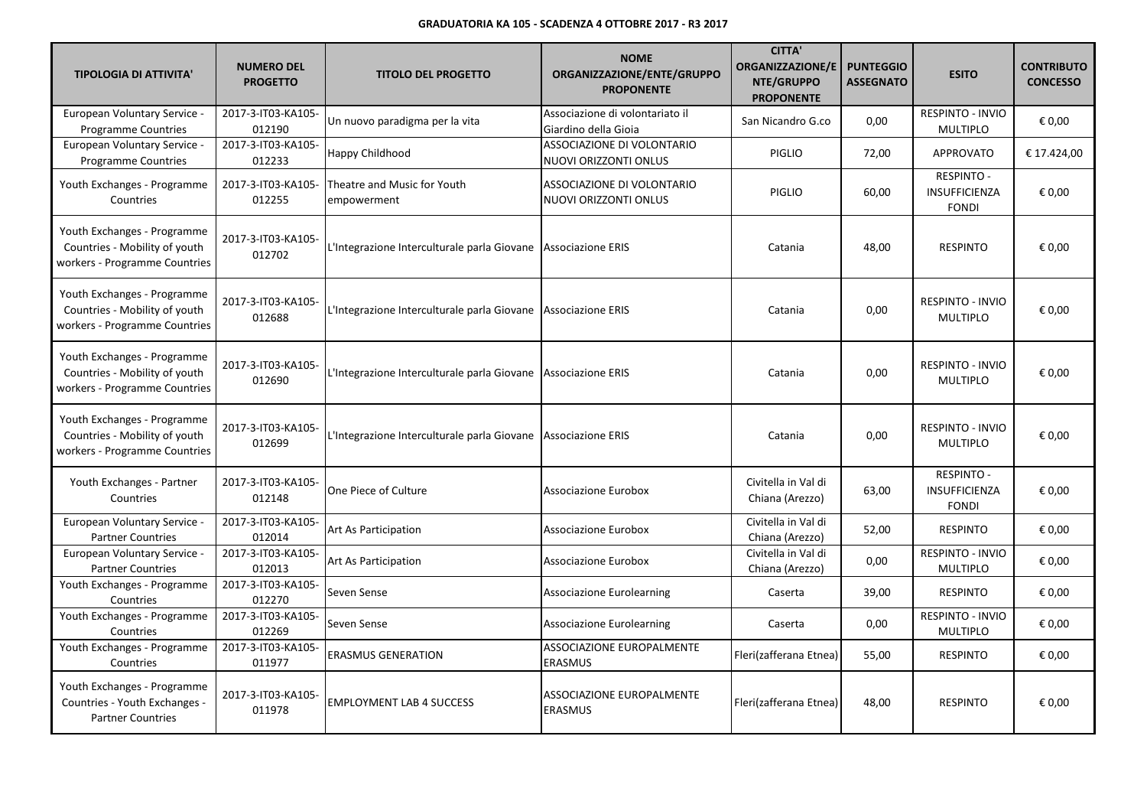| <b>TIPOLOGIA DI ATTIVITA'</b>                                                                 | <b>NUMERO DEL</b><br><b>PROGETTO</b> | <b>TITOLO DEL PROGETTO</b>                                    | <b>NOME</b><br>ORGANIZZAZIONE/ENTE/GRUPPO<br><b>PROPONENTE</b> | <b>CITTA'</b><br><b>ORGANIZZAZIONE/E</b><br>NTE/GRUPPO<br><b>PROPONENTE</b> | <b>PUNTEGGIO</b><br><b>ASSEGNATO</b> | <b>ESITO</b>                                              | <b>CONTRIBUTO</b><br><b>CONCESSO</b> |
|-----------------------------------------------------------------------------------------------|--------------------------------------|---------------------------------------------------------------|----------------------------------------------------------------|-----------------------------------------------------------------------------|--------------------------------------|-----------------------------------------------------------|--------------------------------------|
| European Voluntary Service -<br><b>Programme Countries</b>                                    | 2017-3-IT03-KA105-<br>012190         | Un nuovo paradigma per la vita                                | Associazione di volontariato il<br>Giardino della Gioia        | San Nicandro G.co                                                           | 0,00                                 | RESPINTO - INVIO<br><b>MULTIPLO</b>                       | € 0,00                               |
| European Voluntary Service -<br><b>Programme Countries</b>                                    | 2017-3-IT03-KA105-<br>012233         | Happy Childhood                                               | ASSOCIAZIONE DI VOLONTARIO<br>NUOVI ORIZZONTI ONLUS            | <b>PIGLIO</b>                                                               | 72,00                                | <b>APPROVATO</b>                                          | € 17.424,00                          |
| Youth Exchanges - Programme<br>Countries                                                      | 2017-3-IT03-KA105-<br>012255         | Theatre and Music for Youth<br>empowerment                    | ASSOCIAZIONE DI VOLONTARIO<br>NUOVI ORIZZONTI ONLUS            | <b>PIGLIO</b>                                                               | 60,00                                | <b>RESPINTO -</b><br>INSUFFICIENZA<br><b>FONDI</b>        | € 0,00                               |
| Youth Exchanges - Programme<br>Countries - Mobility of youth<br>workers - Programme Countries | 2017-3-IT03-KA105-<br>012702         | L'Integrazione Interculturale parla Giovane Associazione ERIS |                                                                | Catania                                                                     | 48,00                                | <b>RESPINTO</b>                                           | € 0,00                               |
| Youth Exchanges - Programme<br>Countries - Mobility of youth<br>workers - Programme Countries | 2017-3-IT03-KA105-<br>012688         | L'Integrazione Interculturale parla Giovane Associazione ERIS |                                                                | Catania                                                                     | 0,00                                 | <b>RESPINTO - INVIO</b><br><b>MULTIPLO</b>                | € 0,00                               |
| Youth Exchanges - Programme<br>Countries - Mobility of youth<br>workers - Programme Countries | 2017-3-IT03-KA105-<br>012690         | L'Integrazione Interculturale parla Giovane Associazione ERIS |                                                                | Catania                                                                     | 0,00                                 | <b>RESPINTO - INVIO</b><br><b>MULTIPLO</b>                | € 0,00                               |
| Youth Exchanges - Programme<br>Countries - Mobility of youth<br>workers - Programme Countries | 2017-3-IT03-KA105-<br>012699         | L'Integrazione Interculturale parla Giovane Associazione ERIS |                                                                | Catania                                                                     | 0,00                                 | <b>RESPINTO - INVIO</b><br><b>MULTIPLO</b>                | € 0,00                               |
| Youth Exchanges - Partner<br>Countries                                                        | 2017-3-IT03-KA105-<br>012148         | One Piece of Culture                                          | Associazione Eurobox                                           | Civitella in Val di<br>Chiana (Arezzo)                                      | 63,00                                | <b>RESPINTO -</b><br><b>INSUFFICIENZA</b><br><b>FONDI</b> | € 0,00                               |
| European Voluntary Service -<br><b>Partner Countries</b>                                      | 2017-3-IT03-KA105-<br>012014         | Art As Participation                                          | Associazione Eurobox                                           | Civitella in Val di<br>Chiana (Arezzo)                                      | 52,00                                | RESPINTO                                                  | € 0,00                               |
| European Voluntary Service -<br><b>Partner Countries</b>                                      | 2017-3-IT03-KA105-<br>012013         | Art As Participation                                          | Associazione Eurobox                                           | Civitella in Val di<br>Chiana (Arezzo)                                      | 0,00                                 | <b>RESPINTO - INVIO</b><br><b>MULTIPLO</b>                | € 0,00                               |
| Youth Exchanges - Programme<br>Countries                                                      | 2017-3-IT03-KA105-<br>012270         | Seven Sense                                                   | <b>Associazione Eurolearning</b>                               | Caserta                                                                     | 39,00                                | <b>RESPINTO</b>                                           | € 0,00                               |
| Youth Exchanges - Programme<br>Countries                                                      | 2017-3-IT03-KA105-<br>012269         | Seven Sense                                                   | <b>Associazione Eurolearning</b>                               | Caserta                                                                     | 0,00                                 | <b>RESPINTO - INVIO</b><br><b>MULTIPLO</b>                | € 0,00                               |
| Youth Exchanges - Programme<br>Countries                                                      | 2017-3-IT03-KA105-<br>011977         | <b>ERASMUS GENERATION</b>                                     | <b>ASSOCIAZIONE EUROPALMENTE</b><br><b>ERASMUS</b>             | Fleri(zafferana Etnea)                                                      | 55,00                                | <b>RESPINTO</b>                                           | € 0,00                               |
| Youth Exchanges - Programme<br>Countries - Youth Exchanges -<br><b>Partner Countries</b>      | 2017-3-IT03-KA105-<br>011978         | <b>EMPLOYMENT LAB 4 SUCCESS</b>                               | <b>ASSOCIAZIONE EUROPALMENTE</b><br><b>ERASMUS</b>             | Fleri(zafferana Etnea)                                                      | 48,00                                | <b>RESPINTO</b>                                           | € 0,00                               |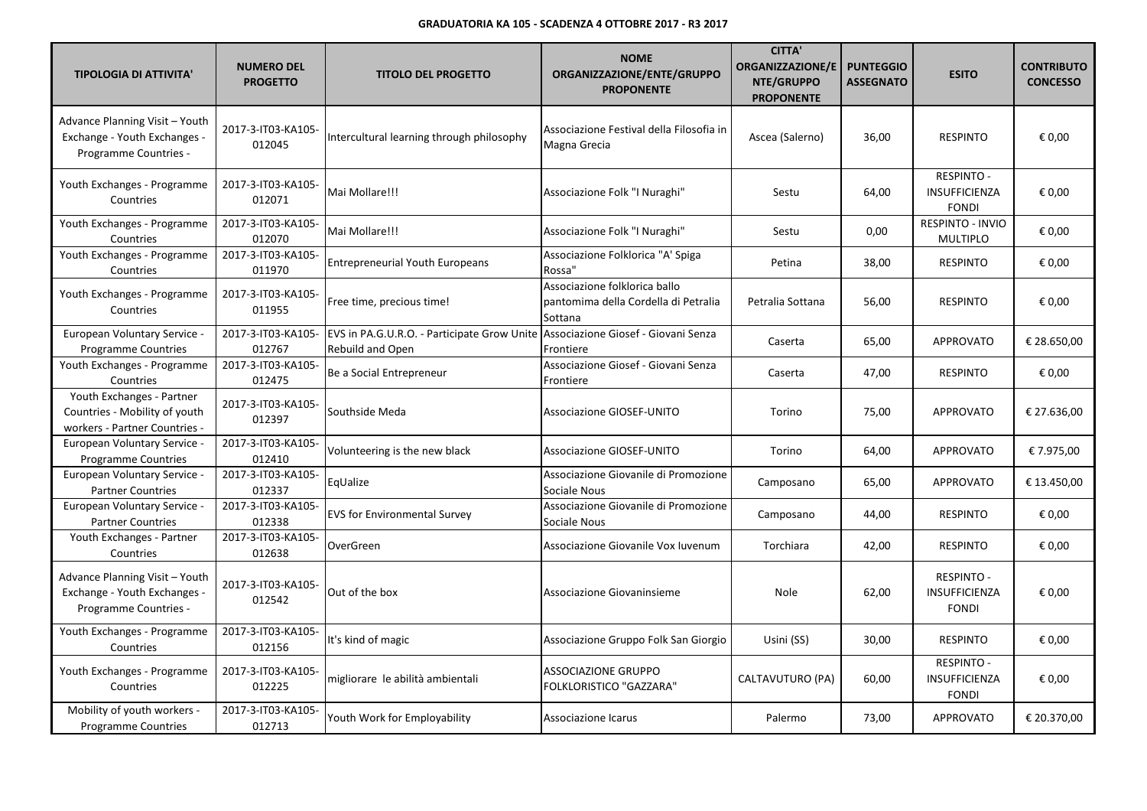| <b>TIPOLOGIA DI ATTIVITA'</b>                                                               | <b>NUMERO DEL</b><br><b>PROGETTO</b> | <b>TITOLO DEL PROGETTO</b>                                                                                 | <b>NOME</b><br>ORGANIZZAZIONE/ENTE/GRUPPO<br><b>PROPONENTE</b>                   | <b>CITTA'</b><br><b>ORGANIZZAZIONE/E</b><br>NTE/GRUPPO<br><b>PROPONENTE</b> | <b>PUNTEGGIO</b><br><b>ASSEGNATO</b> | <b>ESITO</b>                                              | <b>CONTRIBUTO</b><br><b>CONCESSO</b> |
|---------------------------------------------------------------------------------------------|--------------------------------------|------------------------------------------------------------------------------------------------------------|----------------------------------------------------------------------------------|-----------------------------------------------------------------------------|--------------------------------------|-----------------------------------------------------------|--------------------------------------|
| Advance Planning Visit - Youth<br>Exchange - Youth Exchanges -<br>Programme Countries -     | 2017-3-IT03-KA105-<br>012045         | Intercultural learning through philosophy                                                                  | Associazione Festival della Filosofia in<br>Magna Grecia                         | Ascea (Salerno)                                                             | 36,00                                | <b>RESPINTO</b>                                           | € 0,00                               |
| Youth Exchanges - Programme<br>Countries                                                    | 2017-3-IT03-KA105-<br>012071         | Mai Mollare!!!                                                                                             | Associazione Folk "I Nuraghi"                                                    | Sestu                                                                       | 64,00                                | <b>RESPINTO -</b><br><b>INSUFFICIENZA</b><br><b>FONDI</b> | € 0,00                               |
| Youth Exchanges - Programme<br>Countries                                                    | 2017-3-IT03-KA105-<br>012070         | Mai Mollare!!!                                                                                             | Associazione Folk "I Nuraghi"                                                    | Sestu                                                                       | 0,00                                 | RESPINTO - INVIO<br><b>MULTIPLO</b>                       | € 0,00                               |
| Youth Exchanges - Programme<br>Countries                                                    | 2017-3-IT03-KA105-<br>011970         | <b>Entrepreneurial Youth Europeans</b>                                                                     | Associazione Folklorica "A' Spiga<br>Rossa"                                      | Petina                                                                      | 38,00                                | <b>RESPINTO</b>                                           | € 0,00                               |
| Youth Exchanges - Programme<br>Countries                                                    | 2017-3-IT03-KA105-<br>011955         | Free time, precious time!                                                                                  | Associazione folklorica ballo<br>pantomima della Cordella di Petralia<br>Sottana | Petralia Sottana                                                            | 56,00                                | <b>RESPINTO</b>                                           | € 0,00                               |
| European Voluntary Service -<br><b>Programme Countries</b>                                  | 2017-3-IT03-KA105-<br>012767         | EVS in PA.G.U.R.O. - Participate Grow Unite Associazione Giosef - Giovani Senza<br><b>Rebuild and Open</b> | Frontiere                                                                        | Caserta                                                                     | 65,00                                | <b>APPROVATO</b>                                          | € 28.650,00                          |
| Youth Exchanges - Programme<br>Countries                                                    | 2017-3-IT03-KA105-<br>012475         | Be a Social Entrepreneur                                                                                   | Associazione Giosef - Giovani Senza<br>Frontiere                                 | Caserta                                                                     | 47,00                                | <b>RESPINTO</b>                                           | € 0,00                               |
| Youth Exchanges - Partner<br>Countries - Mobility of youth<br>workers - Partner Countries - | 2017-3-IT03-KA105-<br>012397         | Southside Meda                                                                                             | <b>Associazione GIOSEF-UNITO</b>                                                 | Torino                                                                      | 75,00                                | <b>APPROVATO</b>                                          | € 27.636,00                          |
| <b>European Voluntary Service -</b><br><b>Programme Countries</b>                           | 2017-3-IT03-KA105-<br>012410         | Volunteering is the new black                                                                              | <b>Associazione GIOSEF-UNITO</b>                                                 | Torino                                                                      | 64,00                                | <b>APPROVATO</b>                                          | € 7.975,00                           |
| European Voluntary Service -<br><b>Partner Countries</b>                                    | 2017-3-IT03-KA105-<br>012337         | EqUalize                                                                                                   | Associazione Giovanile di Promozione<br>Sociale Nous                             | Camposano                                                                   | 65,00                                | <b>APPROVATO</b>                                          | € 13.450,00                          |
| European Voluntary Service -<br><b>Partner Countries</b>                                    | 2017-3-IT03-KA105-<br>012338         | <b>EVS for Environmental Survey</b>                                                                        | Associazione Giovanile di Promozione<br>Sociale Nous                             | Camposano                                                                   | 44,00                                | <b>RESPINTO</b>                                           | € 0,00                               |
| Youth Exchanges - Partner<br>Countries                                                      | 2017-3-IT03-KA105-<br>012638         | OverGreen                                                                                                  | Associazione Giovanile Vox Iuvenum                                               | Torchiara                                                                   | 42,00                                | <b>RESPINTO</b>                                           | € 0,00                               |
| Advance Planning Visit - Youth<br>Exchange - Youth Exchanges -<br>Programme Countries -     | 2017-3-IT03-KA105-<br>012542         | Out of the box                                                                                             | Associazione Giovaninsieme                                                       | Nole                                                                        | 62,00                                | <b>RESPINTO -</b><br><b>INSUFFICIENZA</b><br><b>FONDI</b> | € 0.00                               |
| Youth Exchanges - Programme<br>Countries                                                    | 2017-3-IT03-KA105-<br>012156         | It's kind of magic                                                                                         | Associazione Gruppo Folk San Giorgio                                             | Usini (SS)                                                                  | 30,00                                | <b>RESPINTO</b>                                           | € 0,00                               |
| Youth Exchanges - Programme<br>Countries                                                    | 2017-3-IT03-KA105-<br>012225         | migliorare le abilità ambientali                                                                           | ASSOCIAZIONE GRUPPO<br>FOLKLORISTICO "GAZZARA"                                   | CALTAVUTURO (PA)                                                            | 60,00                                | <b>RESPINTO -</b><br>INSUFFICIENZA<br><b>FONDI</b>        | € 0,00                               |
| Mobility of youth workers -<br><b>Programme Countries</b>                                   | 2017-3-IT03-KA105-<br>012713         | Youth Work for Employability                                                                               | Associazione Icarus                                                              | Palermo                                                                     | 73,00                                | <b>APPROVATO</b>                                          | € 20.370,00                          |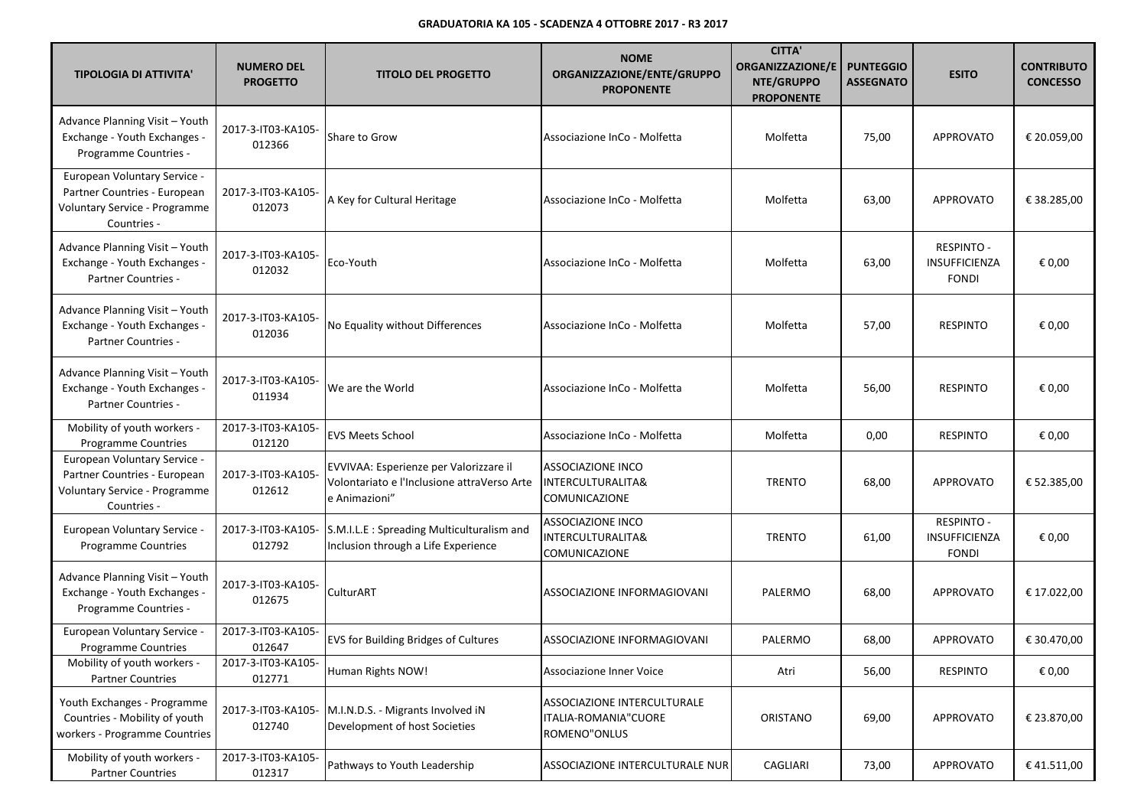| <b>TIPOLOGIA DI ATTIVITA'</b>                                                                                | <b>NUMERO DEL</b><br><b>PROGETTO</b> | <b>TITOLO DEL PROGETTO</b>                                                                             | <b>NOME</b><br>ORGANIZZAZIONE/ENTE/GRUPPO<br><b>PROPONENTE</b>      | <b>CITTA'</b><br><b>ORGANIZZAZIONE/E</b><br>NTE/GRUPPO<br><b>PROPONENTE</b> | <b>PUNTEGGIO</b><br><b>ASSEGNATO</b> | <b>ESITO</b>                                       | <b>CONTRIBUTO</b><br><b>CONCESSO</b> |
|--------------------------------------------------------------------------------------------------------------|--------------------------------------|--------------------------------------------------------------------------------------------------------|---------------------------------------------------------------------|-----------------------------------------------------------------------------|--------------------------------------|----------------------------------------------------|--------------------------------------|
| Advance Planning Visit - Youth<br>Exchange - Youth Exchanges -<br>Programme Countries -                      | 2017-3-IT03-KA105-<br>012366         | Share to Grow                                                                                          | Associazione InCo - Molfetta                                        | Molfetta                                                                    | 75,00                                | <b>APPROVATO</b>                                   | € 20.059,00                          |
| European Voluntary Service -<br>Partner Countries - European<br>Voluntary Service - Programme<br>Countries - | 2017-3-IT03-KA105-<br>012073         | A Key for Cultural Heritage                                                                            | Associazione InCo - Molfetta                                        | Molfetta                                                                    | 63,00                                | <b>APPROVATO</b>                                   | € 38.285,00                          |
| Advance Planning Visit - Youth<br>Exchange - Youth Exchanges -<br>Partner Countries -                        | 2017-3-IT03-KA105-<br>012032         | Eco-Youth                                                                                              | Associazione InCo - Molfetta                                        | Molfetta                                                                    | 63,00                                | <b>RESPINTO -</b><br>INSUFFICIENZA<br><b>FONDI</b> | € 0,00                               |
| Advance Planning Visit - Youth<br>Exchange - Youth Exchanges -<br>Partner Countries -                        | 2017-3-IT03-KA105-<br>012036         | No Equality without Differences                                                                        | Associazione InCo - Molfetta                                        | Molfetta                                                                    | 57,00                                | <b>RESPINTO</b>                                    | € 0,00                               |
| Advance Planning Visit - Youth<br>Exchange - Youth Exchanges -<br>Partner Countries -                        | 2017-3-IT03-KA105-<br>011934         | We are the World                                                                                       | Associazione InCo - Molfetta                                        | Molfetta                                                                    | 56,00                                | <b>RESPINTO</b>                                    | € 0,00                               |
| Mobility of youth workers -<br><b>Programme Countries</b>                                                    | 2017-3-IT03-KA105-<br>012120         | <b>EVS Meets School</b>                                                                                | Associazione InCo - Molfetta                                        | Molfetta                                                                    | 0,00                                 | <b>RESPINTO</b>                                    | € 0,00                               |
| European Voluntary Service -<br>Partner Countries - European<br>Voluntary Service - Programme<br>Countries - | 2017-3-IT03-KA105-<br>012612         | EVVIVAA: Esperienze per Valorizzare il<br>Volontariato e l'Inclusione attraVerso Arte<br>e Animazioni" | <b>ASSOCIAZIONE INCO</b><br>INTERCULTURALITA&<br>COMUNICAZIONE      | <b>TRENTO</b>                                                               | 68,00                                | <b>APPROVATO</b>                                   | € 52.385,00                          |
| European Voluntary Service -<br><b>Programme Countries</b>                                                   | 2017-3-IT03-KA105-<br>012792         | S.M.I.L.E : Spreading Multiculturalism and<br>Inclusion through a Life Experience                      | <b>ASSOCIAZIONE INCO</b><br>INTERCULTURALITA&<br>COMUNICAZIONE      | <b>TRENTO</b>                                                               | 61,00                                | <b>RESPINTO -</b><br>INSUFFICIENZA<br><b>FONDI</b> | € 0,00                               |
| Advance Planning Visit - Youth<br>Exchange - Youth Exchanges -<br>Programme Countries -                      | 2017-3-IT03-KA105-<br>012675         | CulturART                                                                                              | ASSOCIAZIONE INFORMAGIOVANI                                         | PALERMO                                                                     | 68,00                                | <b>APPROVATO</b>                                   | € 17.022,00                          |
| <b>European Voluntary Service -</b><br><b>Programme Countries</b>                                            | 2017-3-IT03-KA105-<br>012647         | EVS for Building Bridges of Cultures                                                                   | ASSOCIAZIONE INFORMAGIOVANI                                         | PALERMO                                                                     | 68,00                                | <b>APPROVATO</b>                                   | € 30.470,00                          |
| Mobility of youth workers -<br><b>Partner Countries</b>                                                      | 2017-3-IT03-KA105-<br>012771         | Human Rights NOW!                                                                                      | Associazione Inner Voice                                            | Atri                                                                        | 56,00                                | <b>RESPINTO</b>                                    | € 0,00                               |
| Youth Exchanges - Programme<br>Countries - Mobility of youth<br>workers - Programme Countries                | 2017-3-IT03-KA105-<br>012740         | M.I.N.D.S. - Migrants Involved iN<br>Development of host Societies                                     | ASSOCIAZIONE INTERCULTURALE<br>ITALIA-ROMANIA"CUORE<br>ROMENO"ONLUS | ORISTANO                                                                    | 69,00                                | APPROVATO                                          | € 23.870,00                          |
| Mobility of youth workers -<br><b>Partner Countries</b>                                                      | 2017-3-IT03-KA105-<br>012317         | Pathways to Youth Leadership                                                                           | ASSOCIAZIONE INTERCULTURALE NUR                                     | CAGLIARI                                                                    | 73,00                                | APPROVATO                                          | €41.511,00                           |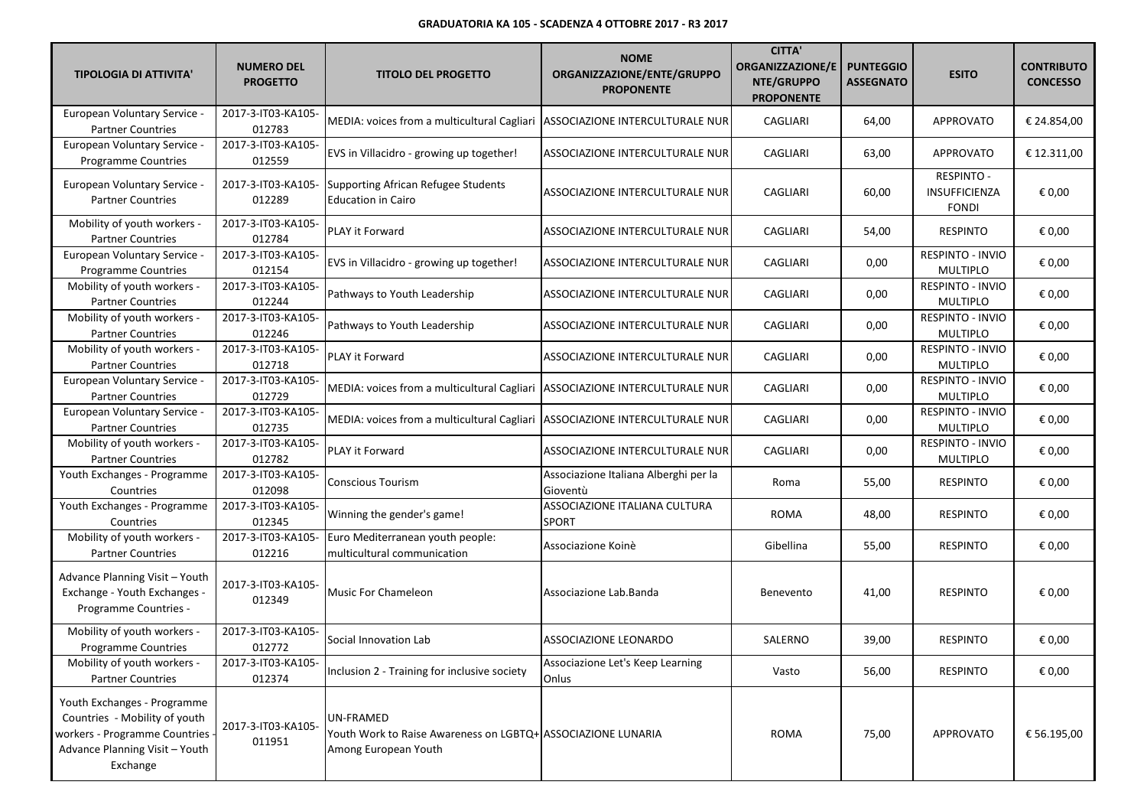| <b>TIPOLOGIA DI ATTIVITA'</b>                                                                                                               | <b>NUMERO DEL</b><br><b>PROGETTO</b> | <b>TITOLO DEL PROGETTO</b>                                                                        | <b>NOME</b><br>ORGANIZZAZIONE/ENTE/GRUPPO<br><b>PROPONENTE</b> | <b>CITTA'</b><br><b>ORGANIZZAZIONE/E</b><br>NTE/GRUPPO<br><b>PROPONENTE</b> | <b>PUNTEGGIO</b><br><b>ASSEGNATO</b> | <b>ESITO</b>                                | <b>CONTRIBUTO</b><br><b>CONCESSO</b> |
|---------------------------------------------------------------------------------------------------------------------------------------------|--------------------------------------|---------------------------------------------------------------------------------------------------|----------------------------------------------------------------|-----------------------------------------------------------------------------|--------------------------------------|---------------------------------------------|--------------------------------------|
| European Voluntary Service -<br><b>Partner Countries</b>                                                                                    | 2017-3-IT03-KA105-<br>012783         | MEDIA: voices from a multicultural Cagliari                                                       | ASSOCIAZIONE INTERCULTURALE NUR                                | CAGLIARI                                                                    | 64,00                                | APPROVATO                                   | € 24.854,00                          |
| European Voluntary Service -<br>Programme Countries                                                                                         | 2017-3-IT03-KA105-<br>012559         | EVS in Villacidro - growing up together!                                                          | ASSOCIAZIONE INTERCULTURALE NUR                                | CAGLIARI                                                                    | 63,00                                | <b>APPROVATO</b>                            | € 12.311,00                          |
| <b>European Voluntary Service -</b><br><b>Partner Countries</b>                                                                             | 2017-3-IT03-KA105-<br>012289         | <b>Supporting African Refugee Students</b><br><b>Education in Cairo</b>                           | ASSOCIAZIONE INTERCULTURALE NUR                                | CAGLIARI                                                                    | 60,00                                | RESPINTO -<br>INSUFFICIENZA<br><b>FONDI</b> | € 0,00                               |
| Mobility of youth workers -<br><b>Partner Countries</b>                                                                                     | 2017-3-IT03-KA105-<br>012784         | PLAY it Forward                                                                                   | ASSOCIAZIONE INTERCULTURALE NUR                                | CAGLIARI                                                                    | 54,00                                | <b>RESPINTO</b>                             | € 0,00                               |
| European Voluntary Service -<br><b>Programme Countries</b>                                                                                  | 2017-3-IT03-KA105-<br>012154         | EVS in Villacidro - growing up together!                                                          | ASSOCIAZIONE INTERCULTURALE NUR                                | CAGLIARI                                                                    | 0,00                                 | RESPINTO - INVIO<br><b>MULTIPLO</b>         | € 0,00                               |
| Mobility of youth workers -<br><b>Partner Countries</b>                                                                                     | 2017-3-IT03-KA105-<br>012244         | Pathways to Youth Leadership                                                                      | ASSOCIAZIONE INTERCULTURALE NUR                                | CAGLIARI                                                                    | 0,00                                 | RESPINTO - INVIO<br><b>MULTIPLO</b>         | € 0,00                               |
| Mobility of youth workers -<br><b>Partner Countries</b>                                                                                     | 2017-3-IT03-KA105-<br>012246         | Pathways to Youth Leadership                                                                      | ASSOCIAZIONE INTERCULTURALE NUR                                | CAGLIARI                                                                    | 0,00                                 | RESPINTO - INVIO<br><b>MULTIPLO</b>         | € 0,00                               |
| Mobility of youth workers -<br><b>Partner Countries</b>                                                                                     | 2017-3-IT03-KA105-<br>012718         | PLAY it Forward                                                                                   | ASSOCIAZIONE INTERCULTURALE NUR                                | CAGLIARI                                                                    | 0,00                                 | <b>RESPINTO - INVIO</b><br><b>MULTIPLO</b>  | € 0,00                               |
| European Voluntary Service -<br><b>Partner Countries</b>                                                                                    | 2017-3-IT03-KA105-<br>012729         | MEDIA: voices from a multicultural Cagliari   ASSOCIAZIONE INTERCULTURALE NUR                     |                                                                | CAGLIARI                                                                    | 0,00                                 | RESPINTO - INVIO<br><b>MULTIPLO</b>         | € 0,00                               |
| European Voluntary Service -<br><b>Partner Countries</b>                                                                                    | 2017-3-IT03-KA105-<br>012735         | MEDIA: voices from a multicultural Cagliari   ASSOCIAZIONE INTERCULTURALE NUR                     |                                                                | CAGLIARI                                                                    | 0,00                                 | RESPINTO - INVIO<br><b>MULTIPLO</b>         | € 0,00                               |
| Mobility of youth workers -<br><b>Partner Countries</b>                                                                                     | 2017-3-IT03-KA105-<br>012782         | PLAY it Forward                                                                                   | ASSOCIAZIONE INTERCULTURALE NUR                                | CAGLIARI                                                                    | 0,00                                 | RESPINTO - INVIO<br><b>MULTIPLO</b>         | € 0,00                               |
| Youth Exchanges - Programme<br>Countries                                                                                                    | 2017-3-IT03-KA105-<br>012098         | <b>Conscious Tourism</b>                                                                          | Associazione Italiana Alberghi per la<br>Gioventù              | Roma                                                                        | 55,00                                | <b>RESPINTO</b>                             | € 0,00                               |
| Youth Exchanges - Programme<br>Countries                                                                                                    | 2017-3-IT03-KA105-<br>012345         | Winning the gender's game!                                                                        | ASSOCIAZIONE ITALIANA CULTURA<br><b>SPORT</b>                  | <b>ROMA</b>                                                                 | 48,00                                | <b>RESPINTO</b>                             | € 0,00                               |
| Mobility of youth workers -<br><b>Partner Countries</b>                                                                                     | 2017-3-IT03-KA105-<br>012216         | Euro Mediterranean youth people:<br>multicultural communication                                   | Associazione Koinè                                             | Gibellina                                                                   | 55,00                                | <b>RESPINTO</b>                             | € 0,00                               |
| Advance Planning Visit - Youth<br>Exchange - Youth Exchanges -<br>Programme Countries -                                                     | 2017-3-IT03-KA105-<br>012349         | <b>Music For Chameleon</b>                                                                        | Associazione Lab.Banda                                         | Benevento                                                                   | 41,00                                | <b>RESPINTO</b>                             | € 0,00                               |
| Mobility of youth workers -<br><b>Programme Countries</b>                                                                                   | 2017-3-IT03-KA105-<br>012772         | Social Innovation Lab                                                                             | <b>ASSOCIAZIONE LEONARDO</b>                                   | SALERNO                                                                     | 39,00                                | <b>RESPINTO</b>                             | € 0,00                               |
| Mobility of youth workers -<br><b>Partner Countries</b>                                                                                     | 2017-3-IT03-KA105-<br>012374         | Inclusion 2 - Training for inclusive society                                                      | Associazione Let's Keep Learning<br>Onlus                      | Vasto                                                                       | 56,00                                | <b>RESPINTO</b>                             | € 0,00                               |
| Youth Exchanges - Programme<br>Countries - Mobility of youth<br>workers - Programme Countries<br>Advance Planning Visit - Youth<br>Exchange | 2017-3-IT03-KA105-<br>011951         | UN-FRAMED<br>Youth Work to Raise Awareness on LGBTQ+ ASSOCIAZIONE LUNARIA<br>Among European Youth |                                                                | <b>ROMA</b>                                                                 | 75,00                                | <b>APPROVATO</b>                            | € 56.195,00                          |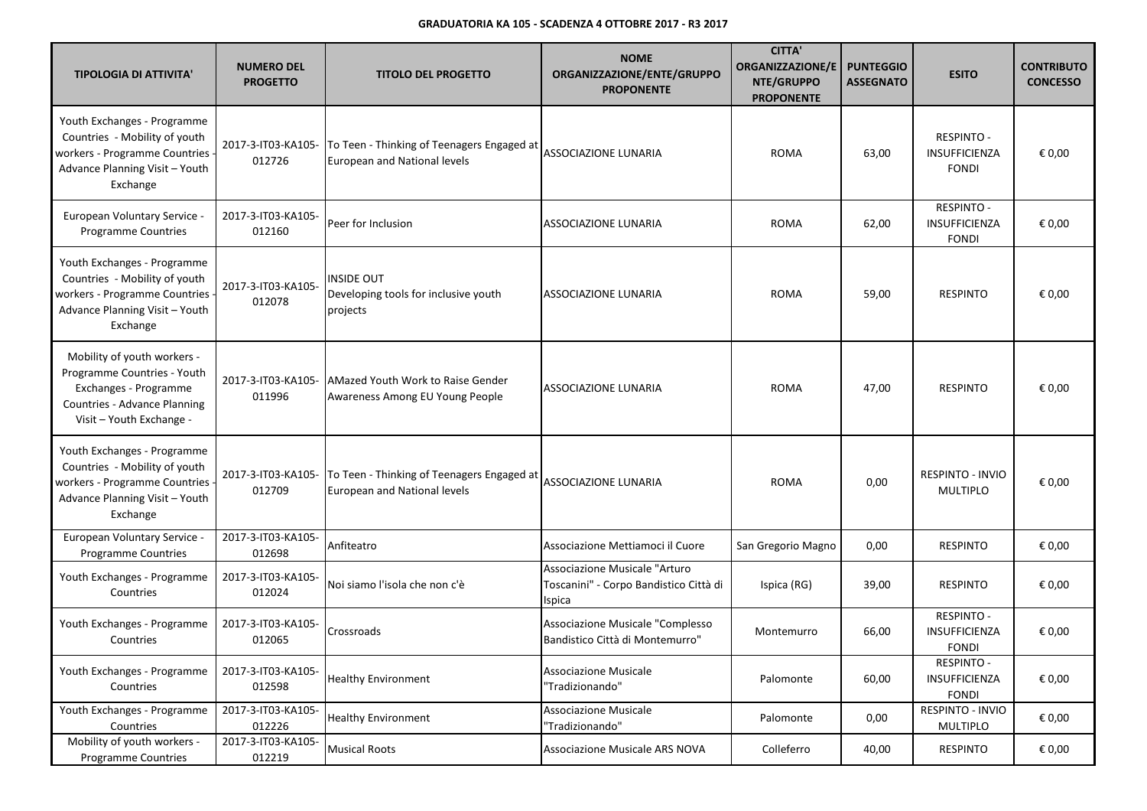| <b>TIPOLOGIA DI ATTIVITA'</b>                                                                                                                   | <b>NUMERO DEL</b><br><b>PROGETTO</b> | <b>TITOLO DEL PROGETTO</b>                                                 | <b>NOME</b><br>ORGANIZZAZIONE/ENTE/GRUPPO<br><b>PROPONENTE</b>                    | <b>CITTA'</b><br><b>ORGANIZZAZIONE/E</b><br>NTE/GRUPPO<br><b>PROPONENTE</b> | <b>PUNTEGGIO</b><br><b>ASSEGNATO</b> | <b>ESITO</b>                                       | <b>CONTRIBUTO</b><br><b>CONCESSO</b> |
|-------------------------------------------------------------------------------------------------------------------------------------------------|--------------------------------------|----------------------------------------------------------------------------|-----------------------------------------------------------------------------------|-----------------------------------------------------------------------------|--------------------------------------|----------------------------------------------------|--------------------------------------|
| Youth Exchanges - Programme<br>Countries - Mobility of youth<br>workers - Programme Countries<br>Advance Planning Visit - Youth<br>Exchange     | 2017-3-IT03-KA105-<br>012726         | To Teen - Thinking of Teenagers Engaged at<br>European and National levels | ASSOCIAZIONE LUNARIA                                                              | <b>ROMA</b>                                                                 | 63,00                                | <b>RESPINTO -</b><br>INSUFFICIENZA<br><b>FONDI</b> | € 0,00                               |
| European Voluntary Service -<br>Programme Countries                                                                                             | 2017-3-IT03-KA105-<br>012160         | Peer for Inclusion                                                         | ASSOCIAZIONE LUNARIA                                                              | <b>ROMA</b>                                                                 | 62,00                                | <b>RESPINTO -</b><br>INSUFFICIENZA<br><b>FONDI</b> | € 0,00                               |
| Youth Exchanges - Programme<br>Countries - Mobility of youth<br>workers - Programme Countries<br>Advance Planning Visit - Youth<br>Exchange     | 2017-3-IT03-KA105-<br>012078         | INSIDE OUT<br>Developing tools for inclusive youth<br>projects             | ASSOCIAZIONE LUNARIA                                                              | <b>ROMA</b>                                                                 | 59,00                                | <b>RESPINTO</b>                                    | € 0,00                               |
| Mobility of youth workers -<br>Programme Countries - Youth<br>Exchanges - Programme<br>Countries - Advance Planning<br>Visit - Youth Exchange - | 2017-3-IT03-KA105-<br>011996         | AMazed Youth Work to Raise Gender<br>Awareness Among EU Young People       | ASSOCIAZIONE LUNARIA                                                              | <b>ROMA</b>                                                                 | 47,00                                | <b>RESPINTO</b>                                    | € 0,00                               |
| Youth Exchanges - Programme<br>Countries - Mobility of youth<br>workers - Programme Countries<br>Advance Planning Visit - Youth<br>Exchange     | 2017-3-IT03-KA105-<br>012709         | To Teen - Thinking of Teenagers Engaged at<br>European and National levels | <b>ASSOCIAZIONE LUNARIA</b>                                                       | <b>ROMA</b>                                                                 | 0,00                                 | <b>RESPINTO - INVIO</b><br><b>MULTIPLO</b>         | € 0,00                               |
| European Voluntary Service -<br>Programme Countries                                                                                             | 2017-3-IT03-KA105-<br>012698         | Anfiteatro                                                                 | Associazione Mettiamoci il Cuore                                                  | San Gregorio Magno                                                          | 0,00                                 | <b>RESPINTO</b>                                    | € 0,00                               |
| Youth Exchanges - Programme<br>Countries                                                                                                        | 2017-3-IT03-KA105-<br>012024         | Noi siamo l'isola che non c'è                                              | Associazione Musicale "Arturo<br>Toscanini" - Corpo Bandistico Città di<br>Ispica | Ispica (RG)                                                                 | 39,00                                | <b>RESPINTO</b>                                    | € 0,00                               |
| Youth Exchanges - Programme<br>Countries                                                                                                        | 2017-3-IT03-KA105-<br>012065         | Crossroads                                                                 | Associazione Musicale "Complesso<br>Bandistico Città di Montemurro"               | Montemurro                                                                  | 66,00                                | <b>RESPINTO -</b><br>INSUFFICIENZA<br><b>FONDI</b> | € 0,00                               |
| Youth Exchanges - Programme<br>Countries                                                                                                        | 2017-3-IT03-KA105-<br>012598         | <b>Healthy Environment</b>                                                 | <b>Associazione Musicale</b><br>"Tradizionando"                                   | Palomonte                                                                   | 60,00                                | <b>RESPINTO -</b><br>INSUFFICIENZA<br>FONDI        | € 0,00                               |
| Youth Exchanges - Programme<br>Countries                                                                                                        | 2017-3-IT03-KA105-<br>012226         | <b>Healthy Environment</b>                                                 | <b>Associazione Musicale</b><br>"Tradizionando"                                   | Palomonte                                                                   | 0,00                                 | RESPINTO - INVIO<br><b>MULTIPLO</b>                | € 0,00                               |
| Mobility of youth workers -<br><b>Programme Countries</b>                                                                                       | 2017-3-IT03-KA105-<br>012219         | <b>Musical Roots</b>                                                       | Associazione Musicale ARS NOVA                                                    | Colleferro                                                                  | 40,00                                | <b>RESPINTO</b>                                    | € 0,00                               |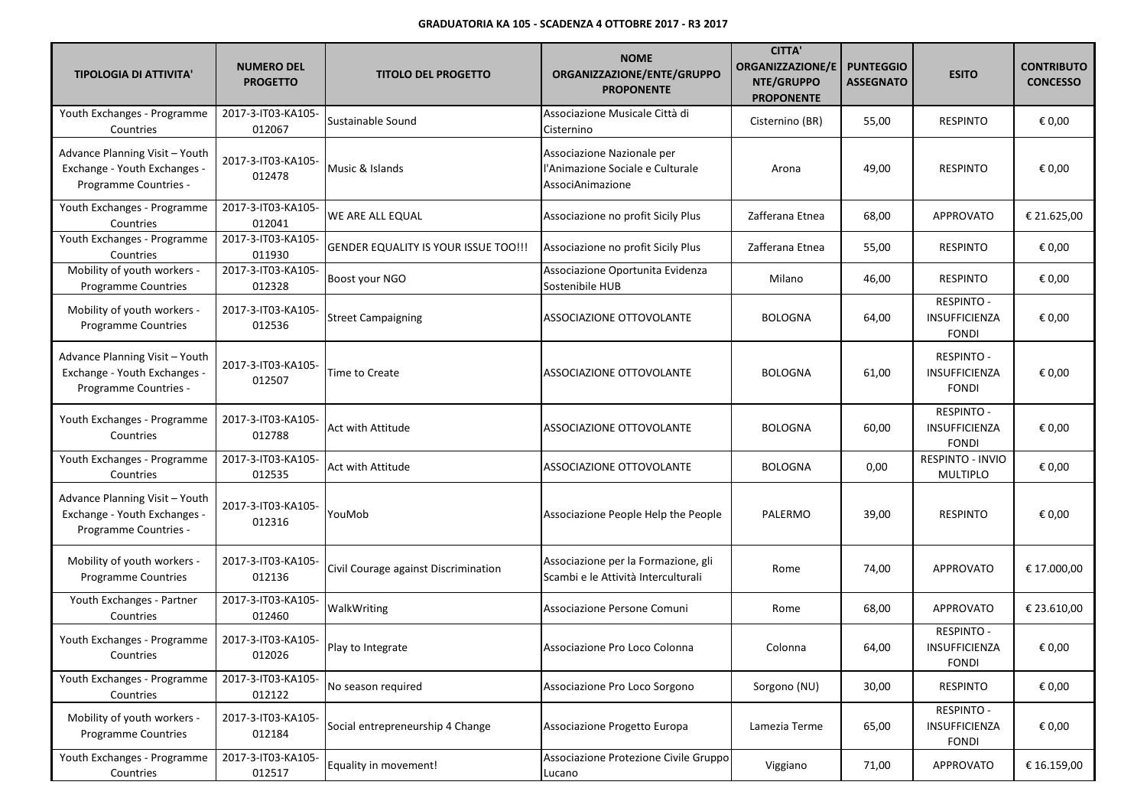| <b>TIPOLOGIA DI ATTIVITA'</b>                                                           | <b>NUMERO DEL</b><br><b>PROGETTO</b> | <b>TITOLO DEL PROGETTO</b>                  | <b>NOME</b><br>ORGANIZZAZIONE/ENTE/GRUPPO<br><b>PROPONENTE</b>                     | <b>CITTA'</b><br><b>ORGANIZZAZIONE/E</b><br>NTE/GRUPPO<br><b>PROPONENTE</b> | <b>PUNTEGGIO</b><br><b>ASSEGNATO</b> | <b>ESITO</b>                                       | <b>CONTRIBUTO</b><br><b>CONCESSO</b> |
|-----------------------------------------------------------------------------------------|--------------------------------------|---------------------------------------------|------------------------------------------------------------------------------------|-----------------------------------------------------------------------------|--------------------------------------|----------------------------------------------------|--------------------------------------|
| Youth Exchanges - Programme<br>Countries                                                | 2017-3-IT03-KA105-<br>012067         | Sustainable Sound                           | Associazione Musicale Città di<br>Cisternino                                       | Cisternino (BR)                                                             | 55,00                                | <b>RESPINTO</b>                                    | € 0,00                               |
| Advance Planning Visit - Youth<br>Exchange - Youth Exchanges -<br>Programme Countries - | 2017-3-IT03-KA105-<br>012478         | Music & Islands                             | Associazione Nazionale per<br>l'Animazione Sociale e Culturale<br>AssociAnimazione | Arona                                                                       | 49,00                                | <b>RESPINTO</b>                                    | € 0,00                               |
| Youth Exchanges - Programme<br>Countries                                                | 2017-3-IT03-KA105-<br>012041         | WE ARE ALL EQUAL                            | Associazione no profit Sicily Plus                                                 | Zafferana Etnea                                                             | 68,00                                | <b>APPROVATO</b>                                   | € 21.625,00                          |
| Youth Exchanges - Programme<br>Countries                                                | 2017-3-IT03-KA105-<br>011930         | <b>GENDER EQUALITY IS YOUR ISSUE TOO!!!</b> | Associazione no profit Sicily Plus                                                 | Zafferana Etnea                                                             | 55,00                                | <b>RESPINTO</b>                                    | € 0,00                               |
| Mobility of youth workers -<br><b>Programme Countries</b>                               | 2017-3-IT03-KA105-<br>012328         | Boost your NGO                              | Associazione Oportunita Evidenza<br>Sostenibile HUB                                | Milano                                                                      | 46,00                                | <b>RESPINTO</b>                                    | € 0,00                               |
| Mobility of youth workers -<br><b>Programme Countries</b>                               | 2017-3-IT03-KA105-<br>012536         | <b>Street Campaigning</b>                   | ASSOCIAZIONE OTTOVOLANTE                                                           | <b>BOLOGNA</b>                                                              | 64,00                                | <b>RESPINTO -</b><br>INSUFFICIENZA<br><b>FONDI</b> | € 0,00                               |
| Advance Planning Visit - Youth<br>Exchange - Youth Exchanges -<br>Programme Countries - | 2017-3-IT03-KA105-<br>012507         | Time to Create                              | ASSOCIAZIONE OTTOVOLANTE                                                           | <b>BOLOGNA</b>                                                              | 61,00                                | <b>RESPINTO -</b><br>INSUFFICIENZA<br><b>FONDI</b> | € 0,00                               |
| Youth Exchanges - Programme<br>Countries                                                | 2017-3-IT03-KA105-<br>012788         | Act with Attitude                           | ASSOCIAZIONE OTTOVOLANTE                                                           | <b>BOLOGNA</b>                                                              | 60,00                                | <b>RESPINTO -</b><br>INSUFFICIENZA<br><b>FONDI</b> | € 0,00                               |
| Youth Exchanges - Programme<br>Countries                                                | 2017-3-IT03-KA105-<br>012535         | Act with Attitude                           | ASSOCIAZIONE OTTOVOLANTE                                                           | <b>BOLOGNA</b>                                                              | 0,00                                 | RESPINTO - INVIO<br><b>MULTIPLO</b>                | € 0,00                               |
| Advance Planning Visit - Youth<br>Exchange - Youth Exchanges -<br>Programme Countries - | 2017-3-IT03-KA105-<br>012316         | YouMob                                      | Associazione People Help the People                                                | PALERMO                                                                     | 39,00                                | <b>RESPINTO</b>                                    | € 0,00                               |
| Mobility of youth workers -<br><b>Programme Countries</b>                               | 2017-3-IT03-KA105-<br>012136         | Civil Courage against Discrimination        | Associazione per la Formazione, gli<br>Scambi e le Attività Interculturali         | Rome                                                                        | 74,00                                | <b>APPROVATO</b>                                   | € 17.000,00                          |
| Youth Exchanges - Partner<br>Countries                                                  | 2017-3-IT03-KA105-<br>012460         | WalkWriting                                 | Associazione Persone Comuni                                                        | Rome                                                                        | 68,00                                | <b>APPROVATO</b>                                   | € 23.610,00                          |
| Youth Exchanges - Programme<br>Countries                                                | 2017-3-IT03-KA105-<br>012026         | Play to Integrate                           | Associazione Pro Loco Colonna                                                      | Colonna                                                                     | 64,00                                | <b>RESPINTO -</b><br>INSUFFICIENZA<br><b>FONDI</b> | € 0,00                               |
| Youth Exchanges - Programme<br>Countries                                                | 2017-3-IT03-KA105-<br>012122         | No season required                          | Associazione Pro Loco Sorgono                                                      | Sorgono (NU)                                                                | 30,00                                | <b>RESPINTO</b>                                    | € 0,00                               |
| Mobility of youth workers -<br><b>Programme Countries</b>                               | 2017-3-IT03-KA105-<br>012184         | Social entrepreneurship 4 Change            | Associazione Progetto Europa                                                       | Lamezia Terme                                                               | 65,00                                | <b>RESPINTO -</b><br>INSUFFICIENZA<br><b>FONDI</b> | € 0,00                               |
| Youth Exchanges - Programme<br>Countries                                                | 2017-3-IT03-KA105-<br>012517         | Equality in movement!                       | Associazione Protezione Civile Gruppo<br>Lucano                                    | Viggiano                                                                    | 71,00                                | <b>APPROVATO</b>                                   | € 16.159,00                          |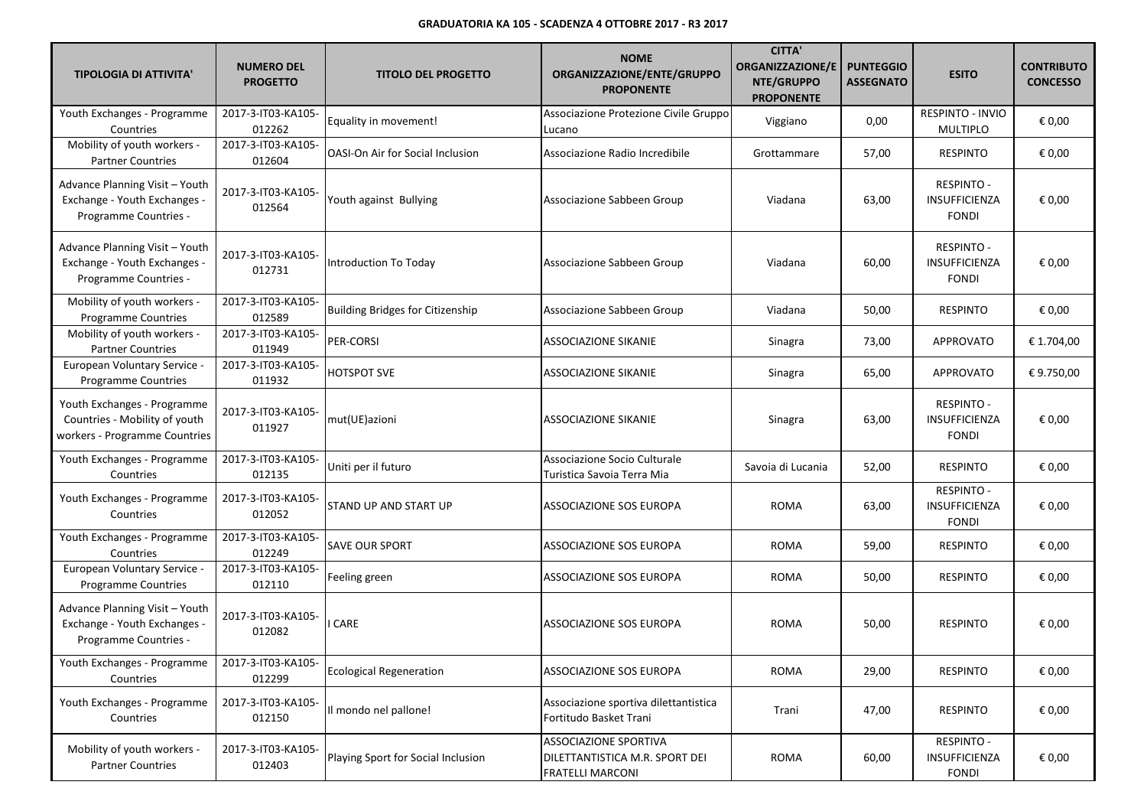| <b>TIPOLOGIA DI ATTIVITA'</b>                                                                 | <b>NUMERO DEL</b><br><b>PROGETTO</b> | <b>TITOLO DEL PROGETTO</b>              | <b>NOME</b><br>ORGANIZZAZIONE/ENTE/GRUPPO<br><b>PROPONENTE</b>                            | <b>CITTA'</b><br><b>ORGANIZZAZIONE/E</b><br>NTE/GRUPPO<br><b>PROPONENTE</b> | <b>PUNTEGGIO</b><br><b>ASSEGNATO</b> | <b>ESITO</b>                                              | <b>CONTRIBUTO</b><br><b>CONCESSO</b> |
|-----------------------------------------------------------------------------------------------|--------------------------------------|-----------------------------------------|-------------------------------------------------------------------------------------------|-----------------------------------------------------------------------------|--------------------------------------|-----------------------------------------------------------|--------------------------------------|
| Youth Exchanges - Programme<br>Countries                                                      | 2017-3-IT03-KA105-<br>012262         | Equality in movement!                   | Associazione Protezione Civile Gruppo<br>Lucano                                           | Viggiano                                                                    | 0,00                                 | RESPINTO - INVIO<br><b>MULTIPLO</b>                       | € 0,00                               |
| Mobility of youth workers -<br><b>Partner Countries</b>                                       | 2017-3-IT03-KA105-<br>012604         | <b>OASI-On Air for Social Inclusion</b> | Associazione Radio Incredibile                                                            | Grottammare                                                                 | 57,00                                | <b>RESPINTO</b>                                           | € 0,00                               |
| Advance Planning Visit - Youth<br>Exchange - Youth Exchanges -<br>Programme Countries -       | 2017-3-IT03-KA105-<br>012564         | Youth against Bullying                  | Associazione Sabbeen Group                                                                | Viadana                                                                     | 63,00                                | <b>RESPINTO -</b><br>INSUFFICIENZA<br><b>FONDI</b>        | € 0,00                               |
| Advance Planning Visit - Youth<br>Exchange - Youth Exchanges -<br>Programme Countries -       | 2017-3-IT03-KA105-<br>012731         | Introduction To Today                   | Associazione Sabbeen Group                                                                | Viadana                                                                     | 60,00                                | <b>RESPINTO -</b><br>INSUFFICIENZA<br><b>FONDI</b>        | € 0,00                               |
| Mobility of youth workers -<br><b>Programme Countries</b>                                     | 2017-3-IT03-KA105-<br>012589         | <b>Building Bridges for Citizenship</b> | Associazione Sabbeen Group                                                                | Viadana                                                                     | 50,00                                | <b>RESPINTO</b>                                           | € 0,00                               |
| Mobility of youth workers -<br><b>Partner Countries</b>                                       | 2017-3-IT03-KA105-<br>011949         | PER-CORSI                               | <b>ASSOCIAZIONE SIKANIE</b>                                                               | Sinagra                                                                     | 73,00                                | APPROVATO                                                 | € 1.704,00                           |
| European Voluntary Service -<br>Programme Countries                                           | 2017-3-IT03-KA105-<br>011932         | <b>HOTSPOT SVE</b>                      | ASSOCIAZIONE SIKANIE                                                                      | Sinagra                                                                     | 65,00                                | APPROVATO                                                 | € 9.750,00                           |
| Youth Exchanges - Programme<br>Countries - Mobility of youth<br>workers - Programme Countries | 2017-3-IT03-KA105-<br>011927         | mut(UE)azioni                           | <b>ASSOCIAZIONE SIKANIE</b>                                                               | Sinagra                                                                     | 63,00                                | <b>RESPINTO -</b><br><b>INSUFFICIENZA</b><br><b>FONDI</b> | € 0,00                               |
| Youth Exchanges - Programme<br>Countries                                                      | 2017-3-IT03-KA105-<br>012135         | Uniti per il futuro                     | Associazione Socio Culturale<br>Turistica Savoia Terra Mia                                | Savoia di Lucania                                                           | 52,00                                | <b>RESPINTO</b>                                           | € 0,00                               |
| Youth Exchanges - Programme<br>Countries                                                      | 2017-3-IT03-KA105-<br>012052         | STAND UP AND START UP                   | ASSOCIAZIONE SOS EUROPA                                                                   | <b>ROMA</b>                                                                 | 63,00                                | <b>RESPINTO -</b><br>INSUFFICIENZA<br><b>FONDI</b>        | € 0,00                               |
| Youth Exchanges - Programme<br>Countries                                                      | 2017-3-IT03-KA105-<br>012249         | <b>SAVE OUR SPORT</b>                   | ASSOCIAZIONE SOS EUROPA                                                                   | <b>ROMA</b>                                                                 | 59,00                                | <b>RESPINTO</b>                                           | € 0,00                               |
| European Voluntary Service -<br>Programme Countries                                           | 2017-3-IT03-KA105-<br>012110         | Feeling green                           | ASSOCIAZIONE SOS EUROPA                                                                   | <b>ROMA</b>                                                                 | 50,00                                | <b>RESPINTO</b>                                           | € 0,00                               |
| Advance Planning Visit - Youth<br>Exchange - Youth Exchanges -<br>Programme Countries -       | 2017-3-IT03-KA105-<br>012082         | <b>CARE</b>                             | ASSOCIAZIONE SOS EUROPA                                                                   | <b>ROMA</b>                                                                 | 50,00                                | <b>RESPINTO</b>                                           | € 0,00                               |
| Youth Exchanges - Programme<br>Countries                                                      | 2017-3-IT03-KA105-<br>012299         | <b>Ecological Regeneration</b>          | ASSOCIAZIONE SOS EUROPA                                                                   | <b>ROMA</b>                                                                 | 29,00                                | <b>RESPINTO</b>                                           | € 0,00                               |
| Youth Exchanges - Programme<br>Countries                                                      | 2017-3-IT03-KA105-<br>012150         | Il mondo nel pallone!                   | Associazione sportiva dilettantistica<br>Fortitudo Basket Trani                           | Trani                                                                       | 47,00                                | <b>RESPINTO</b>                                           | € 0,00                               |
| Mobility of youth workers -<br><b>Partner Countries</b>                                       | 2017-3-IT03-KA105-<br>012403         | Playing Sport for Social Inclusion      | <b>ASSOCIAZIONE SPORTIVA</b><br>DILETTANTISTICA M.R. SPORT DEI<br><b>FRATELLI MARCONI</b> | <b>ROMA</b>                                                                 | 60,00                                | <b>RESPINTO -</b><br>INSUFFICIENZA<br><b>FONDI</b>        | € 0,00                               |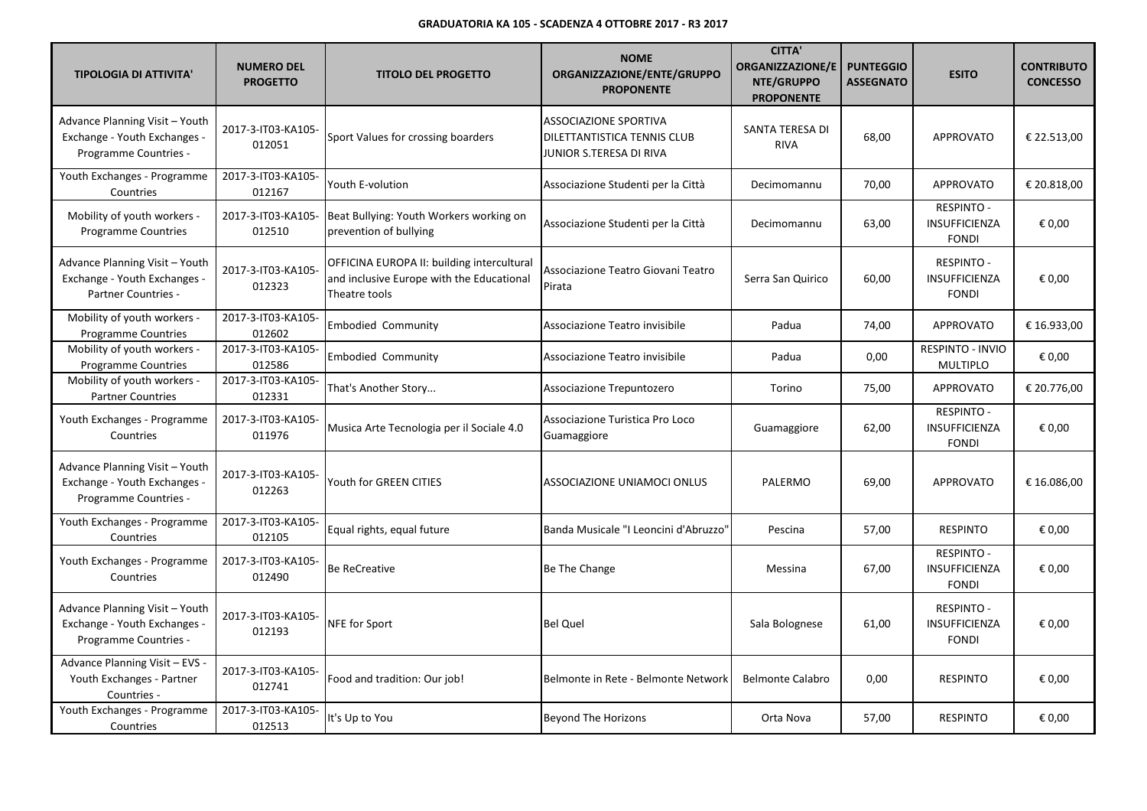| <b>TIPOLOGIA DI ATTIVITA'</b>                                                                | <b>NUMERO DEL</b><br><b>PROGETTO</b> | <b>TITOLO DEL PROGETTO</b>                                                                               | <b>NOME</b><br>ORGANIZZAZIONE/ENTE/GRUPPO<br><b>PROPONENTE</b>                         | <b>CITTA'</b><br><b>ORGANIZZAZIONE/E</b><br>NTE/GRUPPO<br><b>PROPONENTE</b> | <b>PUNTEGGIO</b><br><b>ASSEGNATO</b> | <b>ESITO</b>                                              | <b>CONTRIBUTO</b><br><b>CONCESSO</b> |
|----------------------------------------------------------------------------------------------|--------------------------------------|----------------------------------------------------------------------------------------------------------|----------------------------------------------------------------------------------------|-----------------------------------------------------------------------------|--------------------------------------|-----------------------------------------------------------|--------------------------------------|
| Advance Planning Visit - Youth<br>Exchange - Youth Exchanges -<br>Programme Countries -      | 2017-3-IT03-KA105-<br>012051         | Sport Values for crossing boarders                                                                       | <b>ASSOCIAZIONE SPORTIVA</b><br>DILETTANTISTICA TENNIS CLUB<br>JUNIOR S.TERESA DI RIVA | SANTA TERESA DI<br><b>RIVA</b>                                              | 68,00                                | <b>APPROVATO</b>                                          | € 22.513,00                          |
| Youth Exchanges - Programme<br>Countries                                                     | 2017-3-IT03-KA105-<br>012167         | Youth E-volution                                                                                         | Associazione Studenti per la Città                                                     | Decimomannu                                                                 | 70,00                                | <b>APPROVATO</b>                                          | € 20.818,00                          |
| Mobility of youth workers -<br><b>Programme Countries</b>                                    | 2017-3-IT03-KA105-<br>012510         | Beat Bullying: Youth Workers working on<br>prevention of bullying                                        | Associazione Studenti per la Città                                                     | Decimomannu                                                                 | 63,00                                | <b>RESPINTO -</b><br>INSUFFICIENZA<br><b>FONDI</b>        | € 0,00                               |
| Advance Planning Visit - Youth<br>Exchange - Youth Exchanges -<br><b>Partner Countries -</b> | 2017-3-IT03-KA105-<br>012323         | OFFICINA EUROPA II: building intercultural<br>and inclusive Europe with the Educational<br>Theatre tools | Associazione Teatro Giovani Teatro<br>Pirata                                           | Serra San Quirico                                                           | 60,00                                | RESPINTO -<br>INSUFFICIENZA<br><b>FONDI</b>               | € 0,00                               |
| Mobility of youth workers -<br><b>Programme Countries</b>                                    | 2017-3-IT03-KA105-<br>012602         | <b>Embodied Community</b>                                                                                | Associazione Teatro invisibile                                                         | Padua                                                                       | 74,00                                | <b>APPROVATO</b>                                          | € 16.933,00                          |
| Mobility of youth workers -<br><b>Programme Countries</b>                                    | 2017-3-IT03-KA105-<br>012586         | <b>Embodied Community</b>                                                                                | Associazione Teatro invisibile                                                         | Padua                                                                       | 0,00                                 | RESPINTO - INVIO<br><b>MULTIPLO</b>                       | € 0,00                               |
| Mobility of youth workers -<br><b>Partner Countries</b>                                      | 2017-3-IT03-KA105-<br>012331         | That's Another Story                                                                                     | Associazione Trepuntozero                                                              | Torino                                                                      | 75,00                                | <b>APPROVATO</b>                                          | € 20.776,00                          |
| Youth Exchanges - Programme<br>Countries                                                     | 2017-3-IT03-KA105-<br>011976         | Musica Arte Tecnologia per il Sociale 4.0                                                                | Associazione Turistica Pro Loco<br>Guamaggiore                                         | Guamaggiore                                                                 | 62,00                                | <b>RESPINTO -</b><br><b>INSUFFICIENZA</b><br><b>FONDI</b> | € 0,00                               |
| Advance Planning Visit - Youth<br>Exchange - Youth Exchanges -<br>Programme Countries -      | 2017-3-IT03-KA105-<br>012263         | Youth for GREEN CITIES                                                                                   | ASSOCIAZIONE UNIAMOCI ONLUS                                                            | PALERMO                                                                     | 69,00                                | <b>APPROVATO</b>                                          | € 16.086,00                          |
| Youth Exchanges - Programme<br>Countries                                                     | 2017-3-IT03-KA105-<br>012105         | Equal rights, equal future                                                                               | Banda Musicale "I Leoncini d'Abruzzo"                                                  | Pescina                                                                     | 57,00                                | <b>RESPINTO</b>                                           | € 0,00                               |
| Youth Exchanges - Programme<br>Countries                                                     | 2017-3-IT03-KA105-<br>012490         | <b>Be ReCreative</b>                                                                                     | Be The Change                                                                          | Messina                                                                     | 67,00                                | <b>RESPINTO -</b><br><b>INSUFFICIENZA</b><br><b>FONDI</b> | € 0,00                               |
| Advance Planning Visit - Youth<br>Exchange - Youth Exchanges -<br>Programme Countries -      | 2017-3-IT03-KA105-<br>012193         | NFE for Sport                                                                                            | <b>Bel Quel</b>                                                                        | Sala Bolognese                                                              | 61,00                                | <b>RESPINTO -</b><br><b>INSUFFICIENZA</b><br><b>FONDI</b> | € 0.00                               |
| Advance Planning Visit - EVS<br>Youth Exchanges - Partner<br>Countries -                     | 2017-3-IT03-KA105-<br>012741         | Food and tradition: Our job!                                                                             | Belmonte in Rete - Belmonte Network                                                    | <b>Belmonte Calabro</b>                                                     | 0,00                                 | <b>RESPINTO</b>                                           | € 0,00                               |
| Youth Exchanges - Programme<br>Countries                                                     | 2017-3-IT03-KA105-<br>012513         | It's Up to You                                                                                           | <b>Beyond The Horizons</b>                                                             | Orta Nova                                                                   | 57,00                                | <b>RESPINTO</b>                                           | € 0,00                               |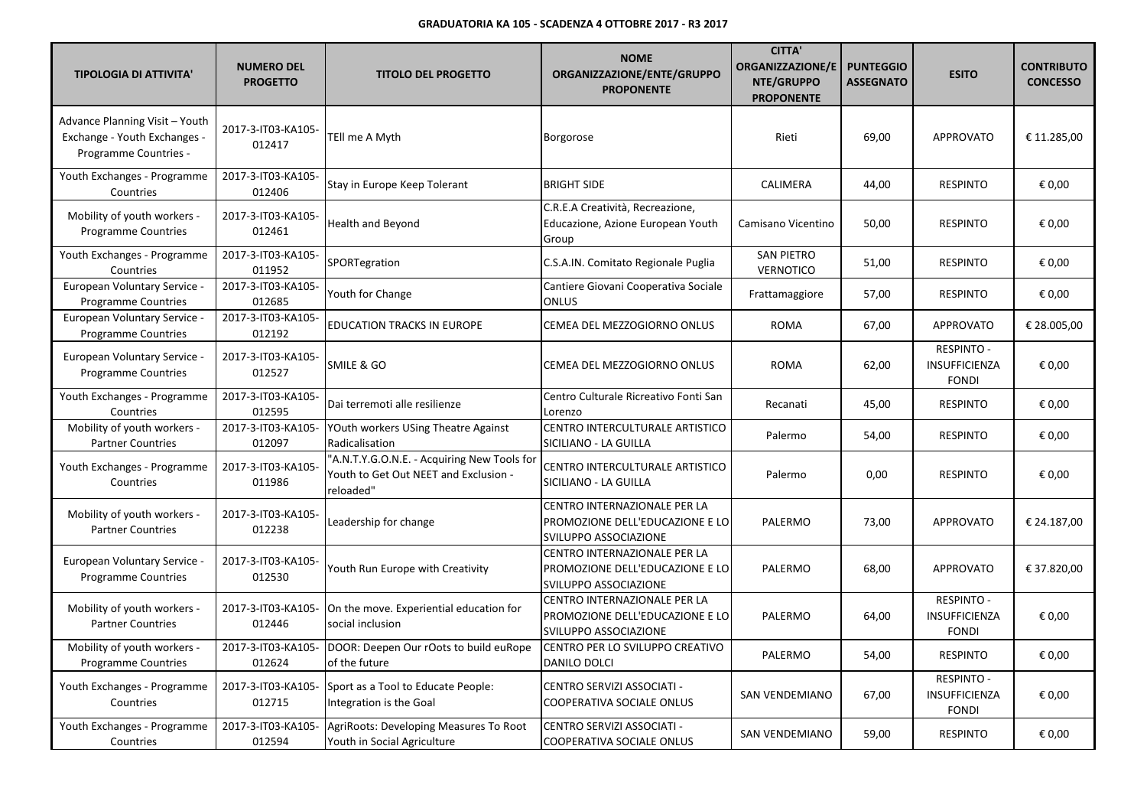| <b>TIPOLOGIA DI ATTIVITA'</b>                                                           | <b>NUMERO DEL</b><br><b>PROGETTO</b> | <b>TITOLO DEL PROGETTO</b>                                                                        | <b>NOME</b><br>ORGANIZZAZIONE/ENTE/GRUPPO<br><b>PROPONENTE</b>                           | <b>CITTA'</b><br>ORGANIZZAZIONE/E<br>NTE/GRUPPO<br><b>PROPONENTE</b> | <b>PUNTEGGIO</b><br><b>ASSEGNATO</b> | <b>ESITO</b>                                              | <b>CONTRIBUTO</b><br><b>CONCESSO</b> |
|-----------------------------------------------------------------------------------------|--------------------------------------|---------------------------------------------------------------------------------------------------|------------------------------------------------------------------------------------------|----------------------------------------------------------------------|--------------------------------------|-----------------------------------------------------------|--------------------------------------|
| Advance Planning Visit - Youth<br>Exchange - Youth Exchanges -<br>Programme Countries - | 2017-3-IT03-KA105-<br>012417         | TEll me A Myth                                                                                    | Borgorose                                                                                | Rieti                                                                | 69,00                                | <b>APPROVATO</b>                                          | € 11.285,00                          |
| Youth Exchanges - Programme<br>Countries                                                | 2017-3-IT03-KA105-<br>012406         | Stay in Europe Keep Tolerant                                                                      | <b>BRIGHT SIDE</b>                                                                       | CALIMERA                                                             | 44,00                                | <b>RESPINTO</b>                                           | € 0,00                               |
| Mobility of youth workers -<br><b>Programme Countries</b>                               | 2017-3-IT03-KA105-<br>012461         | <b>Health and Beyond</b>                                                                          | C.R.E.A Creatività, Recreazione,<br>Educazione, Azione European Youth<br>Group           | Camisano Vicentino                                                   | 50,00                                | <b>RESPINTO</b>                                           | € 0,00                               |
| Youth Exchanges - Programme<br>Countries                                                | 2017-3-IT03-KA105-<br>011952         | SPORTegration                                                                                     | C.S.A.IN. Comitato Regionale Puglia                                                      | <b>SAN PIETRO</b><br>VERNOTICO                                       | 51,00                                | <b>RESPINTO</b>                                           | € 0,00                               |
| European Voluntary Service -<br><b>Programme Countries</b>                              | 2017-3-IT03-KA105-<br>012685         | Youth for Change                                                                                  | Cantiere Giovani Cooperativa Sociale<br><b>ONLUS</b>                                     | Frattamaggiore                                                       | 57,00                                | <b>RESPINTO</b>                                           | € 0,00                               |
| European Voluntary Service -<br><b>Programme Countries</b>                              | 2017-3-IT03-KA105-<br>012192         | <b>EDUCATION TRACKS IN EUROPE</b>                                                                 | CEMEA DEL MEZZOGIORNO ONLUS                                                              | <b>ROMA</b>                                                          | 67,00                                | <b>APPROVATO</b>                                          | € 28.005,00                          |
| <b>European Voluntary Service</b><br>Programme Countries                                | 2017-3-IT03-KA105-<br>012527         | <b>SMILE &amp; GO</b>                                                                             | CEMEA DEL MEZZOGIORNO ONLUS                                                              | <b>ROMA</b>                                                          | 62,00                                | <b>RESPINTO -</b><br><b>INSUFFICIENZA</b><br><b>FONDI</b> | € 0,00                               |
| Youth Exchanges - Programme<br>Countries                                                | 2017-3-IT03-KA105-<br>012595         | Dai terremoti alle resilienze                                                                     | Centro Culturale Ricreativo Fonti San<br>Lorenzo                                         | Recanati                                                             | 45,00                                | <b>RESPINTO</b>                                           | € 0,00                               |
| Mobility of youth workers -<br><b>Partner Countries</b>                                 | 2017-3-IT03-KA105-<br>012097         | YOuth workers USing Theatre Against<br>Radicalisation                                             | CENTRO INTERCULTURALE ARTISTICO<br>SICILIANO - LA GUILLA                                 | Palermo                                                              | 54,00                                | <b>RESPINTO</b>                                           | € 0,00                               |
| Youth Exchanges - Programme<br>Countries                                                | 2017-3-IT03-KA105-<br>011986         | "A.N.T.Y.G.O.N.E. - Acquiring New Tools for<br>Youth to Get Out NEET and Exclusion -<br>reloaded" | CENTRO INTERCULTURALE ARTISTICO<br>SICILIANO - LA GUILLA                                 | Palermo                                                              | 0,00                                 | <b>RESPINTO</b>                                           | € 0,00                               |
| Mobility of youth workers -<br><b>Partner Countries</b>                                 | 2017-3-IT03-KA105-<br>012238         | Leadership for change                                                                             | CENTRO INTERNAZIONALE PER LA<br>PROMOZIONE DELL'EDUCAZIONE E LO<br>SVILUPPO ASSOCIAZIONE | PALERMO                                                              | 73,00                                | <b>APPROVATO</b>                                          | € 24.187,00                          |
| European Voluntary Service -<br>Programme Countries                                     | 2017-3-IT03-KA105-<br>012530         | Youth Run Europe with Creativity                                                                  | CENTRO INTERNAZIONALE PER LA<br>PROMOZIONE DELL'EDUCAZIONE E LO<br>SVILUPPO ASSOCIAZIONE | PALERMO                                                              | 68,00                                | <b>APPROVATO</b>                                          | € 37.820,00                          |
| Mobility of youth workers -<br><b>Partner Countries</b>                                 | 2017-3-IT03-KA105-<br>012446         | On the move. Experiential education for<br>social inclusion                                       | CENTRO INTERNAZIONALE PER LA<br>PROMOZIONE DELL'EDUCAZIONE E LO<br>SVILUPPO ASSOCIAZIONE | PALERMO                                                              | 64,00                                | <b>RESPINTO -</b><br>INSUFFICIENZA<br><b>FONDI</b>        | € 0,00                               |
| Mobility of youth workers -<br>Programme Countries                                      | 2017-3-IT03-KA105-<br>012624         | DOOR: Deepen Our rOots to build euRope<br>of the future                                           | CENTRO PER LO SVILUPPO CREATIVO<br><b>DANILO DOLCI</b>                                   | PALERMO                                                              | 54,00                                | <b>RESPINTO</b>                                           | € 0,00                               |
| Youth Exchanges - Programme<br>Countries                                                | 2017-3-IT03-KA105-<br>012715         | Sport as a Tool to Educate People:<br>Integration is the Goal                                     | CENTRO SERVIZI ASSOCIATI -<br>COOPERATIVA SOCIALE ONLUS                                  | <b>SAN VENDEMIANO</b>                                                | 67,00                                | <b>RESPINTO -</b><br>INSUFFICIENZA<br><b>FONDI</b>        | € 0,00                               |
| Youth Exchanges - Programme<br>Countries                                                | 2017-3-IT03-KA105-<br>012594         | AgriRoots: Developing Measures To Root<br>Youth in Social Agriculture                             | CENTRO SERVIZI ASSOCIATI -<br>COOPERATIVA SOCIALE ONLUS                                  | <b>SAN VENDEMIANO</b>                                                | 59,00                                | <b>RESPINTO</b>                                           | € 0,00                               |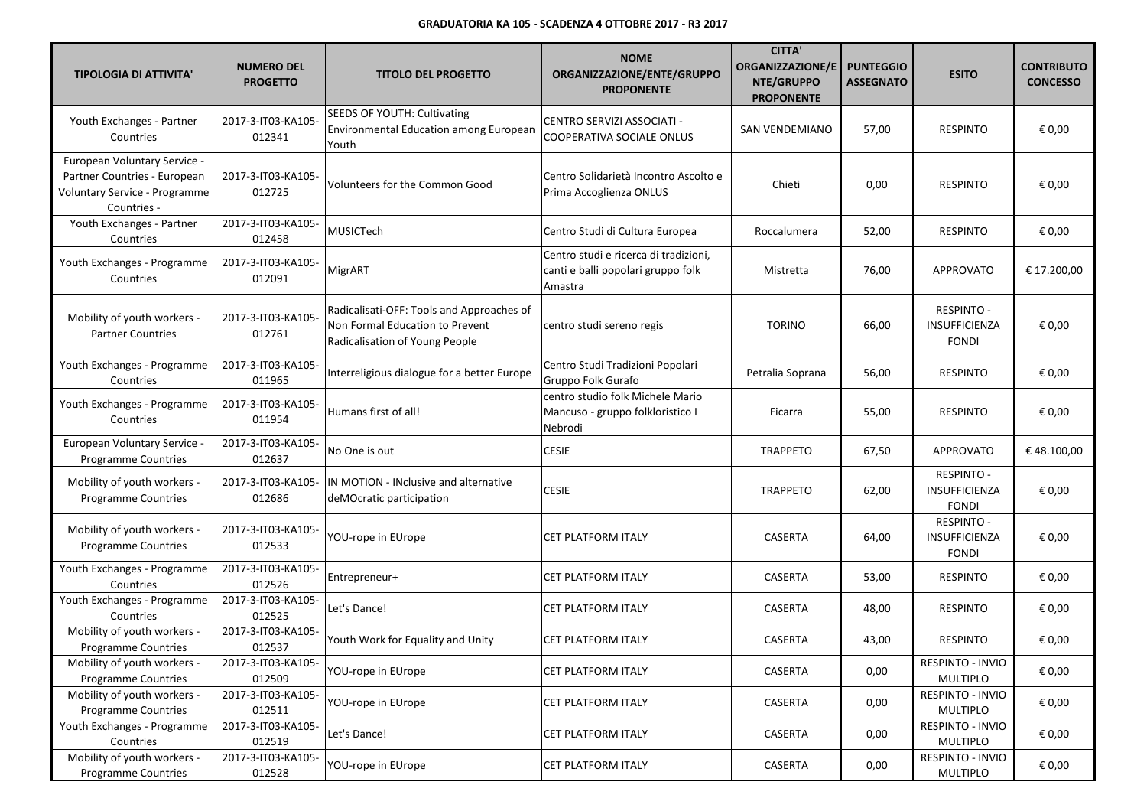| <b>TIPOLOGIA DI ATTIVITA'</b>                                                                                | <b>NUMERO DEL</b><br><b>PROGETTO</b> | <b>TITOLO DEL PROGETTO</b>                                                                                     | <b>NOME</b><br>ORGANIZZAZIONE/ENTE/GRUPPO<br><b>PROPONENTE</b>                         | <b>CITTA'</b><br><b>ORGANIZZAZIONE/E</b><br>NTE/GRUPPO<br><b>PROPONENTE</b> | <b>PUNTEGGIO</b><br><b>ASSEGNATO</b> | <b>ESITO</b>                                       | <b>CONTRIBUTO</b><br><b>CONCESSO</b> |
|--------------------------------------------------------------------------------------------------------------|--------------------------------------|----------------------------------------------------------------------------------------------------------------|----------------------------------------------------------------------------------------|-----------------------------------------------------------------------------|--------------------------------------|----------------------------------------------------|--------------------------------------|
| Youth Exchanges - Partner<br>Countries                                                                       | 2017-3-IT03-KA105-<br>012341         | SEEDS OF YOUTH: Cultivating<br>Environmental Education among European<br>Youth                                 | CENTRO SERVIZI ASSOCIATI -<br>COOPERATIVA SOCIALE ONLUS                                | SAN VENDEMIANO                                                              | 57,00                                | <b>RESPINTO</b>                                    | € 0,00                               |
| European Voluntary Service -<br>Partner Countries - European<br>Voluntary Service - Programme<br>Countries - | 2017-3-IT03-KA105-<br>012725         | Volunteers for the Common Good                                                                                 | Centro Solidarietà Incontro Ascolto e<br>Prima Accoglienza ONLUS                       | Chieti                                                                      | 0,00                                 | <b>RESPINTO</b>                                    | € 0,00                               |
| Youth Exchanges - Partner<br>Countries                                                                       | 2017-3-IT03-KA105-<br>012458         | MUSICTech                                                                                                      | Centro Studi di Cultura Europea                                                        | Roccalumera                                                                 | 52,00                                | <b>RESPINTO</b>                                    | € 0,00                               |
| Youth Exchanges - Programme<br>Countries                                                                     | 2017-3-IT03-KA105-<br>012091         | MigrART                                                                                                        | Centro studi e ricerca di tradizioni,<br>canti e balli popolari gruppo folk<br>Amastra | Mistretta                                                                   | 76,00                                | <b>APPROVATO</b>                                   | € 17.200,00                          |
| Mobility of youth workers -<br><b>Partner Countries</b>                                                      | 2017-3-IT03-KA105-<br>012761         | Radicalisati-OFF: Tools and Approaches of<br>Non Formal Education to Prevent<br>Radicalisation of Young People | centro studi sereno regis                                                              | <b>TORINO</b>                                                               | 66,00                                | <b>RESPINTO -</b><br>INSUFFICIENZA<br><b>FONDI</b> | € 0,00                               |
| Youth Exchanges - Programme<br>Countries                                                                     | 2017-3-IT03-KA105-<br>011965         | Interreligious dialogue for a better Europe                                                                    | Centro Studi Tradizioni Popolari<br>Gruppo Folk Gurafo                                 | Petralia Soprana                                                            | 56,00                                | <b>RESPINTO</b>                                    | € 0,00                               |
| Youth Exchanges - Programme<br>Countries                                                                     | 2017-3-IT03-KA105-<br>011954         | Humans first of all!                                                                                           | centro studio folk Michele Mario<br>Mancuso - gruppo folkloristico I<br>Nebrodi        | Ficarra                                                                     | 55,00                                | <b>RESPINTO</b>                                    | € 0,00                               |
| European Voluntary Service -<br><b>Programme Countries</b>                                                   | 2017-3-IT03-KA105-<br>012637         | No One is out                                                                                                  | <b>CESIE</b>                                                                           | <b>TRAPPETO</b>                                                             | 67,50                                | <b>APPROVATO</b>                                   | €48.100,00                           |
| Mobility of youth workers -<br><b>Programme Countries</b>                                                    | 2017-3-IT03-KA105-<br>012686         | IN MOTION - INclusive and alternative<br>deMOcratic participation                                              | <b>CESIE</b>                                                                           | <b>TRAPPETO</b>                                                             | 62,00                                | <b>RESPINTO -</b><br>INSUFFICIENZA<br><b>FONDI</b> | € 0,00                               |
| Mobility of youth workers -<br><b>Programme Countries</b>                                                    | 2017-3-IT03-KA105-<br>012533         | YOU-rope in EUrope                                                                                             | CET PLATFORM ITALY                                                                     | <b>CASERTA</b>                                                              | 64,00                                | <b>RESPINTO -</b><br>INSUFFICIENZA<br><b>FONDI</b> | € 0,00                               |
| Youth Exchanges - Programme<br>Countries                                                                     | 2017-3-IT03-KA105-<br>012526         | Entrepreneur+                                                                                                  | CET PLATFORM ITALY                                                                     | CASERTA                                                                     | 53,00                                | <b>RESPINTO</b>                                    | € 0,00                               |
| Youth Exchanges - Programme<br>Countries                                                                     | 2017-3-IT03-KA105-<br>012525         | Let's Dance!                                                                                                   | CET PLATFORM ITALY                                                                     | CASERTA                                                                     | 48,00                                | <b>RESPINTO</b>                                    | € 0,00                               |
| Mobility of youth workers -<br><b>Programme Countries</b>                                                    | 2017-3-IT03-KA105-<br>012537         | Youth Work for Equality and Unity                                                                              | <b>CET PLATFORM ITALY</b>                                                              | CASERTA                                                                     | 43,00                                | <b>RESPINTO</b>                                    | € 0,00                               |
| Mobility of youth workers -<br>Programme Countries                                                           | 2017-3-IT03-KA105-<br>012509         | YOU-rope in EUrope                                                                                             | CET PLATFORM ITALY                                                                     | CASERTA                                                                     | 0,00                                 | RESPINTO - INVIO<br>MULTIPLO                       | € 0,00                               |
| Mobility of youth workers -<br>Programme Countries                                                           | 2017-3-IT03-KA105-<br>012511         | YOU-rope in EUrope                                                                                             | <b>CET PLATFORM ITALY</b>                                                              | CASERTA                                                                     | 0,00                                 | RESPINTO - INVIO<br><b>MULTIPLO</b>                | € 0,00                               |
| Youth Exchanges - Programme<br>Countries                                                                     | 2017-3-IT03-KA105-<br>012519         | Let's Dance!                                                                                                   | CET PLATFORM ITALY                                                                     | CASERTA                                                                     | 0,00                                 | RESPINTO - INVIO<br><b>MULTIPLO</b>                | € 0,00                               |
| Mobility of youth workers -<br>Programme Countries                                                           | 2017-3-IT03-KA105-<br>012528         | YOU-rope in EUrope                                                                                             | CET PLATFORM ITALY                                                                     | CASERTA                                                                     | 0,00                                 | RESPINTO - INVIO<br>MULTIPLO                       | € 0,00                               |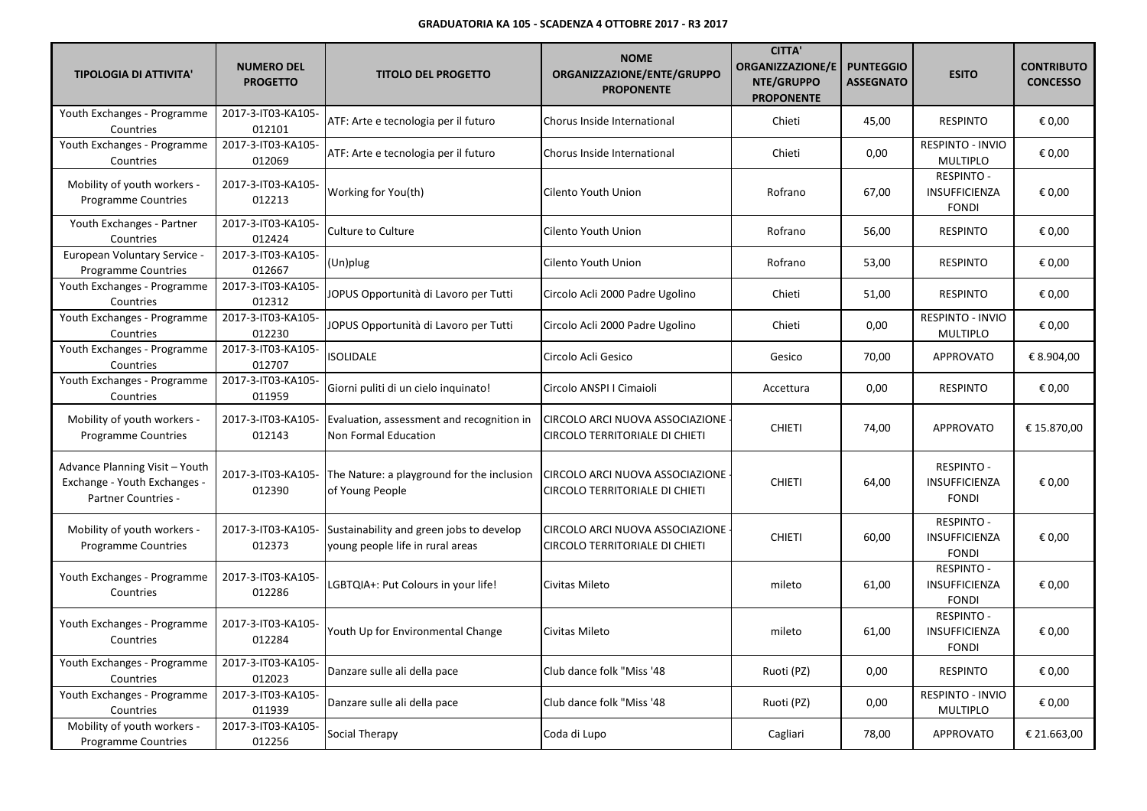| <b>TIPOLOGIA DI ATTIVITA'</b>                                                         | <b>NUMERO DEL</b><br><b>PROGETTO</b> | <b>TITOLO DEL PROGETTO</b>                                                   | <b>NOME</b><br>ORGANIZZAZIONE/ENTE/GRUPPO<br><b>PROPONENTE</b>    | <b>CITTA'</b><br><b>ORGANIZZAZIONE/E</b><br>NTE/GRUPPO<br><b>PROPONENTE</b> | <b>PUNTEGGIO</b><br><b>ASSEGNATO</b> | <b>ESITO</b>                                              | <b>CONTRIBUTO</b><br><b>CONCESSO</b> |
|---------------------------------------------------------------------------------------|--------------------------------------|------------------------------------------------------------------------------|-------------------------------------------------------------------|-----------------------------------------------------------------------------|--------------------------------------|-----------------------------------------------------------|--------------------------------------|
| Youth Exchanges - Programme<br>Countries                                              | 2017-3-IT03-KA105-<br>012101         | ATF: Arte e tecnologia per il futuro                                         | Chorus Inside International                                       | Chieti                                                                      | 45,00                                | <b>RESPINTO</b>                                           | € 0,00                               |
| Youth Exchanges - Programme<br>Countries                                              | 2017-3-IT03-KA105-<br>012069         | ATF: Arte e tecnologia per il futuro                                         | Chorus Inside International                                       | Chieti                                                                      | 0,00                                 | RESPINTO - INVIO<br><b>MULTIPLO</b>                       | € 0,00                               |
| Mobility of youth workers -<br><b>Programme Countries</b>                             | 2017-3-IT03-KA105-<br>012213         | Working for You(th)                                                          | Cilento Youth Union                                               | Rofrano                                                                     | 67,00                                | <b>RESPINTO -</b><br><b>INSUFFICIENZA</b><br><b>FONDI</b> | € 0,00                               |
| Youth Exchanges - Partner<br>Countries                                                | 2017-3-IT03-KA105-<br>012424         | <b>Culture to Culture</b>                                                    | Cilento Youth Union                                               | Rofrano                                                                     | 56,00                                | <b>RESPINTO</b>                                           | € 0,00                               |
| European Voluntary Service -<br>Programme Countries                                   | 2017-3-IT03-KA105-<br>012667         | $(Un)$ plug                                                                  | Cilento Youth Union                                               | Rofrano                                                                     | 53,00                                | <b>RESPINTO</b>                                           | € 0,00                               |
| Youth Exchanges - Programme<br>Countries                                              | 2017-3-IT03-KA105-<br>012312         | JOPUS Opportunità di Lavoro per Tutti                                        | Circolo Acli 2000 Padre Ugolino                                   | Chieti                                                                      | 51,00                                | <b>RESPINTO</b>                                           | € 0,00                               |
| Youth Exchanges - Programme<br>Countries                                              | 2017-3-IT03-KA105-<br>012230         | JOPUS Opportunità di Lavoro per Tutti                                        | Circolo Acli 2000 Padre Ugolino                                   | Chieti                                                                      | 0,00                                 | RESPINTO - INVIO<br><b>MULTIPLO</b>                       | € 0,00                               |
| Youth Exchanges - Programme<br>Countries                                              | 2017-3-IT03-KA105-<br>012707         | <b>ISOLIDALE</b>                                                             | Circolo Acli Gesico                                               | Gesico                                                                      | 70,00                                | <b>APPROVATO</b>                                          | € 8.904,00                           |
| Youth Exchanges - Programme<br>Countries                                              | 2017-3-IT03-KA105-<br>011959         | Giorni puliti di un cielo inquinato!                                         | Circolo ANSPI I Cimaioli                                          | Accettura                                                                   | 0,00                                 | <b>RESPINTO</b>                                           | € 0,00                               |
| Mobility of youth workers -<br><b>Programme Countries</b>                             | 2017-3-IT03-KA105-<br>012143         | Evaluation, assessment and recognition in<br>Non Formal Education            | CIRCOLO ARCI NUOVA ASSOCIAZIONE<br>CIRCOLO TERRITORIALE DI CHIETI | <b>CHIETI</b>                                                               | 74,00                                | <b>APPROVATO</b>                                          | € 15.870,00                          |
| Advance Planning Visit - Youth<br>Exchange - Youth Exchanges -<br>Partner Countries - | 2017-3-IT03-KA105-<br>012390         | The Nature: a playground for the inclusion<br>of Young People                | CIRCOLO ARCI NUOVA ASSOCIAZIONE<br>CIRCOLO TERRITORIALE DI CHIETI | <b>CHIETI</b>                                                               | 64,00                                | <b>RESPINTO -</b><br>INSUFFICIENZA<br><b>FONDI</b>        | € 0,00                               |
| Mobility of youth workers -<br><b>Programme Countries</b>                             | 2017-3-IT03-KA105-<br>012373         | Sustainability and green jobs to develop<br>young people life in rural areas | CIRCOLO ARCI NUOVA ASSOCIAZIONE<br>CIRCOLO TERRITORIALE DI CHIETI | <b>CHIETI</b>                                                               | 60,00                                | <b>RESPINTO -</b><br>INSUFFICIENZA<br><b>FONDI</b>        | € 0,00                               |
| Youth Exchanges - Programme<br>Countries                                              | 2017-3-IT03-KA105-<br>012286         | LGBTQIA+: Put Colours in your life!                                          | Civitas Mileto                                                    | mileto                                                                      | 61,00                                | <b>RESPINTO -</b><br>INSUFFICIENZA<br><b>FONDI</b>        | € 0,00                               |
| Youth Exchanges - Programme<br>Countries                                              | 2017-3-IT03-KA105-<br>012284         | Youth Up for Environmental Change                                            | Civitas Mileto                                                    | mileto                                                                      | 61,00                                | <b>RESPINTO -</b><br>INSUFFICIENZA<br><b>FONDI</b>        | € 0,00                               |
| Youth Exchanges - Programme<br>Countries                                              | 2017-3-IT03-KA105-<br>012023         | Danzare sulle ali della pace                                                 | Club dance folk "Miss '48                                         | Ruoti (PZ)                                                                  | 0,00                                 | <b>RESPINTO</b>                                           | € 0,00                               |
| Youth Exchanges - Programme<br>Countries                                              | 2017-3-IT03-KA105-<br>011939         | Danzare sulle ali della pace                                                 | Club dance folk "Miss '48                                         | Ruoti (PZ)                                                                  | 0,00                                 | RESPINTO - INVIO<br><b>MULTIPLO</b>                       | € 0,00                               |
| Mobility of youth workers -<br>Programme Countries                                    | 2017-3-IT03-KA105-<br>012256         | Social Therapy                                                               | Coda di Lupo                                                      | Cagliari                                                                    | 78,00                                | <b>APPROVATO</b>                                          | € 21.663,00                          |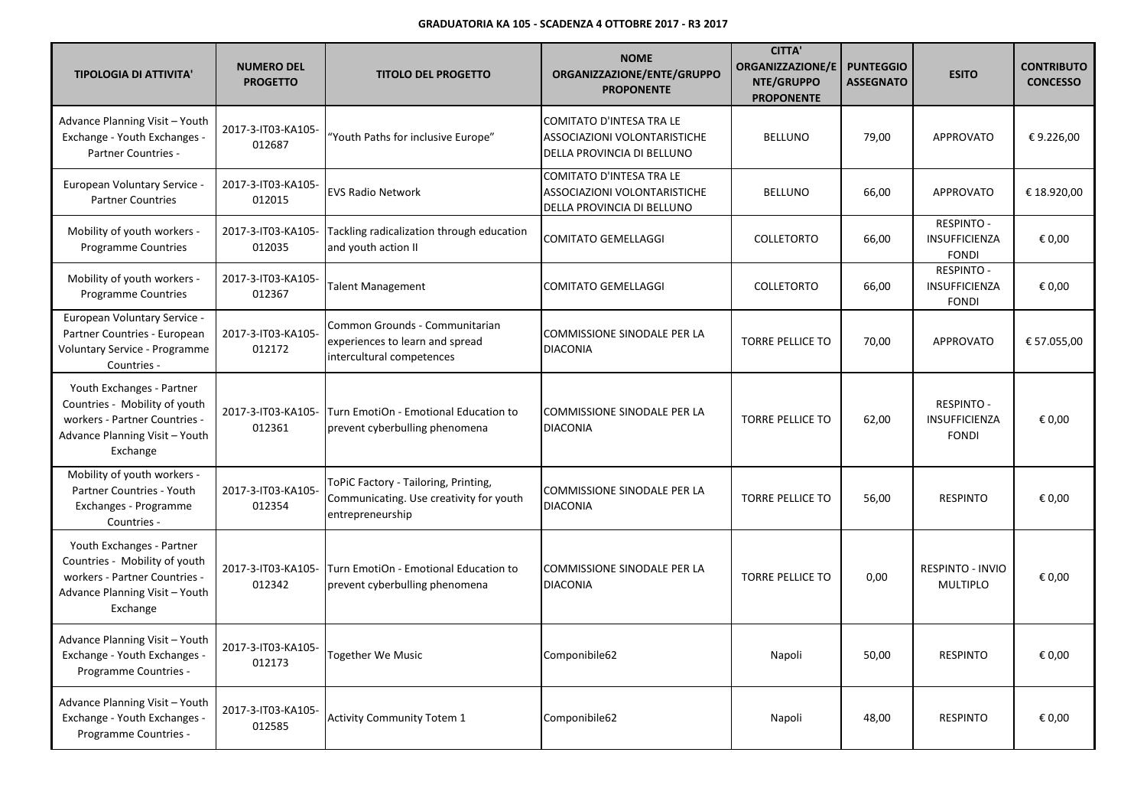| <b>TIPOLOGIA DI ATTIVITA'</b>                                                                                                             | <b>NUMERO DEL</b><br><b>PROGETTO</b> | <b>TITOLO DEL PROGETTO</b>                                                                          | <b>NOME</b><br>ORGANIZZAZIONE/ENTE/GRUPPO<br><b>PROPONENTE</b>                         | <b>CITTA'</b><br><b>ORGANIZZAZIONE/E</b><br>NTE/GRUPPO<br><b>PROPONENTE</b> | <b>PUNTEGGIO</b><br><b>ASSEGNATO</b> | <b>ESITO</b>                                              | <b>CONTRIBUTO</b><br><b>CONCESSO</b> |
|-------------------------------------------------------------------------------------------------------------------------------------------|--------------------------------------|-----------------------------------------------------------------------------------------------------|----------------------------------------------------------------------------------------|-----------------------------------------------------------------------------|--------------------------------------|-----------------------------------------------------------|--------------------------------------|
| Advance Planning Visit - Youth<br>Exchange - Youth Exchanges -<br><b>Partner Countries -</b>                                              | 2017-3-IT03-KA105-<br>012687         | 'Youth Paths for inclusive Europe"                                                                  | COMITATO D'INTESA TRA LE<br>ASSOCIAZIONI VOLONTARISTICHE<br>DELLA PROVINCIA DI BELLUNO | <b>BELLUNO</b>                                                              | 79,00                                | <b>APPROVATO</b>                                          | €9.226,00                            |
| European Voluntary Service -<br><b>Partner Countries</b>                                                                                  | 2017-3-IT03-KA105-<br>012015         | <b>EVS Radio Network</b>                                                                            | COMITATO D'INTESA TRA LE<br>ASSOCIAZIONI VOLONTARISTICHE<br>DELLA PROVINCIA DI BELLUNO | <b>BELLUNO</b>                                                              | 66,00                                | <b>APPROVATO</b>                                          | € 18.920,00                          |
| Mobility of youth workers -<br><b>Programme Countries</b>                                                                                 | 2017-3-IT03-KA105-<br>012035         | Tackling radicalization through education<br>and youth action II                                    | <b>COMITATO GEMELLAGGI</b>                                                             | <b>COLLETORTO</b>                                                           | 66,00                                | <b>RESPINTO -</b><br>INSUFFICIENZA<br><b>FONDI</b>        | € 0,00                               |
| Mobility of youth workers -<br><b>Programme Countries</b>                                                                                 | 2017-3-IT03-KA105-<br>012367         | <b>Talent Management</b>                                                                            | <b>COMITATO GEMELLAGGI</b>                                                             | COLLETORTO                                                                  | 66,00                                | <b>RESPINTO -</b><br><b>INSUFFICIENZA</b><br><b>FONDI</b> | € 0,00                               |
| European Voluntary Service -<br>Partner Countries - European<br>Voluntary Service - Programme<br>Countries -                              | 2017-3-IT03-KA105-<br>012172         | Common Grounds - Communitarian<br>experiences to learn and spread<br>intercultural competences      | COMMISSIONE SINODALE PER LA<br><b>DIACONIA</b>                                         | <b>TORRE PELLICE TO</b>                                                     | 70,00                                | <b>APPROVATO</b>                                          | € 57.055,00                          |
| Youth Exchanges - Partner<br>Countries - Mobility of youth<br>workers - Partner Countries -<br>Advance Planning Visit - Youth<br>Exchange | 2017-3-IT03-KA105-<br>012361         | Turn EmotiOn - Emotional Education to<br>prevent cyberbulling phenomena                             | COMMISSIONE SINODALE PER LA<br><b>DIACONIA</b>                                         | <b>TORRE PELLICE TO</b>                                                     | 62,00                                | <b>RESPINTO -</b><br>INSUFFICIENZA<br><b>FONDI</b>        | € 0,00                               |
| Mobility of youth workers -<br>Partner Countries - Youth<br>Exchanges - Programme<br>Countries -                                          | 2017-3-IT03-KA105-<br>012354         | ToPiC Factory - Tailoring, Printing,<br>Communicating. Use creativity for youth<br>entrepreneurship | <b>COMMISSIONE SINODALE PER LA</b><br><b>DIACONIA</b>                                  | <b>TORRE PELLICE TO</b>                                                     | 56,00                                | <b>RESPINTO</b>                                           | € 0,00                               |
| Youth Exchanges - Partner<br>Countries - Mobility of youth<br>workers - Partner Countries -<br>Advance Planning Visit - Youth<br>Exchange | 2017-3-IT03-KA105-<br>012342         | Turn EmotiOn - Emotional Education to<br>prevent cyberbulling phenomena                             | COMMISSIONE SINODALE PER LA<br><b>DIACONIA</b>                                         | <b>TORRE PELLICE TO</b>                                                     | 0,00                                 | RESPINTO - INVIO<br><b>MULTIPLO</b>                       | € 0,00                               |
| Advance Planning Visit - Youth<br>Exchange - Youth Exchanges -<br>Programme Countries -                                                   | 2017-3-IT03-KA105-<br>012173         | Together We Music                                                                                   | Componibile62                                                                          | Napoli                                                                      | 50,00                                | <b>RESPINTO</b>                                           | € 0,00                               |
| Advance Planning Visit - Youth<br>Exchange - Youth Exchanges -<br>Programme Countries -                                                   | 2017-3-IT03-KA105-<br>012585         | <b>Activity Community Totem 1</b>                                                                   | Componibile62                                                                          | Napoli                                                                      | 48,00                                | <b>RESPINTO</b>                                           | € 0,00                               |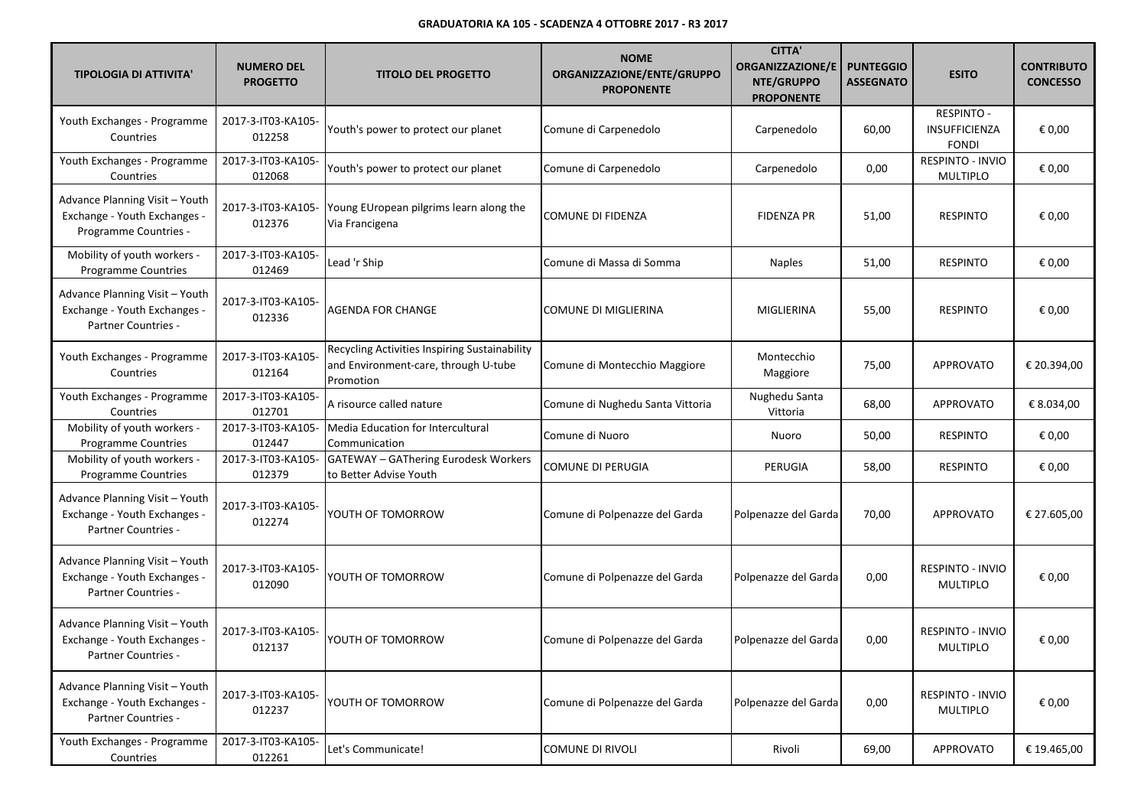| <b>TIPOLOGIA DI ATTIVITA'</b>                                                           | <b>NUMERO DEL</b><br><b>PROGETTO</b> | <b>TITOLO DEL PROGETTO</b>                                                                         | <b>NOME</b><br>ORGANIZZAZIONE/ENTE/GRUPPO<br><b>PROPONENTE</b> | <b>CITTA'</b><br><b>ORGANIZZAZIONE/E</b><br>NTE/GRUPPO<br><b>PROPONENTE</b> | <b>PUNTEGGIO</b><br><b>ASSEGNATO</b> | <b>ESITO</b>                                | <b>CONTRIBUTO</b><br><b>CONCESSO</b> |
|-----------------------------------------------------------------------------------------|--------------------------------------|----------------------------------------------------------------------------------------------------|----------------------------------------------------------------|-----------------------------------------------------------------------------|--------------------------------------|---------------------------------------------|--------------------------------------|
| Youth Exchanges - Programme<br>Countries                                                | 2017-3-IT03-KA105-<br>012258         | Youth's power to protect our planet                                                                | Comune di Carpenedolo                                          | Carpenedolo                                                                 | 60,00                                | RESPINTO -<br>INSUFFICIENZA<br><b>FONDI</b> | € 0,00                               |
| Youth Exchanges - Programme<br>Countries                                                | 2017-3-IT03-KA105-<br>012068         | Youth's power to protect our planet                                                                | Comune di Carpenedolo                                          | Carpenedolo                                                                 | 0,00                                 | RESPINTO - INVIO<br><b>MULTIPLO</b>         | € 0,00                               |
| Advance Planning Visit - Youth<br>Exchange - Youth Exchanges -<br>Programme Countries - | 2017-3-IT03-KA105-<br>012376         | Young EUropean pilgrims learn along the<br>Via Francigena                                          | COMUNE DI FIDENZA                                              | <b>FIDENZA PR</b>                                                           | 51,00                                | <b>RESPINTO</b>                             | € 0,00                               |
| Mobility of youth workers -<br><b>Programme Countries</b>                               | 2017-3-IT03-KA105-<br>012469         | Lead 'r Ship                                                                                       | Comune di Massa di Somma                                       | <b>Naples</b>                                                               | 51,00                                | <b>RESPINTO</b>                             | € 0,00                               |
| Advance Planning Visit - Youth<br>Exchange - Youth Exchanges -<br>Partner Countries -   | 2017-3-IT03-KA105-<br>012336         | <b>AGENDA FOR CHANGE</b>                                                                           | COMUNE DI MIGLIERINA                                           | MIGLIERINA                                                                  | 55,00                                | <b>RESPINTO</b>                             | € 0,00                               |
| Youth Exchanges - Programme<br>Countries                                                | 2017-3-IT03-KA105-<br>012164         | Recycling Activities Inspiring Sustainability<br>and Environment-care, through U-tube<br>Promotion | Comune di Montecchio Maggiore                                  | Montecchio<br>Maggiore                                                      | 75,00                                | <b>APPROVATO</b>                            | € 20.394,00                          |
| Youth Exchanges - Programme<br>Countries                                                | 2017-3-IT03-KA105-<br>012701         | A risource called nature                                                                           | Comune di Nughedu Santa Vittoria                               | Nughedu Santa<br>Vittoria                                                   | 68,00                                | APPROVATO                                   | € 8.034,00                           |
| Mobility of youth workers -<br><b>Programme Countries</b>                               | 2017-3-IT03-KA105-<br>012447         | Media Education for Intercultural<br>Communication                                                 | Comune di Nuoro                                                | Nuoro                                                                       | 50,00                                | <b>RESPINTO</b>                             | € 0,00                               |
| Mobility of youth workers -<br>Programme Countries                                      | 2017-3-IT03-KA105-<br>012379         | <b>GATEWAY - GAThering Eurodesk Workers</b><br>to Better Advise Youth                              | COMUNE DI PERUGIA                                              | PERUGIA                                                                     | 58,00                                | <b>RESPINTO</b>                             | € 0,00                               |
| Advance Planning Visit - Youth<br>Exchange - Youth Exchanges -<br>Partner Countries -   | 2017-3-IT03-KA105-<br>012274         | YOUTH OF TOMORROW                                                                                  | Comune di Polpenazze del Garda                                 | Polpenazze del Garda                                                        | 70,00                                | <b>APPROVATO</b>                            | € 27.605,00                          |
| Advance Planning Visit - Youth<br>Exchange - Youth Exchanges -<br>Partner Countries -   | 2017-3-IT03-KA105-<br>012090         | YOUTH OF TOMORROW                                                                                  | Comune di Polpenazze del Garda                                 | Polpenazze del Garda                                                        | 0,00                                 | RESPINTO - INVIO<br><b>MULTIPLO</b>         | € 0,00                               |
| Advance Planning Visit - Youth<br>Exchange - Youth Exchanges -<br>Partner Countries -   | 2017-3-IT03-KA105-<br>012137         | YOUTH OF TOMORROW                                                                                  | Comune di Polpenazze del Garda                                 | Polpenazze del Garda                                                        | 0,00                                 | RESPINTO - INVIO<br><b>MULTIPLO</b>         | € 0,00                               |
| Advance Planning Visit - Youth<br>Exchange - Youth Exchanges -<br>Partner Countries -   | 2017-3-IT03-KA105-<br>012237         | YOUTH OF TOMORROW                                                                                  | Comune di Polpenazze del Garda                                 | Polpenazze del Garda                                                        | 0,00                                 | RESPINTO - INVIO<br><b>MULTIPLO</b>         | € 0,00                               |
| Youth Exchanges - Programme<br>Countries                                                | 2017-3-IT03-KA105-<br>012261         | Let's Communicate!                                                                                 | <b>COMUNE DI RIVOLI</b>                                        | Rivoli                                                                      | 69,00                                | APPROVATO                                   | € 19.465,00                          |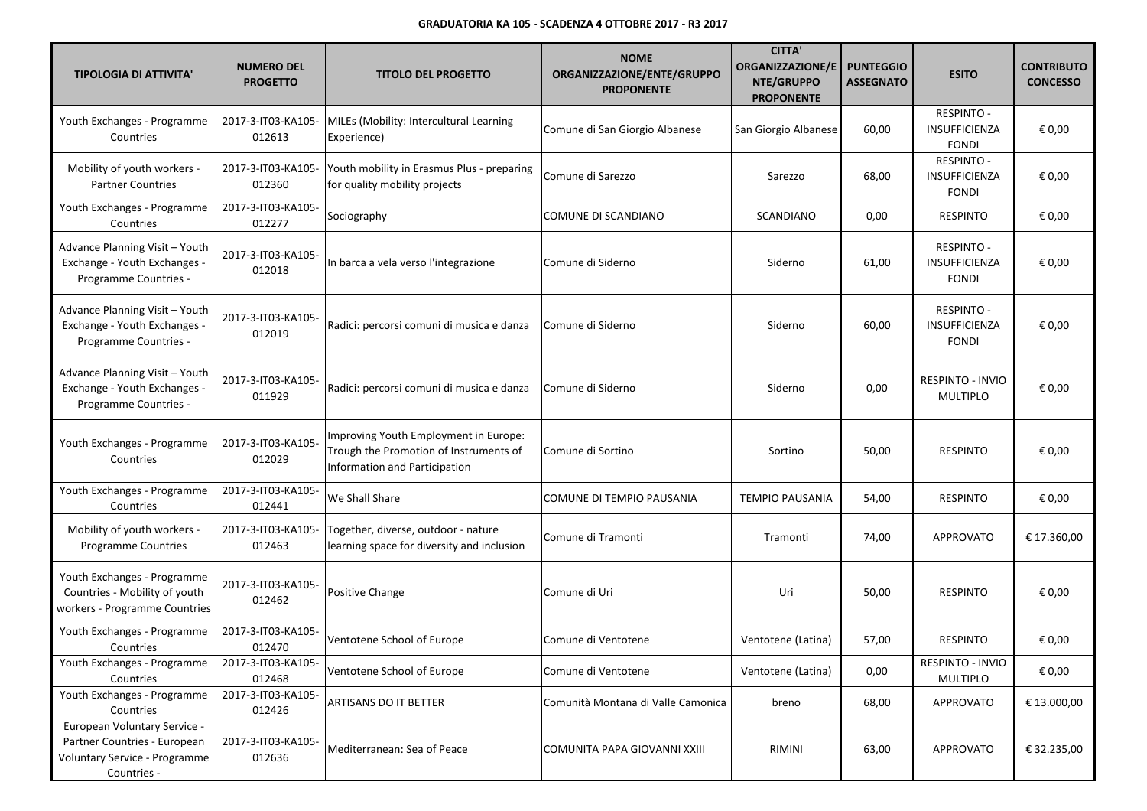| <b>TIPOLOGIA DI ATTIVITA'</b>                                                                                | <b>NUMERO DEL</b><br><b>PROGETTO</b> | <b>TITOLO DEL PROGETTO</b>                                                                                       | <b>NOME</b><br>ORGANIZZAZIONE/ENTE/GRUPPO<br><b>PROPONENTE</b> | <b>CITTA'</b><br><b>ORGANIZZAZIONE/E</b><br>NTE/GRUPPO | <b>PUNTEGGIO</b><br><b>ASSEGNATO</b> | <b>ESITO</b>                                              | <b>CONTRIBUTO</b><br><b>CONCESSO</b> |
|--------------------------------------------------------------------------------------------------------------|--------------------------------------|------------------------------------------------------------------------------------------------------------------|----------------------------------------------------------------|--------------------------------------------------------|--------------------------------------|-----------------------------------------------------------|--------------------------------------|
| Youth Exchanges - Programme                                                                                  | 2017-3-IT03-KA105-                   | MILEs (Mobility: Intercultural Learning                                                                          |                                                                | <b>PROPONENTE</b>                                      |                                      | RESPINTO -                                                |                                      |
| Countries                                                                                                    | 012613                               | Experience)                                                                                                      | Comune di San Giorgio Albanese                                 | San Giorgio Albanese                                   | 60,00                                | INSUFFICIENZA<br><b>FONDI</b>                             | € 0,00                               |
| Mobility of youth workers -<br><b>Partner Countries</b>                                                      | 2017-3-IT03-KA105-<br>012360         | Youth mobility in Erasmus Plus - preparing<br>for quality mobility projects                                      | Comune di Sarezzo                                              | Sarezzo                                                | 68,00                                | <b>RESPINTO -</b><br>INSUFFICIENZA<br><b>FONDI</b>        | € 0,00                               |
| Youth Exchanges - Programme<br>Countries                                                                     | 2017-3-IT03-KA105-<br>012277         | Sociography                                                                                                      | COMUNE DI SCANDIANO                                            | <b>SCANDIANO</b>                                       | 0,00                                 | <b>RESPINTO</b>                                           | € 0,00                               |
| Advance Planning Visit - Youth<br>Exchange - Youth Exchanges -<br>Programme Countries -                      | 2017-3-IT03-KA105-<br>012018         | In barca a vela verso l'integrazione                                                                             | Comune di Siderno                                              | Siderno                                                | 61,00                                | <b>RESPINTO -</b><br><b>INSUFFICIENZA</b><br><b>FONDI</b> | € 0,00                               |
| Advance Planning Visit - Youth<br>Exchange - Youth Exchanges -<br>Programme Countries -                      | 2017-3-IT03-KA105-<br>012019         | Radici: percorsi comuni di musica e danza                                                                        | Comune di Siderno                                              | Siderno                                                | 60,00                                | <b>RESPINTO -</b><br>INSUFFICIENZA<br><b>FONDI</b>        | € 0,00                               |
| Advance Planning Visit - Youth<br>Exchange - Youth Exchanges -<br>Programme Countries -                      | 2017-3-IT03-KA105-<br>011929         | Radici: percorsi comuni di musica e danza                                                                        | Comune di Siderno                                              | Siderno                                                | 0,00                                 | RESPINTO - INVIO<br><b>MULTIPLO</b>                       | € 0,00                               |
| Youth Exchanges - Programme<br>Countries                                                                     | 2017-3-IT03-KA105-<br>012029         | Improving Youth Employment in Europe:<br>Trough the Promotion of Instruments of<br>Information and Participation | Comune di Sortino                                              | Sortino                                                | 50,00                                | <b>RESPINTO</b>                                           | € 0,00                               |
| Youth Exchanges - Programme<br>Countries                                                                     | 2017-3-IT03-KA105-<br>012441         | We Shall Share                                                                                                   | COMUNE DI TEMPIO PAUSANIA                                      | <b>TEMPIO PAUSANIA</b>                                 | 54,00                                | <b>RESPINTO</b>                                           | € 0,00                               |
| Mobility of youth workers -<br><b>Programme Countries</b>                                                    | 2017-3-IT03-KA105-<br>012463         | Together, diverse, outdoor - nature<br>learning space for diversity and inclusion                                | Comune di Tramonti                                             | Tramonti                                               | 74,00                                | <b>APPROVATO</b>                                          | € 17.360,00                          |
| Youth Exchanges - Programme<br>Countries - Mobility of youth<br>workers - Programme Countries                | 2017-3-IT03-KA105-<br>012462         | Positive Change                                                                                                  | Comune di Uri                                                  | Uri                                                    | 50,00                                | <b>RESPINTO</b>                                           | € 0,00                               |
| Youth Exchanges - Programme<br>Countries                                                                     | 2017-3-IT03-KA105-<br>012470         | Ventotene School of Europe                                                                                       | Comune di Ventotene                                            | Ventotene (Latina)                                     | 57,00                                | <b>RESPINTO</b>                                           | € 0,00                               |
| Youth Exchanges - Programme<br>Countries                                                                     | 2017-3-IT03-KA105-<br>012468         | Ventotene School of Europe                                                                                       | Comune di Ventotene                                            | Ventotene (Latina)                                     | 0,00                                 | RESPINTO - INVIO<br>MULTIPLO                              | € 0,00                               |
| Youth Exchanges - Programme<br>Countries                                                                     | 2017-3-IT03-KA105-<br>012426         | <b>ARTISANS DO IT BETTER</b>                                                                                     | Comunità Montana di Valle Camonica                             | breno                                                  | 68,00                                | <b>APPROVATO</b>                                          | € 13.000,00                          |
| European Voluntary Service -<br>Partner Countries - European<br>Voluntary Service - Programme<br>Countries - | 2017-3-IT03-KA105-<br>012636         | Mediterranean: Sea of Peace                                                                                      | COMUNITA PAPA GIOVANNI XXIII                                   | <b>RIMINI</b>                                          | 63,00                                | <b>APPROVATO</b>                                          | € 32.235,00                          |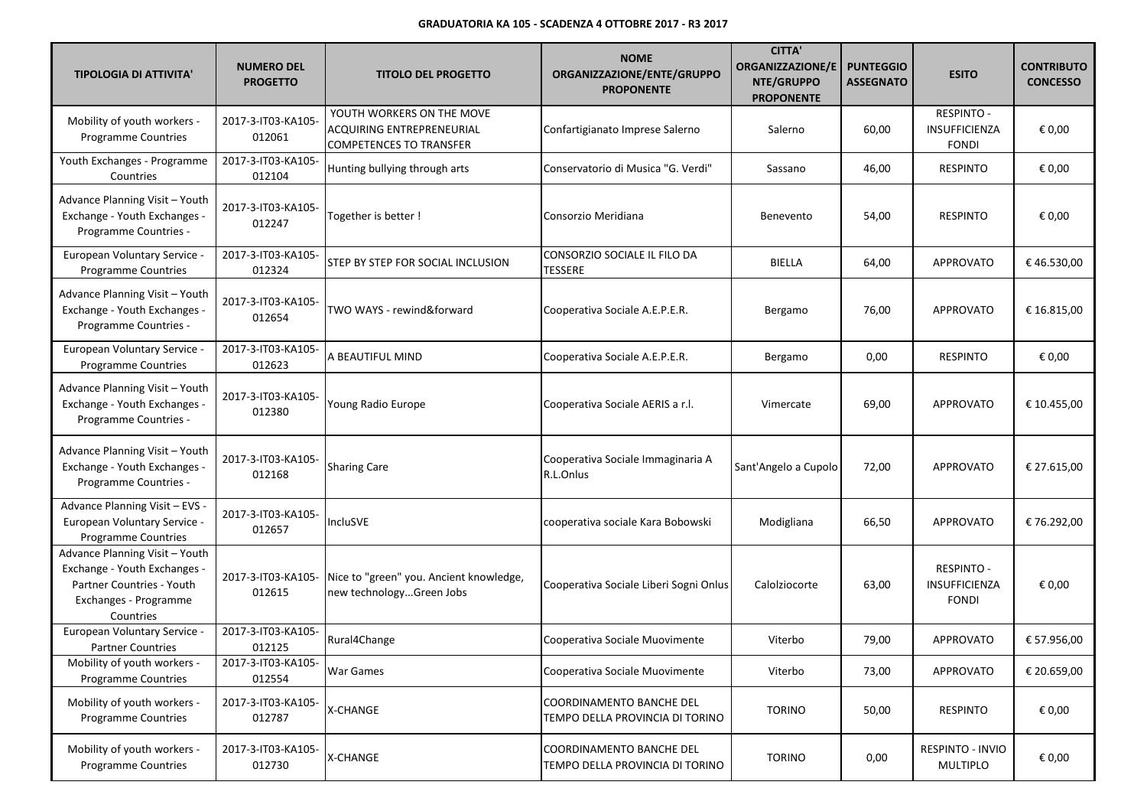| <b>TIPOLOGIA DI ATTIVITA'</b>                                                                                                     | <b>NUMERO DEL</b><br><b>PROGETTO</b> | <b>TITOLO DEL PROGETTO</b>                                                                      | <b>NOME</b><br>ORGANIZZAZIONE/ENTE/GRUPPO<br><b>PROPONENTE</b> | <b>CITTA'</b><br><b>ORGANIZZAZIONE/E</b><br>NTE/GRUPPO<br><b>PROPONENTE</b> | <b>PUNTEGGIO</b><br><b>ASSEGNATO</b> | <b>ESITO</b>                                       | <b>CONTRIBUTO</b><br><b>CONCESSO</b> |
|-----------------------------------------------------------------------------------------------------------------------------------|--------------------------------------|-------------------------------------------------------------------------------------------------|----------------------------------------------------------------|-----------------------------------------------------------------------------|--------------------------------------|----------------------------------------------------|--------------------------------------|
| Mobility of youth workers -<br><b>Programme Countries</b>                                                                         | 2017-3-IT03-KA105-<br>012061         | YOUTH WORKERS ON THE MOVE<br><b>ACQUIRING ENTREPRENEURIAL</b><br><b>COMPETENCES TO TRANSFER</b> | Confartigianato Imprese Salerno                                | Salerno                                                                     | 60,00                                | RESPINTO -<br><b>INSUFFICIENZA</b><br><b>FONDI</b> | € 0,00                               |
| Youth Exchanges - Programme<br>Countries                                                                                          | 2017-3-IT03-KA105-<br>012104         | Hunting bullying through arts                                                                   | Conservatorio di Musica "G. Verdi"                             | Sassano                                                                     | 46,00                                | <b>RESPINTO</b>                                    | € 0,00                               |
| Advance Planning Visit - Youth<br>Exchange - Youth Exchanges -<br>Programme Countries -                                           | 2017-3-IT03-KA105-<br>012247         | Together is better!                                                                             | Consorzio Meridiana                                            | Benevento                                                                   | 54,00                                | <b>RESPINTO</b>                                    | € 0,00                               |
| <b>European Voluntary Service -</b><br><b>Programme Countries</b>                                                                 | 2017-3-IT03-KA105-<br>012324         | STEP BY STEP FOR SOCIAL INCLUSION                                                               | CONSORZIO SOCIALE IL FILO DA<br>TESSERE                        | <b>BIELLA</b>                                                               | 64,00                                | <b>APPROVATO</b>                                   | €46.530,00                           |
| Advance Planning Visit - Youth<br>Exchange - Youth Exchanges -<br>Programme Countries -                                           | 2017-3-IT03-KA105-<br>012654         | TWO WAYS - rewind&forward                                                                       | Cooperativa Sociale A.E.P.E.R.                                 | Bergamo                                                                     | 76,00                                | <b>APPROVATO</b>                                   | € 16.815,00                          |
| European Voluntary Service -<br><b>Programme Countries</b>                                                                        | 2017-3-IT03-KA105-<br>012623         | A BEAUTIFUL MIND                                                                                | Cooperativa Sociale A.E.P.E.R.                                 | Bergamo                                                                     | 0,00                                 | <b>RESPINTO</b>                                    | € 0,00                               |
| Advance Planning Visit - Youth<br>Exchange - Youth Exchanges -<br>Programme Countries -                                           | 2017-3-IT03-KA105-<br>012380         | Young Radio Europe                                                                              | Cooperativa Sociale AERIS a r.l.                               | Vimercate                                                                   | 69,00                                | <b>APPROVATO</b>                                   | € 10.455,00                          |
| Advance Planning Visit - Youth<br>Exchange - Youth Exchanges -<br>Programme Countries -                                           | 2017-3-IT03-KA105-<br>012168         | <b>Sharing Care</b>                                                                             | Cooperativa Sociale Immaginaria A<br>R.L.Onlus                 | Sant'Angelo a Cupolo                                                        | 72,00                                | <b>APPROVATO</b>                                   | € 27.615,00                          |
| Advance Planning Visit - EVS -<br>European Voluntary Service -<br>Programme Countries                                             | 2017-3-IT03-KA105-<br>012657         | <b>IncluSVE</b>                                                                                 | cooperativa sociale Kara Bobowski                              | Modigliana                                                                  | 66,50                                | <b>APPROVATO</b>                                   | € 76.292,00                          |
| Advance Planning Visit - Youth<br>Exchange - Youth Exchanges -<br>Partner Countries - Youth<br>Exchanges - Programme<br>Countries | 2017-3-IT03-KA105-<br>012615         | Nice to "green" you. Ancient knowledge,<br>new technologyGreen Jobs                             | Cooperativa Sociale Liberi Sogni Onlus                         | Calolziocorte                                                               | 63,00                                | <b>RESPINTO -</b><br>INSUFFICIENZA<br><b>FONDI</b> | € 0,00                               |
| European Voluntary Service -<br><b>Partner Countries</b>                                                                          | 2017-3-IT03-KA105-<br>012125         | Rural4Change                                                                                    | Cooperativa Sociale Muovimente                                 | Viterbo                                                                     | 79,00                                | <b>APPROVATO</b>                                   | € 57.956,00                          |
| Mobility of youth workers -<br><b>Programme Countries</b>                                                                         | 2017-3-IT03-KA105-<br>012554         | War Games                                                                                       | Cooperativa Sociale Muovimente                                 | Viterbo                                                                     | 73,00                                | <b>APPROVATO</b>                                   | € 20.659,00                          |
| Mobility of youth workers -<br><b>Programme Countries</b>                                                                         | 2017-3-IT03-KA105-<br>012787         | X-CHANGE                                                                                        | COORDINAMENTO BANCHE DEL<br>TEMPO DELLA PROVINCIA DI TORINO    | <b>TORINO</b>                                                               | 50,00                                | <b>RESPINTO</b>                                    | € 0,00                               |
| Mobility of youth workers -<br><b>Programme Countries</b>                                                                         | 2017-3-IT03-KA105-<br>012730         | X-CHANGE                                                                                        | COORDINAMENTO BANCHE DEL<br>TEMPO DELLA PROVINCIA DI TORINO    | <b>TORINO</b>                                                               | 0,00                                 | RESPINTO - INVIO<br><b>MULTIPLO</b>                | € 0,00                               |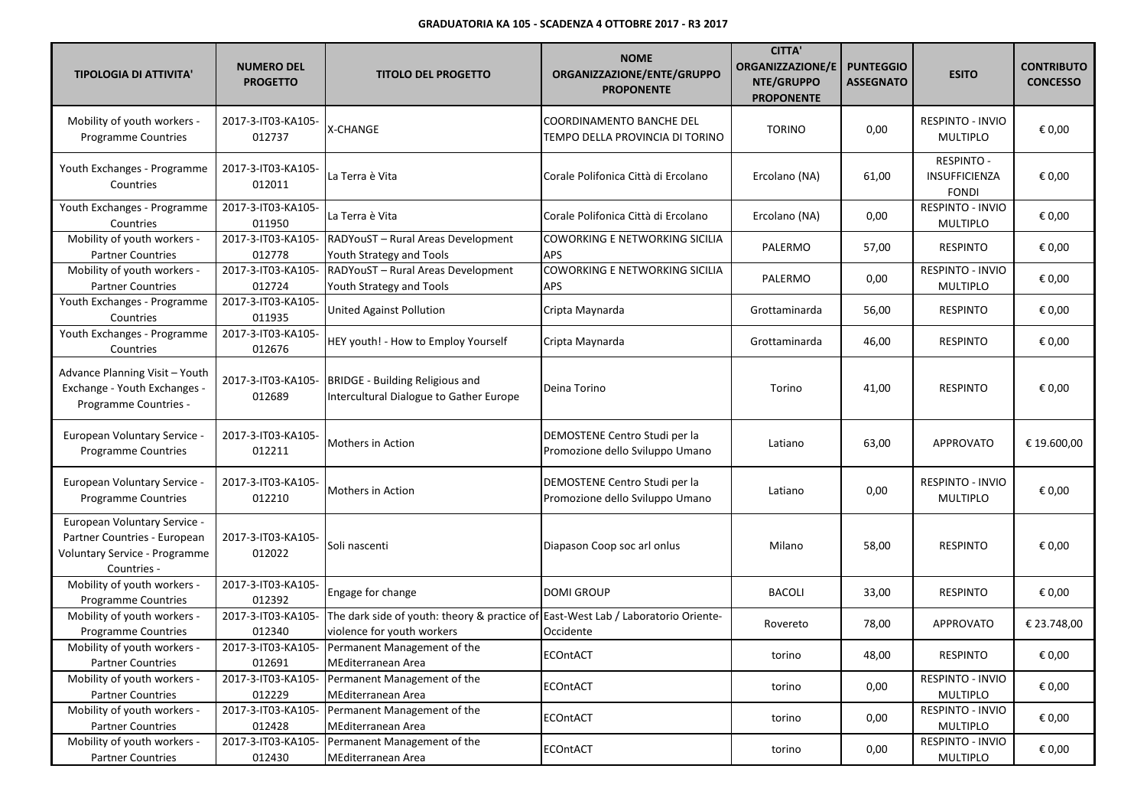| <b>TIPOLOGIA DI ATTIVITA'</b>                                                                                | <b>NUMERO DEL</b><br><b>PROGETTO</b> | <b>TITOLO DEL PROGETTO</b>                                                                                      | <b>NOME</b><br>ORGANIZZAZIONE/ENTE/GRUPPO<br><b>PROPONENTE</b>     | <b>CITTA'</b><br><b>ORGANIZZAZIONE/E</b><br>NTE/GRUPPO<br><b>PROPONENTE</b> | <b>PUNTEGGIO</b><br><b>ASSEGNATO</b> | <b>ESITO</b>                                       | <b>CONTRIBUTO</b><br><b>CONCESSO</b> |
|--------------------------------------------------------------------------------------------------------------|--------------------------------------|-----------------------------------------------------------------------------------------------------------------|--------------------------------------------------------------------|-----------------------------------------------------------------------------|--------------------------------------|----------------------------------------------------|--------------------------------------|
| Mobility of youth workers -<br><b>Programme Countries</b>                                                    | 2017-3-IT03-KA105-<br>012737         | X-CHANGE                                                                                                        | <b>COORDINAMENTO BANCHE DEL</b><br>TEMPO DELLA PROVINCIA DI TORINO | <b>TORINO</b>                                                               | 0,00                                 | RESPINTO - INVIO<br><b>MULTIPLO</b>                | € 0,00                               |
| Youth Exchanges - Programme<br>Countries                                                                     | 2017-3-IT03-KA105-<br>012011         | La Terra è Vita                                                                                                 | Corale Polifonica Città di Ercolano                                | Ercolano (NA)                                                               | 61,00                                | <b>RESPINTO -</b><br>INSUFFICIENZA<br><b>FONDI</b> | € 0,00                               |
| Youth Exchanges - Programme<br>Countries                                                                     | 2017-3-IT03-KA105-<br>011950         | La Terra è Vita                                                                                                 | Corale Polifonica Città di Ercolano                                | Ercolano (NA)                                                               | 0,00                                 | RESPINTO - INVIO<br><b>MULTIPLO</b>                | € 0,00                               |
| Mobility of youth workers -<br><b>Partner Countries</b>                                                      | 2017-3-IT03-KA105-<br>012778         | RADYouST - Rural Areas Development<br>Youth Strategy and Tools                                                  | COWORKING E NETWORKING SICILIA<br><b>APS</b>                       | PALERMO                                                                     | 57,00                                | <b>RESPINTO</b>                                    | € 0,00                               |
| Mobility of youth workers -<br><b>Partner Countries</b>                                                      | 2017-3-IT03-KA105-<br>012724         | RADYouST - Rural Areas Development<br>Youth Strategy and Tools                                                  | <b>COWORKING E NETWORKING SICILIA</b><br><b>APS</b>                | PALERMO                                                                     | 0,00                                 | RESPINTO - INVIO<br><b>MULTIPLO</b>                | € 0,00                               |
| Youth Exchanges - Programme<br>Countries                                                                     | 2017-3-IT03-KA105-<br>011935         | United Against Pollution                                                                                        | Cripta Maynarda                                                    | Grottaminarda                                                               | 56,00                                | <b>RESPINTO</b>                                    | € 0,00                               |
| Youth Exchanges - Programme<br>Countries                                                                     | 2017-3-IT03-KA105-<br>012676         | HEY youth! - How to Employ Yourself                                                                             | Cripta Maynarda                                                    | Grottaminarda                                                               | 46,00                                | <b>RESPINTO</b>                                    | € 0,00                               |
| Advance Planning Visit - Youth<br>Exchange - Youth Exchanges -<br>Programme Countries -                      | 2017-3-IT03-KA105-<br>012689         | BRIDGE - Building Religious and<br>Intercultural Dialogue to Gather Europe                                      | Deina Torino                                                       | Torino                                                                      | 41,00                                | <b>RESPINTO</b>                                    | € 0,00                               |
| European Voluntary Service -<br>Programme Countries                                                          | 2017-3-IT03-KA105-<br>012211         | Mothers in Action                                                                                               | DEMOSTENE Centro Studi per la<br>Promozione dello Sviluppo Umano   | Latiano                                                                     | 63,00                                | <b>APPROVATO</b>                                   | € 19.600,00                          |
| European Voluntary Service -<br><b>Programme Countries</b>                                                   | 2017-3-IT03-KA105-<br>012210         | Mothers in Action                                                                                               | DEMOSTENE Centro Studi per la<br>Promozione dello Sviluppo Umano   | Latiano                                                                     | 0,00                                 | RESPINTO - INVIO<br><b>MULTIPLO</b>                | € 0,00                               |
| European Voluntary Service -<br>Partner Countries - European<br>Voluntary Service - Programme<br>Countries - | 2017-3-IT03-KA105-<br>012022         | Soli nascenti                                                                                                   | Diapason Coop soc arl onlus                                        | Milano                                                                      | 58,00                                | <b>RESPINTO</b>                                    | € 0,00                               |
| Mobility of youth workers -<br>Programme Countries                                                           | 2017-3-IT03-KA105-<br>012392         | Engage for change                                                                                               | <b>DOMI GROUP</b>                                                  | <b>BACOLI</b>                                                               | 33,00                                | <b>RESPINTO</b>                                    | € 0,00                               |
| Mobility of youth workers -<br>Programme Countries                                                           | 2017-3-IT03-KA105-<br>012340         | The dark side of youth: theory & practice of East-West Lab / Laboratorio Oriente-<br>violence for youth workers | Occidente                                                          | Rovereto                                                                    | 78,00                                | <b>APPROVATO</b>                                   | € 23.748,00                          |
| Mobility of youth workers -<br><b>Partner Countries</b>                                                      | 2017-3-IT03-KA105-<br>012691         | Permanent Management of the<br>MEditerranean Area                                                               | <b>ECOntACT</b>                                                    | torino                                                                      | 48,00                                | RESPINTO                                           | € 0,00                               |
| Mobility of youth workers -<br><b>Partner Countries</b>                                                      | 2017-3-IT03-KA105-<br>012229         | Permanent Management of the<br>MEditerranean Area                                                               | <b>ECOntACT</b>                                                    | torino                                                                      | 0,00                                 | RESPINTO - INVIO<br>MULTIPLO                       | € 0,00                               |
| Mobility of youth workers -<br><b>Partner Countries</b>                                                      | 2017-3-IT03-KA105-<br>012428         | Permanent Management of the<br>MEditerranean Area                                                               | <b>ECOntACT</b>                                                    | torino                                                                      | 0,00                                 | RESPINTO - INVIO<br><b>MULTIPLO</b>                | € 0,00                               |
| Mobility of youth workers -<br><b>Partner Countries</b>                                                      | 2017-3-IT03-KA105-<br>012430         | Permanent Management of the<br>MEditerranean Area                                                               | <b>ECOntACT</b>                                                    | torino                                                                      | 0,00                                 | RESPINTO - INVIO<br><b>MULTIPLO</b>                | € 0,00                               |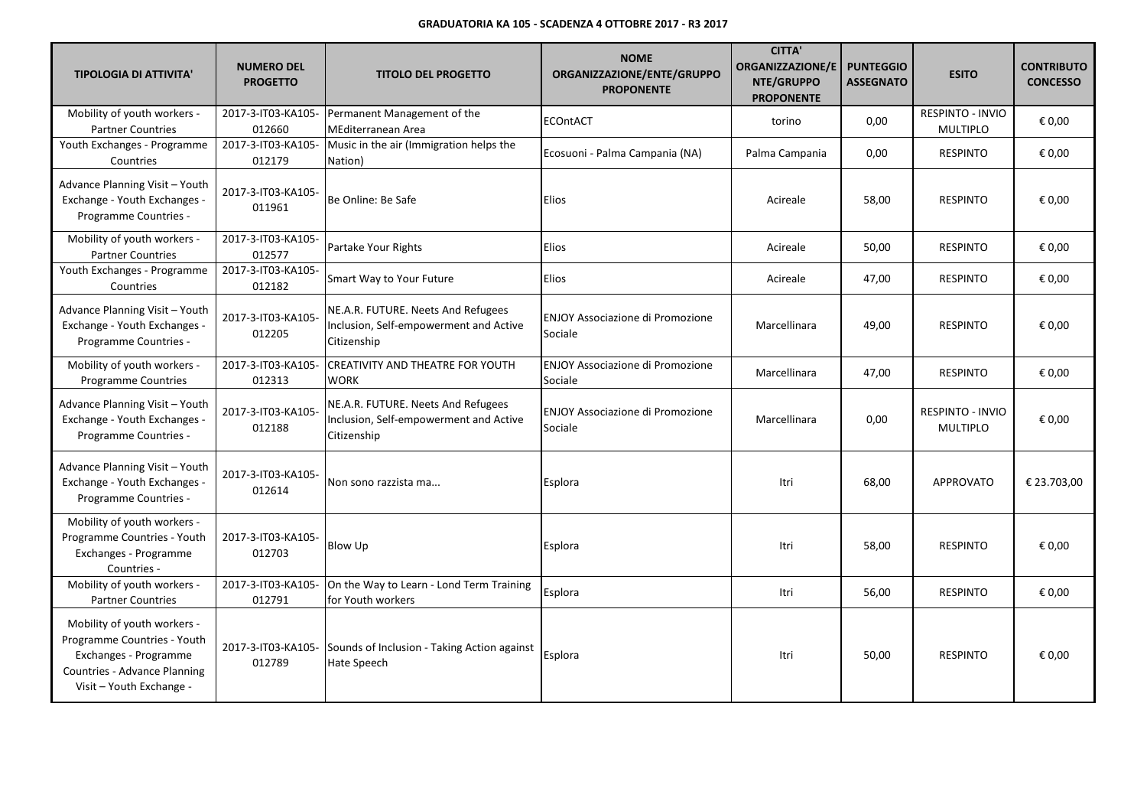| <b>TIPOLOGIA DI ATTIVITA'</b>                                                                                                                   | <b>NUMERO DEL</b><br><b>PROGETTO</b> | <b>TITOLO DEL PROGETTO</b>                                                                  | <b>NOME</b><br>ORGANIZZAZIONE/ENTE/GRUPPO<br><b>PROPONENTE</b> | <b>CITTA'</b><br><b>ORGANIZZAZIONE/E</b><br>NTE/GRUPPO<br><b>PROPONENTE</b> | <b>PUNTEGGIO</b><br><b>ASSEGNATO</b> | <b>ESITO</b>                               | <b>CONTRIBUTO</b><br><b>CONCESSO</b> |
|-------------------------------------------------------------------------------------------------------------------------------------------------|--------------------------------------|---------------------------------------------------------------------------------------------|----------------------------------------------------------------|-----------------------------------------------------------------------------|--------------------------------------|--------------------------------------------|--------------------------------------|
| Mobility of youth workers -<br><b>Partner Countries</b>                                                                                         | 2017-3-IT03-KA105-<br>012660         | Permanent Management of the<br>MEditerranean Area                                           | <b>ECOntACT</b>                                                | torino                                                                      | 0,00                                 | <b>RESPINTO - INVIO</b><br><b>MULTIPLO</b> | € 0,00                               |
| Youth Exchanges - Programme<br>Countries                                                                                                        | 2017-3-IT03-KA105-<br>012179         | Music in the air (Immigration helps the<br>Nation)                                          | Ecosuoni - Palma Campania (NA)                                 | Palma Campania                                                              | 0,00                                 | <b>RESPINTO</b>                            | € 0,00                               |
| Advance Planning Visit - Youth<br>Exchange - Youth Exchanges -<br>Programme Countries -                                                         | 2017-3-IT03-KA105-<br>011961         | Be Online: Be Safe                                                                          | Elios                                                          | Acireale                                                                    | 58,00                                | <b>RESPINTO</b>                            | € 0,00                               |
| Mobility of youth workers -<br><b>Partner Countries</b>                                                                                         | 2017-3-IT03-KA105-<br>012577         | Partake Your Rights                                                                         | Elios                                                          | Acireale                                                                    | 50,00                                | <b>RESPINTO</b>                            | € 0,00                               |
| Youth Exchanges - Programme<br>Countries                                                                                                        | 2017-3-IT03-KA105-<br>012182         | Smart Way to Your Future                                                                    | Elios                                                          | Acireale                                                                    | 47,00                                | <b>RESPINTO</b>                            | € 0,00                               |
| Advance Planning Visit - Youth<br>Exchange - Youth Exchanges -<br>Programme Countries -                                                         | 2017-3-IT03-KA105-<br>012205         | NE.A.R. FUTURE. Neets And Refugees<br>Inclusion, Self-empowerment and Active<br>Citizenship | <b>ENJOY Associazione di Promozione</b><br>Sociale             | Marcellinara                                                                | 49,00                                | <b>RESPINTO</b>                            | € 0,00                               |
| Mobility of youth workers -<br><b>Programme Countries</b>                                                                                       | 2017-3-IT03-KA105-<br>012313         | CREATIVITY AND THEATRE FOR YOUTH<br><b>WORK</b>                                             | <b>ENJOY Associazione di Promozione</b><br>Sociale             | Marcellinara                                                                | 47,00                                | <b>RESPINTO</b>                            | € 0,00                               |
| Advance Planning Visit - Youth<br>Exchange - Youth Exchanges -<br>Programme Countries -                                                         | 2017-3-IT03-KA105-<br>012188         | NE.A.R. FUTURE. Neets And Refugees<br>Inclusion, Self-empowerment and Active<br>Citizenship | <b>ENJOY Associazione di Promozione</b><br>Sociale             | Marcellinara                                                                | 0,00                                 | <b>RESPINTO - INVIO</b><br><b>MULTIPLO</b> | € 0,00                               |
| Advance Planning Visit - Youth<br>Exchange - Youth Exchanges -<br>Programme Countries -                                                         | 2017-3-IT03-KA105-<br>012614         | Non sono razzista ma                                                                        | Esplora                                                        | Itri                                                                        | 68,00                                | <b>APPROVATO</b>                           | € 23.703.00                          |
| Mobility of youth workers -<br>Programme Countries - Youth<br>Exchanges - Programme<br>Countries -                                              | 2017-3-IT03-KA105-<br>012703         | Blow Up                                                                                     | Esplora                                                        | Itri                                                                        | 58,00                                | <b>RESPINTO</b>                            | € 0,00                               |
| Mobility of youth workers -<br><b>Partner Countries</b>                                                                                         | 2017-3-IT03-KA105-<br>012791         | On the Way to Learn - Lond Term Training<br>for Youth workers                               | Esplora                                                        | Itri                                                                        | 56,00                                | <b>RESPINTO</b>                            | € 0,00                               |
| Mobility of youth workers -<br>Programme Countries - Youth<br>Exchanges - Programme<br>Countries - Advance Planning<br>Visit - Youth Exchange - | 2017-3-IT03-KA105-<br>012789         | Sounds of Inclusion - Taking Action against<br>Hate Speech                                  | Esplora                                                        | Itri                                                                        | 50,00                                | <b>RESPINTO</b>                            | € 0,00                               |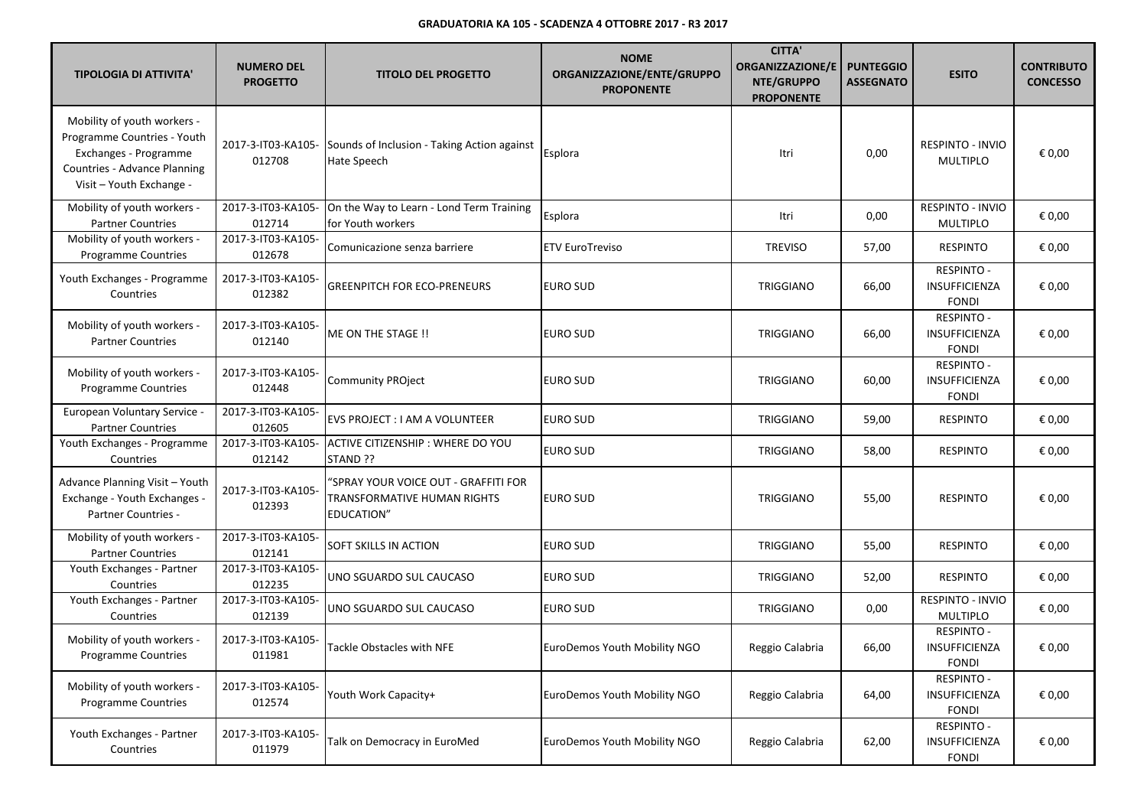| <b>TIPOLOGIA DI ATTIVITA'</b>                                                                                                                   | <b>NUMERO DEL</b><br><b>PROGETTO</b> | <b>TITOLO DEL PROGETTO</b>                                                        | <b>NOME</b><br>ORGANIZZAZIONE/ENTE/GRUPPO<br><b>PROPONENTE</b> | <b>CITTA'</b><br><b>ORGANIZZAZIONE/E</b><br>NTE/GRUPPO<br><b>PROPONENTE</b> | <b>PUNTEGGIO</b><br><b>ASSEGNATO</b> | <b>ESITO</b>                                              | <b>CONTRIBUTO</b><br><b>CONCESSO</b> |
|-------------------------------------------------------------------------------------------------------------------------------------------------|--------------------------------------|-----------------------------------------------------------------------------------|----------------------------------------------------------------|-----------------------------------------------------------------------------|--------------------------------------|-----------------------------------------------------------|--------------------------------------|
| Mobility of youth workers -<br>Programme Countries - Youth<br>Exchanges - Programme<br>Countries - Advance Planning<br>Visit - Youth Exchange - | 2017-3-IT03-KA105-<br>012708         | Sounds of Inclusion - Taking Action against<br><b>Hate Speech</b>                 | Esplora                                                        | Itri                                                                        | 0,00                                 | <b>RESPINTO - INVIO</b><br><b>MULTIPLO</b>                | € 0,00                               |
| Mobility of youth workers -<br><b>Partner Countries</b>                                                                                         | 2017-3-IT03-KA105-<br>012714         | On the Way to Learn - Lond Term Training<br>for Youth workers                     | Esplora                                                        | Itri                                                                        | 0,00                                 | RESPINTO - INVIO<br><b>MULTIPLO</b>                       | € 0,00                               |
| Mobility of youth workers -<br>Programme Countries                                                                                              | 2017-3-IT03-KA105-<br>012678         | Comunicazione senza barriere                                                      | <b>ETV EuroTreviso</b>                                         | <b>TREVISO</b>                                                              | 57,00                                | <b>RESPINTO</b>                                           | € 0,00                               |
| Youth Exchanges - Programme<br>Countries                                                                                                        | 2017-3-IT03-KA105-<br>012382         | <b>GREENPITCH FOR ECO-PRENEURS</b>                                                | <b>EURO SUD</b>                                                | <b>TRIGGIANO</b>                                                            | 66,00                                | <b>RESPINTO -</b><br>INSUFFICIENZA<br><b>FONDI</b>        | € 0,00                               |
| Mobility of youth workers -<br><b>Partner Countries</b>                                                                                         | 2017-3-IT03-KA105-<br>012140         | ME ON THE STAGE !!                                                                | <b>EURO SUD</b>                                                | <b>TRIGGIANO</b>                                                            | 66,00                                | <b>RESPINTO -</b><br><b>INSUFFICIENZA</b><br><b>FONDI</b> | € 0,00                               |
| Mobility of youth workers -<br><b>Programme Countries</b>                                                                                       | 2017-3-IT03-KA105-<br>012448         | <b>Community PROject</b>                                                          | EURO SUD                                                       | <b>TRIGGIANO</b>                                                            | 60,00                                | <b>RESPINTO -</b><br>INSUFFICIENZA<br><b>FONDI</b>        | € 0,00                               |
| European Voluntary Service -<br><b>Partner Countries</b>                                                                                        | 2017-3-IT03-KA105-<br>012605         | EVS PROJECT : I AM A VOLUNTEER                                                    | <b>EURO SUD</b>                                                | <b>TRIGGIANO</b>                                                            | 59,00                                | <b>RESPINTO</b>                                           | € 0,00                               |
| Youth Exchanges - Programme<br>Countries                                                                                                        | 2017-3-IT03-KA105-<br>012142         | ACTIVE CITIZENSHIP : WHERE DO YOU<br>STAND ??                                     | <b>EURO SUD</b>                                                | TRIGGIANO                                                                   | 58,00                                | <b>RESPINTO</b>                                           | € 0,00                               |
| Advance Planning Visit - Youth<br>Exchange - Youth Exchanges -<br>Partner Countries -                                                           | 2017-3-IT03-KA105-<br>012393         | 'SPRAY YOUR VOICE OUT - GRAFFITI FOR<br>TRANSFORMATIVE HUMAN RIGHTS<br>EDUCATION" | <b>EURO SUD</b>                                                | <b>TRIGGIANO</b>                                                            | 55,00                                | <b>RESPINTO</b>                                           | € 0,00                               |
| Mobility of youth workers -<br><b>Partner Countries</b>                                                                                         | 2017-3-IT03-KA105-<br>012141         | SOFT SKILLS IN ACTION                                                             | <b>EURO SUD</b>                                                | <b>TRIGGIANO</b>                                                            | 55,00                                | <b>RESPINTO</b>                                           | € 0,00                               |
| Youth Exchanges - Partner<br>Countries                                                                                                          | 2017-3-IT03-KA105-<br>012235         | UNO SGUARDO SUL CAUCASO                                                           | <b>EURO SUD</b>                                                | <b>TRIGGIANO</b>                                                            | 52,00                                | <b>RESPINTO</b>                                           | € 0,00                               |
| Youth Exchanges - Partner<br>Countries                                                                                                          | 2017-3-IT03-KA105-<br>012139         | UNO SGUARDO SUL CAUCASO                                                           | <b>EURO SUD</b>                                                | <b>TRIGGIANO</b>                                                            | 0,00                                 | RESPINTO - INVIO<br><b>MULTIPLO</b>                       | € 0,00                               |
| Mobility of youth workers -<br>Programme Countries                                                                                              | 2017-3-IT03-KA105-<br>011981         | Tackle Obstacles with NFE                                                         | EuroDemos Youth Mobility NGO                                   | Reggio Calabria                                                             | 66,00                                | <b>RESPINTO -</b><br>INSUFFICIENZA<br><b>FONDI</b>        | € 0,00                               |
| Mobility of youth workers -<br>Programme Countries                                                                                              | 2017-3-IT03-KA105-<br>012574         | Youth Work Capacity+                                                              | EuroDemos Youth Mobility NGO                                   | Reggio Calabria                                                             | 64,00                                | <b>RESPINTO -</b><br>INSUFFICIENZA<br>FONDI               | € 0,00                               |
| Youth Exchanges - Partner<br>Countries                                                                                                          | 2017-3-IT03-KA105-<br>011979         | Talk on Democracy in EuroMed                                                      | EuroDemos Youth Mobility NGO                                   | Reggio Calabria                                                             | 62,00                                | <b>RESPINTO -</b><br>INSUFFICIENZA<br>FONDI               | € 0,00                               |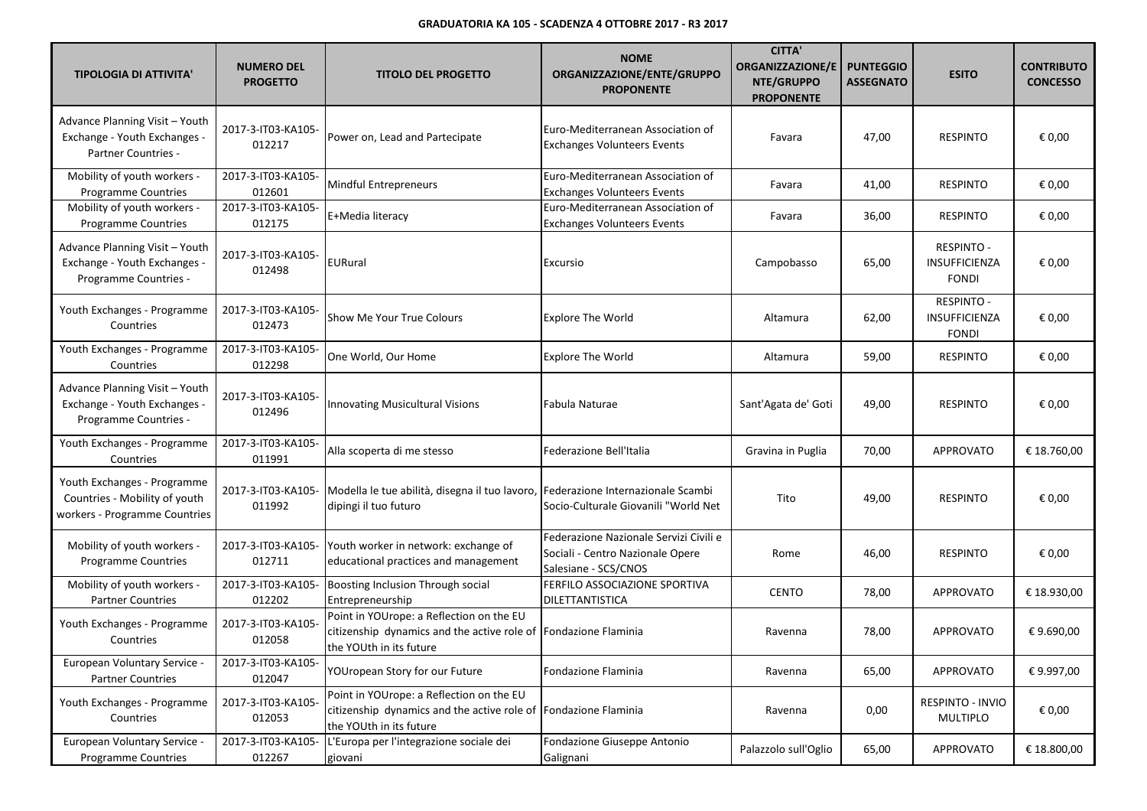| <b>TIPOLOGIA DI ATTIVITA'</b>                                                                 | <b>NUMERO DEL</b><br><b>PROGETTO</b> | <b>TITOLO DEL PROGETTO</b>                                                                                                             | <b>NOME</b><br>ORGANIZZAZIONE/ENTE/GRUPPO<br><b>PROPONENTE</b>                                     | <b>CITTA'</b><br><b>ORGANIZZAZIONE/E</b><br>NTE/GRUPPO<br><b>PROPONENTE</b> | <b>PUNTEGGIO</b><br><b>ASSEGNATO</b> | <b>ESITO</b>                                       | <b>CONTRIBUTO</b><br><b>CONCESSO</b> |
|-----------------------------------------------------------------------------------------------|--------------------------------------|----------------------------------------------------------------------------------------------------------------------------------------|----------------------------------------------------------------------------------------------------|-----------------------------------------------------------------------------|--------------------------------------|----------------------------------------------------|--------------------------------------|
| Advance Planning Visit - Youth<br>Exchange - Youth Exchanges -<br>Partner Countries -         | 2017-3-IT03-KA105-<br>012217         | Power on, Lead and Partecipate                                                                                                         | Euro-Mediterranean Association of<br><b>Exchanges Volunteers Events</b>                            | Favara                                                                      | 47,00                                | <b>RESPINTO</b>                                    | € 0,00                               |
| Mobility of youth workers -<br><b>Programme Countries</b>                                     | 2017-3-IT03-KA105-<br>012601         | Mindful Entrepreneurs                                                                                                                  | Euro-Mediterranean Association of<br><b>Exchanges Volunteers Events</b>                            | Favara                                                                      | 41,00                                | <b>RESPINTO</b>                                    | € 0,00                               |
| Mobility of youth workers -<br><b>Programme Countries</b>                                     | 2017-3-IT03-KA105-<br>012175         | E+Media literacy                                                                                                                       | Euro-Mediterranean Association of<br><b>Exchanges Volunteers Events</b>                            | Favara                                                                      | 36,00                                | <b>RESPINTO</b>                                    | € 0,00                               |
| Advance Planning Visit - Youth<br>Exchange - Youth Exchanges -<br>Programme Countries -       | 2017-3-IT03-KA105-<br>012498         | EURural                                                                                                                                | Excursio                                                                                           | Campobasso                                                                  | 65,00                                | <b>RESPINTO -</b><br>INSUFFICIENZA<br><b>FONDI</b> | € 0,00                               |
| Youth Exchanges - Programme<br>Countries                                                      | 2017-3-IT03-KA105-<br>012473         | <b>Show Me Your True Colours</b>                                                                                                       | <b>Explore The World</b>                                                                           | Altamura                                                                    | 62,00                                | <b>RESPINTO -</b><br>INSUFFICIENZA<br><b>FONDI</b> | € 0,00                               |
| Youth Exchanges - Programme<br>Countries                                                      | 2017-3-IT03-KA105-<br>012298         | One World, Our Home                                                                                                                    | <b>Explore The World</b>                                                                           | Altamura                                                                    | 59,00                                | <b>RESPINTO</b>                                    | € 0,00                               |
| Advance Planning Visit - Youth<br>Exchange - Youth Exchanges -<br>Programme Countries -       | 2017-3-IT03-KA105-<br>012496         | <b>Innovating Musicultural Visions</b>                                                                                                 | Fabula Naturae                                                                                     | Sant'Agata de' Goti                                                         | 49,00                                | <b>RESPINTO</b>                                    | € 0,00                               |
| Youth Exchanges - Programme<br>Countries                                                      | 2017-3-IT03-KA105-<br>011991         | Alla scoperta di me stesso                                                                                                             | Federazione Bell'Italia                                                                            | Gravina in Puglia                                                           | 70,00                                | <b>APPROVATO</b>                                   | € 18.760,00                          |
| Youth Exchanges - Programme<br>Countries - Mobility of youth<br>workers - Programme Countries | 2017-3-IT03-KA105-<br>011992         | Modella le tue abilità, disegna il tuo lavoro, Federazione Internazionale Scambi<br>dipingi il tuo futuro                              | Socio-Culturale Giovanili "World Net                                                               | Tito                                                                        | 49,00                                | <b>RESPINTO</b>                                    | € 0,00                               |
| Mobility of youth workers -<br><b>Programme Countries</b>                                     | 2017-3-IT03-KA105-<br>012711         | Youth worker in network: exchange of<br>educational practices and management                                                           | Federazione Nazionale Servizi Civili e<br>Sociali - Centro Nazionale Opere<br>Salesiane - SCS/CNOS | Rome                                                                        | 46,00                                | <b>RESPINTO</b>                                    | € 0,00                               |
| Mobility of youth workers -<br><b>Partner Countries</b>                                       | 2017-3-IT03-KA105-<br>012202         | Boosting Inclusion Through social<br>Entrepreneurship                                                                                  | FERFILO ASSOCIAZIONE SPORTIVA<br>DILETTANTISTICA                                                   | <b>CENTO</b>                                                                | 78,00                                | <b>APPROVATO</b>                                   | € 18.930,00                          |
| Youth Exchanges - Programme<br>Countries                                                      | 2017-3-IT03-KA105-<br>012058         | Point in YOUrope: a Reflection on the EU<br>citizenship dynamics and the active role of Fondazione Flaminia<br>the YOUth in its future |                                                                                                    | Ravenna                                                                     | 78,00                                | <b>APPROVATO</b>                                   | €9.690,00                            |
| European Voluntary Service -<br><b>Partner Countries</b>                                      | 2017-3-IT03-KA105-<br>012047         | YOUropean Story for our Future                                                                                                         | Fondazione Flaminia                                                                                | Ravenna                                                                     | 65,00                                | APPROVATO                                          | € 9.997,00                           |
| Youth Exchanges - Programme<br>Countries                                                      | 2017-3-IT03-KA105-<br>012053         | Point in YOUrope: a Reflection on the EU<br>citizenship dynamics and the active role of Fondazione Flaminia<br>the YOUth in its future |                                                                                                    | Ravenna                                                                     | 0,00                                 | RESPINTO - INVIO<br>MULTIPLO                       | € 0,00                               |
| European Voluntary Service -<br><b>Programme Countries</b>                                    | 2017-3-IT03-KA105-<br>012267         | L'Europa per l'integrazione sociale dei<br>giovani                                                                                     | Fondazione Giuseppe Antonio<br>Galignani                                                           | Palazzolo sull'Oglio                                                        | 65,00                                | APPROVATO                                          | € 18.800,00                          |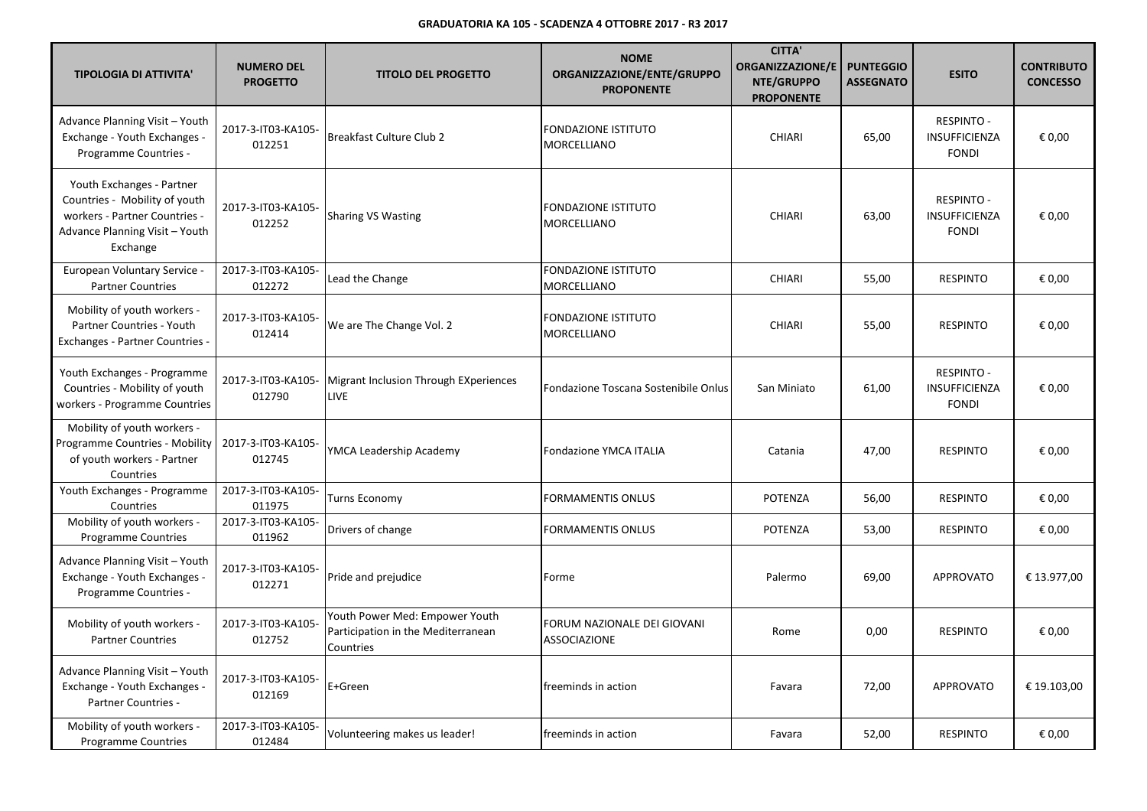| <b>TIPOLOGIA DI ATTIVITA'</b>                                                                                                             | <b>NUMERO DEL</b><br><b>PROGETTO</b> | <b>TITOLO DEL PROGETTO</b>                                                        | <b>NOME</b><br>ORGANIZZAZIONE/ENTE/GRUPPO<br><b>PROPONENTE</b> | <b>CITTA'</b><br><b>ORGANIZZAZIONE/E</b><br><b>NTE/GRUPPO</b><br><b>PROPONENTE</b> | <b>PUNTEGGIO</b><br><b>ASSEGNATO</b> | <b>ESITO</b>                                       | <b>CONTRIBUTO</b><br><b>CONCESSO</b> |
|-------------------------------------------------------------------------------------------------------------------------------------------|--------------------------------------|-----------------------------------------------------------------------------------|----------------------------------------------------------------|------------------------------------------------------------------------------------|--------------------------------------|----------------------------------------------------|--------------------------------------|
| Advance Planning Visit - Youth<br>Exchange - Youth Exchanges -<br>Programme Countries -                                                   | 2017-3-IT03-KA105-<br>012251         | <b>Breakfast Culture Club 2</b>                                                   | <b>FONDAZIONE ISTITUTO</b><br>MORCELLIANO                      | <b>CHIARI</b>                                                                      | 65,00                                | RESPINTO -<br>INSUFFICIENZA<br><b>FONDI</b>        | € 0,00                               |
| Youth Exchanges - Partner<br>Countries - Mobility of youth<br>workers - Partner Countries -<br>Advance Planning Visit - Youth<br>Exchange | 2017-3-IT03-KA105-<br>012252         | <b>Sharing VS Wasting</b>                                                         | <b>FONDAZIONE ISTITUTO</b><br>MORCELLIANO                      | <b>CHIARI</b>                                                                      | 63,00                                | <b>RESPINTO -</b><br>INSUFFICIENZA<br><b>FONDI</b> | € 0,00                               |
| European Voluntary Service -<br><b>Partner Countries</b>                                                                                  | 2017-3-IT03-KA105-<br>012272         | Lead the Change                                                                   | <b>FONDAZIONE ISTITUTO</b><br>MORCELLIANO                      | <b>CHIARI</b>                                                                      | 55,00                                | <b>RESPINTO</b>                                    | € 0,00                               |
| Mobility of youth workers -<br><b>Partner Countries - Youth</b><br>Exchanges - Partner Countries -                                        | 2017-3-IT03-KA105-<br>012414         | We are The Change Vol. 2                                                          | <b>FONDAZIONE ISTITUTO</b><br><b>MORCELLIANO</b>               | <b>CHIARI</b>                                                                      | 55,00                                | <b>RESPINTO</b>                                    | € 0,00                               |
| Youth Exchanges - Programme<br>Countries - Mobility of youth<br>workers - Programme Countries                                             | 2017-3-IT03-KA105-<br>012790         | Migrant Inclusion Through EXperiences<br><b>LIVE</b>                              | Fondazione Toscana Sostenibile Onlus                           | San Miniato                                                                        | 61,00                                | <b>RESPINTO -</b><br>INSUFFICIENZA<br><b>FONDI</b> | € 0,00                               |
| Mobility of youth workers -<br>Programme Countries - Mobility<br>of youth workers - Partner<br>Countries                                  | 2017-3-IT03-KA105-<br>012745         | YMCA Leadership Academy                                                           | <b>Fondazione YMCA ITALIA</b>                                  | Catania                                                                            | 47,00                                | <b>RESPINTO</b>                                    | € 0.00                               |
| Youth Exchanges - Programme<br>Countries                                                                                                  | 2017-3-IT03-KA105-<br>011975         | Turns Economy                                                                     | <b>FORMAMENTIS ONLUS</b>                                       | <b>POTENZA</b>                                                                     | 56,00                                | <b>RESPINTO</b>                                    | € 0,00                               |
| Mobility of youth workers -<br><b>Programme Countries</b>                                                                                 | 2017-3-IT03-KA105-<br>011962         | Drivers of change                                                                 | <b>FORMAMENTIS ONLUS</b>                                       | POTENZA                                                                            | 53,00                                | <b>RESPINTO</b>                                    | € 0,00                               |
| Advance Planning Visit - Youth<br>Exchange - Youth Exchanges -<br>Programme Countries -                                                   | 2017-3-IT03-KA105-<br>012271         | Pride and prejudice                                                               | Forme                                                          | Palermo                                                                            | 69,00                                | <b>APPROVATO</b>                                   | € 13.977,00                          |
| Mobility of youth workers -<br><b>Partner Countries</b>                                                                                   | 2017-3-IT03-KA105-<br>012752         | Youth Power Med: Empower Youth<br>Participation in the Mediterranean<br>Countries | FORUM NAZIONALE DEI GIOVANI<br><b>ASSOCIAZIONE</b>             | Rome                                                                               | 0,00                                 | <b>RESPINTO</b>                                    | € 0,00                               |
| Advance Planning Visit - Youth<br>Exchange - Youth Exchanges -<br>Partner Countries -                                                     | 2017-3-IT03-KA105-<br>012169         | E+Green                                                                           | freeminds in action                                            | Favara                                                                             | 72,00                                | <b>APPROVATO</b>                                   | € 19.103,00                          |
| Mobility of youth workers -<br><b>Programme Countries</b>                                                                                 | 2017-3-IT03-KA105-<br>012484         | Volunteering makes us leader!                                                     | freeminds in action                                            | Favara                                                                             | 52,00                                | <b>RESPINTO</b>                                    | € 0,00                               |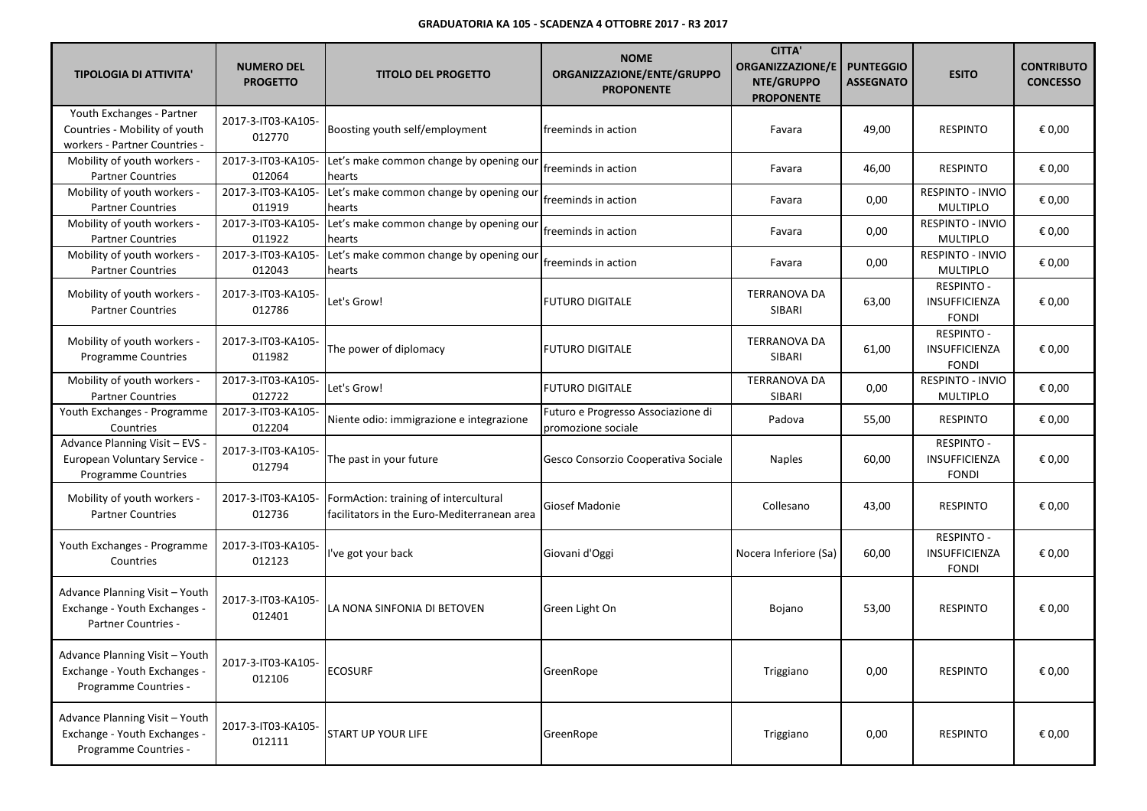| <b>TIPOLOGIA DI ATTIVITA'</b>                                                                | <b>NUMERO DEL</b><br><b>PROGETTO</b> | <b>TITOLO DEL PROGETTO</b>                                                           | <b>NOME</b><br>ORGANIZZAZIONE/ENTE/GRUPPO<br><b>PROPONENTE</b> | <b>CITTA'</b><br><b>ORGANIZZAZIONE/E</b><br>NTE/GRUPPO<br><b>PROPONENTE</b> | <b>PUNTEGGIO</b><br><b>ASSEGNATO</b> | <b>ESITO</b>                                              | <b>CONTRIBUTO</b><br><b>CONCESSO</b> |
|----------------------------------------------------------------------------------------------|--------------------------------------|--------------------------------------------------------------------------------------|----------------------------------------------------------------|-----------------------------------------------------------------------------|--------------------------------------|-----------------------------------------------------------|--------------------------------------|
| Youth Exchanges - Partner<br>Countries - Mobility of youth<br>workers - Partner Countries -  | 2017-3-IT03-KA105-<br>012770         | Boosting youth self/employment                                                       | freeminds in action                                            | Favara                                                                      | 49,00                                | <b>RESPINTO</b>                                           | € 0,00                               |
| Mobility of youth workers -<br><b>Partner Countries</b>                                      | 2017-3-IT03-KA105-<br>012064         | Let's make common change by opening our<br>hearts                                    | freeminds in action                                            | Favara                                                                      | 46,00                                | <b>RESPINTO</b>                                           | € 0,00                               |
| Mobility of youth workers -<br><b>Partner Countries</b>                                      | 2017-3-IT03-KA105-<br>011919         | Let's make common change by opening our<br>hearts                                    | freeminds in action                                            | Favara                                                                      | 0,00                                 | RESPINTO - INVIO<br><b>MULTIPLO</b>                       | € 0,00                               |
| Mobility of youth workers -<br><b>Partner Countries</b>                                      | 2017-3-IT03-KA105-<br>011922         | Let's make common change by opening our<br>hearts                                    | freeminds in action                                            | Favara                                                                      | 0,00                                 | RESPINTO - INVIO<br><b>MULTIPLO</b>                       | € 0,00                               |
| Mobility of youth workers -<br><b>Partner Countries</b>                                      | 2017-3-IT03-KA105-<br>012043         | Let's make common change by opening our<br>hearts                                    | freeminds in action                                            | Favara                                                                      | 0,00                                 | RESPINTO - INVIO<br><b>MULTIPLO</b>                       | € 0,00                               |
| Mobility of youth workers -<br><b>Partner Countries</b>                                      | 2017-3-IT03-KA105-<br>012786         | Let's Grow!                                                                          | <b>FUTURO DIGITALE</b>                                         | <b>TERRANOVA DA</b><br>SIBARI                                               | 63,00                                | <b>RESPINTO -</b><br>INSUFFICIENZA<br><b>FONDI</b>        | € 0,00                               |
| Mobility of youth workers -<br><b>Programme Countries</b>                                    | 2017-3-IT03-KA105-<br>011982         | The power of diplomacy                                                               | <b>FUTURO DIGITALE</b>                                         | <b>TERRANOVA DA</b><br>SIBARI                                               | 61,00                                | <b>RESPINTO -</b><br><b>INSUFFICIENZA</b><br><b>FONDI</b> | € 0,00                               |
| Mobility of youth workers -<br><b>Partner Countries</b>                                      | 2017-3-IT03-KA105-<br>012722         | Let's Grow!                                                                          | <b>FUTURO DIGITALE</b>                                         | <b>TERRANOVA DA</b><br>SIBARI                                               | 0,00                                 | RESPINTO - INVIO<br><b>MULTIPLO</b>                       | € 0,00                               |
| Youth Exchanges - Programme<br>Countries                                                     | 2017-3-IT03-KA105-<br>012204         | Niente odio: immigrazione e integrazione                                             | Futuro e Progresso Associazione di<br>promozione sociale       | Padova                                                                      | 55,00                                | <b>RESPINTO</b>                                           | € 0,00                               |
| Advance Planning Visit - EVS -<br>European Voluntary Service -<br><b>Programme Countries</b> | 2017-3-IT03-KA105-<br>012794         | The past in your future                                                              | Gesco Consorzio Cooperativa Sociale                            | <b>Naples</b>                                                               | 60,00                                | <b>RESPINTO -</b><br>INSUFFICIENZA<br><b>FONDI</b>        | € 0,00                               |
| Mobility of youth workers -<br><b>Partner Countries</b>                                      | 2017-3-IT03-KA105-<br>012736         | FormAction: training of intercultural<br>facilitators in the Euro-Mediterranean area | Giosef Madonie                                                 | Collesano                                                                   | 43,00                                | <b>RESPINTO</b>                                           | € 0,00                               |
| Youth Exchanges - Programme<br>Countries                                                     | 2017-3-IT03-KA105-<br>012123         | I've got your back                                                                   | Giovani d'Oggi                                                 | Nocera Inferiore (Sa)                                                       | 60,00                                | <b>RESPINTO -</b><br>INSUFFICIENZA<br><b>FONDI</b>        | € 0,00                               |
| Advance Planning Visit - Youth<br>Exchange - Youth Exchanges -<br>Partner Countries -        | 2017-3-IT03-KA105-<br>012401         | LA NONA SINFONIA DI BETOVEN                                                          | Green Light On                                                 | Bojano                                                                      | 53,00                                | <b>RESPINTO</b>                                           | € 0,00                               |
| Advance Planning Visit - Youth<br>Exchange - Youth Exchanges -<br>Programme Countries -      | 2017-3-IT03-KA105-<br>012106         | <b>ECOSURF</b>                                                                       | GreenRope                                                      | Triggiano                                                                   | 0,00                                 | <b>RESPINTO</b>                                           | € 0,00                               |
| Advance Planning Visit - Youth<br>Exchange - Youth Exchanges -<br>Programme Countries -      | 2017-3-IT03-KA105-<br>012111         | <b>START UP YOUR LIFE</b>                                                            | GreenRope                                                      | Triggiano                                                                   | 0,00                                 | <b>RESPINTO</b>                                           | € 0,00                               |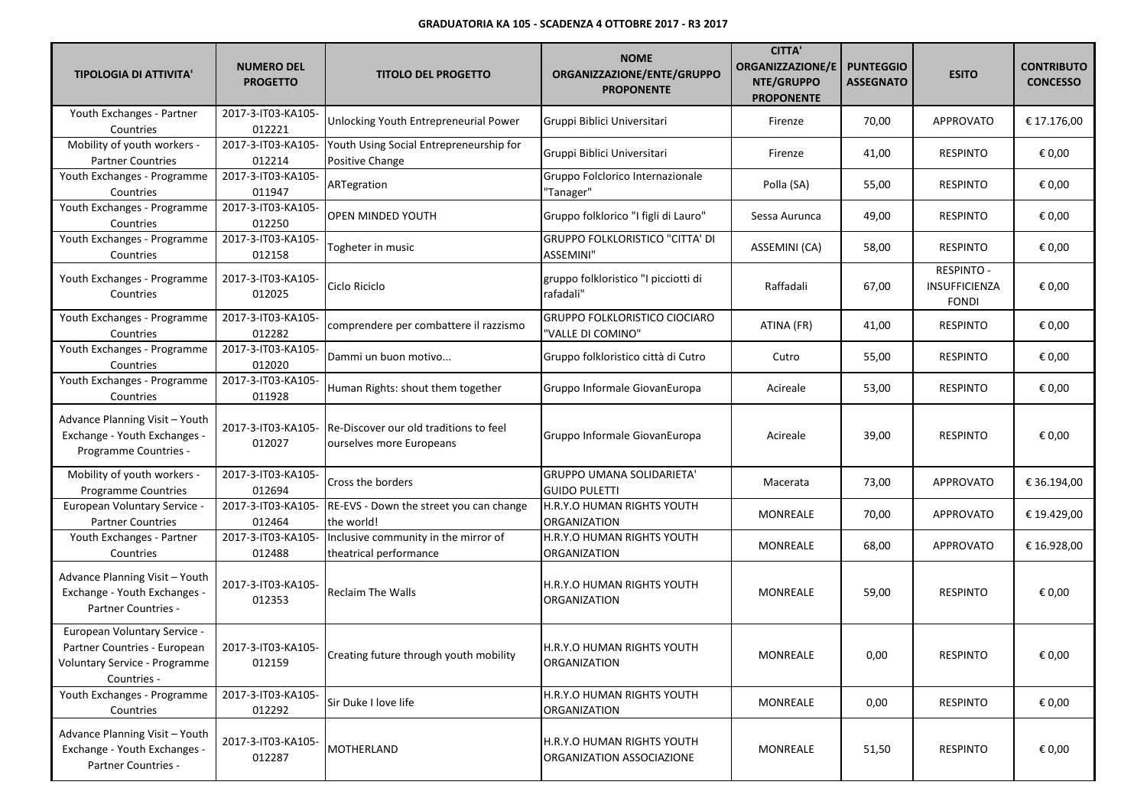| <b>TIPOLOGIA DI ATTIVITA'</b>                                                                                | <b>NUMERO DEL</b><br><b>PROGETTO</b> | <b>TITOLO DEL PROGETTO</b>                                         | <b>NOME</b><br>ORGANIZZAZIONE/ENTE/GRUPPO<br><b>PROPONENTE</b> | <b>CITTA'</b><br><b>ORGANIZZAZIONE/E</b><br>NTE/GRUPPO<br><b>PROPONENTE</b> | <b>PUNTEGGIO</b><br><b>ASSEGNATO</b> | <b>ESITO</b>                                       | <b>CONTRIBUTO</b><br><b>CONCESSO</b> |
|--------------------------------------------------------------------------------------------------------------|--------------------------------------|--------------------------------------------------------------------|----------------------------------------------------------------|-----------------------------------------------------------------------------|--------------------------------------|----------------------------------------------------|--------------------------------------|
| Youth Exchanges - Partner<br>Countries                                                                       | 2017-3-IT03-KA105-<br>012221         | Unlocking Youth Entrepreneurial Power                              | Gruppi Biblici Universitari                                    | Firenze                                                                     | 70,00                                | <b>APPROVATO</b>                                   | € 17.176,00                          |
| Mobility of youth workers -<br><b>Partner Countries</b>                                                      | 2017-3-IT03-KA105-<br>012214         | Youth Using Social Entrepreneurship for<br>Positive Change         | Gruppi Biblici Universitari                                    | Firenze                                                                     | 41,00                                | <b>RESPINTO</b>                                    | € 0,00                               |
| Youth Exchanges - Programme<br>Countries                                                                     | 2017-3-IT03-KA105-<br>011947         | ARTegration                                                        | Gruppo Folclorico Internazionale<br>"Tanager"                  | Polla (SA)                                                                  | 55,00                                | <b>RESPINTO</b>                                    | € 0,00                               |
| Youth Exchanges - Programme<br>Countries                                                                     | 2017-3-IT03-KA105-<br>012250         | OPEN MINDED YOUTH                                                  | Gruppo folklorico "I figli di Lauro"                           | Sessa Aurunca                                                               | 49,00                                | <b>RESPINTO</b>                                    | € 0,00                               |
| Youth Exchanges - Programme<br>Countries                                                                     | 2017-3-IT03-KA105-<br>012158         | Togheter in music                                                  | <b>GRUPPO FOLKLORISTICO "CITTA' DI</b><br>ASSEMINI"            | ASSEMINI (CA)                                                               | 58,00                                | <b>RESPINTO</b>                                    | € 0,00                               |
| Youth Exchanges - Programme<br>Countries                                                                     | 2017-3-IT03-KA105-<br>012025         | Ciclo Riciclo                                                      | gruppo folkloristico "I picciotti di<br>rafadali"              | Raffadali                                                                   | 67,00                                | <b>RESPINTO -</b><br>INSUFFICIENZA<br><b>FONDI</b> | € 0,00                               |
| Youth Exchanges - Programme<br>Countries                                                                     | 2017-3-IT03-KA105-<br>012282         | comprendere per combattere il razzismo                             | <b>GRUPPO FOLKLORISTICO CIOCIARO</b><br>"VALLE DI COMINO"      | ATINA (FR)                                                                  | 41,00                                | <b>RESPINTO</b>                                    | € 0,00                               |
| Youth Exchanges - Programme<br>Countries                                                                     | 2017-3-IT03-KA105-<br>012020         | Dammi un buon motivo                                               | Gruppo folkloristico città di Cutro                            | Cutro                                                                       | 55,00                                | <b>RESPINTO</b>                                    | € 0,00                               |
| Youth Exchanges - Programme<br>Countries                                                                     | 2017-3-IT03-KA105-<br>011928         | Human Rights: shout them together                                  | Gruppo Informale GiovanEuropa                                  | Acireale                                                                    | 53,00                                | <b>RESPINTO</b>                                    | € 0,00                               |
| Advance Planning Visit - Youth<br>Exchange - Youth Exchanges -<br>Programme Countries -                      | 2017-3-IT03-KA105-<br>012027         | Re-Discover our old traditions to feel<br>ourselves more Europeans | Gruppo Informale GiovanEuropa                                  | Acireale                                                                    | 39,00                                | <b>RESPINTO</b>                                    | € 0,00                               |
| Mobility of youth workers -<br>Programme Countries                                                           | 2017-3-IT03-KA105-<br>012694         | Cross the borders                                                  | <b>GRUPPO UMANA SOLIDARIETA'</b><br><b>GUIDO PULETTI</b>       | Macerata                                                                    | 73,00                                | APPROVATO                                          | € 36.194,00                          |
| European Voluntary Service -<br><b>Partner Countries</b>                                                     | 2017-3-IT03-KA105-<br>012464         | RE-EVS - Down the street you can change<br>the world!              | H.R.Y.O HUMAN RIGHTS YOUTH<br>ORGANIZATION                     | MONREALE                                                                    | 70,00                                | <b>APPROVATO</b>                                   | € 19.429,00                          |
| Youth Exchanges - Partner<br>Countries                                                                       | 2017-3-IT03-KA105-<br>012488         | Inclusive community in the mirror of<br>theatrical performance     | H.R.Y.O HUMAN RIGHTS YOUTH<br>ORGANIZATION                     | MONREALE                                                                    | 68,00                                | APPROVATO                                          | € 16.928,00                          |
| Advance Planning Visit - Youth<br>Exchange - Youth Exchanges -<br>Partner Countries -                        | 2017-3-IT03-KA105-<br>012353         | <b>Reclaim The Walls</b>                                           | H.R.Y.O HUMAN RIGHTS YOUTH<br>ORGANIZATION                     | MONREALE                                                                    | 59,00                                | <b>RESPINTO</b>                                    | € 0,00                               |
| European Voluntary Service -<br>Partner Countries - European<br>Voluntary Service - Programme<br>Countries - | 2017-3-IT03-KA105-<br>012159         | Creating future through youth mobility                             | H.R.Y.O HUMAN RIGHTS YOUTH<br><b>ORGANIZATION</b>              | MONREALE                                                                    | 0,00                                 | <b>RESPINTO</b>                                    | € 0,00                               |
| Youth Exchanges - Programme<br>Countries                                                                     | 2017-3-IT03-KA105-<br>012292         | Sir Duke I love life                                               | H.R.Y.O HUMAN RIGHTS YOUTH<br>ORGANIZATION                     | MONREALE                                                                    | 0,00                                 | <b>RESPINTO</b>                                    | € 0,00                               |
| Advance Planning Visit - Youth<br>Exchange - Youth Exchanges -<br>Partner Countries -                        | 2017-3-IT03-KA105-<br>012287         | MOTHERLAND                                                         | H.R.Y.O HUMAN RIGHTS YOUTH<br>ORGANIZATION ASSOCIAZIONE        | MONREALE                                                                    | 51,50                                | <b>RESPINTO</b>                                    | € 0,00                               |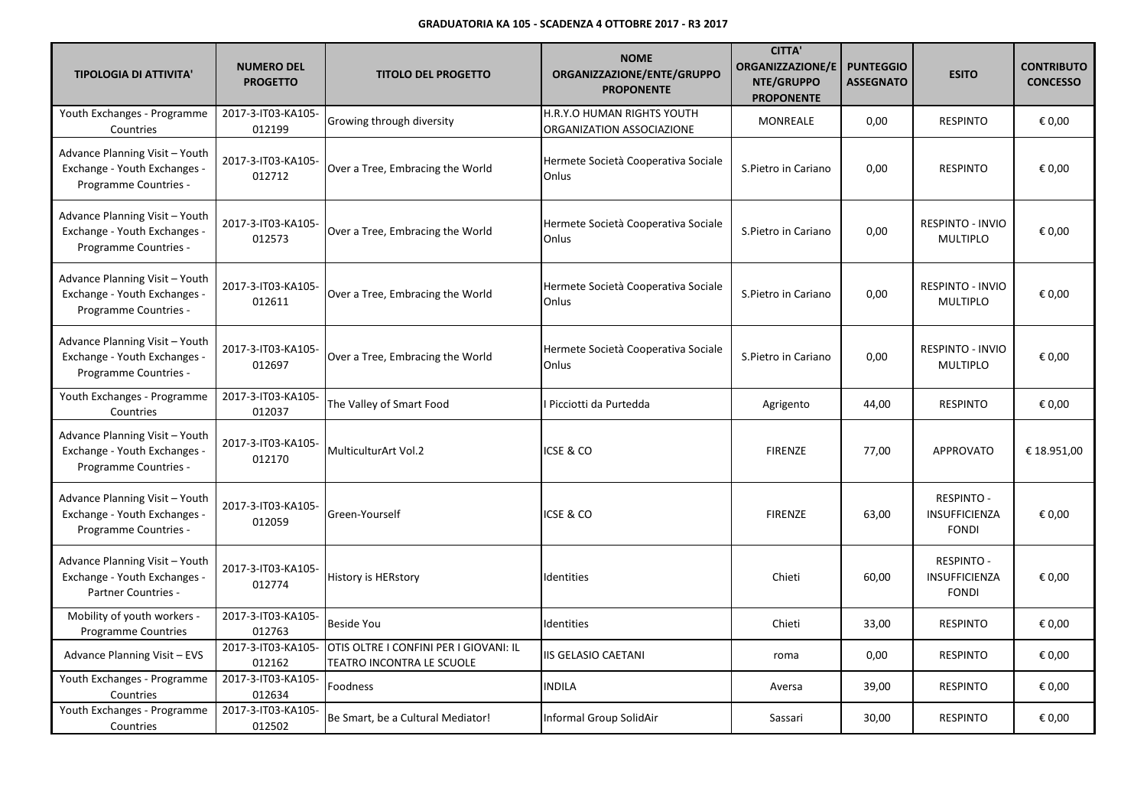| <b>TIPOLOGIA DI ATTIVITA'</b>                                                                | <b>NUMERO DEL</b><br><b>PROGETTO</b> | <b>TITOLO DEL PROGETTO</b>                                          | <b>NOME</b><br>ORGANIZZAZIONE/ENTE/GRUPPO<br><b>PROPONENTE</b> | <b>CITTA'</b><br><b>ORGANIZZAZIONE/E</b><br>NTE/GRUPPO<br><b>PROPONENTE</b> | <b>PUNTEGGIO</b><br><b>ASSEGNATO</b> | <b>ESITO</b>                                       | <b>CONTRIBUTO</b><br><b>CONCESSO</b> |
|----------------------------------------------------------------------------------------------|--------------------------------------|---------------------------------------------------------------------|----------------------------------------------------------------|-----------------------------------------------------------------------------|--------------------------------------|----------------------------------------------------|--------------------------------------|
| Youth Exchanges - Programme<br>Countries                                                     | 2017-3-IT03-KA105-<br>012199         | Growing through diversity                                           | H.R.Y.O HUMAN RIGHTS YOUTH<br>ORGANIZATION ASSOCIAZIONE        | MONREALE                                                                    | 0,00                                 | <b>RESPINTO</b>                                    | € 0,00                               |
| Advance Planning Visit - Youth<br>Exchange - Youth Exchanges -<br>Programme Countries -      | 2017-3-IT03-KA105-<br>012712         | Over a Tree, Embracing the World                                    | Hermete Società Cooperativa Sociale<br>Onlus                   | S.Pietro in Cariano                                                         | 0,00                                 | <b>RESPINTO</b>                                    | € 0,00                               |
| Advance Planning Visit - Youth<br>Exchange - Youth Exchanges -<br>Programme Countries -      | 2017-3-IT03-KA105-<br>012573         | Over a Tree, Embracing the World                                    | Hermete Società Cooperativa Sociale<br>Onlus                   | S.Pietro in Cariano                                                         | 0,00                                 | <b>RESPINTO - INVIO</b><br><b>MULTIPLO</b>         | € 0,00                               |
| Advance Planning Visit - Youth<br>Exchange - Youth Exchanges -<br>Programme Countries -      | 2017-3-IT03-KA105-<br>012611         | Over a Tree, Embracing the World                                    | Hermete Società Cooperativa Sociale<br>Onlus                   | S.Pietro in Cariano                                                         | 0,00                                 | RESPINTO - INVIO<br><b>MULTIPLO</b>                | € 0,00                               |
| Advance Planning Visit - Youth<br>Exchange - Youth Exchanges -<br>Programme Countries -      | 2017-3-IT03-KA105-<br>012697         | Over a Tree, Embracing the World                                    | Hermete Società Cooperativa Sociale<br>Onlus                   | S.Pietro in Cariano                                                         | 0,00                                 | <b>RESPINTO - INVIO</b><br><b>MULTIPLO</b>         | € 0,00                               |
| Youth Exchanges - Programme<br>Countries                                                     | 2017-3-IT03-KA105-<br>012037         | The Valley of Smart Food                                            | I Picciotti da Purtedda                                        | Agrigento                                                                   | 44,00                                | <b>RESPINTO</b>                                    | € 0,00                               |
| Advance Planning Visit - Youth<br>Exchange - Youth Exchanges -<br>Programme Countries -      | 2017-3-IT03-KA105-<br>012170         | MulticulturArt Vol.2                                                | ICSE & CO                                                      | <b>FIRENZE</b>                                                              | 77,00                                | <b>APPROVATO</b>                                   | € 18.951,00                          |
| Advance Planning Visit - Youth<br>Exchange - Youth Exchanges -<br>Programme Countries -      | 2017-3-IT03-KA105-<br>012059         | Green-Yourself                                                      | ICSE & CO                                                      | <b>FIRENZE</b>                                                              | 63,00                                | <b>RESPINTO -</b><br>INSUFFICIENZA<br><b>FONDI</b> | € 0,00                               |
| Advance Planning Visit - Youth<br>Exchange - Youth Exchanges -<br><b>Partner Countries -</b> | 2017-3-IT03-KA105-<br>012774         | <b>History is HERstory</b>                                          | Identities                                                     | Chieti                                                                      | 60,00                                | <b>RESPINTO -</b><br>INSUFFICIENZA<br><b>FONDI</b> | € 0,00                               |
| Mobility of youth workers -<br><b>Programme Countries</b>                                    | 2017-3-IT03-KA105-<br>012763         | <b>Beside You</b>                                                   | Identities                                                     | Chieti                                                                      | 33,00                                | <b>RESPINTO</b>                                    | € 0,00                               |
| Advance Planning Visit - EVS                                                                 | 2017-3-IT03-KA105-<br>012162         | OTIS OLTRE I CONFINI PER I GIOVANI: IL<br>TEATRO INCONTRA LE SCUOLE | IIS GELASIO CAETANI                                            | roma                                                                        | 0,00                                 | <b>RESPINTO</b>                                    | € 0,00                               |
| Youth Exchanges - Programme<br>Countries                                                     | 2017-3-IT03-KA105-<br>012634         | Foodness                                                            | <b>INDILA</b>                                                  | Aversa                                                                      | 39,00                                | <b>RESPINTO</b>                                    | € 0,00                               |
| Youth Exchanges - Programme<br>Countries                                                     | 2017-3-IT03-KA105-<br>012502         | Be Smart, be a Cultural Mediator!                                   | Informal Group SolidAir                                        | Sassari                                                                     | 30,00                                | <b>RESPINTO</b>                                    | € 0,00                               |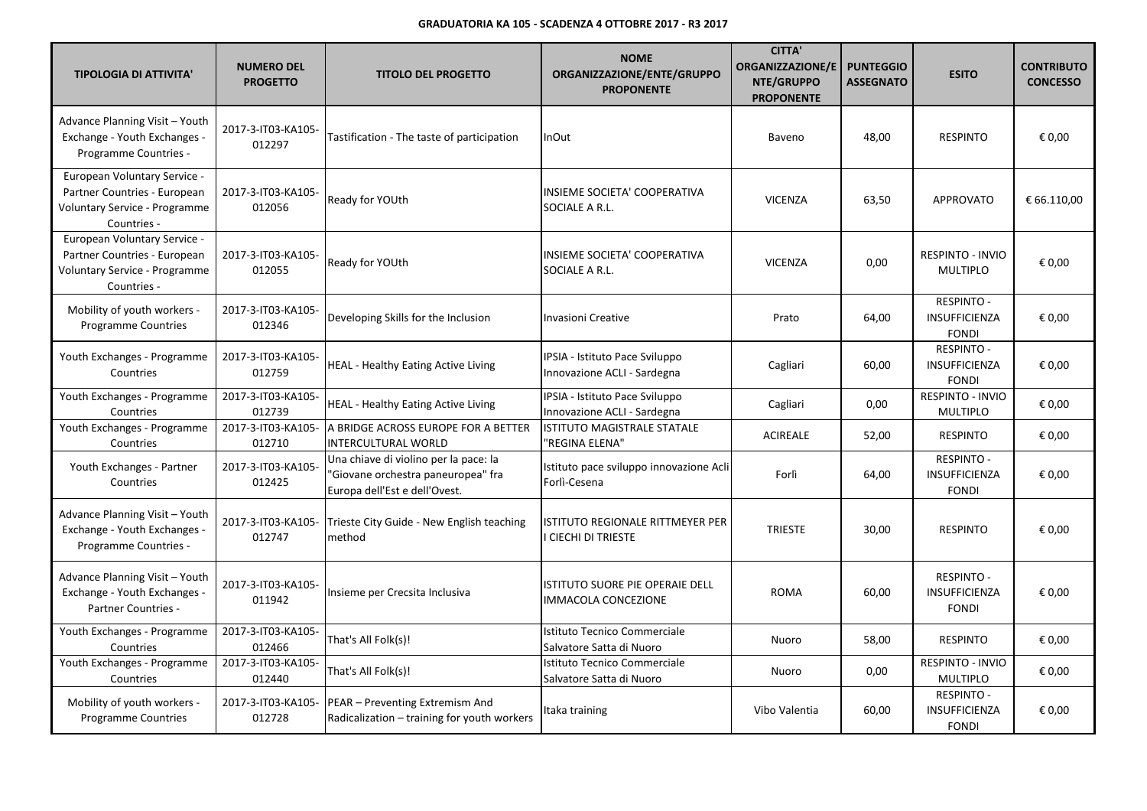| <b>TIPOLOGIA DI ATTIVITA'</b>                                                                                | <b>NUMERO DEL</b><br><b>PROGETTO</b> | <b>TITOLO DEL PROGETTO</b>                                                                                   | <b>NOME</b><br>ORGANIZZAZIONE/ENTE/GRUPPO<br><b>PROPONENTE</b> | <b>CITTA'</b><br><b>ORGANIZZAZIONE/E</b><br>NTE/GRUPPO<br><b>PROPONENTE</b> | <b>PUNTEGGIO</b><br><b>ASSEGNATO</b> | <b>ESITO</b>                                              | <b>CONTRIBUTO</b><br><b>CONCESSO</b> |
|--------------------------------------------------------------------------------------------------------------|--------------------------------------|--------------------------------------------------------------------------------------------------------------|----------------------------------------------------------------|-----------------------------------------------------------------------------|--------------------------------------|-----------------------------------------------------------|--------------------------------------|
| Advance Planning Visit - Youth<br>Exchange - Youth Exchanges -<br>Programme Countries -                      | 2017-3-IT03-KA105-<br>012297         | Tastification - The taste of participation                                                                   | <b>InOut</b>                                                   | Baveno                                                                      | 48,00                                | <b>RESPINTO</b>                                           | € 0,00                               |
| European Voluntary Service -<br>Partner Countries - European<br>Voluntary Service - Programme<br>Countries - | 2017-3-IT03-KA105-<br>012056         | Ready for YOUth                                                                                              | INSIEME SOCIETA' COOPERATIVA<br>SOCIALE A R.L.                 | <b>VICENZA</b>                                                              | 63,50                                | <b>APPROVATO</b>                                          | € 66.110,00                          |
| European Voluntary Service -<br>Partner Countries - European<br>Voluntary Service - Programme<br>Countries - | 2017-3-IT03-KA105-<br>012055         | Ready for YOUth                                                                                              | INSIEME SOCIETA' COOPERATIVA<br>SOCIALE A R.L.                 | <b>VICENZA</b>                                                              | 0,00                                 | RESPINTO - INVIO<br><b>MULTIPLO</b>                       | € 0,00                               |
| Mobility of youth workers -<br>Programme Countries                                                           | 2017-3-IT03-KA105-<br>012346         | Developing Skills for the Inclusion                                                                          | <b>Invasioni Creative</b>                                      | Prato                                                                       | 64,00                                | <b>RESPINTO -</b><br><b>INSUFFICIENZA</b><br><b>FONDI</b> | € 0,00                               |
| Youth Exchanges - Programme<br>Countries                                                                     | 2017-3-IT03-KA105-<br>012759         | <b>HEAL - Healthy Eating Active Living</b>                                                                   | IPSIA - Istituto Pace Sviluppo<br>Innovazione ACLI - Sardegna  | Cagliari                                                                    | 60,00                                | <b>RESPINTO -</b><br>INSUFFICIENZA<br><b>FONDI</b>        | € 0,00                               |
| Youth Exchanges - Programme<br>Countries                                                                     | 2017-3-IT03-KA105-<br>012739         | <b>HEAL - Healthy Eating Active Living</b>                                                                   | IPSIA - Istituto Pace Sviluppo<br>Innovazione ACLI - Sardegna  | Cagliari                                                                    | 0,00                                 | RESPINTO - INVIO<br><b>MULTIPLO</b>                       | € 0,00                               |
| Youth Exchanges - Programme<br>Countries                                                                     | 2017-3-IT03-KA105-<br>012710         | A BRIDGE ACROSS EUROPE FOR A BETTER<br>INTERCULTURAL WORLD                                                   | <b>ISTITUTO MAGISTRALE STATALE</b><br>'REGINA ELENA"           | <b>ACIREALE</b>                                                             | 52,00                                | <b>RESPINTO</b>                                           | € 0,00                               |
| Youth Exchanges - Partner<br>Countries                                                                       | 2017-3-IT03-KA105-<br>012425         | Una chiave di violino per la pace: la<br>'Giovane orchestra paneuropea" fra<br>Europa dell'Est e dell'Ovest. | Istituto pace sviluppo innovazione Acli<br>Forlì-Cesena        | Forlì                                                                       | 64,00                                | <b>RESPINTO -</b><br>INSUFFICIENZA<br><b>FONDI</b>        | € 0,00                               |
| Advance Planning Visit - Youth<br>Exchange - Youth Exchanges -<br>Programme Countries -                      | 2017-3-IT03-KA105-<br>012747         | Trieste City Guide - New English teaching<br>method                                                          | <b>ISTITUTO REGIONALE RITTMEYER PER</b><br>I CIECHI DI TRIESTE | <b>TRIESTE</b>                                                              | 30,00                                | <b>RESPINTO</b>                                           | € 0,00                               |
| Advance Planning Visit - Youth<br>Exchange - Youth Exchanges -<br><b>Partner Countries -</b>                 | 2017-3-IT03-KA105-<br>011942         | Insieme per Crecsita Inclusiva                                                                               | ISTITUTO SUORE PIE OPERAIE DELL<br>IMMACOLA CONCEZIONE         | <b>ROMA</b>                                                                 | 60,00                                | <b>RESPINTO -</b><br><b>INSUFFICIENZA</b><br><b>FONDI</b> | € 0.00                               |
| Youth Exchanges - Programme<br>Countries                                                                     | 2017-3-IT03-KA105-<br>012466         | That's All Folk(s)!                                                                                          | Istituto Tecnico Commerciale<br>Salvatore Satta di Nuoro       | Nuoro                                                                       | 58,00                                | <b>RESPINTO</b>                                           | € 0,00                               |
| Youth Exchanges - Programme<br>Countries                                                                     | 2017-3-IT03-KA105-<br>012440         | That's All Folk(s)!                                                                                          | Istituto Tecnico Commerciale<br>Salvatore Satta di Nuoro       | Nuoro                                                                       | 0,00                                 | RESPINTO - INVIO<br><b>MULTIPLO</b>                       | € 0,00                               |
| Mobility of youth workers -<br><b>Programme Countries</b>                                                    | 2017-3-IT03-KA105-<br>012728         | PEAR - Preventing Extremism And<br>Radicalization - training for youth workers                               | Itaka training                                                 | Vibo Valentia                                                               | 60,00                                | <b>RESPINTO -</b><br>INSUFFICIENZA<br><b>FONDI</b>        | € 0,00                               |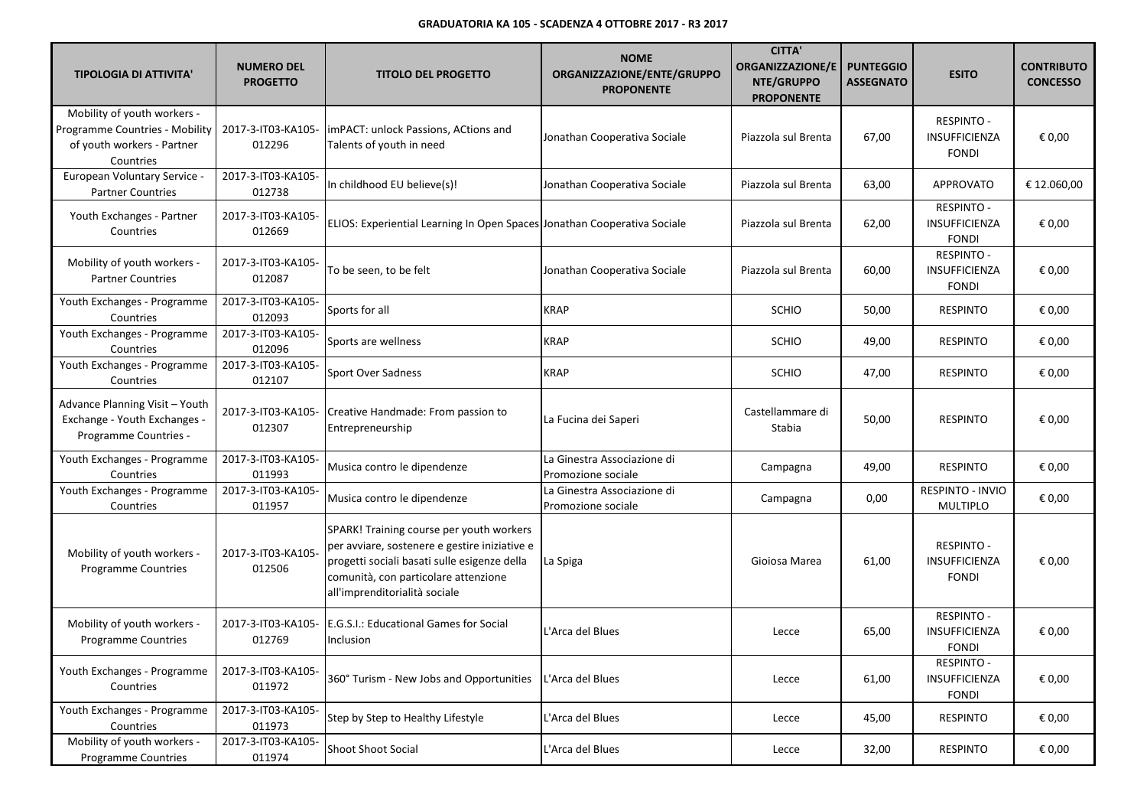| <b>TIPOLOGIA DI ATTIVITA'</b>                                                                            | <b>NUMERO DEL</b><br><b>PROGETTO</b> | <b>TITOLO DEL PROGETTO</b>                                                                                                                                                                                         | <b>NOME</b><br>ORGANIZZAZIONE/ENTE/GRUPPO<br><b>PROPONENTE</b> | <b>CITTA'</b><br><b>ORGANIZZAZIONE/E</b><br>NTE/GRUPPO<br><b>PROPONENTE</b> | <b>PUNTEGGIO</b><br><b>ASSEGNATO</b> | <b>ESITO</b>                                              | <b>CONTRIBUTO</b><br><b>CONCESSO</b> |
|----------------------------------------------------------------------------------------------------------|--------------------------------------|--------------------------------------------------------------------------------------------------------------------------------------------------------------------------------------------------------------------|----------------------------------------------------------------|-----------------------------------------------------------------------------|--------------------------------------|-----------------------------------------------------------|--------------------------------------|
| Mobility of youth workers -<br>Programme Countries - Mobility<br>of youth workers - Partner<br>Countries | 2017-3-IT03-KA105-<br>012296         | imPACT: unlock Passions, ACtions and<br>Talents of youth in need                                                                                                                                                   | Jonathan Cooperativa Sociale                                   | Piazzola sul Brenta                                                         | 67,00                                | <b>RESPINTO -</b><br>INSUFFICIENZA<br><b>FONDI</b>        | € 0,00                               |
| European Voluntary Service -<br><b>Partner Countries</b>                                                 | 2017-3-IT03-KA105-<br>012738         | In childhood EU believe(s)!                                                                                                                                                                                        | Jonathan Cooperativa Sociale                                   | Piazzola sul Brenta                                                         | 63,00                                | APPROVATO                                                 | € 12.060,00                          |
| Youth Exchanges - Partner<br>Countries                                                                   | 2017-3-IT03-KA105-<br>012669         | ELIOS: Experiential Learning In Open Spaces Jonathan Cooperativa Sociale                                                                                                                                           |                                                                | Piazzola sul Brenta                                                         | 62,00                                | <b>RESPINTO -</b><br>INSUFFICIENZA<br><b>FONDI</b>        | € 0,00                               |
| Mobility of youth workers -<br><b>Partner Countries</b>                                                  | 2017-3-IT03-KA105-<br>012087         | To be seen, to be felt                                                                                                                                                                                             | Jonathan Cooperativa Sociale                                   | Piazzola sul Brenta                                                         | 60,00                                | RESPINTO -<br>INSUFFICIENZA<br><b>FONDI</b>               | € 0,00                               |
| Youth Exchanges - Programme<br>Countries                                                                 | 2017-3-IT03-KA105-<br>012093         | Sports for all                                                                                                                                                                                                     | <b>KRAP</b>                                                    | <b>SCHIO</b>                                                                | 50,00                                | <b>RESPINTO</b>                                           | € 0,00                               |
| Youth Exchanges - Programme<br>Countries                                                                 | 2017-3-IT03-KA105-<br>012096         | Sports are wellness                                                                                                                                                                                                | <b>KRAP</b>                                                    | <b>SCHIO</b>                                                                | 49,00                                | <b>RESPINTO</b>                                           | € 0,00                               |
| Youth Exchanges - Programme<br>Countries                                                                 | 2017-3-IT03-KA105-<br>012107         | <b>Sport Over Sadness</b>                                                                                                                                                                                          | <b>KRAP</b>                                                    | <b>SCHIO</b>                                                                | 47,00                                | <b>RESPINTO</b>                                           | € 0,00                               |
| Advance Planning Visit - Youth<br>Exchange - Youth Exchanges -<br>Programme Countries -                  | 2017-3-IT03-KA105-<br>012307         | Creative Handmade: From passion to<br>Entrepreneurship                                                                                                                                                             | La Fucina dei Saperi                                           | Castellammare di<br>Stabia                                                  | 50,00                                | <b>RESPINTO</b>                                           | € 0,00                               |
| Youth Exchanges - Programme<br>Countries                                                                 | 2017-3-IT03-KA105-<br>011993         | Musica contro le dipendenze                                                                                                                                                                                        | La Ginestra Associazione di<br>Promozione sociale              | Campagna                                                                    | 49,00                                | <b>RESPINTO</b>                                           | € 0,00                               |
| Youth Exchanges - Programme<br>Countries                                                                 | 2017-3-IT03-KA105-<br>011957         | Musica contro le dipendenze                                                                                                                                                                                        | La Ginestra Associazione di<br>Promozione sociale              | Campagna                                                                    | 0,00                                 | RESPINTO - INVIO<br><b>MULTIPLO</b>                       | € 0,00                               |
| Mobility of youth workers -<br><b>Programme Countries</b>                                                | 2017-3-IT03-KA105-<br>012506         | SPARK! Training course per youth workers<br>per avviare, sostenere e gestire iniziative e<br>progetti sociali basati sulle esigenze della<br>comunità, con particolare attenzione<br>all'imprenditorialità sociale | La Spiga                                                       | Gioiosa Marea                                                               | 61,00                                | <b>RESPINTO -</b><br><b>INSUFFICIENZA</b><br><b>FONDI</b> | € 0,00                               |
| Mobility of youth workers -<br><b>Programme Countries</b>                                                | 2017-3-IT03-KA105-<br>012769         | E.G.S.I.: Educational Games for Social<br>Inclusion                                                                                                                                                                | L'Arca del Blues                                               | Lecce                                                                       | 65,00                                | <b>RESPINTO -</b><br><b>INSUFFICIENZA</b><br><b>FONDI</b> | € 0,00                               |
| Youth Exchanges - Programme<br>Countries                                                                 | 2017-3-IT03-KA105-<br>011972         | 360° Turism - New Jobs and Opportunities                                                                                                                                                                           | L'Arca del Blues                                               | Lecce                                                                       | 61,00                                | <b>RESPINTO -</b><br>INSUFFICIENZA<br><b>FONDI</b>        | € 0,00                               |
| Youth Exchanges - Programme<br>Countries                                                                 | 2017-3-IT03-KA105-<br>011973         | Step by Step to Healthy Lifestyle                                                                                                                                                                                  | L'Arca del Blues                                               | Lecce                                                                       | 45,00                                | <b>RESPINTO</b>                                           | € 0,00                               |
| Mobility of youth workers -<br>Programme Countries                                                       | 2017-3-IT03-KA105-<br>011974         | <b>Shoot Shoot Social</b>                                                                                                                                                                                          | L'Arca del Blues                                               | Lecce                                                                       | 32,00                                | RESPINTO                                                  | € 0,00                               |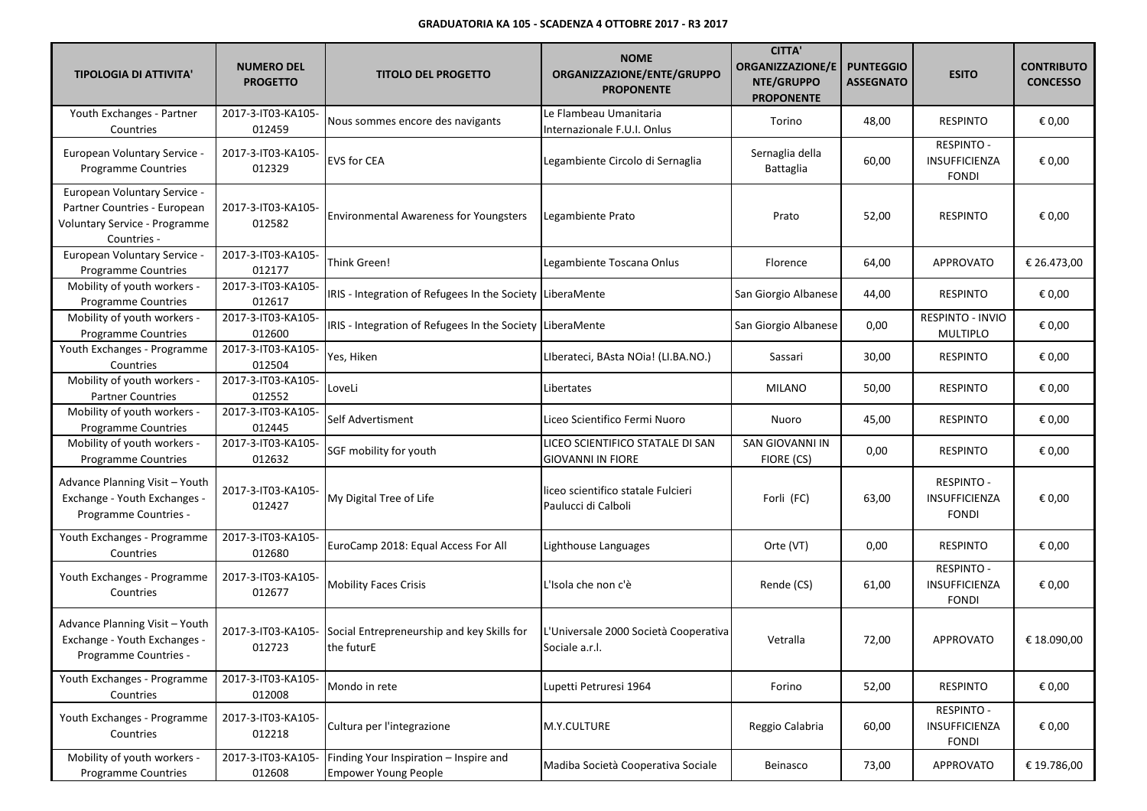| <b>TIPOLOGIA DI ATTIVITA'</b>                                                                                | <b>NUMERO DEL</b><br><b>PROGETTO</b> | <b>TITOLO DEL PROGETTO</b>                                            | <b>NOME</b><br>ORGANIZZAZIONE/ENTE/GRUPPO<br><b>PROPONENTE</b> | <b>CITTA'</b><br><b>ORGANIZZAZIONE/E</b><br>NTE/GRUPPO<br><b>PROPONENTE</b> | <b>PUNTEGGIO</b><br><b>ASSEGNATO</b> | <b>ESITO</b>                                       | <b>CONTRIBUTO</b><br><b>CONCESSO</b> |
|--------------------------------------------------------------------------------------------------------------|--------------------------------------|-----------------------------------------------------------------------|----------------------------------------------------------------|-----------------------------------------------------------------------------|--------------------------------------|----------------------------------------------------|--------------------------------------|
| Youth Exchanges - Partner<br>Countries                                                                       | 2017-3-IT03-KA105-<br>012459         | Nous sommes encore des navigants                                      | Le Flambeau Umanitaria<br>Internazionale F.U.I. Onlus          | Torino                                                                      | 48,00                                | <b>RESPINTO</b>                                    | € 0,00                               |
| <b>European Voluntary Service -</b><br><b>Programme Countries</b>                                            | 2017-3-IT03-KA105-<br>012329         | <b>EVS for CEA</b>                                                    | Legambiente Circolo di Sernaglia                               | Sernaglia della<br>Battaglia                                                | 60,00                                | <b>RESPINTO -</b><br>INSUFFICIENZA<br><b>FONDI</b> | € 0,00                               |
| European Voluntary Service -<br>Partner Countries - European<br>Voluntary Service - Programme<br>Countries - | 2017-3-IT03-KA105-<br>012582         | <b>Environmental Awareness for Youngsters</b>                         | Legambiente Prato                                              | Prato                                                                       | 52,00                                | <b>RESPINTO</b>                                    | € 0,00                               |
| European Voluntary Service -<br>Programme Countries                                                          | 2017-3-IT03-KA105-<br>012177         | Think Green!                                                          | Legambiente Toscana Onlus                                      | Florence                                                                    | 64,00                                | <b>APPROVATO</b>                                   | € 26.473,00                          |
| Mobility of youth workers -<br>Programme Countries                                                           | 2017-3-IT03-KA105-<br>012617         | IRIS - Integration of Refugees In the Society LiberaMente             |                                                                | San Giorgio Albanese                                                        | 44,00                                | <b>RESPINTO</b>                                    | € 0,00                               |
| Mobility of youth workers -<br><b>Programme Countries</b>                                                    | 2017-3-IT03-KA105-<br>012600         | IRIS - Integration of Refugees In the Society LiberaMente             |                                                                | San Giorgio Albanese                                                        | 0,00                                 | RESPINTO - INVIO<br>MULTIPLO                       | € 0,00                               |
| Youth Exchanges - Programme<br>Countries                                                                     | 2017-3-IT03-KA105-<br>012504         | Yes, Hiken                                                            | Liberateci, BAsta NOia! (LI.BA.NO.)                            | Sassari                                                                     | 30,00                                | <b>RESPINTO</b>                                    | € 0,00                               |
| Mobility of youth workers -<br><b>Partner Countries</b>                                                      | 2017-3-IT03-KA105-<br>012552         | LoveLi                                                                | Libertates                                                     | <b>MILANO</b>                                                               | 50,00                                | <b>RESPINTO</b>                                    | € 0,00                               |
| Mobility of youth workers -<br>Programme Countries                                                           | 2017-3-IT03-KA105-<br>012445         | Self Advertisment                                                     | Liceo Scientifico Fermi Nuoro                                  | Nuoro                                                                       | 45,00                                | <b>RESPINTO</b>                                    | € 0,00                               |
| Mobility of youth workers -<br>Programme Countries                                                           | 2017-3-IT03-KA105-<br>012632         | SGF mobility for youth                                                | LICEO SCIENTIFICO STATALE DI SAN<br><b>GIOVANNI IN FIORE</b>   | SAN GIOVANNI IN<br>FIORE (CS)                                               | 0,00                                 | <b>RESPINTO</b>                                    | € 0,00                               |
| Advance Planning Visit - Youth<br>Exchange - Youth Exchanges -<br>Programme Countries -                      | 2017-3-IT03-KA105-<br>012427         | My Digital Tree of Life                                               | liceo scientifico statale Fulcieri<br>Paulucci di Calboli      | Forli (FC)                                                                  | 63,00                                | <b>RESPINTO -</b><br>INSUFFICIENZA<br><b>FONDI</b> | € 0,00                               |
| Youth Exchanges - Programme<br>Countries                                                                     | 2017-3-IT03-KA105-<br>012680         | EuroCamp 2018: Equal Access For All                                   | Lighthouse Languages                                           | Orte (VT)                                                                   | 0,00                                 | <b>RESPINTO</b>                                    | € 0,00                               |
| Youth Exchanges - Programme<br>Countries                                                                     | 2017-3-IT03-KA105-<br>012677         | <b>Mobility Faces Crisis</b>                                          | L'Isola che non c'è                                            | Rende (CS)                                                                  | 61,00                                | <b>RESPINTO -</b><br>INSUFFICIENZA<br><b>FONDI</b> | € 0,00                               |
| Advance Planning Visit - Youth<br>Exchange - Youth Exchanges -<br>Programme Countries -                      | 2017-3-IT03-KA105-<br>012723         | Social Entrepreneurship and key Skills for<br>the futurE              | L'Universale 2000 Società Cooperativa<br>Sociale a.r.l.        | Vetralla                                                                    | 72,00                                | <b>APPROVATO</b>                                   | € 18.090,00                          |
| Youth Exchanges - Programme<br>Countries                                                                     | 2017-3-IT03-KA105-<br>012008         | Mondo in rete                                                         | Lupetti Petruresi 1964                                         | Forino                                                                      | 52,00                                | <b>RESPINTO</b>                                    | € 0,00                               |
| Youth Exchanges - Programme<br>Countries                                                                     | 2017-3-IT03-KA105-<br>012218         | Cultura per l'integrazione                                            | M.Y.CULTURE                                                    | Reggio Calabria                                                             | 60,00                                | <b>RESPINTO -</b><br>INSUFFICIENZA<br><b>FONDI</b> | € 0,00                               |
| Mobility of youth workers -<br><b>Programme Countries</b>                                                    | 2017-3-IT03-KA105-<br>012608         | Finding Your Inspiration - Inspire and<br><b>Empower Young People</b> | Madiba Società Cooperativa Sociale                             | Beinasco                                                                    | 73,00                                | APPROVATO                                          | € 19.786,00                          |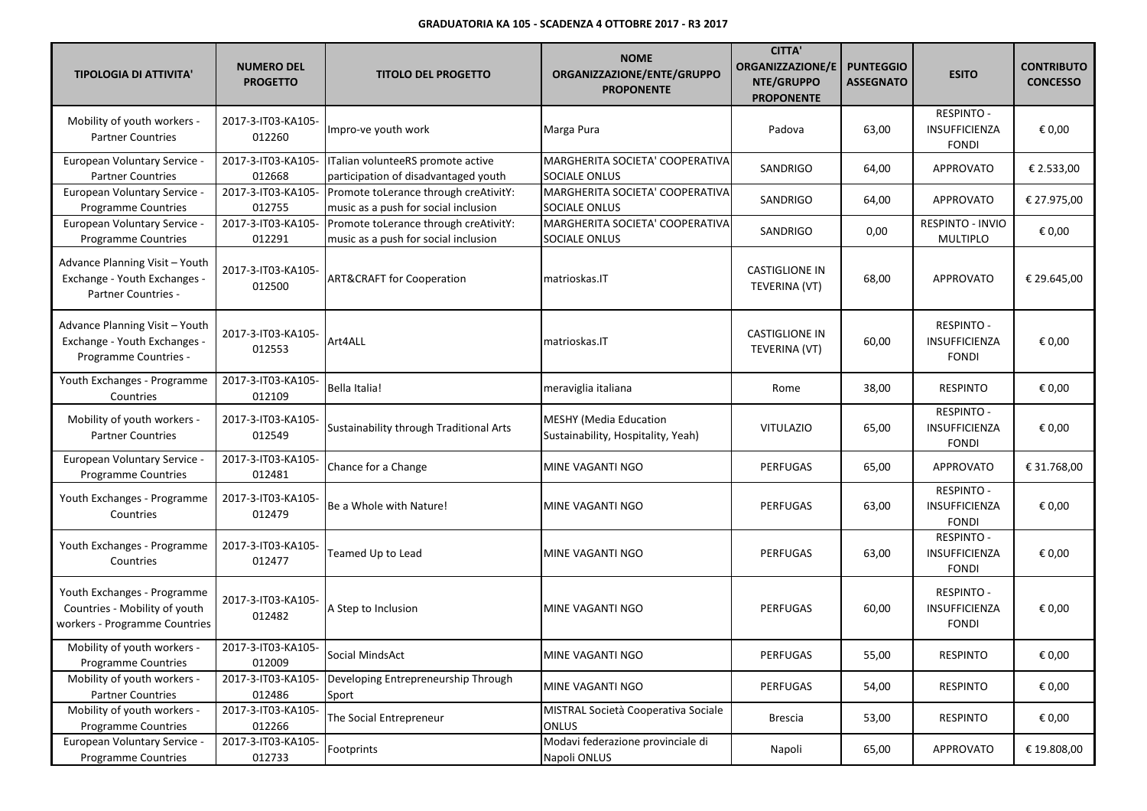| <b>TIPOLOGIA DI ATTIVITA'</b>                                                                 | <b>NUMERO DEL</b><br><b>PROGETTO</b> | <b>TITOLO DEL PROGETTO</b>                                                    | <b>NOME</b><br>ORGANIZZAZIONE/ENTE/GRUPPO<br><b>PROPONENTE</b>      | <b>CITTA'</b><br><b>ORGANIZZAZIONE/E</b><br>NTE/GRUPPO<br><b>PROPONENTE</b> | <b>PUNTEGGIO</b><br><b>ASSEGNATO</b> | <b>ESITO</b>                                              | <b>CONTRIBUTO</b><br><b>CONCESSO</b> |
|-----------------------------------------------------------------------------------------------|--------------------------------------|-------------------------------------------------------------------------------|---------------------------------------------------------------------|-----------------------------------------------------------------------------|--------------------------------------|-----------------------------------------------------------|--------------------------------------|
| Mobility of youth workers -<br><b>Partner Countries</b>                                       | 2017-3-IT03-KA105-<br>012260         | Impro-ve youth work                                                           | Marga Pura                                                          | Padova                                                                      | 63,00                                | <b>RESPINTO -</b><br>INSUFFICIENZA<br><b>FONDI</b>        | € 0,00                               |
| European Voluntary Service -<br><b>Partner Countries</b>                                      | 2017-3-IT03-KA105-<br>012668         | ITalian volunteeRS promote active<br>participation of disadvantaged youth     | MARGHERITA SOCIETA' COOPERATIVA<br>SOCIALE ONLUS                    | SANDRIGO                                                                    | 64,00                                | <b>APPROVATO</b>                                          | € 2.533,00                           |
| European Voluntary Service -<br>Programme Countries                                           | 2017-3-IT03-KA105-<br>012755         | Promote toLerance through creAtivitY:<br>music as a push for social inclusion | MARGHERITA SOCIETA' COOPERATIVA<br>SOCIALE ONLUS                    | SANDRIGO                                                                    | 64,00                                | APPROVATO                                                 | € 27.975,00                          |
| European Voluntary Service -<br><b>Programme Countries</b>                                    | 2017-3-IT03-KA105-<br>012291         | Promote toLerance through creAtivitY:<br>music as a push for social inclusion | MARGHERITA SOCIETA' COOPERATIVA<br>SOCIALE ONLUS                    | SANDRIGO                                                                    | 0,00                                 | RESPINTO - INVIO<br><b>MULTIPLO</b>                       | € 0,00                               |
| Advance Planning Visit - Youth<br>Exchange - Youth Exchanges -<br>Partner Countries -         | 2017-3-IT03-KA105-<br>012500         | <b>ART&amp;CRAFT for Cooperation</b>                                          | matrioskas.IT                                                       | <b>CASTIGLIONE IN</b><br>TEVERINA (VT)                                      | 68,00                                | <b>APPROVATO</b>                                          | € 29.645,00                          |
| Advance Planning Visit - Youth<br>Exchange - Youth Exchanges -<br>Programme Countries -       | 2017-3-IT03-KA105-<br>012553         | Art4ALL                                                                       | matrioskas.IT                                                       | <b>CASTIGLIONE IN</b><br>TEVERINA (VT)                                      | 60,00                                | <b>RESPINTO -</b><br>INSUFFICIENZA<br><b>FONDI</b>        | € 0,00                               |
| Youth Exchanges - Programme<br>Countries                                                      | 2017-3-IT03-KA105-<br>012109         | Bella Italia!                                                                 | meraviglia italiana                                                 | Rome                                                                        | 38,00                                | <b>RESPINTO</b>                                           | € 0,00                               |
| Mobility of youth workers -<br><b>Partner Countries</b>                                       | 2017-3-IT03-KA105-<br>012549         | Sustainability through Traditional Arts                                       | <b>MESHY (Media Education</b><br>Sustainability, Hospitality, Yeah) | <b>VITULAZIO</b>                                                            | 65,00                                | <b>RESPINTO -</b><br>INSUFFICIENZA<br><b>FONDI</b>        | € 0,00                               |
| European Voluntary Service -<br><b>Programme Countries</b>                                    | 2017-3-IT03-KA105-<br>012481         | Chance for a Change                                                           | MINE VAGANTI NGO                                                    | PERFUGAS                                                                    | 65,00                                | APPROVATO                                                 | € 31.768,00                          |
| Youth Exchanges - Programme<br>Countries                                                      | 2017-3-IT03-KA105-<br>012479         | Be a Whole with Nature!                                                       | MINE VAGANTI NGO                                                    | PERFUGAS                                                                    | 63,00                                | <b>RESPINTO -</b><br>INSUFFICIENZA<br><b>FONDI</b>        | € 0,00                               |
| Youth Exchanges - Programme<br>Countries                                                      | 2017-3-IT03-KA105-<br>012477         | Teamed Up to Lead                                                             | MINE VAGANTI NGO                                                    | PERFUGAS                                                                    | 63,00                                | <b>RESPINTO -</b><br>INSUFFICIENZA<br><b>FONDI</b>        | € 0,00                               |
| Youth Exchanges - Programme<br>Countries - Mobility of youth<br>workers - Programme Countries | 2017-3-IT03-KA105-<br>012482         | A Step to Inclusion                                                           | MINE VAGANTI NGO                                                    | PERFUGAS                                                                    | 60,00                                | <b>RESPINTO -</b><br><b>INSUFFICIENZA</b><br><b>FONDI</b> | € 0,00                               |
| Mobility of youth workers -<br><b>Programme Countries</b>                                     | 2017-3-IT03-KA105-<br>012009         | Social MindsAct                                                               | MINE VAGANTI NGO                                                    | PERFUGAS                                                                    | 55,00                                | RESPINTO                                                  | € 0,00                               |
| Mobility of youth workers -<br><b>Partner Countries</b>                                       | 2017-3-IT03-KA105-<br>012486         | Developing Entrepreneurship Through<br>Sport                                  | MINE VAGANTI NGO                                                    | PERFUGAS                                                                    | 54,00                                | <b>RESPINTO</b>                                           | € 0,00                               |
| Mobility of youth workers -<br>Programme Countries                                            | 2017-3-IT03-KA105-<br>012266         | The Social Entrepreneur                                                       | MISTRAL Società Cooperativa Sociale<br>ONLUS                        | <b>Brescia</b>                                                              | 53,00                                | <b>RESPINTO</b>                                           | € 0,00                               |
| European Voluntary Service -<br>Programme Countries                                           | 2017-3-IT03-KA105-<br>012733         | Footprints                                                                    | Modavi federazione provinciale di<br>Napoli ONLUS                   | Napoli                                                                      | 65,00                                | APPROVATO                                                 | € 19.808,00                          |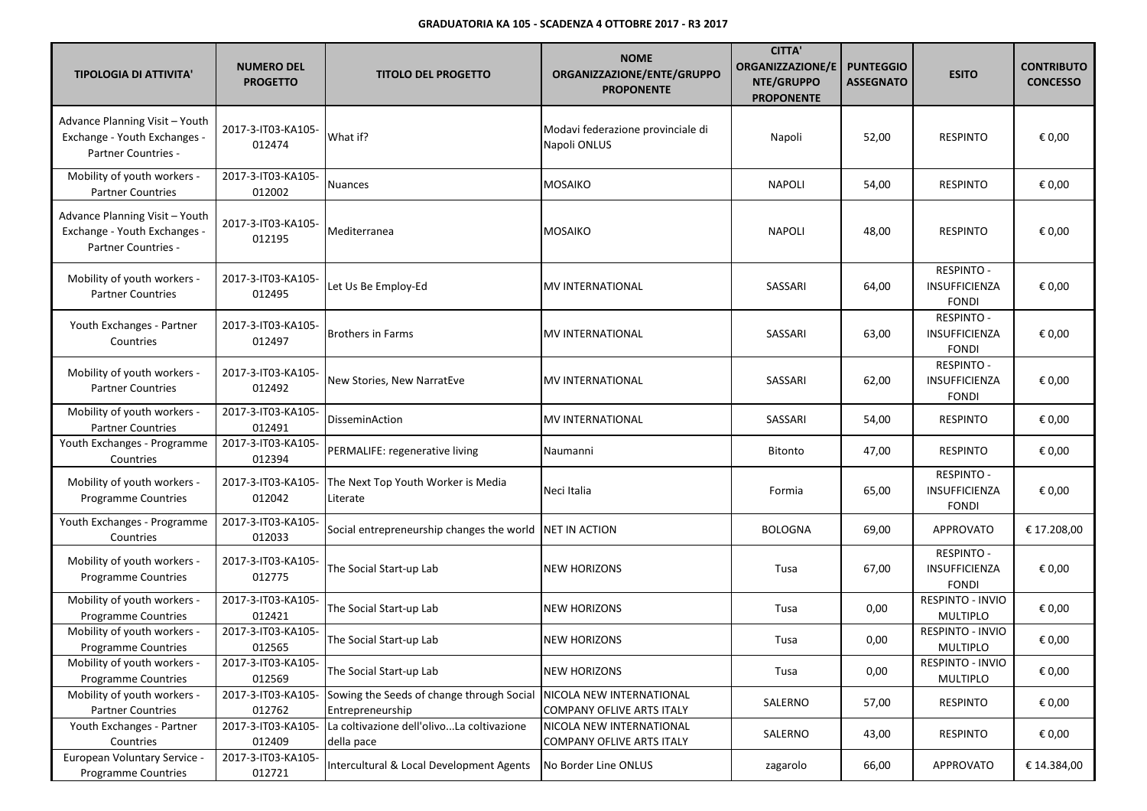| <b>TIPOLOGIA DI ATTIVITA'</b>                                                         | <b>NUMERO DEL</b><br><b>PROGETTO</b> | <b>TITOLO DEL PROGETTO</b>                                    | <b>NOME</b><br>ORGANIZZAZIONE/ENTE/GRUPPO<br><b>PROPONENTE</b> | <b>CITTA'</b><br><b>ORGANIZZAZIONE/E</b><br>NTE/GRUPPO<br><b>PROPONENTE</b> | <b>PUNTEGGIO</b><br><b>ASSEGNATO</b> | <b>ESITO</b>                                       | <b>CONTRIBUTO</b><br><b>CONCESSO</b> |
|---------------------------------------------------------------------------------------|--------------------------------------|---------------------------------------------------------------|----------------------------------------------------------------|-----------------------------------------------------------------------------|--------------------------------------|----------------------------------------------------|--------------------------------------|
| Advance Planning Visit - Youth<br>Exchange - Youth Exchanges -<br>Partner Countries - | 2017-3-IT03-KA105-<br>012474         | What if?                                                      | Modavi federazione provinciale di<br>Napoli ONLUS              | Napoli                                                                      | 52,00                                | <b>RESPINTO</b>                                    | € 0,00                               |
| Mobility of youth workers -<br><b>Partner Countries</b>                               | 2017-3-IT03-KA105-<br>012002         | Nuances                                                       | MOSAIKO                                                        | <b>NAPOLI</b>                                                               | 54,00                                | <b>RESPINTO</b>                                    | € 0,00                               |
| Advance Planning Visit - Youth<br>Exchange - Youth Exchanges -<br>Partner Countries - | 2017-3-IT03-KA105-<br>012195         | Mediterranea                                                  | <b>MOSAIKO</b>                                                 | <b>NAPOLI</b>                                                               | 48,00                                | <b>RESPINTO</b>                                    | € 0,00                               |
| Mobility of youth workers -<br><b>Partner Countries</b>                               | 2017-3-IT03-KA105-<br>012495         | Let Us Be Employ-Ed                                           | <b>MV INTERNATIONAL</b>                                        | SASSARI                                                                     | 64,00                                | <b>RESPINTO -</b><br>INSUFFICIENZA<br><b>FONDI</b> | € 0,00                               |
| Youth Exchanges - Partner<br>Countries                                                | 2017-3-IT03-KA105-<br>012497         | <b>Brothers in Farms</b>                                      | MV INTERNATIONAL                                               | SASSARI                                                                     | 63,00                                | <b>RESPINTO -</b><br>INSUFFICIENZA<br><b>FONDI</b> | € 0,00                               |
| Mobility of youth workers -<br><b>Partner Countries</b>                               | 2017-3-IT03-KA105-<br>012492         | New Stories, New NarratEve                                    | <b>MV INTERNATIONAL</b>                                        | SASSARI                                                                     | 62,00                                | <b>RESPINTO -</b><br>INSUFFICIENZA<br><b>FONDI</b> | € 0,00                               |
| Mobility of youth workers -<br><b>Partner Countries</b>                               | 2017-3-IT03-KA105-<br>012491         | DisseminAction                                                | <b>MV INTERNATIONAL</b>                                        | SASSARI                                                                     | 54,00                                | <b>RESPINTO</b>                                    | € 0,00                               |
| Youth Exchanges - Programme<br>Countries                                              | 2017-3-IT03-KA105-<br>012394         | PERMALIFE: regenerative living                                | Naumanni                                                       | <b>Bitonto</b>                                                              | 47,00                                | <b>RESPINTO</b>                                    | € 0,00                               |
| Mobility of youth workers -<br>Programme Countries                                    | 2017-3-IT03-KA105-<br>012042         | The Next Top Youth Worker is Media<br>Literate                | Neci Italia                                                    | Formia                                                                      | 65,00                                | <b>RESPINTO -</b><br>INSUFFICIENZA<br><b>FONDI</b> | € 0,00                               |
| Youth Exchanges - Programme<br>Countries                                              | 2017-3-IT03-KA105-<br>012033         | Social entrepreneurship changes the world                     | NET IN ACTION                                                  | <b>BOLOGNA</b>                                                              | 69,00                                | <b>APPROVATO</b>                                   | € 17.208,00                          |
| Mobility of youth workers -<br><b>Programme Countries</b>                             | 2017-3-IT03-KA105-<br>012775         | The Social Start-up Lab                                       | <b>NEW HORIZONS</b>                                            | Tusa                                                                        | 67,00                                | <b>RESPINTO -</b><br>INSUFFICIENZA<br><b>FONDI</b> | € 0,00                               |
| Mobility of youth workers -<br>Programme Countries                                    | 2017-3-IT03-KA105-<br>012421         | The Social Start-up Lab                                       | NEW HORIZONS                                                   | Tusa                                                                        | 0,00                                 | RESPINTO - INVIO<br><b>MULTIPLO</b>                | € 0,00                               |
| Mobility of youth workers -<br>Programme Countries                                    | 2017-3-IT03-KA105-<br>012565         | The Social Start-up Lab                                       | <b>NEW HORIZONS</b>                                            | Tusa                                                                        | 0,00                                 | <b>RESPINTO - INVIO</b><br><b>MULTIPLO</b>         | € 0,00                               |
| Mobility of youth workers -<br><b>Programme Countries</b>                             | 2017-3-IT03-KA105-<br>012569         | The Social Start-up Lab                                       | <b>NEW HORIZONS</b>                                            | Tusa                                                                        | 0,00                                 | RESPINTO - INVIO<br>MULTIPLO                       | € 0,00                               |
| Mobility of youth workers -<br><b>Partner Countries</b>                               | 2017-3-IT03-KA105-<br>012762         | Sowing the Seeds of change through Social<br>Entrepreneurship | NICOLA NEW INTERNATIONAL<br><b>COMPANY OFLIVE ARTS ITALY</b>   | SALERNO                                                                     | 57,00                                | <b>RESPINTO</b>                                    | € 0,00                               |
| Youth Exchanges - Partner<br>Countries                                                | 2017-3-IT03-KA105-<br>012409         | La coltivazione dell'olivoLa coltivazione<br>della pace       | NICOLA NEW INTERNATIONAL<br>COMPANY OFLIVE ARTS ITALY          | SALERNO                                                                     | 43,00                                | <b>RESPINTO</b>                                    | € 0,00                               |
| European Voluntary Service -<br>Programme Countries                                   | 2017-3-IT03-KA105-<br>012721         | Intercultural & Local Development Agents                      | No Border Line ONLUS                                           | zagarolo                                                                    | 66,00                                | <b>APPROVATO</b>                                   | € 14.384,00                          |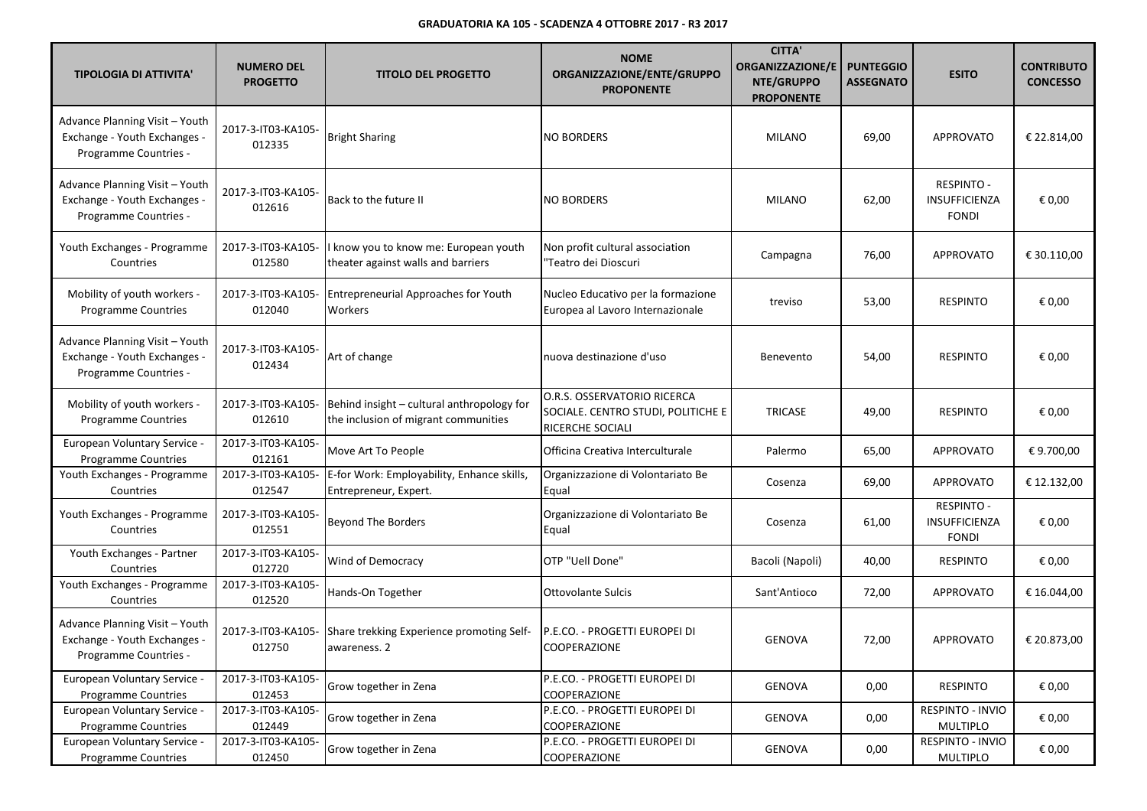| <b>TIPOLOGIA DI ATTIVITA'</b>                                                           | <b>NUMERO DEL</b><br><b>PROGETTO</b> | <b>TITOLO DEL PROGETTO</b>                                                         | <b>NOME</b><br>ORGANIZZAZIONE/ENTE/GRUPPO<br><b>PROPONENTE</b>                        | <b>CITTA'</b><br><b>ORGANIZZAZIONE/E</b><br>NTE/GRUPPO<br><b>PROPONENTE</b> | <b>PUNTEGGIO</b><br><b>ASSEGNATO</b> | <b>ESITO</b>                                       | <b>CONTRIBUTO</b><br><b>CONCESSO</b> |
|-----------------------------------------------------------------------------------------|--------------------------------------|------------------------------------------------------------------------------------|---------------------------------------------------------------------------------------|-----------------------------------------------------------------------------|--------------------------------------|----------------------------------------------------|--------------------------------------|
| Advance Planning Visit - Youth<br>Exchange - Youth Exchanges -<br>Programme Countries - | 2017-3-IT03-KA105-<br>012335         | <b>Bright Sharing</b>                                                              | <b>NO BORDERS</b>                                                                     | <b>MILANO</b>                                                               | 69,00                                | <b>APPROVATO</b>                                   | € 22.814,00                          |
| Advance Planning Visit - Youth<br>Exchange - Youth Exchanges -<br>Programme Countries - | 2017-3-IT03-KA105-<br>012616         | Back to the future II                                                              | <b>NO BORDERS</b>                                                                     | <b>MILANO</b>                                                               | 62,00                                | <b>RESPINTO -</b><br>INSUFFICIENZA<br><b>FONDI</b> | € 0,00                               |
| Youth Exchanges - Programme<br>Countries                                                | 2017-3-IT03-KA105-<br>012580         | I know you to know me: European youth<br>theater against walls and barriers        | Non profit cultural association<br>"Teatro dei Dioscuri                               | Campagna                                                                    | 76,00                                | <b>APPROVATO</b>                                   | € 30.110,00                          |
| Mobility of youth workers -<br>Programme Countries                                      | 2017-3-IT03-KA105-<br>012040         | Entrepreneurial Approaches for Youth<br>Workers                                    | Nucleo Educativo per la formazione<br>Europea al Lavoro Internazionale                | treviso                                                                     | 53,00                                | <b>RESPINTO</b>                                    | € 0,00                               |
| Advance Planning Visit - Youth<br>Exchange - Youth Exchanges -<br>Programme Countries - | 2017-3-IT03-KA105-<br>012434         | Art of change                                                                      | nuova destinazione d'uso                                                              | Benevento                                                                   | 54,00                                | <b>RESPINTO</b>                                    | € 0,00                               |
| Mobility of youth workers -<br>Programme Countries                                      | 2017-3-IT03-KA105-<br>012610         | Behind insight - cultural anthropology for<br>the inclusion of migrant communities | O.R.S. OSSERVATORIO RICERCA<br>SOCIALE. CENTRO STUDI, POLITICHE E<br>RICERCHE SOCIALI | <b>TRICASE</b>                                                              | 49,00                                | <b>RESPINTO</b>                                    | € 0,00                               |
| European Voluntary Service -<br><b>Programme Countries</b>                              | 2017-3-IT03-KA105-<br>012161         | Move Art To People                                                                 | Officina Creativa Interculturale                                                      | Palermo                                                                     | 65,00                                | <b>APPROVATO</b>                                   | € 9.700,00                           |
| Youth Exchanges - Programme<br>Countries                                                | 2017-3-IT03-KA105-<br>012547         | E-for Work: Employability, Enhance skills,<br>Entrepreneur, Expert.                | Organizzazione di Volontariato Be<br>Equal                                            | Cosenza                                                                     | 69,00                                | APPROVATO                                          | € 12.132,00                          |
| Youth Exchanges - Programme<br>Countries                                                | 2017-3-IT03-KA105-<br>012551         | <b>Beyond The Borders</b>                                                          | Organizzazione di Volontariato Be<br>Equal                                            | Cosenza                                                                     | 61,00                                | RESPINTO -<br>INSUFFICIENZA<br><b>FONDI</b>        | € 0,00                               |
| Youth Exchanges - Partner<br>Countries                                                  | 2017-3-IT03-KA105-<br>012720         | Wind of Democracy                                                                  | OTP "Uell Done'                                                                       | Bacoli (Napoli)                                                             | 40,00                                | <b>RESPINTO</b>                                    | € 0,00                               |
| Youth Exchanges - Programme<br>Countries                                                | 2017-3-IT03-KA105-<br>012520         | Hands-On Together                                                                  | <b>Ottovolante Sulcis</b>                                                             | Sant'Antioco                                                                | 72,00                                | APPROVATO                                          | € 16.044,00                          |
| Advance Planning Visit - Youth<br>Exchange - Youth Exchanges -<br>Programme Countries - | 2017-3-IT03-KA105-<br>012750         | Share trekking Experience promoting Self-<br>awareness. 2                          | P.E.CO. - PROGETTI EUROPEI DI<br><b>COOPERAZIONE</b>                                  | <b>GENOVA</b>                                                               | 72,00                                | <b>APPROVATO</b>                                   | € 20.873,00                          |
| European Voluntary Service -<br><b>Programme Countries</b>                              | 2017-3-IT03-KA105-<br>012453         | Grow together in Zena                                                              | P.E.CO. - PROGETTI EUROPEI DI<br>COOPERAZIONE                                         | <b>GENOVA</b>                                                               | 0,00                                 | <b>RESPINTO</b>                                    | € 0,00                               |
| European Voluntary Service -<br><b>Programme Countries</b>                              | 2017-3-IT03-KA105-<br>012449         | Grow together in Zena                                                              | P.E.CO. - PROGETTI EUROPEI DI<br>COOPERAZIONE                                         | GENOVA                                                                      | 0,00                                 | RESPINTO - INVIO<br><b>MULTIPLO</b>                | € 0,00                               |
| European Voluntary Service -<br><b>Programme Countries</b>                              | 2017-3-IT03-KA105-<br>012450         | Grow together in Zena                                                              | P.E.CO. - PROGETTI EUROPEI DI<br>COOPERAZIONE                                         | <b>GENOVA</b>                                                               | 0,00                                 | RESPINTO - INVIO<br><b>MULTIPLO</b>                | € 0,00                               |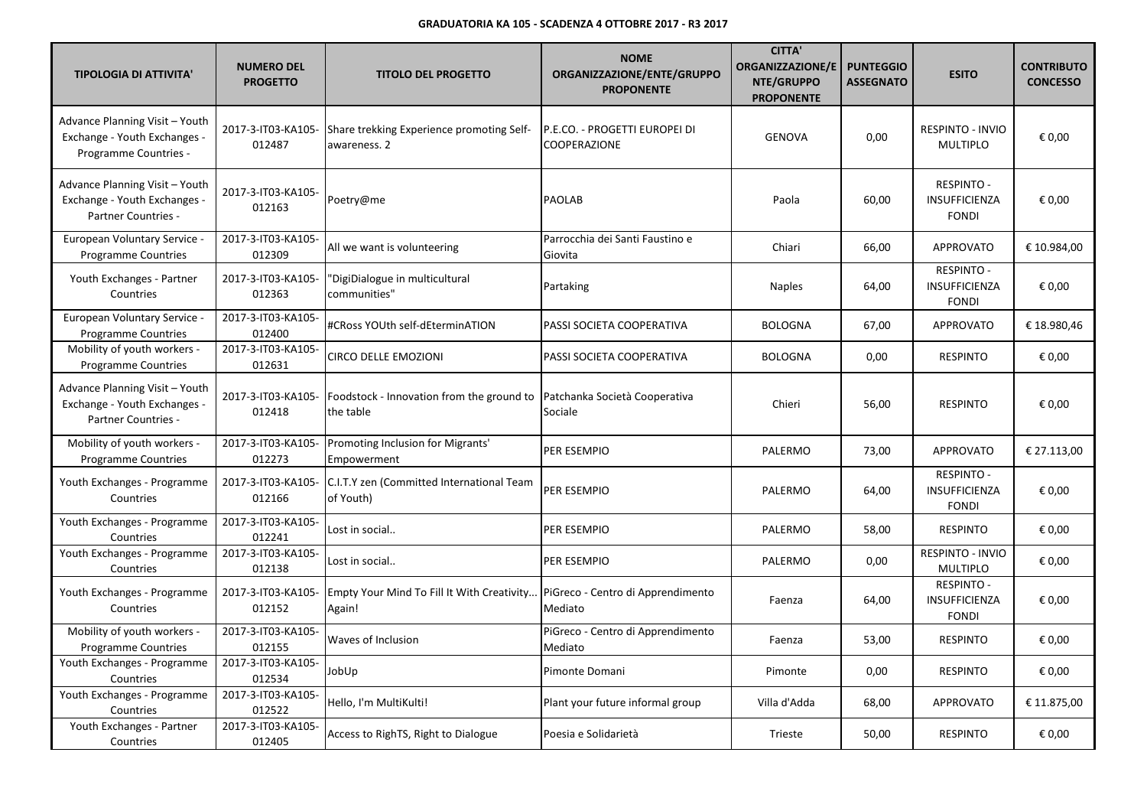| <b>TIPOLOGIA DI ATTIVITA'</b>                                                           | <b>NUMERO DEL</b><br><b>PROGETTO</b> | <b>TITOLO DEL PROGETTO</b>                                | <b>NOME</b><br>ORGANIZZAZIONE/ENTE/GRUPPO<br><b>PROPONENTE</b> | <b>CITTA'</b><br><b>ORGANIZZAZIONE/E</b><br>NTE/GRUPPO<br><b>PROPONENTE</b> | <b>PUNTEGGIO</b><br><b>ASSEGNATO</b> | <b>ESITO</b>                                              | <b>CONTRIBUTO</b><br><b>CONCESSO</b> |
|-----------------------------------------------------------------------------------------|--------------------------------------|-----------------------------------------------------------|----------------------------------------------------------------|-----------------------------------------------------------------------------|--------------------------------------|-----------------------------------------------------------|--------------------------------------|
| Advance Planning Visit - Youth<br>Exchange - Youth Exchanges -<br>Programme Countries - | 2017-3-IT03-KA105-<br>012487         | Share trekking Experience promoting Self-<br>awareness. 2 | P.E.CO. - PROGETTI EUROPEI DI<br><b>COOPERAZIONE</b>           | <b>GENOVA</b>                                                               | 0,00                                 | RESPINTO - INVIO<br><b>MULTIPLO</b>                       | € 0,00                               |
| Advance Planning Visit - Youth<br>Exchange - Youth Exchanges -<br>Partner Countries -   | 2017-3-IT03-KA105-<br>012163         | Poetry@me                                                 | <b>PAOLAB</b>                                                  | Paola                                                                       | 60,00                                | <b>RESPINTO -</b><br><b>INSUFFICIENZA</b><br><b>FONDI</b> | € 0.00                               |
| European Voluntary Service -<br><b>Programme Countries</b>                              | 2017-3-IT03-KA105-<br>012309         | All we want is volunteering                               | Parrocchia dei Santi Faustino e<br>Giovita                     | Chiari                                                                      | 66,00                                | <b>APPROVATO</b>                                          | € 10.984,00                          |
| Youth Exchanges - Partner<br>Countries                                                  | 2017-3-IT03-KA105-<br>012363         | 'DigiDialogue in multicultural<br>communities"            | Partaking                                                      | <b>Naples</b>                                                               | 64,00                                | <b>RESPINTO -</b><br>INSUFFICIENZA<br><b>FONDI</b>        | € 0,00                               |
| <b>European Voluntary Service -</b><br><b>Programme Countries</b>                       | 2017-3-IT03-KA105-<br>012400         | #CRoss YOUth self-dEterminATION                           | PASSI SOCIETA COOPERATIVA                                      | <b>BOLOGNA</b>                                                              | 67,00                                | APPROVATO                                                 | € 18.980,46                          |
| Mobility of youth workers -<br><b>Programme Countries</b>                               | 2017-3-IT03-KA105-<br>012631         | CIRCO DELLE EMOZIONI                                      | PASSI SOCIETA COOPERATIVA                                      | <b>BOLOGNA</b>                                                              | 0,00                                 | <b>RESPINTO</b>                                           | € 0,00                               |
| Advance Planning Visit - Youth<br>Exchange - Youth Exchanges -<br>Partner Countries -   | 2017-3-IT03-KA105-<br>012418         | Foodstock - Innovation from the ground to<br>the table    | Patchanka Società Cooperativa<br>Sociale                       | Chieri                                                                      | 56,00                                | <b>RESPINTO</b>                                           | € 0,00                               |
| Mobility of youth workers -<br>Programme Countries                                      | 2017-3-IT03-KA105-<br>012273         | Promoting Inclusion for Migrants'<br>Empowerment          | PER ESEMPIO                                                    | PALERMO                                                                     | 73,00                                | <b>APPROVATO</b>                                          | € 27.113,00                          |
| Youth Exchanges - Programme<br>Countries                                                | 2017-3-IT03-KA105-<br>012166         | C.I.T.Y zen (Committed International Team<br>of Youth)    | PER ESEMPIO                                                    | PALERMO                                                                     | 64,00                                | <b>RESPINTO -</b><br>INSUFFICIENZA<br><b>FONDI</b>        | € 0,00                               |
| Youth Exchanges - Programme<br>Countries                                                | 2017-3-IT03-KA105-<br>012241         | Lost in social                                            | PER ESEMPIO                                                    | PALERMO                                                                     | 58,00                                | <b>RESPINTO</b>                                           | € 0,00                               |
| Youth Exchanges - Programme<br>Countries                                                | 2017-3-IT03-KA105-<br>012138         | Lost in social                                            | PER ESEMPIO                                                    | PALERMO                                                                     | 0,00                                 | RESPINTO - INVIO<br><b>MULTIPLO</b>                       | € 0,00                               |
| Youth Exchanges - Programme<br>Countries                                                | 2017-3-IT03-KA105-<br>012152         | Empty Your Mind To Fill It With Creativity<br>Again!      | PiGreco - Centro di Apprendimento<br>Mediato                   | Faenza                                                                      | 64,00                                | <b>RESPINTO -</b><br>INSUFFICIENZA<br><b>FONDI</b>        | € 0,00                               |
| Mobility of youth workers -<br><b>Programme Countries</b>                               | 2017-3-IT03-KA105-<br>012155         | Waves of Inclusion                                        | PiGreco - Centro di Apprendimento<br>Mediato                   | Faenza                                                                      | 53,00                                | <b>RESPINTO</b>                                           | € 0,00                               |
| Youth Exchanges - Programme<br>Countries                                                | 2017-3-IT03-KA105-<br>012534         | JobUp                                                     | Pimonte Domani                                                 | Pimonte                                                                     | 0,00                                 | <b>RESPINTO</b>                                           | € 0,00                               |
| Youth Exchanges - Programme<br>Countries                                                | 2017-3-IT03-KA105-<br>012522         | Hello, I'm MultiKulti!                                    | Plant your future informal group                               | Villa d'Adda                                                                | 68,00                                | <b>APPROVATO</b>                                          | € 11.875,00                          |
| Youth Exchanges - Partner<br>Countries                                                  | 2017-3-IT03-KA105-<br>012405         | Access to RighTS, Right to Dialogue                       | Poesia e Solidarietà                                           | Trieste                                                                     | 50,00                                | <b>RESPINTO</b>                                           | € 0,00                               |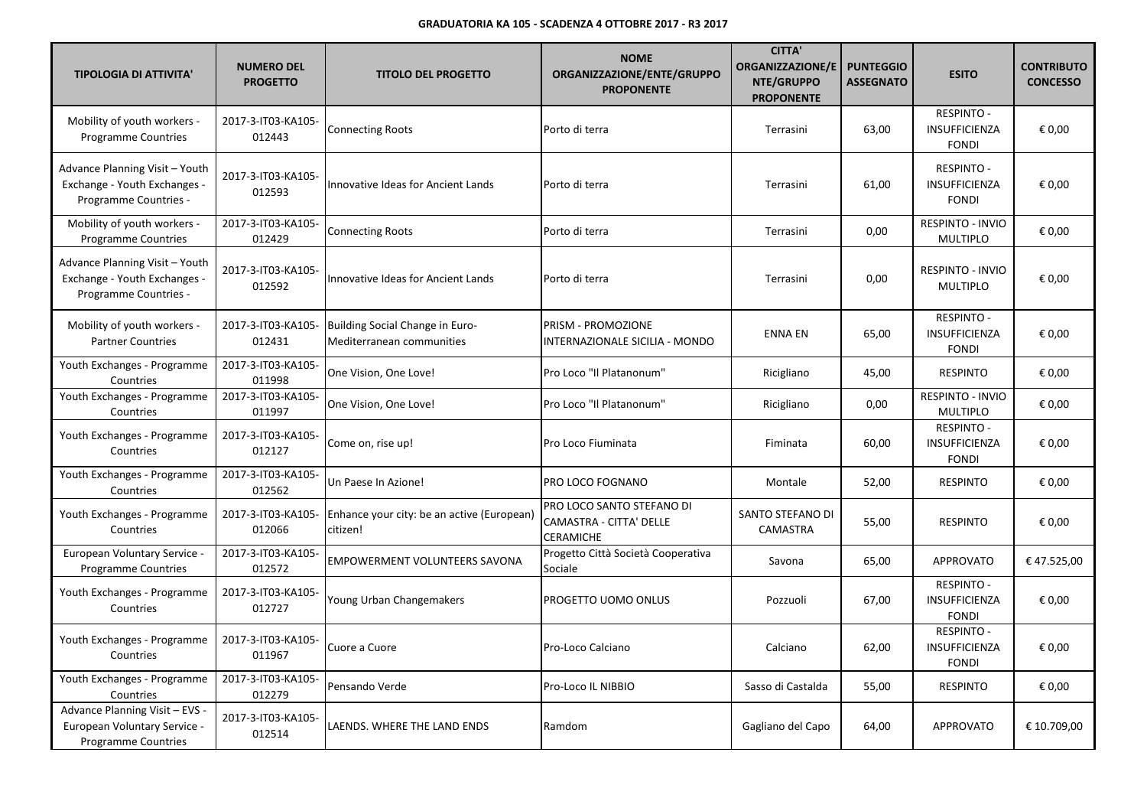| <b>TIPOLOGIA DI ATTIVITA'</b>                                                                | <b>NUMERO DEL</b><br><b>PROGETTO</b> | <b>TITOLO DEL PROGETTO</b>                                   | <b>NOME</b><br>ORGANIZZAZIONE/ENTE/GRUPPO<br><b>PROPONENTE</b>           | <b>CITTA'</b><br><b>ORGANIZZAZIONE/E</b><br>NTE/GRUPPO<br><b>PROPONENTE</b> | <b>PUNTEGGIO</b><br><b>ASSEGNATO</b> | <b>ESITO</b>                                              | <b>CONTRIBUTO</b><br><b>CONCESSO</b> |
|----------------------------------------------------------------------------------------------|--------------------------------------|--------------------------------------------------------------|--------------------------------------------------------------------------|-----------------------------------------------------------------------------|--------------------------------------|-----------------------------------------------------------|--------------------------------------|
| Mobility of youth workers -<br><b>Programme Countries</b>                                    | 2017-3-IT03-KA105-<br>012443         | <b>Connecting Roots</b>                                      | Porto di terra                                                           | Terrasini                                                                   | 63,00                                | <b>RESPINTO -</b><br>INSUFFICIENZA<br><b>FONDI</b>        | € 0.00                               |
| Advance Planning Visit - Youth<br>Exchange - Youth Exchanges -<br>Programme Countries -      | 2017-3-IT03-KA105-<br>012593         | Innovative Ideas for Ancient Lands                           | Porto di terra                                                           | Terrasini                                                                   | 61,00                                | <b>RESPINTO -</b><br>INSUFFICIENZA<br><b>FONDI</b>        | € 0,00                               |
| Mobility of youth workers -<br>Programme Countries                                           | 2017-3-IT03-KA105-<br>012429         | Connecting Roots                                             | Porto di terra                                                           | Terrasini                                                                   | 0,00                                 | RESPINTO - INVIO<br><b>MULTIPLO</b>                       | € 0,00                               |
| Advance Planning Visit - Youth<br>Exchange - Youth Exchanges -<br>Programme Countries -      | 2017-3-IT03-KA105-<br>012592         | Innovative Ideas for Ancient Lands                           | Porto di terra                                                           | Terrasini                                                                   | 0,00                                 | RESPINTO - INVIO<br><b>MULTIPLO</b>                       | € 0,00                               |
| Mobility of youth workers -<br><b>Partner Countries</b>                                      | 2017-3-IT03-KA105-<br>012431         | Building Social Change in Euro-<br>Mediterranean communities | <b>PRISM - PROMOZIONE</b><br>INTERNAZIONALE SICILIA - MONDO              | <b>ENNA EN</b>                                                              | 65,00                                | <b>RESPINTO -</b><br><b>INSUFFICIENZA</b><br><b>FONDI</b> | € 0,00                               |
| Youth Exchanges - Programme<br>Countries                                                     | 2017-3-IT03-KA105-<br>011998         | One Vision, One Love!                                        | Pro Loco "Il Platanonum"                                                 | Ricigliano                                                                  | 45,00                                | <b>RESPINTO</b>                                           | € 0,00                               |
| Youth Exchanges - Programme<br>Countries                                                     | 2017-3-IT03-KA105-<br>011997         | One Vision, One Love!                                        | Pro Loco "Il Platanonum"                                                 | Ricigliano                                                                  | 0,00                                 | RESPINTO - INVIO<br><b>MULTIPLO</b>                       | € 0,00                               |
| Youth Exchanges - Programme<br>Countries                                                     | 2017-3-IT03-KA105-<br>012127         | Come on, rise up!                                            | Pro Loco Fiuminata                                                       | Fiminata                                                                    | 60,00                                | RESPINTO -<br>INSUFFICIENZA<br><b>FONDI</b>               | € 0,00                               |
| Youth Exchanges - Programme<br>Countries                                                     | 2017-3-IT03-KA105-<br>012562         | Un Paese In Azione!                                          | PRO LOCO FOGNANO                                                         | Montale                                                                     | 52,00                                | <b>RESPINTO</b>                                           | € 0,00                               |
| Youth Exchanges - Programme<br>Countries                                                     | 2017-3-IT03-KA105-<br>012066         | Enhance your city: be an active (European)<br>citizen!       | PRO LOCO SANTO STEFANO DI<br>CAMASTRA - CITTA' DELLE<br><b>CERAMICHE</b> | SANTO STEFANO DI<br>CAMASTRA                                                | 55,00                                | <b>RESPINTO</b>                                           | € 0,00                               |
| European Voluntary Service -<br><b>Programme Countries</b>                                   | 2017-3-IT03-KA105-<br>012572         | EMPOWERMENT VOLUNTEERS SAVONA                                | Progetto Città Società Cooperativa<br>Sociale                            | Savona                                                                      | 65,00                                | <b>APPROVATO</b>                                          | €47.525,00                           |
| Youth Exchanges - Programme<br>Countries                                                     | 2017-3-IT03-KA105-<br>012727         | Young Urban Changemakers                                     | PROGETTO UOMO ONLUS                                                      | Pozzuoli                                                                    | 67,00                                | <b>RESPINTO -</b><br>INSUFFICIENZA<br><b>FONDI</b>        | € 0,00                               |
| Youth Exchanges - Programme<br>Countries                                                     | 2017-3-IT03-KA105-<br>011967         | Cuore a Cuore                                                | Pro-Loco Calciano                                                        | Calciano                                                                    | 62,00                                | <b>RESPINTO -</b><br>INSUFFICIENZA<br><b>FONDI</b>        | € 0,00                               |
| Youth Exchanges - Programme<br>Countries                                                     | 2017-3-IT03-KA105-<br>012279         | Pensando Verde                                               | Pro-Loco IL NIBBIO                                                       | Sasso di Castalda                                                           | 55,00                                | <b>RESPINTO</b>                                           | € 0,00                               |
| Advance Planning Visit - EVS -<br>European Voluntary Service -<br><b>Programme Countries</b> | 2017-3-IT03-KA105-<br>012514         | LAENDS. WHERE THE LAND ENDS                                  | Ramdom                                                                   | Gagliano del Capo                                                           | 64,00                                | <b>APPROVATO</b>                                          | € 10.709,00                          |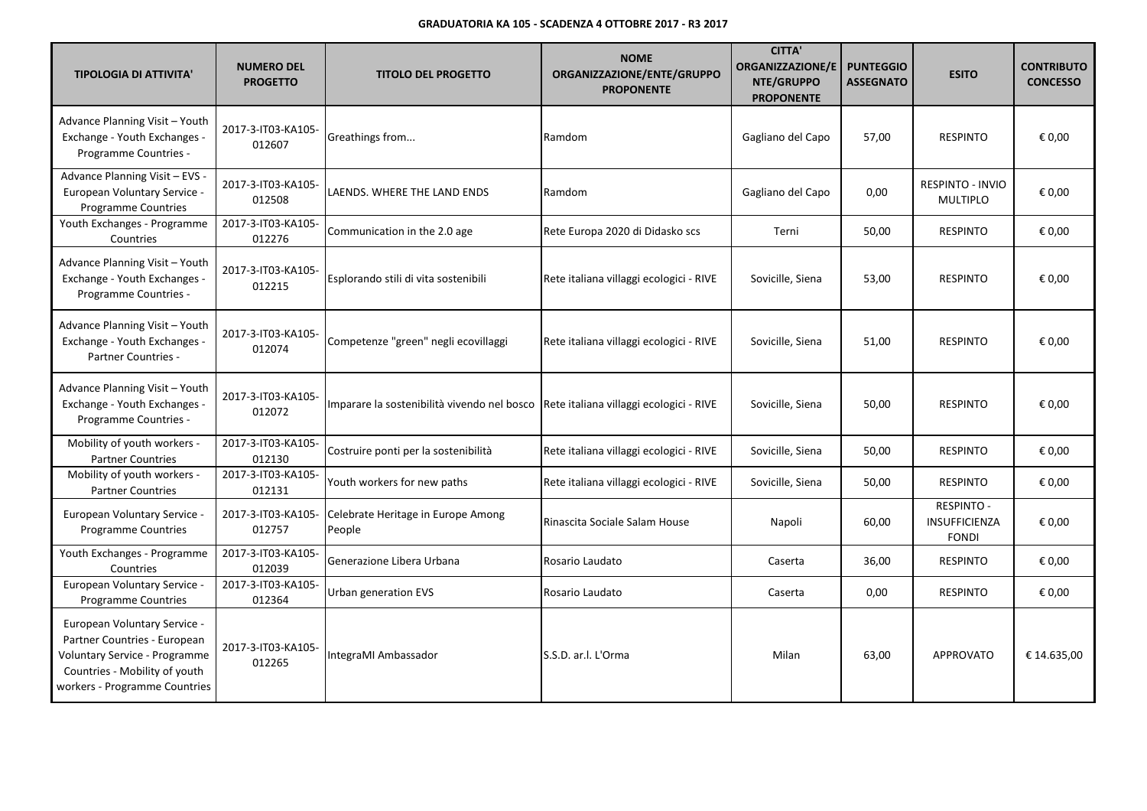| <b>TIPOLOGIA DI ATTIVITA'</b>                                                                                                                                   | <b>NUMERO DEL</b><br><b>PROGETTO</b> | <b>TITOLO DEL PROGETTO</b>                                                          | <b>NOME</b><br>ORGANIZZAZIONE/ENTE/GRUPPO<br><b>PROPONENTE</b> | <b>CITTA'</b><br><b>ORGANIZZAZIONE/E</b><br>NTE/GRUPPO<br><b>PROPONENTE</b> | <b>PUNTEGGIO</b><br><b>ASSEGNATO</b> | <b>ESITO</b>                                       | <b>CONTRIBUTO</b><br><b>CONCESSO</b> |
|-----------------------------------------------------------------------------------------------------------------------------------------------------------------|--------------------------------------|-------------------------------------------------------------------------------------|----------------------------------------------------------------|-----------------------------------------------------------------------------|--------------------------------------|----------------------------------------------------|--------------------------------------|
| Advance Planning Visit - Youth<br>Exchange - Youth Exchanges -<br>Programme Countries -                                                                         | 2017-3-IT03-KA105-<br>012607         | Greathings from                                                                     | Ramdom                                                         | Gagliano del Capo                                                           | 57,00                                | <b>RESPINTO</b>                                    | € 0.00                               |
| Advance Planning Visit - EVS -<br>European Voluntary Service -<br>Programme Countries                                                                           | 2017-3-IT03-KA105-<br>012508         | LAENDS. WHERE THE LAND ENDS                                                         | Ramdom                                                         | Gagliano del Capo                                                           | 0,00                                 | RESPINTO - INVIO<br><b>MULTIPLO</b>                | € 0.00                               |
| Youth Exchanges - Programme<br>Countries                                                                                                                        | 2017-3-IT03-KA105-<br>012276         | Communication in the 2.0 age                                                        | Rete Europa 2020 di Didasko scs                                | Terni                                                                       | 50,00                                | <b>RESPINTO</b>                                    | € 0,00                               |
| Advance Planning Visit - Youth<br>Exchange - Youth Exchanges -<br>Programme Countries -                                                                         | 2017-3-IT03-KA105-<br>012215         | Esplorando stili di vita sostenibili                                                | Rete italiana villaggi ecologici - RIVE                        | Sovicille, Siena                                                            | 53,00                                | <b>RESPINTO</b>                                    | € 0,00                               |
| Advance Planning Visit - Youth<br>Exchange - Youth Exchanges -<br><b>Partner Countries -</b>                                                                    | 2017-3-IT03-KA105-<br>012074         | Competenze "green" negli ecovillaggi                                                | Rete italiana villaggi ecologici - RIVE                        | Sovicille, Siena                                                            | 51,00                                | <b>RESPINTO</b>                                    | € 0.00                               |
| Advance Planning Visit - Youth<br>Exchange - Youth Exchanges -<br>Programme Countries -                                                                         | 2017-3-IT03-KA105-<br>012072         | Imparare la sostenibilità vivendo nel bosco Rete italiana villaggi ecologici - RIVE |                                                                | Sovicille, Siena                                                            | 50,00                                | <b>RESPINTO</b>                                    | € 0,00                               |
| Mobility of youth workers -<br><b>Partner Countries</b>                                                                                                         | 2017-3-IT03-KA105-<br>012130         | Costruire ponti per la sostenibilità                                                | Rete italiana villaggi ecologici - RIVE                        | Sovicille, Siena                                                            | 50,00                                | <b>RESPINTO</b>                                    | € 0,00                               |
| Mobility of youth workers -<br><b>Partner Countries</b>                                                                                                         | 2017-3-IT03-KA105-<br>012131         | Youth workers for new paths                                                         | Rete italiana villaggi ecologici - RIVE                        | Sovicille, Siena                                                            | 50,00                                | <b>RESPINTO</b>                                    | € 0,00                               |
| European Voluntary Service -<br><b>Programme Countries</b>                                                                                                      | 2017-3-IT03-KA105-<br>012757         | Celebrate Heritage in Europe Among<br>People                                        | Rinascita Sociale Salam House                                  | Napoli                                                                      | 60,00                                | <b>RESPINTO -</b><br>INSUFFICIENZA<br><b>FONDI</b> | € 0,00                               |
| Youth Exchanges - Programme<br>Countries                                                                                                                        | 2017-3-IT03-KA105-<br>012039         | Generazione Libera Urbana                                                           | Rosario Laudato                                                | Caserta                                                                     | 36,00                                | <b>RESPINTO</b>                                    | € 0,00                               |
| European Voluntary Service -<br><b>Programme Countries</b>                                                                                                      | 2017-3-IT03-KA105-<br>012364         | Urban generation EVS                                                                | Rosario Laudato                                                | Caserta                                                                     | 0,00                                 | <b>RESPINTO</b>                                    | € 0,00                               |
| European Voluntary Service -<br>Partner Countries - European<br>Voluntary Service - Programme<br>Countries - Mobility of youth<br>workers - Programme Countries | 2017-3-IT03-KA105-<br>012265         | IntegraMI Ambassador                                                                | lS.S.D. ar.I. L'Orma                                           | Milan                                                                       | 63,00                                | <b>APPROVATO</b>                                   | € 14.635,00                          |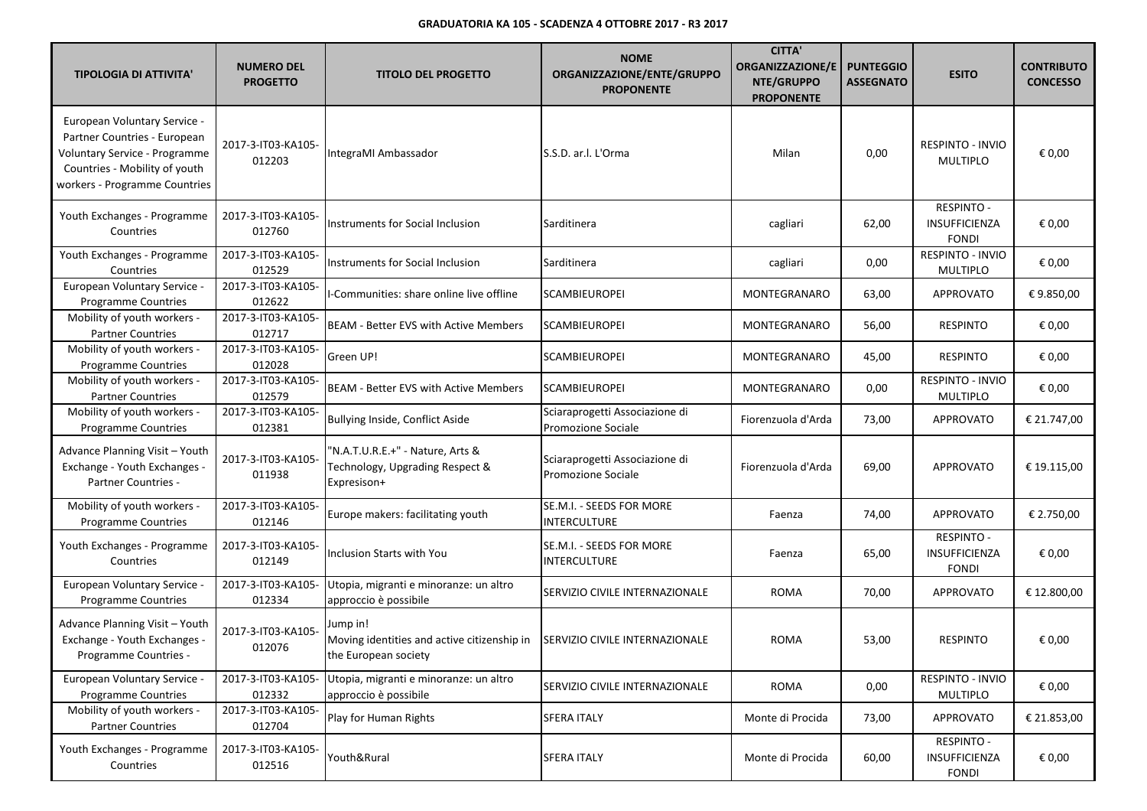| <b>TIPOLOGIA DI ATTIVITA'</b>                                                                                                                                   | <b>NUMERO DEL</b><br><b>PROGETTO</b> | <b>TITOLO DEL PROGETTO</b>                                                         | <b>NOME</b><br>ORGANIZZAZIONE/ENTE/GRUPPO<br><b>PROPONENTE</b> | <b>CITTA'</b><br><b>ORGANIZZAZIONE/E</b><br>NTE/GRUPPO<br><b>PROPONENTE</b> | <b>PUNTEGGIO</b><br><b>ASSEGNATO</b> | <b>ESITO</b>                                       | <b>CONTRIBUTO</b><br><b>CONCESSO</b> |
|-----------------------------------------------------------------------------------------------------------------------------------------------------------------|--------------------------------------|------------------------------------------------------------------------------------|----------------------------------------------------------------|-----------------------------------------------------------------------------|--------------------------------------|----------------------------------------------------|--------------------------------------|
| European Voluntary Service -<br>Partner Countries - European<br>Voluntary Service - Programme<br>Countries - Mobility of youth<br>workers - Programme Countries | 2017-3-IT03-KA105-<br>012203         | IntegraMI Ambassador                                                               | S.S.D. ar.l. L'Orma                                            | Milan                                                                       | 0,00                                 | <b>RESPINTO - INVIO</b><br><b>MULTIPLO</b>         | € 0,00                               |
| Youth Exchanges - Programme<br>Countries                                                                                                                        | 2017-3-IT03-KA105-<br>012760         | Instruments for Social Inclusion                                                   | Sarditinera                                                    | cagliari                                                                    | 62,00                                | <b>RESPINTO -</b><br>INSUFFICIENZA<br><b>FONDI</b> | € 0,00                               |
| Youth Exchanges - Programme<br>Countries                                                                                                                        | 2017-3-IT03-KA105-<br>012529         | Instruments for Social Inclusion                                                   | Sarditinera                                                    | cagliari                                                                    | 0,00                                 | RESPINTO - INVIO<br><b>MULTIPLO</b>                | € 0,00                               |
| European Voluntary Service -<br>Programme Countries                                                                                                             | 2017-3-IT03-KA105-<br>012622         | I-Communities: share online live offline                                           | <b>SCAMBIEUROPEI</b>                                           | MONTEGRANARO                                                                | 63,00                                | <b>APPROVATO</b>                                   | €9.850,00                            |
| Mobility of youth workers -<br><b>Partner Countries</b>                                                                                                         | 2017-3-IT03-KA105-<br>012717         | <b>BEAM - Better EVS with Active Members</b>                                       | <b>SCAMBIEUROPEI</b>                                           | MONTEGRANARO                                                                | 56,00                                | <b>RESPINTO</b>                                    | € 0,00                               |
| Mobility of youth workers -<br>Programme Countries                                                                                                              | 2017-3-IT03-KA105-<br>012028         | Green UP!                                                                          | <b>SCAMBIEUROPEI</b>                                           | MONTEGRANARO                                                                | 45,00                                | <b>RESPINTO</b>                                    | € 0,00                               |
| Mobility of youth workers -<br><b>Partner Countries</b>                                                                                                         | 2017-3-IT03-KA105-<br>012579         | <b>BEAM - Better EVS with Active Members</b>                                       | <b>SCAMBIEUROPEI</b>                                           | MONTEGRANARO                                                                | 0,00                                 | RESPINTO - INVIO<br><b>MULTIPLO</b>                | € 0,00                               |
| Mobility of youth workers -<br><b>Programme Countries</b>                                                                                                       | 2017-3-IT03-KA105-<br>012381         | Bullying Inside, Conflict Aside                                                    | Sciaraprogetti Associazione di<br>Promozione Sociale           | Fiorenzuola d'Arda                                                          | 73,00                                | <b>APPROVATO</b>                                   | € 21.747,00                          |
| Advance Planning Visit - Youth<br>Exchange - Youth Exchanges -<br><b>Partner Countries -</b>                                                                    | 2017-3-IT03-KA105-<br>011938         | "N.A.T.U.R.E.+" - Nature, Arts &<br>Technology, Upgrading Respect &<br>Expresison+ | Sciaraprogetti Associazione di<br>Promozione Sociale           | Fiorenzuola d'Arda                                                          | 69,00                                | <b>APPROVATO</b>                                   | € 19.115,00                          |
| Mobility of youth workers -<br><b>Programme Countries</b>                                                                                                       | 2017-3-IT03-KA105-<br>012146         | Europe makers: facilitating youth                                                  | SE.M.I. - SEEDS FOR MORE<br><b>INTERCULTURE</b>                | Faenza                                                                      | 74,00                                | <b>APPROVATO</b>                                   | € 2.750,00                           |
| Youth Exchanges - Programme<br>Countries                                                                                                                        | 2017-3-IT03-KA105-<br>012149         | Inclusion Starts with You                                                          | SE.M.I. - SEEDS FOR MORE<br>INTERCULTURE                       | Faenza                                                                      | 65,00                                | <b>RESPINTO -</b><br>INSUFFICIENZA<br><b>FONDI</b> | € 0,00                               |
| European Voluntary Service -<br><b>Programme Countries</b>                                                                                                      | 2017-3-IT03-KA105-<br>012334         | Utopia, migranti e minoranze: un altro<br>approccio è possibile                    | SERVIZIO CIVILE INTERNAZIONALE                                 | <b>ROMA</b>                                                                 | 70,00                                | <b>APPROVATO</b>                                   | € 12.800,00                          |
| Advance Planning Visit - Youth<br>Exchange - Youth Exchanges -<br>Programme Countries -                                                                         | 2017-3-IT03-KA105-<br>012076         | Jump in!<br>Moving identities and active citizenship in<br>the European society    | SERVIZIO CIVILE INTERNAZIONALE                                 | <b>ROMA</b>                                                                 | 53,00                                | <b>RESPINTO</b>                                    | € 0,00                               |
| European Voluntary Service -<br>Programme Countries                                                                                                             | 2017-3-IT03-KA105-<br>012332         | Utopia, migranti e minoranze: un altro<br>approccio è possibile                    | SERVIZIO CIVILE INTERNAZIONALE                                 | <b>ROMA</b>                                                                 | 0,00                                 | RESPINTO - INVIO<br><b>MULTIPLO</b>                | € 0,00                               |
| Mobility of youth workers -<br><b>Partner Countries</b>                                                                                                         | 2017-3-IT03-KA105-<br>012704         | Play for Human Rights                                                              | <b>SFERA ITALY</b>                                             | Monte di Procida                                                            | 73,00                                | <b>APPROVATO</b>                                   | € 21.853,00                          |
| Youth Exchanges - Programme<br>Countries                                                                                                                        | 2017-3-IT03-KA105-<br>012516         | Youth&Rural                                                                        | <b>SFERA ITALY</b>                                             | Monte di Procida                                                            | 60,00                                | <b>RESPINTO -</b><br>INSUFFICIENZA<br><b>FONDI</b> | € 0,00                               |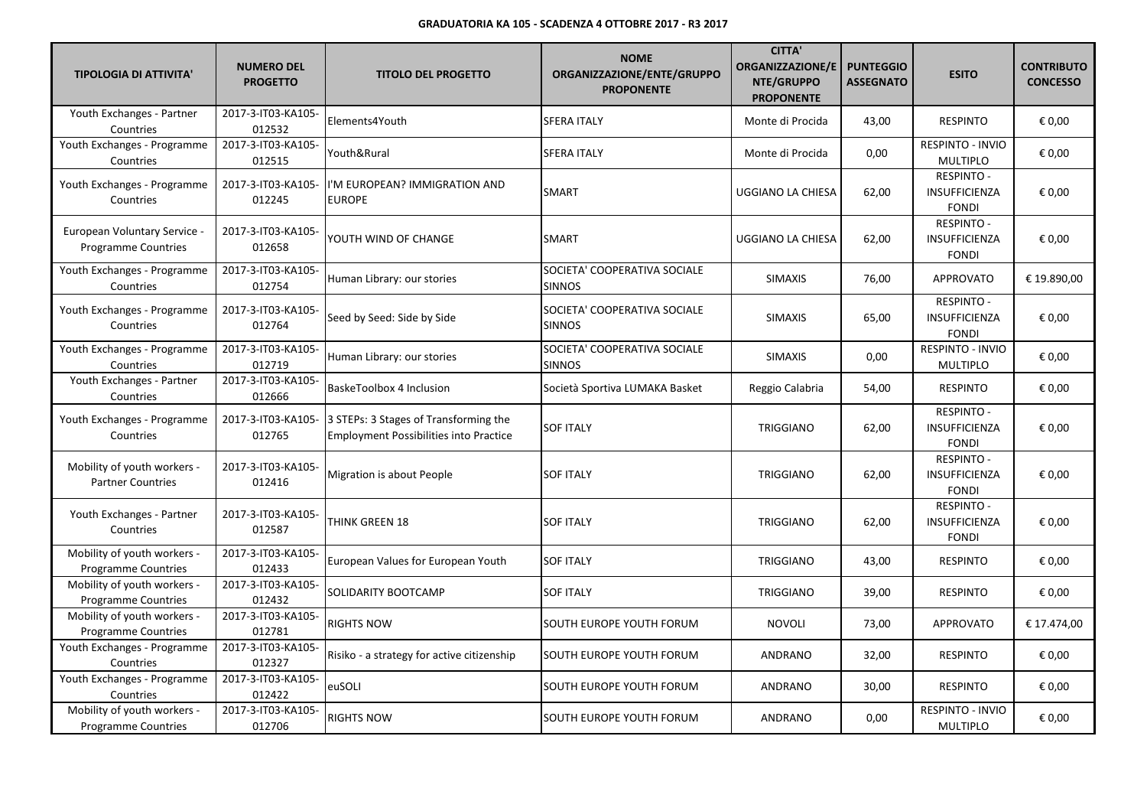| <b>TIPOLOGIA DI ATTIVITA'</b>                              | <b>NUMERO DEL</b><br><b>PROGETTO</b> | <b>TITOLO DEL PROGETTO</b>                                                             | <b>NOME</b><br>ORGANIZZAZIONE/ENTE/GRUPPO<br><b>PROPONENTE</b> | <b>CITTA'</b><br><b>ORGANIZZAZIONE/E</b><br>NTE/GRUPPO<br><b>PROPONENTE</b> | <b>PUNTEGGIO</b><br><b>ASSEGNATO</b> | <b>ESITO</b>                                              | <b>CONTRIBUTO</b><br><b>CONCESSO</b> |
|------------------------------------------------------------|--------------------------------------|----------------------------------------------------------------------------------------|----------------------------------------------------------------|-----------------------------------------------------------------------------|--------------------------------------|-----------------------------------------------------------|--------------------------------------|
| Youth Exchanges - Partner<br>Countries                     | 2017-3-IT03-KA105-<br>012532         | Elements4Youth                                                                         | <b>SFERA ITALY</b>                                             | Monte di Procida                                                            | 43,00                                | <b>RESPINTO</b>                                           | € 0,00                               |
| Youth Exchanges - Programme<br>Countries                   | 2017-3-IT03-KA105-<br>012515         | Youth&Rural                                                                            | <b>SFERA ITALY</b>                                             | Monte di Procida                                                            | 0,00                                 | <b>RESPINTO - INVIO</b><br><b>MULTIPLO</b>                | € 0,00                               |
| Youth Exchanges - Programme<br>Countries                   | 2017-3-IT03-KA105-<br>012245         | I'M EUROPEAN? IMMIGRATION AND<br><b>EUROPE</b>                                         | <b>SMART</b>                                                   | UGGIANO LA CHIESA                                                           | 62,00                                | <b>RESPINTO -</b><br><b>INSUFFICIENZA</b><br><b>FONDI</b> | € 0,00                               |
| European Voluntary Service -<br><b>Programme Countries</b> | 2017-3-IT03-KA105-<br>012658         | YOUTH WIND OF CHANGE                                                                   | <b>SMART</b>                                                   | UGGIANO LA CHIESA                                                           | 62,00                                | <b>RESPINTO -</b><br><b>INSUFFICIENZA</b><br><b>FONDI</b> | € 0.00                               |
| Youth Exchanges - Programme<br>Countries                   | 2017-3-IT03-KA105-<br>012754         | Human Library: our stories                                                             | SOCIETA' COOPERATIVA SOCIALE<br><b>SINNOS</b>                  | <b>SIMAXIS</b>                                                              | 76,00                                | <b>APPROVATO</b>                                          | € 19.890,00                          |
| Youth Exchanges - Programme<br>Countries                   | 2017-3-IT03-KA105-<br>012764         | Seed by Seed: Side by Side                                                             | SOCIETA' COOPERATIVA SOCIALE<br><b>SINNOS</b>                  | <b>SIMAXIS</b>                                                              | 65,00                                | <b>RESPINTO -</b><br><b>INSUFFICIENZA</b><br><b>FONDI</b> | € 0.00                               |
| Youth Exchanges - Programme<br>Countries                   | 2017-3-IT03-KA105-<br>012719         | Human Library: our stories                                                             | SOCIETA' COOPERATIVA SOCIALE<br><b>SINNOS</b>                  | <b>SIMAXIS</b>                                                              | 0,00                                 | RESPINTO - INVIO<br><b>MULTIPLO</b>                       | € 0,00                               |
| Youth Exchanges - Partner<br>Countries                     | 2017-3-IT03-KA105-<br>012666         | BaskeToolbox 4 Inclusion                                                               | Società Sportiva LUMAKA Basket                                 | Reggio Calabria                                                             | 54,00                                | <b>RESPINTO</b>                                           | € 0,00                               |
| Youth Exchanges - Programme<br>Countries                   | 2017-3-IT03-KA105-<br>012765         | 3 STEPs: 3 Stages of Transforming the<br><b>Employment Possibilities into Practice</b> | <b>SOF ITALY</b>                                               | TRIGGIANO                                                                   | 62,00                                | <b>RESPINTO -</b><br>INSUFFICIENZA<br><b>FONDI</b>        | € 0,00                               |
| Mobility of youth workers -<br><b>Partner Countries</b>    | 2017-3-IT03-KA105-<br>012416         | Migration is about People                                                              | <b>SOF ITALY</b>                                               | <b>TRIGGIANO</b>                                                            | 62,00                                | <b>RESPINTO -</b><br><b>INSUFFICIENZA</b><br><b>FONDI</b> | € 0,00                               |
| Youth Exchanges - Partner<br>Countries                     | 2017-3-IT03-KA105-<br>012587         | THINK GREEN 18                                                                         | <b>SOF ITALY</b>                                               | <b>TRIGGIANO</b>                                                            | 62,00                                | <b>RESPINTO -</b><br><b>INSUFFICIENZA</b><br><b>FONDI</b> | € 0.00                               |
| Mobility of youth workers -<br><b>Programme Countries</b>  | 2017-3-IT03-KA105-<br>012433         | European Values for European Youth                                                     | <b>SOF ITALY</b>                                               | <b>TRIGGIANO</b>                                                            | 43,00                                | <b>RESPINTO</b>                                           | € 0,00                               |
| Mobility of youth workers -<br><b>Programme Countries</b>  | 2017-3-IT03-KA105-<br>012432         | SOLIDARITY BOOTCAMP                                                                    | <b>SOF ITALY</b>                                               | TRIGGIANO                                                                   | 39,00                                | <b>RESPINTO</b>                                           | € 0,00                               |
| Mobility of youth workers -<br><b>Programme Countries</b>  | 2017-3-IT03-KA105-<br>012781         | <b>RIGHTS NOW</b>                                                                      | SOUTH EUROPE YOUTH FORUM                                       | <b>NOVOLI</b>                                                               | 73,00                                | <b>APPROVATO</b>                                          | € 17.474.00                          |
| Youth Exchanges - Programme<br>Countries                   | 2017-3-IT03-KA105-<br>012327         | Risiko - a strategy for active citizenship                                             | SOUTH EUROPE YOUTH FORUM                                       | ANDRANO                                                                     | 32,00                                | <b>RESPINTO</b>                                           | € 0,00                               |
| Youth Exchanges - Programme<br>Countries                   | 2017-3-IT03-KA105-<br>012422         | euSOLI                                                                                 | SOUTH EUROPE YOUTH FORUM                                       | <b>ANDRANO</b>                                                              | 30,00                                | <b>RESPINTO</b>                                           | € 0,00                               |
| Mobility of youth workers -<br><b>Programme Countries</b>  | 2017-3-IT03-KA105-<br>012706         | <b>RIGHTS NOW</b>                                                                      | SOUTH EUROPE YOUTH FORUM                                       | ANDRANO                                                                     | 0,00                                 | RESPINTO - INVIO<br><b>MULTIPLO</b>                       | € 0,00                               |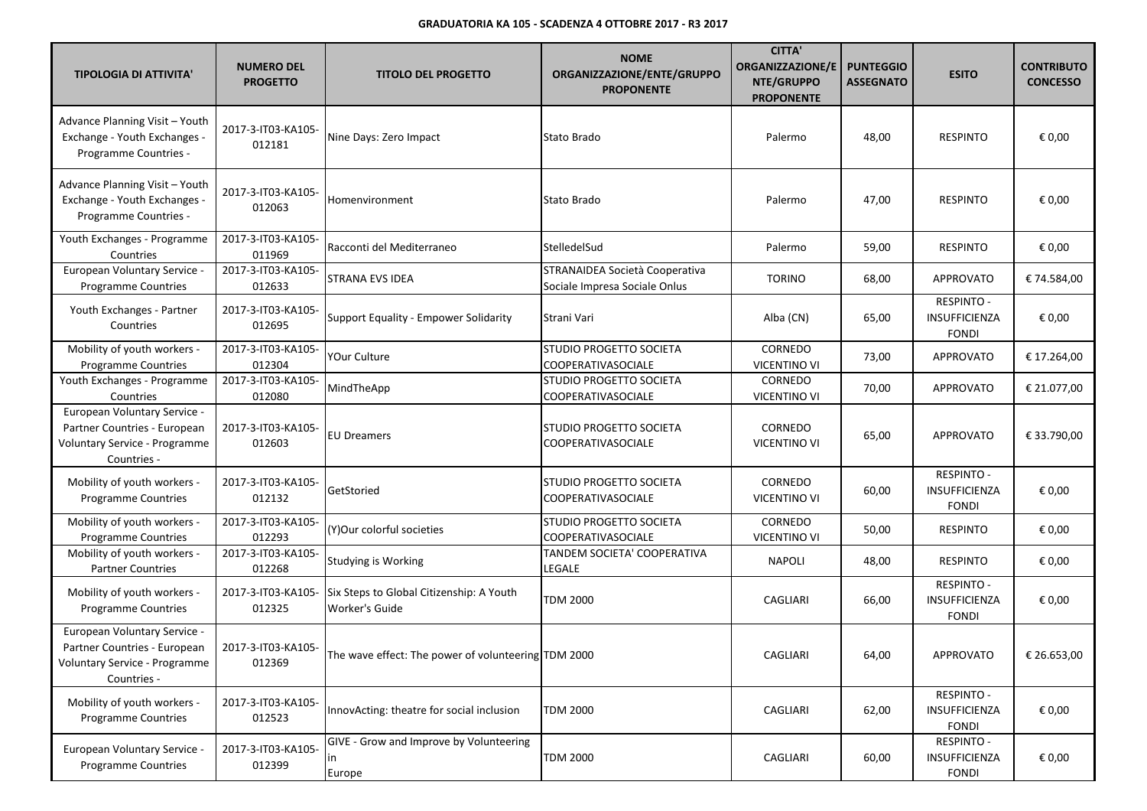| <b>TIPOLOGIA DI ATTIVITA'</b>                                                                                | <b>NUMERO DEL</b><br><b>PROGETTO</b> | <b>TITOLO DEL PROGETTO</b>                                 | <b>NOME</b><br>ORGANIZZAZIONE/ENTE/GRUPPO<br><b>PROPONENTE</b>  | <b>CITTA'</b><br><b>ORGANIZZAZIONE/E</b><br>NTE/GRUPPO<br><b>PROPONENTE</b> | <b>PUNTEGGIO</b><br><b>ASSEGNATO</b> | <b>ESITO</b>                                       | <b>CONTRIBUTO</b><br><b>CONCESSO</b> |
|--------------------------------------------------------------------------------------------------------------|--------------------------------------|------------------------------------------------------------|-----------------------------------------------------------------|-----------------------------------------------------------------------------|--------------------------------------|----------------------------------------------------|--------------------------------------|
| Advance Planning Visit - Youth<br>Exchange - Youth Exchanges -<br>Programme Countries -                      | 2017-3-IT03-KA105-<br>012181         | Nine Days: Zero Impact                                     | Stato Brado                                                     | Palermo                                                                     | 48,00                                | <b>RESPINTO</b>                                    | € 0,00                               |
| Advance Planning Visit - Youth<br>Exchange - Youth Exchanges -<br>Programme Countries -                      | 2017-3-IT03-KA105-<br>012063         | Homenvironment                                             | Stato Brado                                                     | Palermo                                                                     | 47,00                                | <b>RESPINTO</b>                                    | € 0,00                               |
| Youth Exchanges - Programme<br>Countries                                                                     | 2017-3-IT03-KA105-<br>011969         | Racconti del Mediterraneo                                  | StelledelSud                                                    | Palermo                                                                     | 59,00                                | <b>RESPINTO</b>                                    | € 0,00                               |
| European Voluntary Service -<br><b>Programme Countries</b>                                                   | 2017-3-IT03-KA105-<br>012633         | STRANA EVS IDEA                                            | STRANAIDEA Società Cooperativa<br>Sociale Impresa Sociale Onlus | <b>TORINO</b>                                                               | 68,00                                | <b>APPROVATO</b>                                   | € 74.584,00                          |
| Youth Exchanges - Partner<br>Countries                                                                       | 2017-3-IT03-KA105-<br>012695         | Support Equality - Empower Solidarity                      | Strani Vari                                                     | Alba (CN)                                                                   | 65,00                                | <b>RESPINTO -</b><br>INSUFFICIENZA<br><b>FONDI</b> | € 0,00                               |
| Mobility of youth workers -<br><b>Programme Countries</b>                                                    | 2017-3-IT03-KA105-<br>012304         | YOur Culture                                               | STUDIO PROGETTO SOCIETA<br>COOPERATIVASOCIALE                   | CORNEDO<br>VICENTINO VI                                                     | 73,00                                | <b>APPROVATO</b>                                   | € 17.264,00                          |
| Youth Exchanges - Programme<br>Countries                                                                     | 2017-3-IT03-KA105-<br>012080         | MindTheApp                                                 | STUDIO PROGETTO SOCIETA<br>COOPERATIVASOCIALE                   | CORNEDO<br><b>VICENTINO VI</b>                                              | 70,00                                | APPROVATO                                          | € 21.077,00                          |
| European Voluntary Service -<br>Partner Countries - European<br>Voluntary Service - Programme<br>Countries - | 2017-3-IT03-KA105-<br>012603         | <b>EU Dreamers</b>                                         | STUDIO PROGETTO SOCIETA<br>COOPERATIVASOCIALE                   | CORNEDO<br><b>VICENTINO VI</b>                                              | 65,00                                | <b>APPROVATO</b>                                   | € 33.790,00                          |
| Mobility of youth workers -<br>Programme Countries                                                           | 2017-3-IT03-KA105-<br>012132         | GetStoried                                                 | STUDIO PROGETTO SOCIETA<br><b>COOPERATIVASOCIALE</b>            | CORNEDO<br>VICENTINO VI                                                     | 60,00                                | <b>RESPINTO -</b><br>INSUFFICIENZA<br><b>FONDI</b> | € 0,00                               |
| Mobility of youth workers -<br><b>Programme Countries</b>                                                    | 2017-3-IT03-KA105-<br>012293         | (Y)Our colorful societies                                  | STUDIO PROGETTO SOCIETA<br>COOPERATIVASOCIALE                   | CORNEDO<br><b>VICENTINO VI</b>                                              | 50,00                                | <b>RESPINTO</b>                                    | € 0,00                               |
| Mobility of youth workers -<br><b>Partner Countries</b>                                                      | 2017-3-IT03-KA105-<br>012268         | Studying is Working                                        | TANDEM SOCIETA' COOPERATIVA<br>LEGALE                           | <b>NAPOLI</b>                                                               | 48,00                                | <b>RESPINTO</b>                                    | € 0,00                               |
| Mobility of youth workers -<br>Programme Countries                                                           | 2017-3-IT03-KA105-<br>012325         | Six Steps to Global Citizenship: A Youth<br>Worker's Guide | <b>TDM 2000</b>                                                 | CAGLIARI                                                                    | 66,00                                | <b>RESPINTO -</b><br>INSUFFICIENZA<br><b>FONDI</b> | € 0,00                               |
| European Voluntary Service -<br>Partner Countries - European<br>Voluntary Service - Programme<br>Countries - | 2017-3-IT03-KA105-<br>012369         | The wave effect: The power of volunteering TDM 2000        |                                                                 | CAGLIARI                                                                    | 64,00                                | APPROVATO                                          | € 26.653,00                          |
| Mobility of youth workers -<br><b>Programme Countries</b>                                                    | 2017-3-IT03-KA105-<br>012523         | InnovActing: theatre for social inclusion                  | TDM 2000                                                        | CAGLIARI                                                                    | 62,00                                | RESPINTO -<br>INSUFFICIENZA<br><b>FONDI</b>        | € 0,00                               |
| European Voluntary Service -<br>Programme Countries                                                          | 2017-3-IT03-KA105-<br>012399         | GIVE - Grow and Improve by Volunteering<br>in<br>Europe    | <b>TDM 2000</b>                                                 | CAGLIARI                                                                    | 60,00                                | <b>RESPINTO -</b><br>INSUFFICIENZA<br><b>FONDI</b> | € 0,00                               |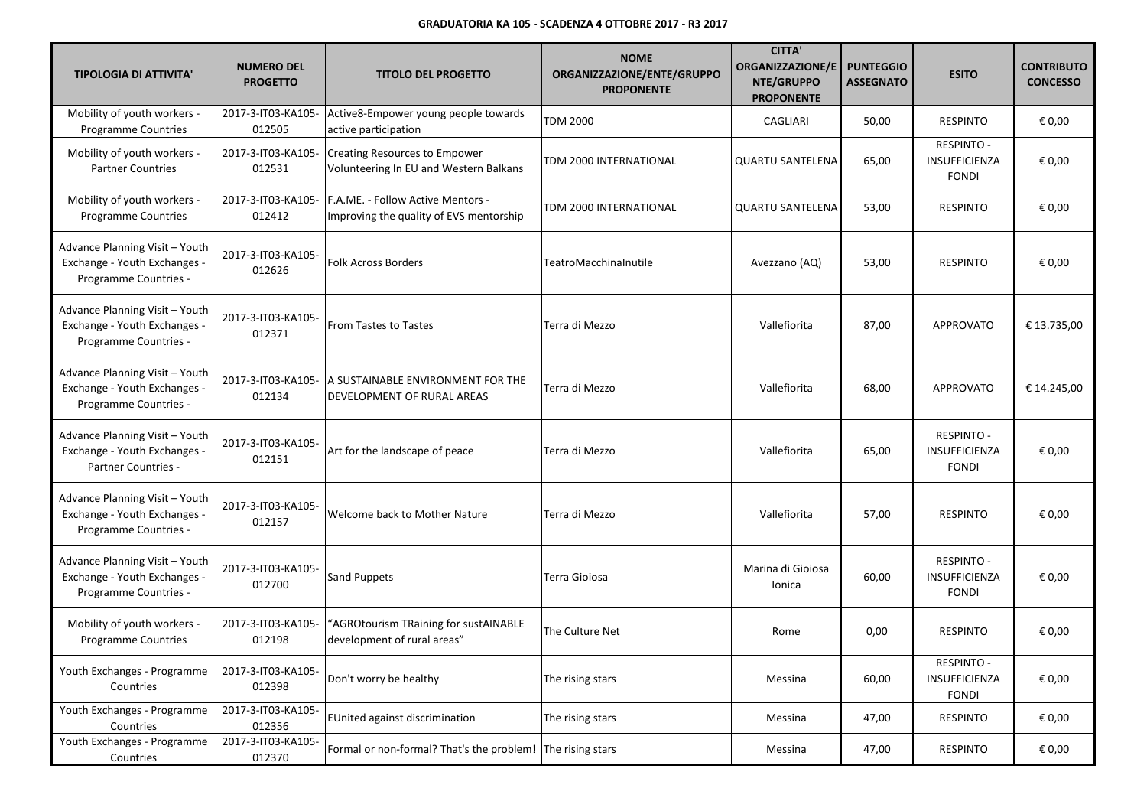| <b>TIPOLOGIA DI ATTIVITA'</b>                                                           | <b>NUMERO DEL</b><br><b>PROGETTO</b> | <b>TITOLO DEL PROGETTO</b>                                                     | <b>NOME</b><br>ORGANIZZAZIONE/ENTE/GRUPPO<br><b>PROPONENTE</b> | <b>CITTA'</b><br><b>ORGANIZZAZIONE/E</b><br>NTE/GRUPPO<br><b>PROPONENTE</b> | <b>PUNTEGGIO</b><br><b>ASSEGNATO</b> | <b>ESITO</b>                                              | <b>CONTRIBUTO</b><br><b>CONCESSO</b> |
|-----------------------------------------------------------------------------------------|--------------------------------------|--------------------------------------------------------------------------------|----------------------------------------------------------------|-----------------------------------------------------------------------------|--------------------------------------|-----------------------------------------------------------|--------------------------------------|
| Mobility of youth workers -<br>Programme Countries                                      | 2017-3-IT03-KA105-<br>012505         | Active8-Empower young people towards<br>active participation                   | <b>TDM 2000</b>                                                | CAGLIARI                                                                    | 50,00                                | <b>RESPINTO</b>                                           | € 0,00                               |
| Mobility of youth workers -<br><b>Partner Countries</b>                                 | 2017-3-IT03-KA105-<br>012531         | <b>Creating Resources to Empower</b><br>Volunteering In EU and Western Balkans | TDM 2000 INTERNATIONAL                                         | <b>QUARTU SANTELENA</b>                                                     | 65,00                                | <b>RESPINTO -</b><br>INSUFFICIENZA<br><b>FONDI</b>        | € 0,00                               |
| Mobility of youth workers -<br>Programme Countries                                      | 2017-3-IT03-KA105-<br>012412         | F.A.ME. - Follow Active Mentors -<br>Improving the quality of EVS mentorship   | TDM 2000 INTERNATIONAL                                         | <b>QUARTU SANTELENA</b>                                                     | 53,00                                | <b>RESPINTO</b>                                           | € 0,00                               |
| Advance Planning Visit - Youth<br>Exchange - Youth Exchanges -<br>Programme Countries - | 2017-3-IT03-KA105-<br>012626         | <b>Folk Across Borders</b>                                                     | TeatroMacchinalnutile                                          | Avezzano (AQ)                                                               | 53,00                                | <b>RESPINTO</b>                                           | € 0,00                               |
| Advance Planning Visit - Youth<br>Exchange - Youth Exchanges -<br>Programme Countries - | 2017-3-IT03-KA105-<br>012371         | From Tastes to Tastes                                                          | Terra di Mezzo                                                 | Vallefiorita                                                                | 87,00                                | <b>APPROVATO</b>                                          | € 13.735,00                          |
| Advance Planning Visit - Youth<br>Exchange - Youth Exchanges -<br>Programme Countries - | 2017-3-IT03-KA105-<br>012134         | A SUSTAINABLE ENVIRONMENT FOR THE<br>DEVELOPMENT OF RURAL AREAS                | Terra di Mezzo                                                 | Vallefiorita                                                                | 68,00                                | <b>APPROVATO</b>                                          | € 14.245,00                          |
| Advance Planning Visit - Youth<br>Exchange - Youth Exchanges -<br>Partner Countries -   | 2017-3-IT03-KA105-<br>012151         | Art for the landscape of peace                                                 | Terra di Mezzo                                                 | Vallefiorita                                                                | 65,00                                | <b>RESPINTO -</b><br><b>INSUFFICIENZA</b><br><b>FONDI</b> | € 0,00                               |
| Advance Planning Visit - Youth<br>Exchange - Youth Exchanges -<br>Programme Countries - | 2017-3-IT03-KA105-<br>012157         | Welcome back to Mother Nature                                                  | Terra di Mezzo                                                 | Vallefiorita                                                                | 57,00                                | <b>RESPINTO</b>                                           | € 0,00                               |
| Advance Planning Visit - Youth<br>Exchange - Youth Exchanges -<br>Programme Countries - | 2017-3-IT03-KA105-<br>012700         | <b>Sand Puppets</b>                                                            | Terra Gioiosa                                                  | Marina di Gioiosa<br>Ionica                                                 | 60,00                                | <b>RESPINTO -</b><br>INSUFFICIENZA<br><b>FONDI</b>        | € 0,00                               |
| Mobility of youth workers -<br>Programme Countries                                      | 2017-3-IT03-KA105-<br>012198         | "AGROtourism TRaining for sustAINABLE<br>development of rural areas"           | The Culture Net                                                | Rome                                                                        | 0,00                                 | <b>RESPINTO</b>                                           | € 0,00                               |
| Youth Exchanges - Programme<br>Countries                                                | 2017-3-IT03-KA105-<br>012398         | Don't worry be healthy                                                         | The rising stars                                               | Messina                                                                     | 60,00                                | <b>RESPINTO -</b><br>INSUFFICIENZA<br><b>FONDI</b>        | € 0,00                               |
| Youth Exchanges - Programme<br>Countries                                                | 2017-3-IT03-KA105-<br>012356         | EUnited against discrimination                                                 | The rising stars                                               | Messina                                                                     | 47,00                                | <b>RESPINTO</b>                                           | € 0,00                               |
| Youth Exchanges - Programme<br>Countries                                                | 2017-3-IT03-KA105-<br>012370         | Formal or non-formal? That's the problem! The rising stars                     |                                                                | Messina                                                                     | 47,00                                | <b>RESPINTO</b>                                           | € 0,00                               |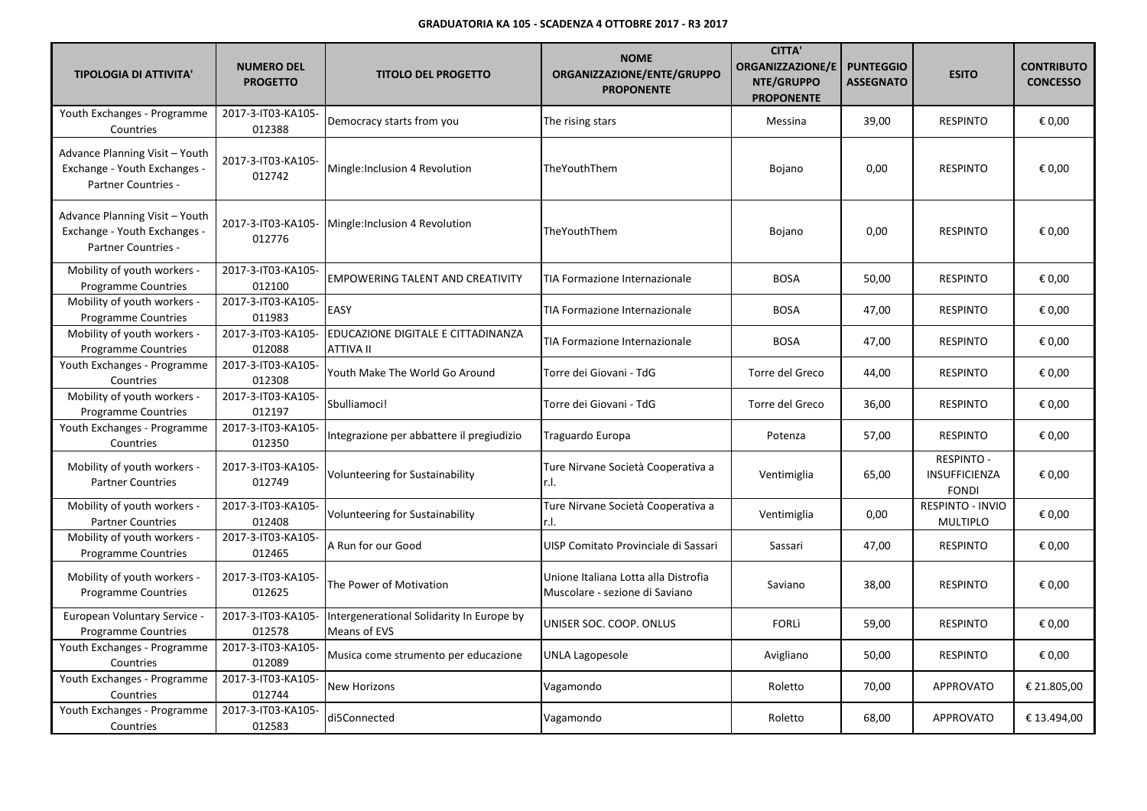| <b>TIPOLOGIA DI ATTIVITA'</b>                                                                | <b>NUMERO DEL</b><br><b>PROGETTO</b> | <b>TITOLO DEL PROGETTO</b>                                | <b>NOME</b><br>ORGANIZZAZIONE/ENTE/GRUPPO<br><b>PROPONENTE</b>         | <b>CITTA'</b><br><b>ORGANIZZAZIONE/E</b><br>NTE/GRUPPO<br><b>PROPONENTE</b> | <b>PUNTEGGIO</b><br><b>ASSEGNATO</b> | <b>ESITO</b>                                       | <b>CONTRIBUTO</b><br><b>CONCESSO</b> |
|----------------------------------------------------------------------------------------------|--------------------------------------|-----------------------------------------------------------|------------------------------------------------------------------------|-----------------------------------------------------------------------------|--------------------------------------|----------------------------------------------------|--------------------------------------|
| Youth Exchanges - Programme<br>Countries                                                     | 2017-3-IT03-KA105-<br>012388         | Democracy starts from you                                 | The rising stars                                                       | Messina                                                                     | 39,00                                | <b>RESPINTO</b>                                    | € 0,00                               |
| Advance Planning Visit - Youth<br>Exchange - Youth Exchanges -<br><b>Partner Countries -</b> | 2017-3-IT03-KA105-<br>012742         | Mingle: Inclusion 4 Revolution                            | TheYouthThem                                                           | Bojano                                                                      | 0,00                                 | <b>RESPINTO</b>                                    | € 0,00                               |
| Advance Planning Visit - Youth<br>Exchange - Youth Exchanges -<br>Partner Countries -        | 2017-3-IT03-KA105-<br>012776         | Mingle: Inclusion 4 Revolution                            | TheYouthThem                                                           | Bojano                                                                      | 0,00                                 | <b>RESPINTO</b>                                    | € 0,00                               |
| Mobility of youth workers -<br><b>Programme Countries</b>                                    | 2017-3-IT03-KA105-<br>012100         | <b>EMPOWERING TALENT AND CREATIVITY</b>                   | TIA Formazione Internazionale                                          | <b>BOSA</b>                                                                 | 50,00                                | <b>RESPINTO</b>                                    | € 0,00                               |
| Mobility of youth workers -<br><b>Programme Countries</b>                                    | 2017-3-IT03-KA105-<br>011983         | EASY                                                      | TIA Formazione Internazionale                                          | <b>BOSA</b>                                                                 | 47,00                                | <b>RESPINTO</b>                                    | € 0,00                               |
| Mobility of youth workers -<br>Programme Countries                                           | 2017-3-IT03-KA105-<br>012088         | EDUCAZIONE DIGITALE E CITTADINANZA<br><b>ATTIVA II</b>    | TIA Formazione Internazionale                                          | <b>BOSA</b>                                                                 | 47,00                                | <b>RESPINTO</b>                                    | € 0,00                               |
| Youth Exchanges - Programme<br>Countries                                                     | 2017-3-IT03-KA105-<br>012308         | Youth Make The World Go Around                            | Torre dei Giovani - TdG                                                | Torre del Greco                                                             | 44,00                                | <b>RESPINTO</b>                                    | € 0,00                               |
| Mobility of youth workers -<br><b>Programme Countries</b>                                    | 2017-3-IT03-KA105-<br>012197         | Sbulliamoci!                                              | Torre dei Giovani - TdG                                                | Torre del Greco                                                             | 36,00                                | <b>RESPINTO</b>                                    | € 0,00                               |
| Youth Exchanges - Programme<br>Countries                                                     | 2017-3-IT03-KA105-<br>012350         | Integrazione per abbattere il pregiudizio                 | Traguardo Europa                                                       | Potenza                                                                     | 57,00                                | <b>RESPINTO</b>                                    | € 0,00                               |
| Mobility of youth workers -<br><b>Partner Countries</b>                                      | 2017-3-IT03-KA105-<br>012749         | <b>Volunteering for Sustainability</b>                    | Ture Nirvane Società Cooperativa a<br>r.I.                             | Ventimiglia                                                                 | 65,00                                | <b>RESPINTO -</b><br>INSUFFICIENZA<br><b>FONDI</b> | € 0,00                               |
| Mobility of youth workers -<br><b>Partner Countries</b>                                      | 2017-3-IT03-KA105-<br>012408         | Volunteering for Sustainability                           | Ture Nirvane Società Cooperativa a<br>r.I.                             | Ventimiglia                                                                 | 0,00                                 | RESPINTO - INVIO<br><b>MULTIPLO</b>                | € 0,00                               |
| Mobility of youth workers -<br>Programme Countries                                           | 2017-3-IT03-KA105-<br>012465         | A Run for our Good                                        | UISP Comitato Provinciale di Sassari                                   | Sassari                                                                     | 47,00                                | <b>RESPINTO</b>                                    | € 0,00                               |
| Mobility of youth workers -<br><b>Programme Countries</b>                                    | 2017-3-IT03-KA105-<br>012625         | The Power of Motivation                                   | Unione Italiana Lotta alla Distrofia<br>Muscolare - sezione di Saviano | Saviano                                                                     | 38,00                                | <b>RESPINTO</b>                                    | € 0,00                               |
| European Voluntary Service -<br><b>Programme Countries</b>                                   | 2017-3-IT03-KA105-<br>012578         | Intergenerational Solidarity In Europe by<br>Means of EVS | UNISER SOC. COOP. ONLUS                                                | <b>FORLI</b>                                                                | 59,00                                | <b>RESPINTO</b>                                    | € 0,00                               |
| Youth Exchanges - Programme<br>Countries                                                     | 2017-3-IT03-KA105-<br>012089         | Musica come strumento per educazione                      | UNLA Lagopesole                                                        | Avigliano                                                                   | 50,00                                | <b>RESPINTO</b>                                    | € 0,00                               |
| Youth Exchanges - Programme<br>Countries                                                     | 2017-3-IT03-KA105-<br>012744         | <b>New Horizons</b>                                       | Vagamondo                                                              | Roletto                                                                     | 70,00                                | <b>APPROVATO</b>                                   | € 21.805,00                          |
| Youth Exchanges - Programme<br>Countries                                                     | 2017-3-IT03-KA105-<br>012583         | di5Connected                                              | Vagamondo                                                              | Roletto                                                                     | 68,00                                | <b>APPROVATO</b>                                   | € 13.494,00                          |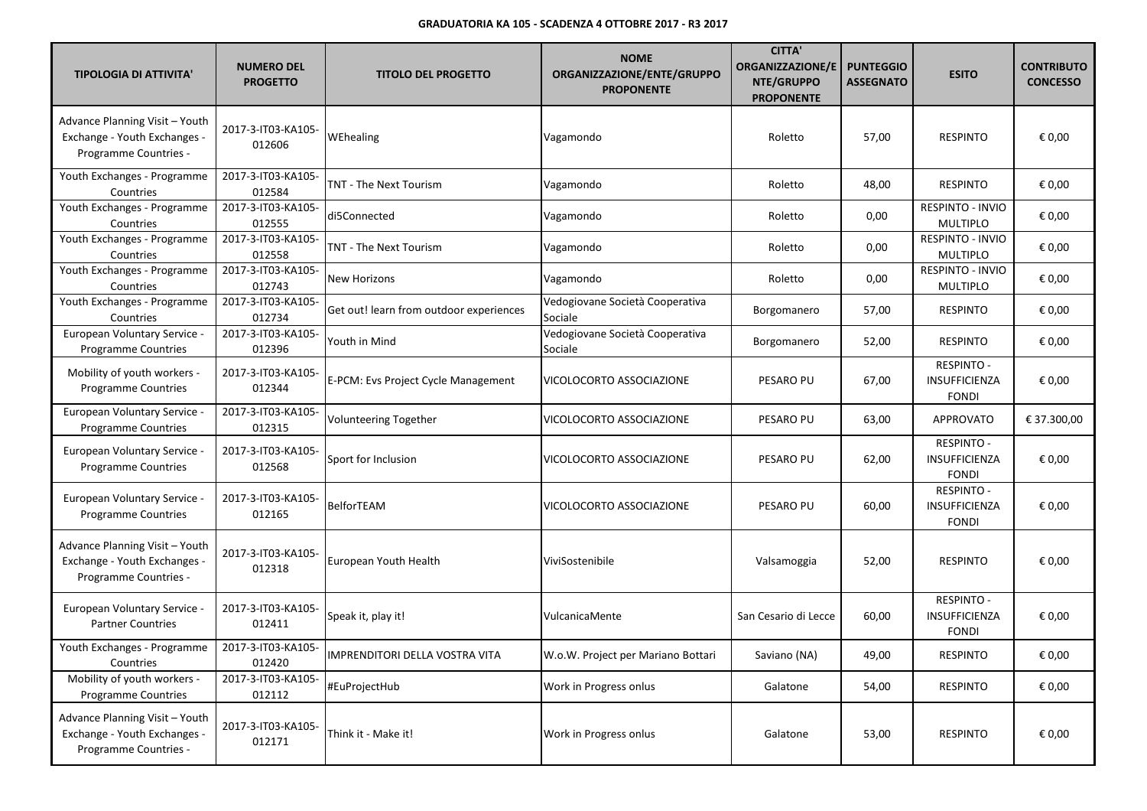| <b>TIPOLOGIA DI ATTIVITA'</b>                                                           | <b>NUMERO DEL</b><br><b>PROGETTO</b> | <b>TITOLO DEL PROGETTO</b>              | <b>NOME</b><br>ORGANIZZAZIONE/ENTE/GRUPPO<br><b>PROPONENTE</b> | <b>CITTA'</b><br><b>ORGANIZZAZIONE/E</b><br>NTE/GRUPPO<br><b>PROPONENTE</b> | <b>PUNTEGGIO</b><br><b>ASSEGNATO</b> | <b>ESITO</b>                                       | <b>CONTRIBUTO</b><br><b>CONCESSO</b> |
|-----------------------------------------------------------------------------------------|--------------------------------------|-----------------------------------------|----------------------------------------------------------------|-----------------------------------------------------------------------------|--------------------------------------|----------------------------------------------------|--------------------------------------|
| Advance Planning Visit - Youth<br>Exchange - Youth Exchanges -<br>Programme Countries - | 2017-3-IT03-KA105-<br>012606         | WEhealing                               | Vagamondo                                                      | Roletto                                                                     | 57,00                                | <b>RESPINTO</b>                                    | € 0,00                               |
| Youth Exchanges - Programme<br>Countries                                                | 2017-3-IT03-KA105-<br>012584         | TNT - The Next Tourism                  | Vagamondo                                                      | Roletto                                                                     | 48,00                                | <b>RESPINTO</b>                                    | € 0,00                               |
| Youth Exchanges - Programme<br>Countries                                                | 2017-3-IT03-KA105-<br>012555         | di5Connected                            | Vagamondo                                                      | Roletto                                                                     | 0,00                                 | RESPINTO - INVIO<br><b>MULTIPLO</b>                | € 0,00                               |
| Youth Exchanges - Programme<br>Countries                                                | 2017-3-IT03-KA105-<br>012558         | TNT - The Next Tourism                  | Vagamondo                                                      | Roletto                                                                     | 0,00                                 | RESPINTO - INVIO<br><b>MULTIPLO</b>                | € 0,00                               |
| Youth Exchanges - Programme<br>Countries                                                | 2017-3-IT03-KA105-<br>012743         | New Horizons                            | Vagamondo                                                      | Roletto                                                                     | 0,00                                 | RESPINTO - INVIO<br><b>MULTIPLO</b>                | € 0,00                               |
| Youth Exchanges - Programme<br>Countries                                                | 2017-3-IT03-KA105-<br>012734         | Get out! learn from outdoor experiences | Vedogiovane Società Cooperativa<br>Sociale                     | Borgomanero                                                                 | 57,00                                | <b>RESPINTO</b>                                    | € 0,00                               |
| European Voluntary Service -<br>Programme Countries                                     | 2017-3-IT03-KA105-<br>012396         | Youth in Mind                           | Vedogiovane Società Cooperativa<br>Sociale                     | Borgomanero                                                                 | 52,00                                | <b>RESPINTO</b>                                    | € 0,00                               |
| Mobility of youth workers -<br><b>Programme Countries</b>                               | 2017-3-IT03-KA105-<br>012344         | E-PCM: Evs Project Cycle Management     | VICOLOCORTO ASSOCIAZIONE                                       | PESARO PU                                                                   | 67,00                                | <b>RESPINTO -</b><br>INSUFFICIENZA<br><b>FONDI</b> | € 0,00                               |
| European Voluntary Service<br><b>Programme Countries</b>                                | 2017-3-IT03-KA105-<br>012315         | <b>Volunteering Together</b>            | VICOLOCORTO ASSOCIAZIONE                                       | <b>PESARO PU</b>                                                            | 63,00                                | <b>APPROVATO</b>                                   | € 37.300,00                          |
| European Voluntary Service<br><b>Programme Countries</b>                                | 2017-3-IT03-KA105-<br>012568         | Sport for Inclusion                     | VICOLOCORTO ASSOCIAZIONE                                       | PESARO PU                                                                   | 62,00                                | <b>RESPINTO -</b><br>INSUFFICIENZA<br><b>FONDI</b> | € 0,00                               |
| European Voluntary Service<br>Programme Countries                                       | 2017-3-IT03-KA105-<br>012165         | <b>BelforTEAM</b>                       | VICOLOCORTO ASSOCIAZIONE                                       | PESARO PU                                                                   | 60,00                                | <b>RESPINTO -</b><br>INSUFFICIENZA<br><b>FONDI</b> | € 0,00                               |
| Advance Planning Visit - Youth<br>Exchange - Youth Exchanges -<br>Programme Countries - | 2017-3-IT03-KA105-<br>012318         | European Youth Health                   | ViviSostenibile                                                | Valsamoggia                                                                 | 52,00                                | <b>RESPINTO</b>                                    | € 0,00                               |
| European Voluntary Service -<br><b>Partner Countries</b>                                | 2017-3-IT03-KA105-<br>012411         | Speak it, play it!                      | VulcanicaMente                                                 | San Cesario di Lecce                                                        | 60,00                                | <b>RESPINTO -</b><br>INSUFFICIENZA<br><b>FONDI</b> | € 0,00                               |
| Youth Exchanges - Programme<br>Countries                                                | 2017-3-IT03-KA105-<br>012420         | IMPRENDITORI DELLA VOSTRA VITA          | W.o.W. Project per Mariano Bottari                             | Saviano (NA)                                                                | 49,00                                | <b>RESPINTO</b>                                    | € 0,00                               |
| Mobility of youth workers -<br>Programme Countries                                      | 2017-3-IT03-KA105-<br>012112         | #EuProjectHub                           | Work in Progress onlus                                         | Galatone                                                                    | 54,00                                | <b>RESPINTO</b>                                    | € 0,00                               |
| Advance Planning Visit - Youth<br>Exchange - Youth Exchanges -<br>Programme Countries - | 2017-3-IT03-KA105-<br>012171         | Think it - Make it!                     | Work in Progress onlus                                         | Galatone                                                                    | 53,00                                | <b>RESPINTO</b>                                    | € 0,00                               |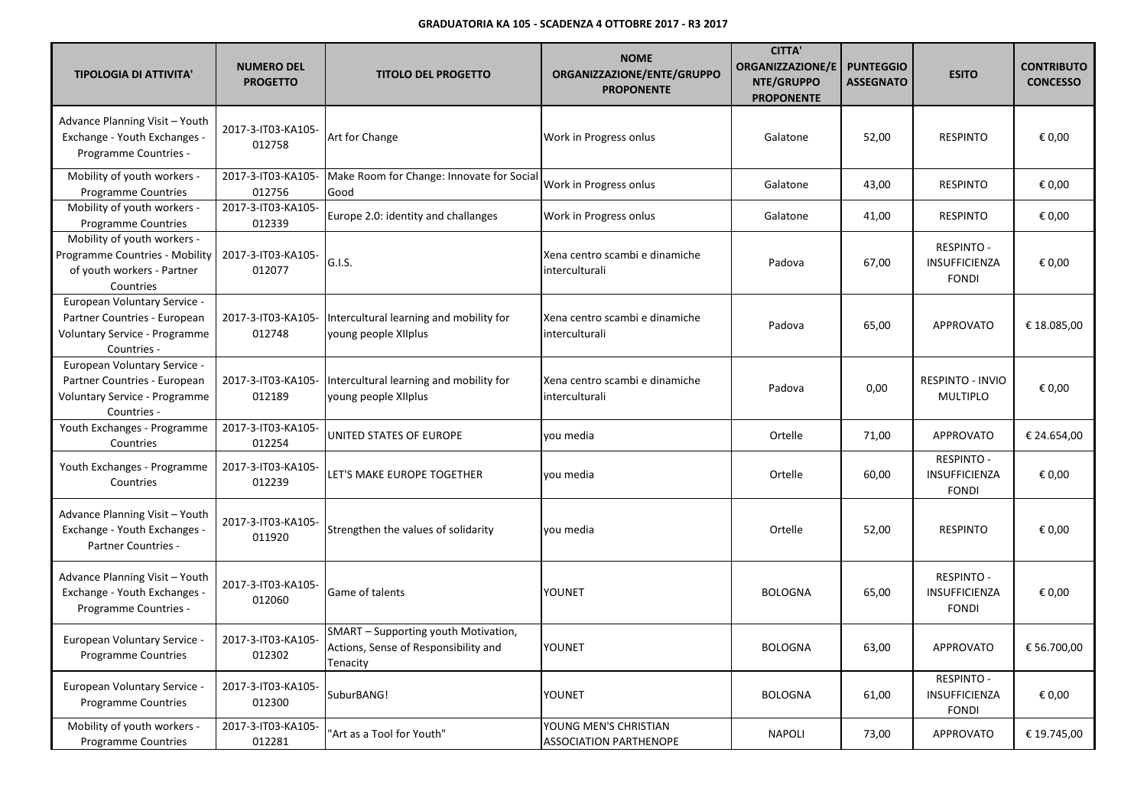| <b>TIPOLOGIA DI ATTIVITA'</b>                                                                                | <b>NUMERO DEL</b><br><b>PROGETTO</b> | <b>TITOLO DEL PROGETTO</b>                                                               | <b>NOME</b><br>ORGANIZZAZIONE/ENTE/GRUPPO<br><b>PROPONENTE</b> | <b>CITTA'</b><br><b>ORGANIZZAZIONE/E</b><br>NTE/GRUPPO<br><b>PROPONENTE</b> | <b>PUNTEGGIO</b><br><b>ASSEGNATO</b> | <b>ESITO</b>                                              | <b>CONTRIBUTO</b><br><b>CONCESSO</b> |
|--------------------------------------------------------------------------------------------------------------|--------------------------------------|------------------------------------------------------------------------------------------|----------------------------------------------------------------|-----------------------------------------------------------------------------|--------------------------------------|-----------------------------------------------------------|--------------------------------------|
| Advance Planning Visit - Youth<br>Exchange - Youth Exchanges -<br>Programme Countries -                      | 2017-3-IT03-KA105-<br>012758         | Art for Change                                                                           | Work in Progress onlus                                         | Galatone                                                                    | 52,00                                | <b>RESPINTO</b>                                           | € 0,00                               |
| Mobility of youth workers -<br><b>Programme Countries</b>                                                    | 2017-3-IT03-KA105-<br>012756         | Make Room for Change: Innovate for Social<br>Good                                        | Work in Progress onlus                                         | Galatone                                                                    | 43,00                                | <b>RESPINTO</b>                                           | € 0,00                               |
| Mobility of youth workers -<br><b>Programme Countries</b>                                                    | 2017-3-IT03-KA105-<br>012339         | Europe 2.0: identity and challanges                                                      | Work in Progress onlus                                         | Galatone                                                                    | 41,00                                | <b>RESPINTO</b>                                           | € 0,00                               |
| Mobility of youth workers -<br>Programme Countries - Mobility<br>of youth workers - Partner<br>Countries     | 2017-3-IT03-KA105-<br>012077         | G.I.S.                                                                                   | Xena centro scambi e dinamiche<br>interculturali               | Padova                                                                      | 67,00                                | <b>RESPINTO -</b><br>INSUFFICIENZA<br><b>FONDI</b>        | € 0,00                               |
| European Voluntary Service -<br>Partner Countries - European<br>Voluntary Service - Programme<br>Countries - | 2017-3-IT03-KA105-<br>012748         | Intercultural learning and mobility for<br>young people XIIplus                          | Xena centro scambi e dinamiche<br>interculturali               | Padova                                                                      | 65,00                                | <b>APPROVATO</b>                                          | € 18.085,00                          |
| European Voluntary Service -<br>Partner Countries - European<br>Voluntary Service - Programme<br>Countries - | 2017-3-IT03-KA105-<br>012189         | Intercultural learning and mobility for<br>young people XIIplus                          | Xena centro scambi e dinamiche<br>interculturali               | Padova                                                                      | 0,00                                 | RESPINTO - INVIO<br><b>MULTIPLO</b>                       | € 0,00                               |
| Youth Exchanges - Programme<br>Countries                                                                     | 2017-3-IT03-KA105-<br>012254         | UNITED STATES OF EUROPE                                                                  | vou media                                                      | Ortelle                                                                     | 71,00                                | <b>APPROVATO</b>                                          | € 24.654,00                          |
| Youth Exchanges - Programme<br>Countries                                                                     | 2017-3-IT03-KA105-<br>012239         | LET'S MAKE EUROPE TOGETHER                                                               | you media                                                      | Ortelle                                                                     | 60,00                                | <b>RESPINTO -</b><br><b>INSUFFICIENZA</b><br><b>FONDI</b> | € 0,00                               |
| Advance Planning Visit - Youth<br>Exchange - Youth Exchanges -<br>Partner Countries -                        | 2017-3-IT03-KA105-<br>011920         | Strengthen the values of solidarity                                                      | vou media                                                      | Ortelle                                                                     | 52,00                                | <b>RESPINTO</b>                                           | € 0,00                               |
| Advance Planning Visit - Youth<br>Exchange - Youth Exchanges -<br>Programme Countries -                      | 2017-3-IT03-KA105-<br>012060         | Game of talents                                                                          | YOUNET                                                         | <b>BOLOGNA</b>                                                              | 65,00                                | <b>RESPINTO -</b><br>INSUFFICIENZA<br><b>FONDI</b>        | € 0,00                               |
| European Voluntary Service<br><b>Programme Countries</b>                                                     | 2017-3-IT03-KA105-<br>012302         | SMART - Supporting youth Motivation,<br>Actions, Sense of Responsibility and<br>Tenacity | <b>YOUNET</b>                                                  | <b>BOLOGNA</b>                                                              | 63,00                                | <b>APPROVATO</b>                                          | € 56.700,00                          |
| European Voluntary Service<br>Programme Countries                                                            | 2017-3-IT03-KA105-<br>012300         | SuburBANG!                                                                               | YOUNET                                                         | <b>BOLOGNA</b>                                                              | 61,00                                | <b>RESPINTO -</b><br>INSUFFICIENZA<br><b>FONDI</b>        | € 0,00                               |
| Mobility of youth workers -<br><b>Programme Countries</b>                                                    | 2017-3-IT03-KA105-<br>012281         | 'Art as a Tool for Youth"                                                                | YOUNG MEN'S CHRISTIAN<br><b>ASSOCIATION PARTHENOPE</b>         | <b>NAPOLI</b>                                                               | 73,00                                | <b>APPROVATO</b>                                          | € 19.745,00                          |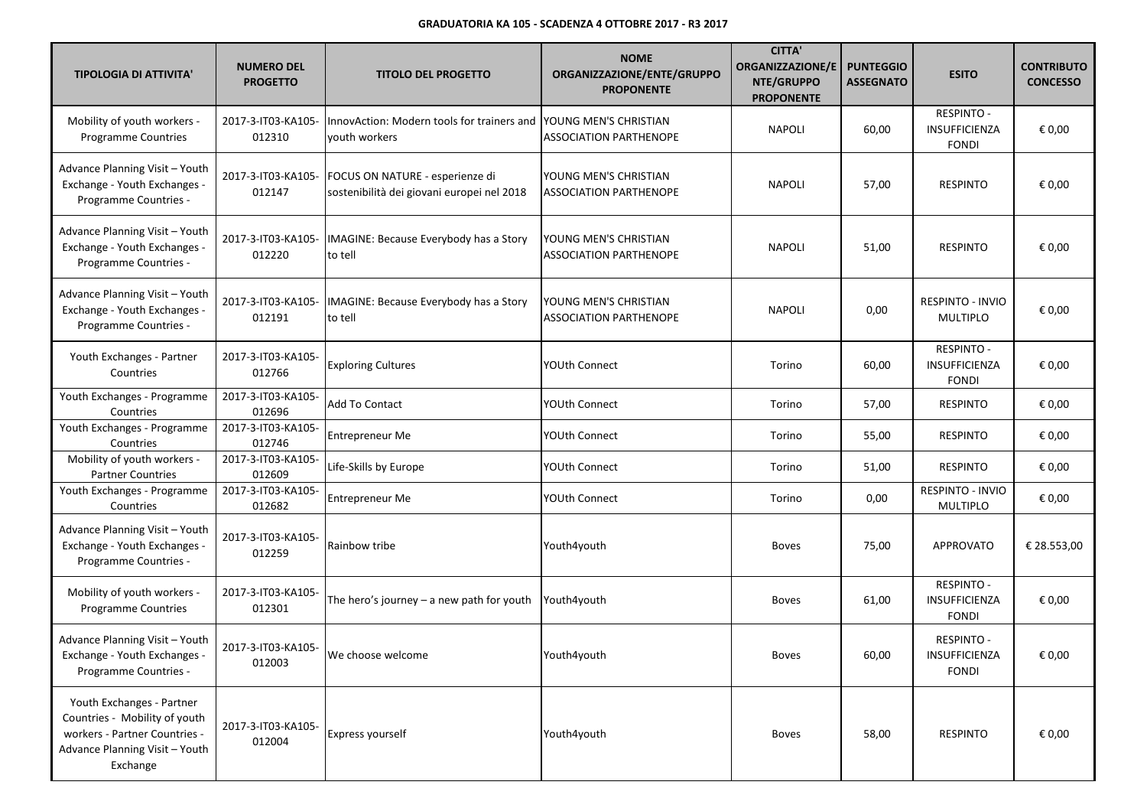| <b>TIPOLOGIA DI ATTIVITA'</b>                                                                                                             | <b>NUMERO DEL</b><br><b>PROGETTO</b> | <b>TITOLO DEL PROGETTO</b>                                                    | <b>NOME</b><br>ORGANIZZAZIONE/ENTE/GRUPPO<br><b>PROPONENTE</b> | <b>CITTA'</b><br><b>ORGANIZZAZIONE/E</b><br>NTE/GRUPPO<br><b>PROPONENTE</b> | <b>PUNTEGGIO</b><br><b>ASSEGNATO</b> | <b>ESITO</b>                                       | <b>CONTRIBUTO</b><br><b>CONCESSO</b> |
|-------------------------------------------------------------------------------------------------------------------------------------------|--------------------------------------|-------------------------------------------------------------------------------|----------------------------------------------------------------|-----------------------------------------------------------------------------|--------------------------------------|----------------------------------------------------|--------------------------------------|
| Mobility of youth workers -<br>Programme Countries                                                                                        | 2017-3-IT03-KA105-<br>012310         | InnovAction: Modern tools for trainers and<br>vouth workers                   | YOUNG MEN'S CHRISTIAN<br><b>ASSOCIATION PARTHENOPE</b>         | <b>NAPOLI</b>                                                               | 60,00                                | <b>RESPINTO -</b><br>INSUFFICIENZA<br><b>FONDI</b> | € 0,00                               |
| Advance Planning Visit - Youth<br>Exchange - Youth Exchanges -<br>Programme Countries -                                                   | 2017-3-IT03-KA105-<br>012147         | FOCUS ON NATURE - esperienze di<br>sostenibilità dei giovani europei nel 2018 | YOUNG MEN'S CHRISTIAN<br><b>ASSOCIATION PARTHENOPE</b>         | <b>NAPOLI</b>                                                               | 57,00                                | <b>RESPINTO</b>                                    | € 0,00                               |
| Advance Planning Visit - Youth<br>Exchange - Youth Exchanges -<br>Programme Countries -                                                   | 2017-3-IT03-KA105-<br>012220         | IMAGINE: Because Everybody has a Story<br>to tell                             | YOUNG MEN'S CHRISTIAN<br><b>ASSOCIATION PARTHENOPE</b>         | <b>NAPOLI</b>                                                               | 51,00                                | <b>RESPINTO</b>                                    | € 0,00                               |
| Advance Planning Visit - Youth<br>Exchange - Youth Exchanges -<br>Programme Countries -                                                   | 2017-3-IT03-KA105-<br>012191         | IMAGINE: Because Everybody has a Story<br>to tell                             | YOUNG MEN'S CHRISTIAN<br>ASSOCIATION PARTHENOPE                | <b>NAPOLI</b>                                                               | 0,00                                 | RESPINTO - INVIO<br><b>MULTIPLO</b>                | € 0,00                               |
| Youth Exchanges - Partner<br>Countries                                                                                                    | 2017-3-IT03-KA105-<br>012766         | <b>Exploring Cultures</b>                                                     | YOUth Connect                                                  | Torino                                                                      | 60,00                                | <b>RESPINTO -</b><br>INSUFFICIENZA<br><b>FONDI</b> | € 0,00                               |
| Youth Exchanges - Programme<br>Countries                                                                                                  | 2017-3-IT03-KA105-<br>012696         | <b>Add To Contact</b>                                                         | YOUth Connect                                                  | Torino                                                                      | 57,00                                | <b>RESPINTO</b>                                    | € 0,00                               |
| Youth Exchanges - Programme<br>Countries                                                                                                  | 2017-3-IT03-KA105-<br>012746         | <b>Entrepreneur Me</b>                                                        | YOUth Connect                                                  | Torino                                                                      | 55,00                                | <b>RESPINTO</b>                                    | € 0,00                               |
| Mobility of youth workers -<br><b>Partner Countries</b>                                                                                   | 2017-3-IT03-KA105-<br>012609         | Life-Skills by Europe                                                         | YOUth Connect                                                  | Torino                                                                      | 51,00                                | <b>RESPINTO</b>                                    | € 0,00                               |
| Youth Exchanges - Programme<br>Countries                                                                                                  | 2017-3-IT03-KA105-<br>012682         | Entrepreneur Me                                                               | YOUth Connect                                                  | Torino                                                                      | 0,00                                 | RESPINTO - INVIO<br><b>MULTIPLO</b>                | € 0,00                               |
| Advance Planning Visit - Youth<br>Exchange - Youth Exchanges -<br>Programme Countries -                                                   | 2017-3-IT03-KA105-<br>012259         | Rainbow tribe                                                                 | Youth4youth                                                    | <b>Boves</b>                                                                | 75,00                                | <b>APPROVATO</b>                                   | € 28.553,00                          |
| Mobility of youth workers -<br>Programme Countries                                                                                        | 2017-3-IT03-KA105-<br>012301         | The hero's journey $-$ a new path for youth                                   | Youth4youth                                                    | <b>Boves</b>                                                                | 61,00                                | <b>RESPINTO -</b><br>INSUFFICIENZA<br><b>FONDI</b> | € 0,00                               |
| Advance Planning Visit - Youth<br>Exchange - Youth Exchanges -<br>Programme Countries -                                                   | 2017-3-IT03-KA105-<br>012003         | We choose welcome                                                             | Youth4youth                                                    | Boves                                                                       | 60,00                                | <b>RESPINTO -</b><br>INSUFFICIENZA<br><b>FONDI</b> | € 0,00                               |
| Youth Exchanges - Partner<br>Countries - Mobility of youth<br>workers - Partner Countries -<br>Advance Planning Visit - Youth<br>Exchange | 2017-3-IT03-KA105-<br>012004         | <b>Express yourself</b>                                                       | Youth4youth                                                    | <b>Boves</b>                                                                | 58,00                                | <b>RESPINTO</b>                                    | € 0,00                               |